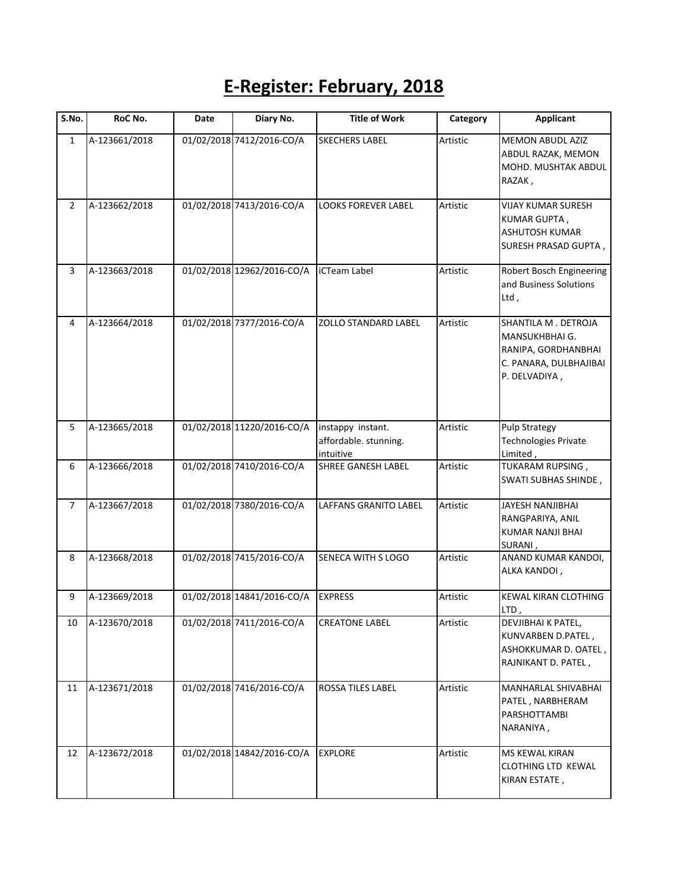## **E-Register: February, 2018**

| $\overline{\mathsf{S}}$ . No. | RoC No.       | Date | Diary No.                  | <b>Title of Work</b>                                    | Category | <b>Applicant</b>                                                                                        |
|-------------------------------|---------------|------|----------------------------|---------------------------------------------------------|----------|---------------------------------------------------------------------------------------------------------|
| $\mathbf{1}$                  | A-123661/2018 |      | 01/02/2018 7412/2016-CO/A  | <b>SKECHERS LABEL</b>                                   | Artistic | <b>MEMON ABUDL AZIZ</b><br>ABDUL RAZAK, MEMON<br>MOHD. MUSHTAK ABDUL<br>RAZAK,                          |
| $\overline{2}$                | A-123662/2018 |      | 01/02/2018 7413/2016-CO/A  | <b>LOOKS FOREVER LABEL</b>                              | Artistic | <b>VIJAY KUMAR SURESH</b><br>KUMAR GUPTA,<br>ASHUTOSH KUMAR<br>SURESH PRASAD GUPTA,                     |
| 3                             | A-123663/2018 |      | 01/02/2018 12962/2016-CO/A | iCTeam Label                                            | Artistic | Robert Bosch Engineering<br>and Business Solutions<br>Ltd,                                              |
| 4                             | A-123664/2018 |      | 01/02/2018 7377/2016-CO/A  | <b>ZOLLO STANDARD LABEL</b>                             | Artistic | SHANTILA M. DETROJA<br>MANSUKHBHAI G.<br>RANIPA, GORDHANBHAI<br>C. PANARA, DULBHAJIBAI<br>P. DELVADIYA, |
| 5                             | A-123665/2018 |      | 01/02/2018 11220/2016-CO/A | instappy instant.<br>affordable. stunning.<br>intuitive | Artistic | <b>Pulp Strategy</b><br><b>Technologies Private</b><br>Limited,                                         |
| 6                             | A-123666/2018 |      | 01/02/2018 7410/2016-CO/A  | SHREE GANESH LABEL                                      | Artistic | TUKARAM RUPSING,<br>SWATI SUBHAS SHINDE,                                                                |
| 7                             | A-123667/2018 |      | 01/02/2018 7380/2016-CO/A  | LAFFANS GRANITO LABEL                                   | Artistic | JAYESH NANJIBHAI<br>RANGPARIYA, ANIL<br>KUMAR NANJI BHAI<br>SURANI,                                     |
| 8                             | A-123668/2018 |      | 01/02/2018 7415/2016-CO/A  | SENECA WITH S LOGO                                      | Artistic | ANAND KUMAR KANDOI,<br>ALKA KANDOI,                                                                     |
| 9                             | A-123669/2018 |      | 01/02/2018 14841/2016-CO/A | <b>EXPRESS</b>                                          | Artistic | KEWAL KIRAN CLOTHING<br>LTD,                                                                            |
| 10                            | A-123670/2018 |      | 01/02/2018 7411/2016-CO/A  | <b>CREATONE LABEL</b>                                   | Artistic | DEVJIBHAI K PATEL,<br>KUNVARBEN D.PATEL,<br>ASHOKKUMAR D. OATEL,<br>RAJNIKANT D. PATEL,                 |
| 11                            | A-123671/2018 |      | 01/02/2018 7416/2016-CO/A  | ROSSA TILES LABEL                                       | Artistic | MANHARLAL SHIVABHAI<br>PATEL, NARBHERAM<br>PARSHOTTAMBI<br>NARANIYA,                                    |
| 12                            | A-123672/2018 |      | 01/02/2018 14842/2016-CO/A | <b>EXPLORE</b>                                          | Artistic | MS KEWAL KIRAN<br>CLOTHING LTD KEWAL<br>KIRAN ESTATE,                                                   |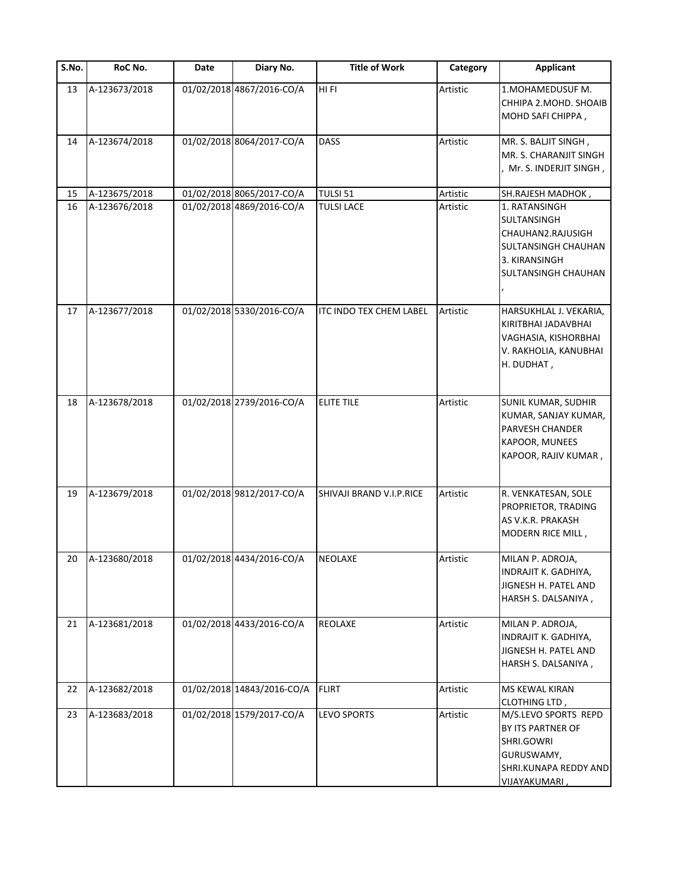| S.No. | RoC No.       | Date | Diary No.                  | <b>Title of Work</b>     | Category | <b>Applicant</b>                                                                                                        |
|-------|---------------|------|----------------------------|--------------------------|----------|-------------------------------------------------------------------------------------------------------------------------|
| 13    | A-123673/2018 |      | 01/02/2018 4867/2016-CO/A  | HI FI                    | Artistic | 1. MOHAMEDUSUF M.<br>CHHIPA 2. MOHD. SHOAIB<br>MOHD SAFI CHIPPA,                                                        |
| 14    | A-123674/2018 |      | 01/02/2018 8064/2017-CO/A  | DASS                     | Artistic | MR. S. BALJIT SINGH,<br>MR. S. CHARANJIT SINGH<br>Mr. S. INDERJIT SINGH,                                                |
| 15    | A-123675/2018 |      | 01/02/2018 8065/2017-CO/A  | TULSI 51                 | Artistic | SH.RAJESH MADHOK,                                                                                                       |
| 16    | A-123676/2018 |      | 01/02/2018 4869/2016-CO/A  | <b>TULSI LACE</b>        | Artistic | 1. RATANSINGH<br>SULTANSINGH<br>CHAUHAN2.RAJUSIGH<br><b>SULTANSINGH CHAUHAN</b><br>3. KIRANSINGH<br>SULTANSINGH CHAUHAN |
| 17    | A-123677/2018 |      | 01/02/2018 5330/2016-CO/A  | ITC INDO TEX CHEM LABEL  | Artistic | HARSUKHLAL J. VEKARIA,<br>KIRITBHAI JADAVBHAI<br>VAGHASIA, KISHORBHAI<br>V. RAKHOLIA, KANUBHAI<br>H. DUDHAT,            |
| 18    | A-123678/2018 |      | 01/02/2018 2739/2016-CO/A  | <b>ELITE TILE</b>        | Artistic | SUNIL KUMAR, SUDHIR<br>KUMAR, SANJAY KUMAR,<br>PARVESH CHANDER<br>KAPOOR, MUNEES<br>KAPOOR, RAJIV KUMAR,                |
| 19    | A-123679/2018 |      | 01/02/2018 9812/2017-CO/A  | SHIVAJI BRAND V.I.P.RICE | Artistic | R. VENKATESAN, SOLE<br>PROPRIETOR, TRADING<br>AS V.K.R. PRAKASH<br>MODERN RICE MILL,                                    |
| 20    | A-123680/2018 |      | 01/02/2018 4434/2016-CO/A  | <b>NEOLAXE</b>           | Artistic | MILAN P. ADROJA,<br>INDRAJIT K. GADHIYA,<br>JIGNESH H. PATEL AND<br>HARSH S. DALSANIYA,                                 |
| 21    | A-123681/2018 |      | 01/02/2018 4433/2016-CO/A  | <b>REOLAXE</b>           | Artistic | MILAN P. ADROJA,<br>INDRAJIT K. GADHIYA,<br>JIGNESH H. PATEL AND<br>HARSH S. DALSANIYA,                                 |
| 22    | A-123682/2018 |      | 01/02/2018 14843/2016-CO/A | <b>FLIRT</b>             | Artistic | <b>MS KEWAL KIRAN</b><br><b>CLOTHING LTD,</b>                                                                           |
| 23    | A-123683/2018 |      | 01/02/2018 1579/2017-CO/A  | LEVO SPORTS              | Artistic | M/S.LEVO SPORTS REPD<br>BY ITS PARTNER OF<br>SHRI.GOWRI<br>GURUSWAMY,<br>SHRI.KUNAPA REDDY AND<br>VIJAYAKUMARI,         |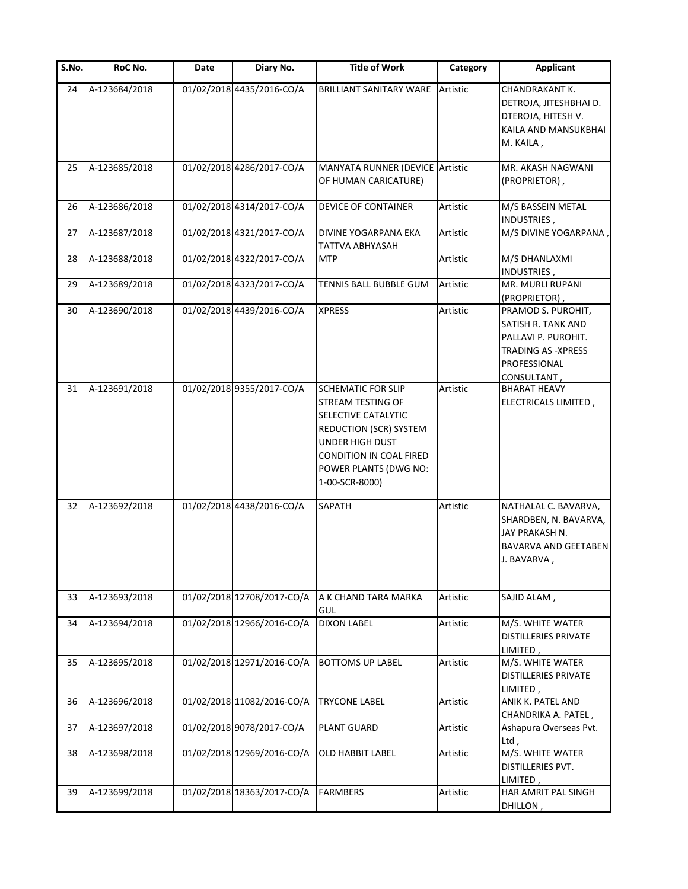| $\overline{\mathsf{S}}$ . No. | RoC No.       | Date | Diary No.                  | <b>Title of Work</b>                                                                                                                                                                            | Category | <b>Applicant</b>                                                                                                            |
|-------------------------------|---------------|------|----------------------------|-------------------------------------------------------------------------------------------------------------------------------------------------------------------------------------------------|----------|-----------------------------------------------------------------------------------------------------------------------------|
| 24                            | A-123684/2018 |      | 01/02/2018 4435/2016-CO/A  | <b>BRILLIANT SANITARY WARE</b>                                                                                                                                                                  | Artistic | CHANDRAKANT K.<br>DETROJA, JITESHBHAI D.<br>DTEROJA, HITESH V.<br>KAILA AND MANSUKBHAI<br>M. KAILA,                         |
| 25                            | A-123685/2018 |      | 01/02/2018 4286/2017-CO/A  | MANYATA RUNNER (DEVICE Artistic<br>OF HUMAN CARICATURE)                                                                                                                                         |          | MR. AKASH NAGWANI<br>(PROPRIETOR),                                                                                          |
| 26                            | A-123686/2018 |      | 01/02/2018 4314/2017-CO/A  | DEVICE OF CONTAINER                                                                                                                                                                             | Artistic | M/S BASSEIN METAL<br>INDUSTRIES,                                                                                            |
| 27                            | A-123687/2018 |      | 01/02/2018 4321/2017-CO/A  | DIVINE YOGARPANA EKA<br>TATTVA ABHYASAH                                                                                                                                                         | Artistic | M/S DIVINE YOGARPANA                                                                                                        |
| 28                            | A-123688/2018 |      | 01/02/2018 4322/2017-CO/A  | MTP                                                                                                                                                                                             | Artistic | M/S DHANLAXMI<br>INDUSTRIES,                                                                                                |
| 29                            | A-123689/2018 |      | 01/02/2018 4323/2017-CO/A  | TENNIS BALL BUBBLE GUM                                                                                                                                                                          | Artistic | MR. MURLI RUPANI<br>(PROPRIETOR),                                                                                           |
| 30                            | A-123690/2018 |      | 01/02/2018 4439/2016-CO/A  | <b>XPRESS</b>                                                                                                                                                                                   | Artistic | PRAMOD S. PUROHIT,<br>SATISH R. TANK AND<br>PALLAVI P. PUROHIT.<br>TRADING AS -XPRESS<br>PROFESSIONAL<br><u>CONSULTANT,</u> |
| 31                            | A-123691/2018 |      | 01/02/2018 9355/2017-CO/A  | <b>SCHEMATIC FOR SLIP</b><br>STREAM TESTING OF<br>SELECTIVE CATALYTIC<br>REDUCTION (SCR) SYSTEM<br><b>UNDER HIGH DUST</b><br>CONDITION IN COAL FIRED<br>POWER PLANTS (DWG NO:<br>1-00-SCR-8000) | Artistic | <b>BHARAT HEAVY</b><br>ELECTRICALS LIMITED,                                                                                 |
| 32                            | A-123692/2018 |      | 01/02/2018 4438/2016-CO/A  | SAPATH                                                                                                                                                                                          | Artistic | NATHALAL C. BAVARVA,<br>SHARDBEN, N. BAVARVA,<br>JAY PRAKASH N.<br>BAVARVA AND GEETABEN<br>J. BAVARVA,                      |
| 33                            | A-123693/2018 |      | 01/02/2018 12708/2017-CO/A | A K CHAND TARA MARKA<br>GUL                                                                                                                                                                     | Artistic | SAJID ALAM,                                                                                                                 |
| 34                            | A-123694/2018 |      | 01/02/2018 12966/2016-CO/A | <b>DIXON LABEL</b>                                                                                                                                                                              | Artistic | M/S. WHITE WATER<br><b>DISTILLERIES PRIVATE</b><br>LIMITED,                                                                 |
| 35                            | A-123695/2018 |      | 01/02/2018 12971/2016-CO/A | <b>BOTTOMS UP LABEL</b>                                                                                                                                                                         | Artistic | M/S. WHITE WATER<br>DISTILLERIES PRIVATE<br>LIMITED,                                                                        |
| 36                            | A-123696/2018 |      | 01/02/2018 11082/2016-CO/A | <b>TRYCONE LABEL</b>                                                                                                                                                                            | Artistic | ANIK K. PATEL AND<br>CHANDRIKA A. PATEL,                                                                                    |
| 37                            | A-123697/2018 |      | 01/02/2018 9078/2017-CO/A  | PLANT GUARD                                                                                                                                                                                     | Artistic | Ashapura Overseas Pvt.<br>Ltd ,                                                                                             |
| 38                            | A-123698/2018 |      | 01/02/2018 12969/2016-CO/A | <b>OLD HABBIT LABEL</b>                                                                                                                                                                         | Artistic | M/S. WHITE WATER<br>DISTILLERIES PVT.<br>LIMITED,                                                                           |
| 39                            | A-123699/2018 |      | 01/02/2018 18363/2017-CO/A | <b>FARMBERS</b>                                                                                                                                                                                 | Artistic | HAR AMRIT PAL SINGH<br>DHILLON,                                                                                             |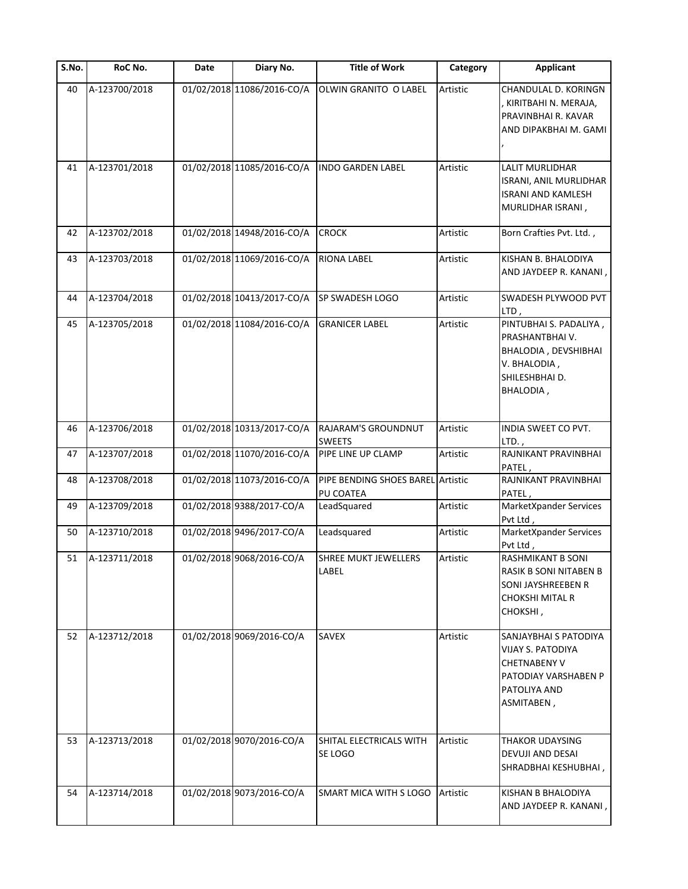| $\overline{S}$ . No. | RoC No.       | Date | Diary No.                  | <b>Title of Work</b>                           | Category | <b>Applicant</b>                                                                                                               |
|----------------------|---------------|------|----------------------------|------------------------------------------------|----------|--------------------------------------------------------------------------------------------------------------------------------|
| 40                   | A-123700/2018 |      | 01/02/2018 11086/2016-CO/A | OLWIN GRANITO O LABEL                          | Artistic | CHANDULAL D. KORINGN<br>KIRITBAHI N. MERAJA,<br>PRAVINBHAI R. KAVAR<br>AND DIPAKBHAI M. GAMI                                   |
| 41                   | A-123701/2018 |      | 01/02/2018 11085/2016-CO/A | <b>INDO GARDEN LABEL</b>                       | Artistic | <b>LALIT MURLIDHAR</b><br>ISRANI, ANIL MURLIDHAR<br>ISRANI AND KAMLESH<br>MURLIDHAR ISRANI,                                    |
| 42                   | A-123702/2018 |      | 01/02/2018 14948/2016-CO/A | <b>CROCK</b>                                   | Artistic | Born Crafties Pvt. Ltd.,                                                                                                       |
| 43                   | A-123703/2018 |      | 01/02/2018 11069/2016-CO/A | <b>RIONA LABEL</b>                             | Artistic | KISHAN B. BHALODIYA<br>AND JAYDEEP R. KANANI,                                                                                  |
| 44                   | A-123704/2018 |      | 01/02/2018 10413/2017-CO/A | SP SWADESH LOGO                                | Artistic | SWADESH PLYWOOD PVT<br>LTD,                                                                                                    |
| 45                   | A-123705/2018 |      | 01/02/2018 11084/2016-CO/A | <b>GRANICER LABEL</b>                          | Artistic | PINTUBHAI S. PADALIYA,<br>PRASHANTBHAI V.<br>BHALODIA, DEVSHIBHAI<br>V. BHALODIA,<br>SHILESHBHAI D.<br>BHALODIA,               |
| 46                   | A-123706/2018 |      | 01/02/2018 10313/2017-CO/A | RAJARAM'S GROUNDNUT<br><b>SWEETS</b>           | Artistic | INDIA SWEET CO PVT.<br>$LTD.$ ,                                                                                                |
| 47                   | A-123707/2018 |      | 01/02/2018 11070/2016-CO/A | PIPE LINE UP CLAMP                             | Artistic | RAJNIKANT PRAVINBHAI<br>PATEL,                                                                                                 |
| 48                   | A-123708/2018 |      | 01/02/2018 11073/2016-CO/A | PIPE BENDING SHOES BAREL Artistic<br>PU COATEA |          | RAJNIKANT PRAVINBHAI<br>PATEL,                                                                                                 |
| 49                   | A-123709/2018 |      | 01/02/2018 9388/2017-CO/A  | LeadSquared                                    | Artistic | MarketXpander Services<br>Pvt Ltd,                                                                                             |
| 50                   | A-123710/2018 |      | 01/02/2018 9496/2017-CO/A  | Leadsquared                                    | Artistic | MarketXpander Services<br>Pvt Ltd,                                                                                             |
| 51                   | A-123711/2018 |      | 01/02/2018 9068/2016-CO/A  | <b>SHREE MUKT JEWELLERS</b><br>LABEL           | Artistic | <b>RASHMIKANT B SONI</b><br>RASIK B SONI NITABEN B<br>SONI JAYSHREEBEN R<br>CHOKSHI MITAL R<br><b>СНОКЅНІ,</b>                 |
| 52                   | A-123712/2018 |      | 01/02/2018 9069/2016-CO/A  | <b>SAVEX</b>                                   | Artistic | SANJAYBHAI S PATODIYA<br><b>VIJAY S. PATODIYA</b><br><b>CHETNABENY V</b><br>PATODIAY VARSHABEN P<br>PATOLIYA AND<br>ASMITABEN, |
| 53                   | A-123713/2018 |      | 01/02/2018 9070/2016-CO/A  | SHITAL ELECTRICALS WITH<br>SE LOGO             | Artistic | THAKOR UDAYSING<br>DEVUJI AND DESAI<br>SHRADBHAI KESHUBHAI,                                                                    |
| 54                   | A-123714/2018 |      | 01/02/2018 9073/2016-CO/A  | SMART MICA WITH S LOGO                         | Artistic | KISHAN B BHALODIYA<br>AND JAYDEEP R. KANANI,                                                                                   |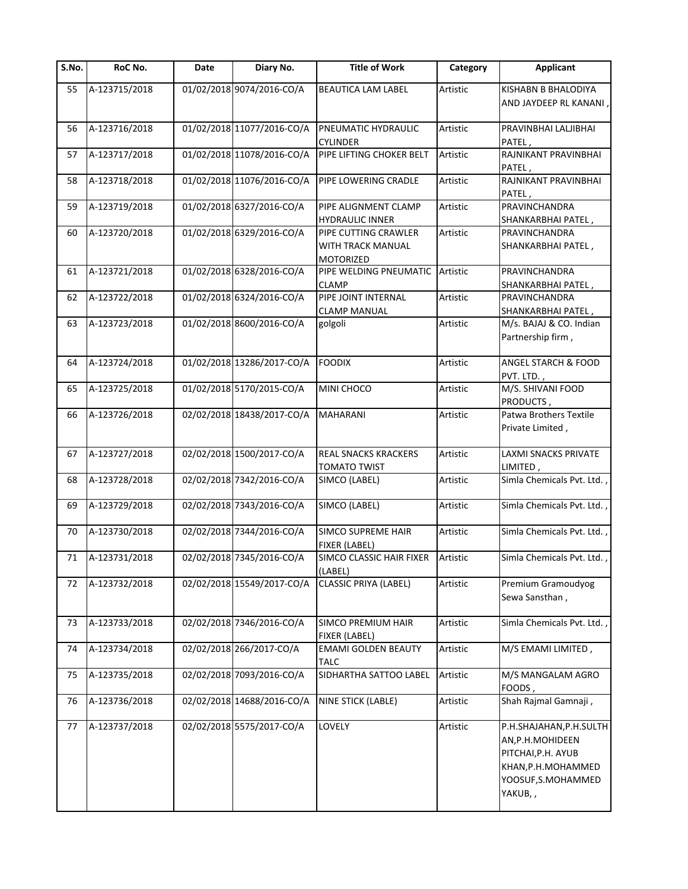| S.No. | RoC No.       | Date | Diary No.                  | <b>Title of Work</b>                                   | Category | <b>Applicant</b>                                                                                                           |
|-------|---------------|------|----------------------------|--------------------------------------------------------|----------|----------------------------------------------------------------------------------------------------------------------------|
| 55    | A-123715/2018 |      | 01/02/2018 9074/2016-CO/A  | BEAUTICA LAM LABEL                                     | Artistic | KISHABN B BHALODIYA<br>AND JAYDEEP RL KANANI                                                                               |
| 56    | A-123716/2018 |      | 01/02/2018 11077/2016-CO/A | PNEUMATIC HYDRAULIC<br><b>CYLINDER</b>                 | Artistic | PRAVINBHAI LALJIBHAI<br>PATEL,                                                                                             |
| 57    | A-123717/2018 |      | 01/02/2018 11078/2016-CO/A | PIPE LIFTING CHOKER BELT                               | Artistic | RAJNIKANT PRAVINBHAI<br>PATEL,                                                                                             |
| 58    | A-123718/2018 |      | 01/02/2018 11076/2016-CO/A | PIPE LOWERING CRADLE                                   | Artistic | RAJNIKANT PRAVINBHAI<br>PATEL,                                                                                             |
| 59    | A-123719/2018 |      | 01/02/2018 6327/2016-CO/A  | PIPE ALIGNMENT CLAMP<br><b>HYDRAULIC INNER</b>         | Artistic | PRAVINCHANDRA<br>SHANKARBHAI PATEL,                                                                                        |
| 60    | A-123720/2018 |      | 01/02/2018 6329/2016-CO/A  | PIPE CUTTING CRAWLER<br>WITH TRACK MANUAL<br>MOTORIZED | Artistic | PRAVINCHANDRA<br>SHANKARBHAI PATEL,                                                                                        |
| 61    | A-123721/2018 |      | 01/02/2018 6328/2016-CO/A  | PIPE WELDING PNEUMATIC<br><b>CLAMP</b>                 | Artistic | PRAVINCHANDRA<br>SHANKARBHAI PATEL,                                                                                        |
| 62    | A-123722/2018 |      | 01/02/2018 6324/2016-CO/A  | PIPE JOINT INTERNAL<br><b>CLAMP MANUAL</b>             | Artistic | PRAVINCHANDRA<br>SHANKARBHAI PATEL,                                                                                        |
| 63    | A-123723/2018 |      | 01/02/2018 8600/2016-CO/A  | golgoli                                                | Artistic | M/s. BAJAJ & CO. Indian<br>Partnership firm,                                                                               |
| 64    | A-123724/2018 |      | 01/02/2018 13286/2017-CO/A | <b>FOODIX</b>                                          | Artistic | ANGEL STARCH & FOOD<br>PVT. LTD.,                                                                                          |
| 65    | A-123725/2018 |      | 01/02/2018 5170/2015-CO/A  | MINI CHOCO                                             | Artistic | M/S. SHIVANI FOOD<br>PRODUCTS,                                                                                             |
| 66    | A-123726/2018 |      | 02/02/2018 18438/2017-CO/A | <b>MAHARANI</b>                                        | Artistic | Patwa Brothers Textile<br>Private Limited,                                                                                 |
| 67    | A-123727/2018 |      | 02/02/2018 1500/2017-CO/A  | REAL SNACKS KRACKERS<br><b>TOMATO TWIST</b>            | Artistic | LAXMI SNACKS PRIVATE<br>LIMITED,                                                                                           |
| 68    | A-123728/2018 |      | 02/02/2018 7342/2016-CO/A  | SIMCO (LABEL)                                          | Artistic | Simla Chemicals Pvt. Ltd.,                                                                                                 |
| 69    | A-123729/2018 |      | 02/02/2018 7343/2016-CO/A  | SIMCO (LABEL)                                          | Artistic | Simla Chemicals Pvt. Ltd.,                                                                                                 |
| 70    | A-123730/2018 |      | 02/02/2018 7344/2016-CO/A  | <b>SIMCO SUPREME HAIR</b><br>FIXER (LABEL)             | Artistic | Simla Chemicals Pvt. Ltd.,                                                                                                 |
| 71    | A-123731/2018 |      | 02/02/2018 7345/2016-CO/A  | SIMCO CLASSIC HAIR FIXER<br>(LABEL)                    | Artistic | Simla Chemicals Pvt. Ltd.,                                                                                                 |
| 72    | A-123732/2018 |      | 02/02/2018 15549/2017-CO/A | <b>CLASSIC PRIYA (LABEL)</b>                           | Artistic | Premium Gramoudyog<br>Sewa Sansthan,                                                                                       |
| 73    | A-123733/2018 |      | 02/02/2018 7346/2016-CO/A  | SIMCO PREMIUM HAIR<br>FIXER (LABEL)                    | Artistic | Simla Chemicals Pvt. Ltd.                                                                                                  |
| 74    | A-123734/2018 |      | 02/02/2018 266/2017-CO/A   | <b>EMAMI GOLDEN BEAUTY</b><br><b>TALC</b>              | Artistic | M/S EMAMI LIMITED,                                                                                                         |
| 75    | A-123735/2018 |      | 02/02/2018 7093/2016-CO/A  | SIDHARTHA SATTOO LABEL                                 | Artistic | M/S MANGALAM AGRO<br>FOODS,                                                                                                |
| 76    | A-123736/2018 |      | 02/02/2018 14688/2016-CO/A | NINE STICK (LABLE)                                     | Artistic | Shah Rajmal Gamnaji,                                                                                                       |
| 77    | A-123737/2018 |      | 02/02/2018 5575/2017-CO/A  | LOVELY                                                 | Artistic | P.H.SHAJAHAN, P.H.SULTH<br>AN, P.H. MOHIDEEN<br>PITCHAI, P.H. AYUB<br>KHAN, P.H. MOHAMMED<br>YOOSUF, S.MOHAMMED<br>YAKUB,, |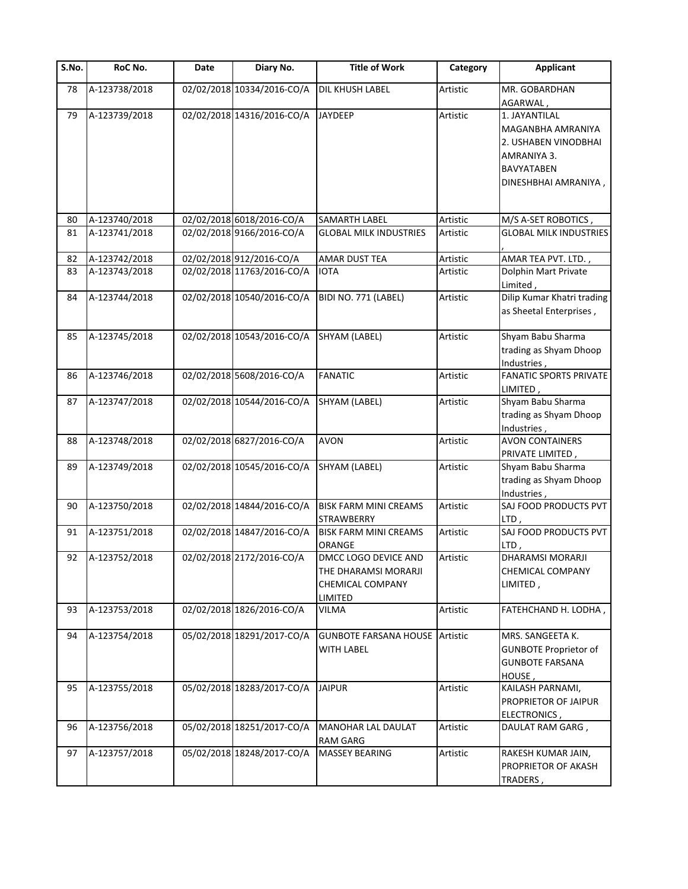| S.No. | RoC No.       | Date | Diary No.                  | <b>Title of Work</b>                                                        | Category | <b>Applicant</b>                                                                        |
|-------|---------------|------|----------------------------|-----------------------------------------------------------------------------|----------|-----------------------------------------------------------------------------------------|
| 78    | A-123738/2018 |      | 02/02/2018 10334/2016-CO/A | DIL KHUSH LABEL                                                             | Artistic | MR. GOBARDHAN<br>AGARWAL,                                                               |
| 79    | A-123739/2018 |      | 02/02/2018 14316/2016-CO/A | <b>JAYDEEP</b>                                                              | Artistic | 1. JAYANTILAL<br>MAGANBHA AMRANIYA<br>2. USHABEN VINODBHAI<br>AMRANIYA 3.<br>BAVYATABEN |
|       |               |      |                            |                                                                             |          | DINESHBHAI AMRANIYA,                                                                    |
| 80    | A-123740/2018 |      | 02/02/2018 6018/2016-CO/A  | SAMARTH LABEL                                                               | Artistic | M/S A-SET ROBOTICS,                                                                     |
| 81    | A-123741/2018 |      | 02/02/2018 9166/2016-CO/A  | <b>GLOBAL MILK INDUSTRIES</b>                                               | Artistic | <b>GLOBAL MILK INDUSTRIES</b>                                                           |
| 82    | A-123742/2018 |      | 02/02/2018 912/2016-CO/A   | AMAR DUST TEA                                                               | Artistic | AMAR TEA PVT. LTD.,                                                                     |
| 83    | A-123743/2018 |      | 02/02/2018 11763/2016-CO/A | <b>IOTA</b>                                                                 | Artistic | Dolphin Mart Private<br>Limited,                                                        |
| 84    | A-123744/2018 |      | 02/02/2018 10540/2016-CO/A | BIDI NO. 771 (LABEL)                                                        | Artistic | Dilip Kumar Khatri trading<br>as Sheetal Enterprises,                                   |
| 85    | A-123745/2018 |      | 02/02/2018 10543/2016-CO/A | SHYAM (LABEL)                                                               | Artistic | Shyam Babu Sharma<br>trading as Shyam Dhoop<br>Industries,                              |
| 86    | A-123746/2018 |      | 02/02/2018 5608/2016-CO/A  | <b>FANATIC</b>                                                              | Artistic | <b>FANATIC SPORTS PRIVATE</b><br>LIMITED,                                               |
| 87    | A-123747/2018 |      | 02/02/2018 10544/2016-CO/A | SHYAM (LABEL)                                                               | Artistic | Shyam Babu Sharma<br>trading as Shyam Dhoop<br>Industries,                              |
| 88    | A-123748/2018 |      | 02/02/2018 6827/2016-CO/A  | <b>AVON</b>                                                                 | Artistic | <b>AVON CONTAINERS</b><br>PRIVATE LIMITED,                                              |
| 89    | A-123749/2018 |      | 02/02/2018 10545/2016-CO/A | SHYAM (LABEL)                                                               | Artistic | Shyam Babu Sharma<br>trading as Shyam Dhoop<br>Industries,                              |
| 90    | A-123750/2018 |      | 02/02/2018 14844/2016-CO/A | <b>BISK FARM MINI CREAMS</b><br><b>STRAWBERRY</b>                           | Artistic | SAJ FOOD PRODUCTS PVT<br>LTD,                                                           |
| 91    | A-123751/2018 |      | 02/02/2018 14847/2016-CO/A | <b>BISK FARM MINI CREAMS</b><br>ORANGE                                      | Artistic | SAJ FOOD PRODUCTS PVT<br>LTD,                                                           |
| 92    | A-123752/2018 |      | 02/02/2018 2172/2016-CO/A  | DMCC LOGO DEVICE AND<br>THE DHARAMSI MORARJI<br>CHEMICAL COMPANY<br>LIMITED | Artistic | <b>DHARAMSI MORARJI</b><br><b>CHEMICAL COMPANY</b><br>LIMITED,                          |
| 93    | A-123753/2018 |      | 02/02/2018 1826/2016-CO/A  | <b>VILMA</b>                                                                | Artistic | FATEHCHAND H. LODHA,                                                                    |
| 94    | A-123754/2018 |      | 05/02/2018 18291/2017-CO/A | <b>GUNBOTE FARSANA HOUSE Artistic</b><br>WITH LABEL                         |          | MRS. SANGEETA K.<br><b>GUNBOTE Proprietor of</b><br><b>GUNBOTE FARSANA</b><br>HOUSE,    |
| 95    | A-123755/2018 |      | 05/02/2018 18283/2017-CO/A | <b>JAIPUR</b>                                                               | Artistic | KAILASH PARNAMI,<br>PROPRIETOR OF JAIPUR<br>ELECTRONICS,                                |
| 96    | A-123756/2018 |      | 05/02/2018 18251/2017-CO/A | <b>MANOHAR LAL DAULAT</b><br><b>RAM GARG</b>                                | Artistic | DAULAT RAM GARG,                                                                        |
| 97    | A-123757/2018 |      | 05/02/2018 18248/2017-CO/A | <b>MASSEY BEARING</b>                                                       | Artistic | RAKESH KUMAR JAIN,<br>PROPRIETOR OF AKASH<br>TRADERS,                                   |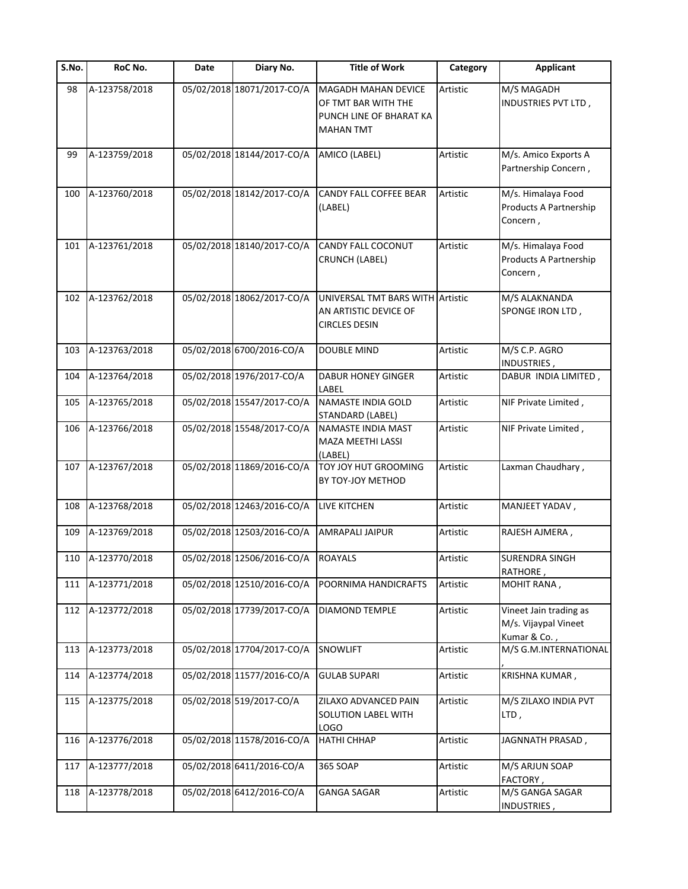| S.No. | RoC No.           | Date | Diary No.                  | <b>Title of Work</b>                                                                      | Category | <b>Applicant</b>                                               |
|-------|-------------------|------|----------------------------|-------------------------------------------------------------------------------------------|----------|----------------------------------------------------------------|
| 98    | A-123758/2018     |      | 05/02/2018 18071/2017-CO/A | MAGADH MAHAN DEVICE<br>OF TMT BAR WITH THE<br>PUNCH LINE OF BHARAT KA<br><b>MAHAN TMT</b> | Artistic | M/S MAGADH<br>INDUSTRIES PVT LTD,                              |
| 99    | A-123759/2018     |      | 05/02/2018 18144/2017-CO/A | AMICO (LABEL)                                                                             | Artistic | M/s. Amico Exports A<br>Partnership Concern,                   |
| 100   | A-123760/2018     |      | 05/02/2018 18142/2017-CO/A | CANDY FALL COFFEE BEAR<br>(LABEL)                                                         | Artistic | M/s. Himalaya Food<br>Products A Partnership<br>Concern,       |
| 101   | A-123761/2018     |      | 05/02/2018 18140/2017-CO/A | CANDY FALL COCONUT<br><b>CRUNCH (LABEL)</b>                                               | Artistic | M/s. Himalaya Food<br>Products A Partnership<br>Concern,       |
| 102   | A-123762/2018     |      | 05/02/2018 18062/2017-CO/A | UNIVERSAL TMT BARS WITH Artistic<br>AN ARTISTIC DEVICE OF<br><b>CIRCLES DESIN</b>         |          | M/S ALAKNANDA<br>SPONGE IRON LTD,                              |
| 103   | A-123763/2018     |      | 05/02/2018 6700/2016-CO/A  | DOUBLE MIND                                                                               | Artistic | M/S C.P. AGRO<br>INDUSTRIES,                                   |
| 104   | A-123764/2018     |      | 05/02/2018 1976/2017-CO/A  | <b>DABUR HONEY GINGER</b><br>LABEL                                                        | Artistic | DABUR INDIA LIMITED,                                           |
| 105   | A-123765/2018     |      | 05/02/2018 15547/2017-CO/A | NAMASTE INDIA GOLD<br>STANDARD (LABEL)                                                    | Artistic | NIF Private Limited,                                           |
| 106   | A-123766/2018     |      | 05/02/2018 15548/2017-CO/A | NAMASTE INDIA MAST<br>MAZA MEETHI LASSI<br>(LABEL)                                        | Artistic | NIF Private Limited,                                           |
| 107   | A-123767/2018     |      | 05/02/2018 11869/2016-CO/A | <b>TOY JOY HUT GROOMING</b><br>BY TOY-JOY METHOD                                          | Artistic | Laxman Chaudhary,                                              |
| 108   | A-123768/2018     |      | 05/02/2018 12463/2016-CO/A | LIVE KITCHEN                                                                              | Artistic | MANJEET YADAV,                                                 |
| 109   | A-123769/2018     |      | 05/02/2018 12503/2016-CO/A | AMRAPALI JAIPUR                                                                           | Artistic | RAJESH AJMERA,                                                 |
|       | 110 A-123770/2018 |      | 05/02/2018 12506/2016-CO/A | <b>ROAYALS</b>                                                                            | Artistic | <b>SURENDRA SINGH</b><br>RATHORE,                              |
| 111   | A-123771/2018     |      | 05/02/2018 12510/2016-CO/A | POORNIMA HANDICRAFTS                                                                      | Artistic | MOHIT RANA,                                                    |
| 112   | A-123772/2018     |      | 05/02/2018 17739/2017-CO/A | DIAMOND TEMPLE                                                                            | Artistic | Vineet Jain trading as<br>M/s. Vijaypal Vineet<br>Kumar & Co., |
| 113   | A-123773/2018     |      | 05/02/2018 17704/2017-CO/A | <b>SNOWLIFT</b>                                                                           | Artistic | M/S G.M.INTERNATIONAL                                          |
| 114   | A-123774/2018     |      | 05/02/2018 11577/2016-CO/A | <b>GULAB SUPARI</b>                                                                       | Artistic | KRISHNA KUMAR,                                                 |
| 115   | A-123775/2018     |      | 05/02/2018 519/2017-CO/A   | ZILAXO ADVANCED PAIN<br>SOLUTION LABEL WITH<br><b>LOGO</b>                                | Artistic | M/S ZILAXO INDIA PVT<br>LTD,                                   |
| 116   | A-123776/2018     |      | 05/02/2018 11578/2016-CO/A | <b>HATHI CHHAP</b>                                                                        | Artistic | JAGNNATH PRASAD,                                               |
| 117   | A-123777/2018     |      | 05/02/2018 6411/2016-CO/A  | 365 SOAP                                                                                  | Artistic | M/S ARJUN SOAP<br>FACTORY,                                     |
| 118   | A-123778/2018     |      | 05/02/2018 6412/2016-CO/A  | <b>GANGA SAGAR</b>                                                                        | Artistic | M/S GANGA SAGAR<br>INDUSTRIES,                                 |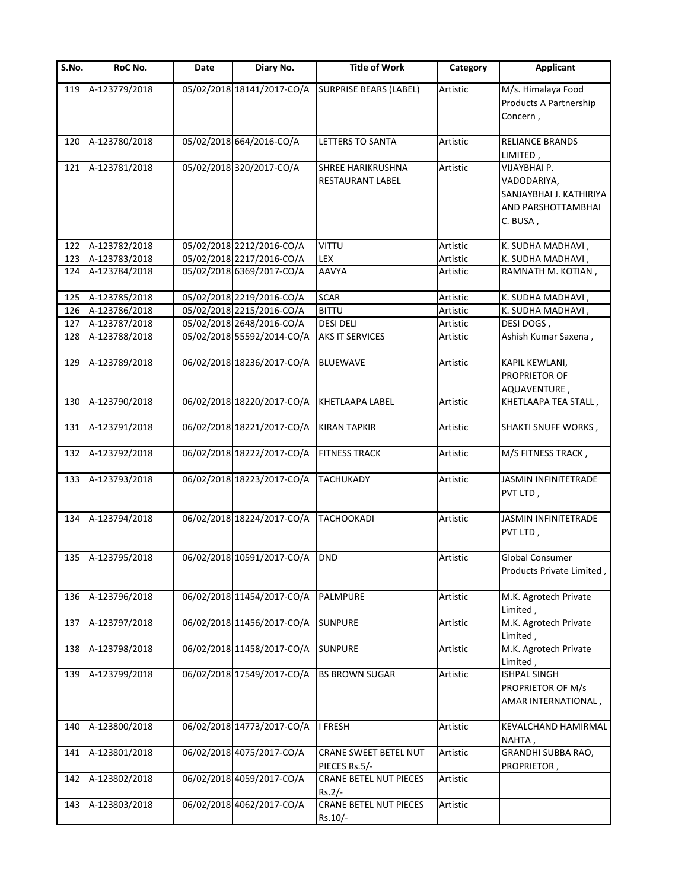| S.No. | RoC No.           | Date | Diary No.                  | <b>Title of Work</b>                                | Category | <b>Applicant</b>                                                                         |
|-------|-------------------|------|----------------------------|-----------------------------------------------------|----------|------------------------------------------------------------------------------------------|
| 119   | A-123779/2018     |      | 05/02/2018 18141/2017-CO/A | <b>SURPRISE BEARS (LABEL)</b>                       | Artistic | M/s. Himalaya Food<br>Products A Partnership<br>Concern,                                 |
| 120   | A-123780/2018     |      | 05/02/2018 664/2016-CO/A   | LETTERS TO SANTA                                    | Artistic | <b>RELIANCE BRANDS</b><br>LIMITED ,                                                      |
| 121   | A-123781/2018     |      | 05/02/2018 320/2017-CO/A   | <b>SHREE HARIKRUSHNA</b><br><b>RESTAURANT LABEL</b> | Artistic | VIJAYBHAI P.<br>VADODARIYA,<br>SANJAYBHAI J. KATHIRIYA<br>AND PARSHOTTAMBHAI<br>C. BUSA, |
| 122   | A-123782/2018     |      | 05/02/2018 2212/2016-CO/A  | VITTU                                               | Artistic | K. SUDHA MADHAVI,                                                                        |
| 123   | A-123783/2018     |      | 05/02/2018 2217/2016-CO/A  | LEX                                                 | Artistic | K. SUDHA MADHAVI,                                                                        |
| 124   | A-123784/2018     |      | 05/02/2018 6369/2017-CO/A  | <b>AAVYA</b>                                        | Artistic | RAMNATH M. KOTIAN,                                                                       |
| 125   | A-123785/2018     |      | 05/02/2018 2219/2016-CO/A  | <b>SCAR</b>                                         | Artistic | K. SUDHA MADHAVI,                                                                        |
| 126   | A-123786/2018     |      | 05/02/2018 2215/2016-CO/A  | <b>BITTU</b>                                        | Artistic | K. SUDHA MADHAVI,                                                                        |
| 127   | A-123787/2018     |      | 05/02/2018 2648/2016-CO/A  | <b>DESI DELI</b>                                    | Artistic | DESI DOGS,                                                                               |
| 128   | A-123788/2018     |      | 05/02/2018 55592/2014-CO/A | <b>AKS IT SERVICES</b>                              | Artistic | Ashish Kumar Saxena,                                                                     |
| 129   | A-123789/2018     |      | 06/02/2018 18236/2017-CO/A | <b>BLUEWAVE</b>                                     | Artistic | KAPIL KEWLANI,<br><b>PROPRIETOR OF</b><br>AQUAVENTURE,                                   |
| 130   | A-123790/2018     |      | 06/02/2018 18220/2017-CO/A | <b>KHETLAAPA LABEL</b>                              | Artistic | KHETLAAPA TEA STALL,                                                                     |
| 131   | A-123791/2018     |      | 06/02/2018 18221/2017-CO/A | <b>KIRAN TAPKIR</b>                                 | Artistic | SHAKTI SNUFF WORKS,                                                                      |
| 132   | A-123792/2018     |      | 06/02/2018 18222/2017-CO/A | <b>FITNESS TRACK</b>                                | Artistic | M/S FITNESS TRACK,                                                                       |
| 133   | A-123793/2018     |      | 06/02/2018 18223/2017-CO/A | <b>TACHUKADY</b>                                    | Artistic | <b>JASMIN INFINITETRADE</b><br>PVT LTD,                                                  |
| 134   | A-123794/2018     |      | 06/02/2018 18224/2017-CO/A | <b>TACHOOKADI</b>                                   | Artistic | JASMIN INFINITETRADE<br>PVT LTD,                                                         |
|       | 135 A-123795/2018 |      | 06/02/2018 10591/2017-CO/A | <b>DND</b>                                          | Artistic | <b>Global Consumer</b>                                                                   |
|       |                   |      |                            |                                                     |          | Products Private Limited,                                                                |
| 136   | A-123796/2018     |      | 06/02/2018 11454/2017-CO/A | PALMPURE                                            | Artistic | M.K. Agrotech Private<br>Limited,                                                        |
| 137   | A-123797/2018     |      | 06/02/2018 11456/2017-CO/A | <b>SUNPURE</b>                                      | Artistic | M.K. Agrotech Private<br>Limited,                                                        |
| 138   | A-123798/2018     |      | 06/02/2018 11458/2017-CO/A | <b>SUNPURE</b>                                      | Artistic | M.K. Agrotech Private<br>Limited,                                                        |
| 139   | A-123799/2018     |      | 06/02/2018 17549/2017-CO/A | <b>BS BROWN SUGAR</b>                               | Artistic | ISHPAL SINGH<br>PROPRIETOR OF M/s<br>AMAR INTERNATIONAL,                                 |
| 140   | A-123800/2018     |      | 06/02/2018 14773/2017-CO/A | I FRESH                                             | Artistic | KEVALCHAND HAMIRMAL<br>NAHTA,                                                            |
| 141   | A-123801/2018     |      | 06/02/2018 4075/2017-CO/A  | <b>CRANE SWEET BETEL NUT</b><br>PIECES Rs.5/-       | Artistic | GRANDHI SUBBA RAO,<br>PROPRIETOR,                                                        |
| 142   | A-123802/2018     |      | 06/02/2018 4059/2017-CO/A  | <b>CRANE BETEL NUT PIECES</b><br>$Rs.2/-$           | Artistic |                                                                                          |
| 143   | A-123803/2018     |      | 06/02/2018 4062/2017-CO/A  | <b>CRANE BETEL NUT PIECES</b><br>Rs.10/-            | Artistic |                                                                                          |
|       |                   |      |                            |                                                     |          |                                                                                          |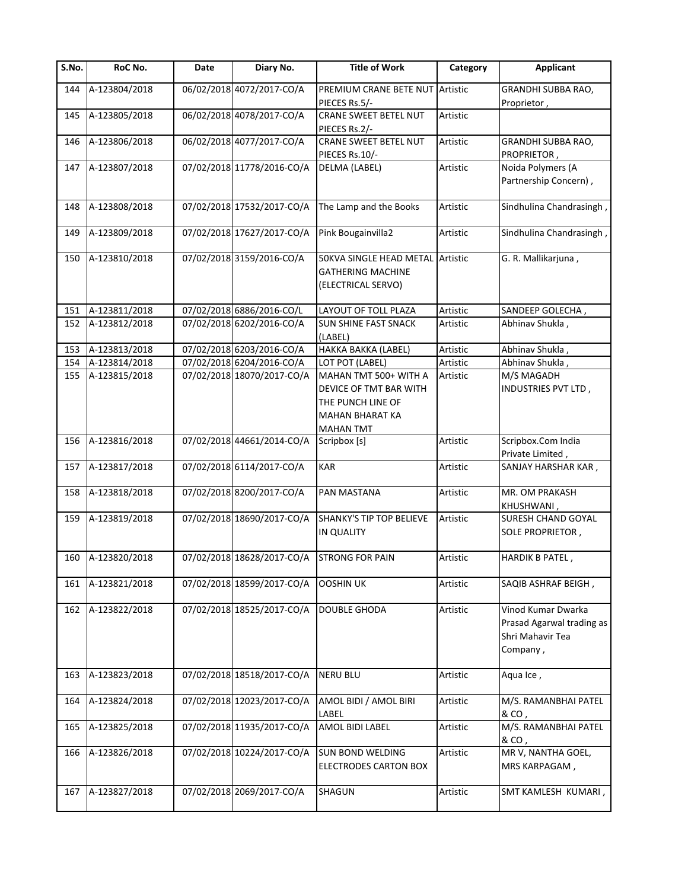| S.No. | RoC No.           | Date | Diary No.                  | <b>Title of Work</b>                                                                                               | Category | <b>Applicant</b>                                                                |
|-------|-------------------|------|----------------------------|--------------------------------------------------------------------------------------------------------------------|----------|---------------------------------------------------------------------------------|
| 144   | A-123804/2018     |      | 06/02/2018 4072/2017-CO/A  | PREMIUM CRANE BETE NUT<br>PIECES Rs.5/-                                                                            | Artistic | GRANDHI SUBBA RAO,<br>Proprietor,                                               |
| 145   | A-123805/2018     |      | 06/02/2018 4078/2017-CO/A  | <b>CRANE SWEET BETEL NUT</b><br>PIECES Rs.2/-                                                                      | Artistic |                                                                                 |
| 146   | A-123806/2018     |      | 06/02/2018 4077/2017-CO/A  | CRANE SWEET BETEL NUT<br>PIECES Rs.10/-                                                                            | Artistic | GRANDHI SUBBA RAO,<br>PROPRIETOR,                                               |
| 147   | A-123807/2018     |      | 07/02/2018 11778/2016-CO/A | DELMA (LABEL)                                                                                                      | Artistic | Noida Polymers (A<br>Partnership Concern),                                      |
| 148   | A-123808/2018     |      | 07/02/2018 17532/2017-CO/A | The Lamp and the Books                                                                                             | Artistic | Sindhulina Chandrasingh,                                                        |
| 149   | A-123809/2018     |      | 07/02/2018 17627/2017-CO/A | Pink Bougainvilla2                                                                                                 | Artistic | Sindhulina Chandrasingh,                                                        |
| 150   | A-123810/2018     |      | 07/02/2018 3159/2016-CO/A  | 50KVA SINGLE HEAD METAL Artistic<br><b>GATHERING MACHINE</b><br>(ELECTRICAL SERVO)                                 |          | G. R. Mallikarjuna,                                                             |
| 151   | A-123811/2018     |      | 07/02/2018 6886/2016-CO/L  | LAYOUT OF TOLL PLAZA                                                                                               | Artistic | SANDEEP GOLECHA,                                                                |
| 152   | A-123812/2018     |      | 07/02/2018 6202/2016-CO/A  | <b>SUN SHINE FAST SNACK</b><br>(LABEL)                                                                             | Artistic | Abhinav Shukla,                                                                 |
| 153   | A-123813/2018     |      | 07/02/2018 6203/2016-CO/A  | HAKKA BAKKA (LABEL)                                                                                                | Artistic | Abhinav Shukla,                                                                 |
| 154   | A-123814/2018     |      | 07/02/2018 6204/2016-CO/A  | LOT POT (LABEL)                                                                                                    | Artistic | Abhinav Shukla,                                                                 |
| 155   | A-123815/2018     |      | 07/02/2018 18070/2017-CO/A | MAHAN TMT 500+ WITH A<br>DEVICE OF TMT BAR WITH<br>THE PUNCH LINE OF<br><b>MAHAN BHARAT KA</b><br><b>MAHAN TMT</b> | Artistic | M/S MAGADH<br>INDUSTRIES PVT LTD,                                               |
| 156   | A-123816/2018     |      | 07/02/2018 44661/2014-CO/A | Scripbox [s]                                                                                                       | Artistic | Scripbox.Com India<br>Private Limited,                                          |
| 157   | A-123817/2018     |      | 07/02/2018 6114/2017-CO/A  | <b>KAR</b>                                                                                                         | Artistic | SANJAY HARSHAR KAR,                                                             |
| 158   | A-123818/2018     |      | 07/02/2018 8200/2017-CO/A  | PAN MASTANA                                                                                                        | Artistic | MR. OM PRAKASH<br>KHUSHWANI,                                                    |
| 159   | A-123819/2018     |      | 07/02/2018 18690/2017-CO/A | <b>SHANKY'S TIP TOP BELIEVE</b><br><b>IN QUALITY</b>                                                               | Artistic | <b>SURESH CHAND GOYAL</b><br>SOLE PROPRIETOR,                                   |
|       | 160 A-123820/2018 |      | 07/02/2018 18628/2017-CO/A | <b>STRONG FOR PAIN</b>                                                                                             | Artistic | HARDIK B PATEL,                                                                 |
| 161   | A-123821/2018     |      | 07/02/2018 18599/2017-CO/A | <b>OOSHIN UK</b>                                                                                                   | Artistic | SAQIB ASHRAF BEIGH,                                                             |
| 162   | A-123822/2018     |      | 07/02/2018 18525/2017-CO/A | <b>DOUBLE GHODA</b>                                                                                                | Artistic | Vinod Kumar Dwarka<br>Prasad Agarwal trading as<br>Shri Mahavir Tea<br>Company, |
| 163   | A-123823/2018     |      | 07/02/2018 18518/2017-CO/A | <b>NERU BLU</b>                                                                                                    | Artistic | Aqua Ice,                                                                       |
| 164   | A-123824/2018     |      | 07/02/2018 12023/2017-CO/A | AMOL BIDI / AMOL BIRI<br>LABEL                                                                                     | Artistic | M/S. RAMANBHAI PATEL<br>& CO,                                                   |
| 165   | A-123825/2018     |      | 07/02/2018 11935/2017-CO/A | AMOL BIDI LABEL                                                                                                    | Artistic | M/S. RAMANBHAI PATEL<br>& CO,                                                   |
| 166   | A-123826/2018     |      | 07/02/2018 10224/2017-CO/A | <b>SUN BOND WELDING</b><br><b>ELECTRODES CARTON BOX</b>                                                            | Artistic | MR V, NANTHA GOEL,<br>MRS KARPAGAM,                                             |
| 167   | A-123827/2018     |      | 07/02/2018 2069/2017-CO/A  | SHAGUN                                                                                                             | Artistic | SMT KAMLESH KUMARI,                                                             |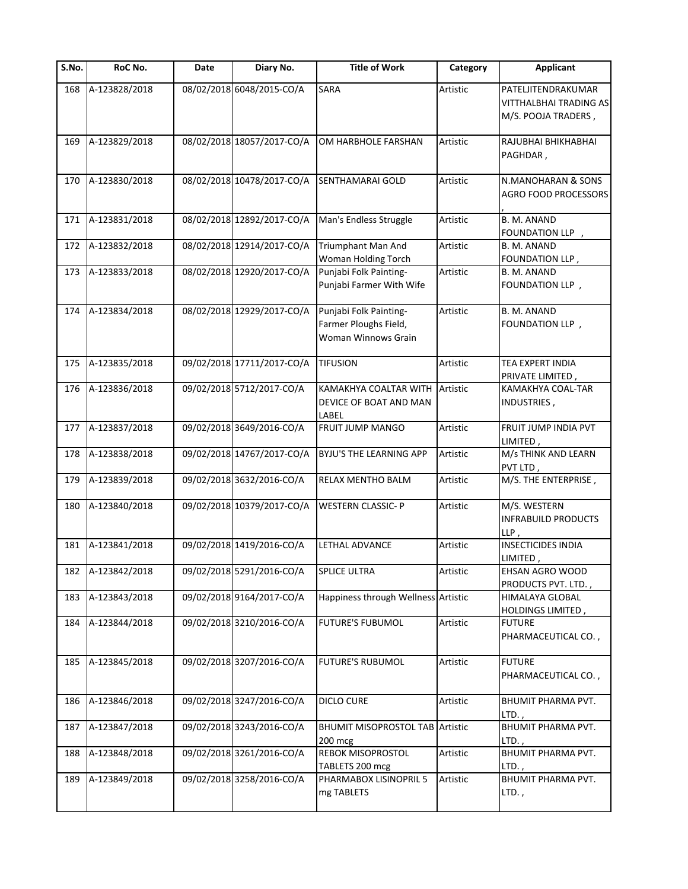| S.No. | RoC No.       | Date | Diary No.                  | <b>Title of Work</b>                                                   | Category | <b>Applicant</b>                                                    |
|-------|---------------|------|----------------------------|------------------------------------------------------------------------|----------|---------------------------------------------------------------------|
| 168   | A-123828/2018 |      | 08/02/2018 6048/2015-CO/A  | <b>SARA</b>                                                            | Artistic | PATELJITENDRAKUMAR<br>VITTHALBHAI TRADING AS<br>M/S. POOJA TRADERS, |
| 169   | A-123829/2018 |      | 08/02/2018 18057/2017-CO/A | OM HARBHOLE FARSHAN                                                    | Artistic | RAJUBHAI BHIKHABHAI<br>PAGHDAR,                                     |
| 170   | A-123830/2018 |      | 08/02/2018 10478/2017-CO/A | SENTHAMARAI GOLD                                                       | Artistic | N.MANOHARAN & SONS<br>AGRO FOOD PROCESSORS                          |
| 171   | A-123831/2018 |      | 08/02/2018 12892/2017-CO/A | Man's Endless Struggle                                                 | Artistic | B. M. ANAND<br>FOUNDATION LLP,                                      |
| 172   | A-123832/2018 |      | 08/02/2018 12914/2017-CO/A | Triumphant Man And<br>Woman Holding Torch                              | Artistic | B. M. ANAND<br>FOUNDATION LLP,                                      |
| 173   | A-123833/2018 |      | 08/02/2018 12920/2017-CO/A | Punjabi Folk Painting-<br>Punjabi Farmer With Wife                     | Artistic | B. M. ANAND<br>FOUNDATION LLP,                                      |
| 174   | A-123834/2018 |      | 08/02/2018 12929/2017-CO/A | Punjabi Folk Painting-<br>Farmer Ploughs Field,<br>Woman Winnows Grain | Artistic | B. M. ANAND<br>FOUNDATION LLP,                                      |
| 175   | A-123835/2018 |      | 09/02/2018 17711/2017-CO/A | <b>TIFUSION</b>                                                        | Artistic | TEA EXPERT INDIA<br>PRIVATE LIMITED,                                |
| 176   | A-123836/2018 |      | 09/02/2018 5712/2017-CO/A  | KAMAKHYA COALTAR WITH<br>DEVICE OF BOAT AND MAN<br>LABEL               | Artistic | KAMAKHYA COAL-TAR<br>INDUSTRIES,                                    |
| 177   | A-123837/2018 |      | 09/02/2018 3649/2016-CO/A  | FRUIT JUMP MANGO                                                       | Artistic | FRUIT JUMP INDIA PVT<br>LIMITED,                                    |
| 178   | A-123838/2018 |      | 09/02/2018 14767/2017-CO/A | BYJU'S THE LEARNING APP                                                | Artistic | M/s THINK AND LEARN<br>PVT LTD,                                     |
| 179   | A-123839/2018 |      | 09/02/2018 3632/2016-CO/A  | RELAX MENTHO BALM                                                      | Artistic | M/S. THE ENTERPRISE,                                                |
| 180   | A-123840/2018 |      | 09/02/2018 10379/2017-CO/A | <b>WESTERN CLASSIC-P</b>                                               | Artistic | M/S. WESTERN<br><b>INFRABUILD PRODUCTS</b><br>$LLP$ ,               |
| 181   | A-123841/2018 |      | 09/02/2018 1419/2016-CO/A  | LETHAL ADVANCE                                                         | Artistic | <b>INSECTICIDES INDIA</b><br>LIMITED,                               |
| 182   | A-123842/2018 |      | 09/02/2018 5291/2016-CO/A  | <b>SPLICE ULTRA</b>                                                    | Artistic | EHSAN AGRO WOOD<br>PRODUCTS PVT. LTD.,                              |
| 183   | A-123843/2018 |      | 09/02/2018 9164/2017-CO/A  | Happiness through Wellness Artistic                                    |          | HIMALAYA GLOBAL<br>HOLDINGS LIMITED,                                |
| 184   | A-123844/2018 |      | 09/02/2018 3210/2016-CO/A  | FUTURE'S FUBUMOL                                                       | Artistic | <b>FUTURE</b><br>PHARMACEUTICAL CO.,                                |
| 185   | A-123845/2018 |      | 09/02/2018 3207/2016-CO/A  | <b>FUTURE'S RUBUMOL</b>                                                | Artistic | <b>FUTURE</b><br>PHARMACEUTICAL CO.,                                |
| 186   | A-123846/2018 |      | 09/02/2018 3247/2016-CO/A  | <b>DICLO CURE</b>                                                      | Artistic | BHUMIT PHARMA PVT.<br>LTD.,                                         |
| 187   | A-123847/2018 |      | 09/02/2018 3243/2016-CO/A  | <b>BHUMIT MISOPROSTOL TAB Artistic</b><br>200 mcg                      |          | BHUMIT PHARMA PVT.<br>LTD.,                                         |
| 188   | A-123848/2018 |      | 09/02/2018 3261/2016-CO/A  | REBOK MISOPROSTOL<br>TABLETS 200 mcg                                   | Artistic | BHUMIT PHARMA PVT.<br>LTD.,                                         |
| 189   | A-123849/2018 |      | 09/02/2018 3258/2016-CO/A  | PHARMABOX LISINOPRIL 5<br>mg TABLETS                                   | Artistic | <b>BHUMIT PHARMA PVT.</b><br>LTD.,                                  |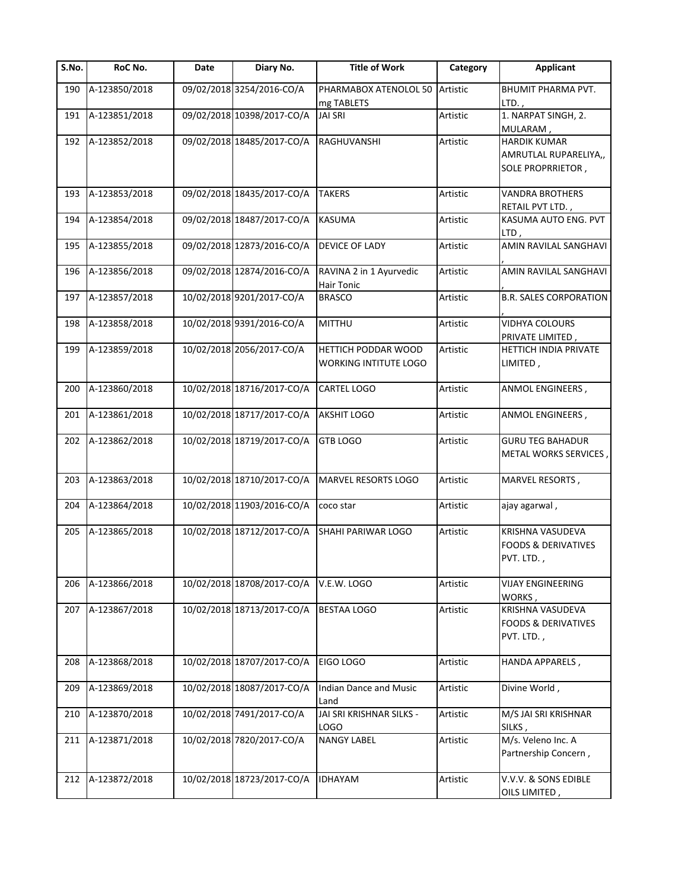| S.No. | RoC No.       | Date | Diary No.                  | <b>Title of Work</b>                         | Category | <b>Applicant</b>                                                  |
|-------|---------------|------|----------------------------|----------------------------------------------|----------|-------------------------------------------------------------------|
| 190   | A-123850/2018 |      | 09/02/2018 3254/2016-CO/A  | PHARMABOX ATENOLOL 50<br>mg TABLETS          | Artistic | BHUMIT PHARMA PVT.<br>$LTD.$ ,                                    |
| 191   | A-123851/2018 |      | 09/02/2018 10398/2017-CO/A | JAI SRI                                      | Artistic | 1. NARPAT SINGH, 2.<br>MULARAM,                                   |
| 192   | A-123852/2018 |      | 09/02/2018 18485/2017-CO/A | RAGHUVANSHI                                  | Artistic | <b>HARDIK KUMAR</b><br>AMRUTLAL RUPARELIYA,,<br>SOLE PROPRRIETOR, |
| 193   | A-123853/2018 |      | 09/02/2018 18435/2017-CO/A | <b>TAKERS</b>                                | Artistic | <b>VANDRA BROTHERS</b><br>RETAIL PVT LTD.,                        |
| 194   | A-123854/2018 |      | 09/02/2018 18487/2017-CO/A | <b>KASUMA</b>                                | Artistic | KASUMA AUTO ENG. PVT<br>LTD,                                      |
| 195   | A-123855/2018 |      | 09/02/2018 12873/2016-CO/A | DEVICE OF LADY                               | Artistic | AMIN RAVILAL SANGHAVI                                             |
| 196   | A-123856/2018 |      | 09/02/2018 12874/2016-CO/A | RAVINA 2 in 1 Ayurvedic<br>Hair Tonic        | Artistic | AMIN RAVILAL SANGHAVI                                             |
| 197   | A-123857/2018 |      | 10/02/2018 9201/2017-CO/A  | <b>BRASCO</b>                                | Artistic | <b>B.R. SALES CORPORATION</b>                                     |
| 198   | A-123858/2018 |      | 10/02/2018 9391/2016-CO/A  | <b>MITTHU</b>                                | Artistic | <b>VIDHYA COLOURS</b><br>PRIVATE LIMITED,                         |
| 199   | A-123859/2018 |      | 10/02/2018 2056/2017-CO/A  | HETTICH PODDAR WOOD<br>WORKING INTITUTE LOGO | Artistic | HETTICH INDIA PRIVATE<br>LIMITED,                                 |
| 200   | A-123860/2018 |      | 10/02/2018 18716/2017-CO/A | CARTEL LOGO                                  | Artistic | ANMOL ENGINEERS,                                                  |
| 201   | A-123861/2018 |      | 10/02/2018 18717/2017-CO/A | <b>AKSHIT LOGO</b>                           | Artistic | ANMOL ENGINEERS,                                                  |
| 202   | A-123862/2018 |      | 10/02/2018 18719/2017-CO/A | <b>GTB LOGO</b>                              | Artistic | <b>GURU TEG BAHADUR</b><br>METAL WORKS SERVICES                   |
| 203   | A-123863/2018 |      | 10/02/2018 18710/2017-CO/A | MARVEL RESORTS LOGO                          | Artistic | MARVEL RESORTS,                                                   |
| 204   | A-123864/2018 |      | 10/02/2018 11903/2016-CO/A | coco star                                    | Artistic | ajay agarwal,                                                     |
| 205   | A-123865/2018 |      | 10/02/2018 18712/2017-CO/A | SHAHI PARIWAR LOGO                           | Artistic | KRISHNA VASUDEVA<br><b>FOODS &amp; DERIVATIVES</b><br>PVT. LTD.,  |
| 206   | A-123866/2018 |      | 10/02/2018 18708/2017-CO/A | V.E.W. LOGO                                  | Artistic | <b>VIJAY ENGINEERING</b><br>WORKS,                                |
| 207   | A-123867/2018 |      | 10/02/2018 18713/2017-CO/A | <b>BESTAA LOGO</b>                           | Artistic | KRISHNA VASUDEVA<br><b>FOODS &amp; DERIVATIVES</b><br>PVT. LTD.,  |
| 208   | A-123868/2018 |      | 10/02/2018 18707/2017-CO/A | EIGO LOGO                                    | Artistic | HANDA APPARELS,                                                   |
| 209   | A-123869/2018 |      | 10/02/2018 18087/2017-CO/A | <b>Indian Dance and Music</b><br>Land        | Artistic | Divine World,                                                     |
| 210   | A-123870/2018 |      | 10/02/2018 7491/2017-CO/A  | JAI SRI KRISHNAR SILKS -<br>LOGO             | Artistic | M/S JAI SRI KRISHNAR<br>SILKS,                                    |
| 211   | A-123871/2018 |      | 10/02/2018 7820/2017-CO/A  | <b>NANGY LABEL</b>                           | Artistic | M/s. Veleno Inc. A<br>Partnership Concern,                        |
| 212   | A-123872/2018 |      | 10/02/2018 18723/2017-CO/A | <b>IDHAYAM</b>                               | Artistic | V.V.V. & SONS EDIBLE<br>OILS LIMITED,                             |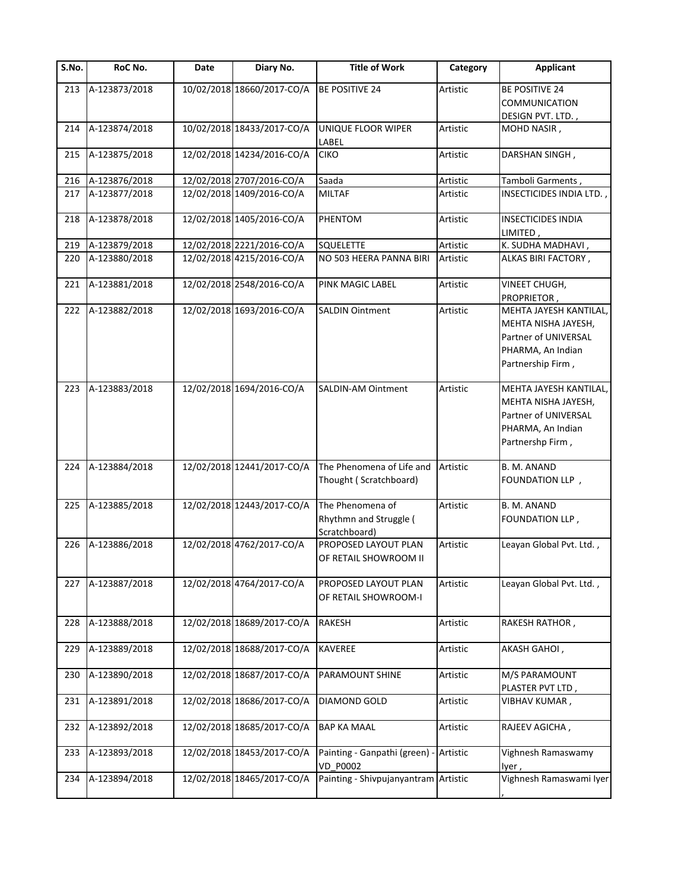| S.No. | RoC No.       | Date | Diary No.                  | <b>Title of Work</b>                                        | Category | <b>Applicant</b>                                                                                                |
|-------|---------------|------|----------------------------|-------------------------------------------------------------|----------|-----------------------------------------------------------------------------------------------------------------|
| 213   | A-123873/2018 |      | 10/02/2018 18660/2017-CO/A | <b>BE POSITIVE 24</b>                                       | Artistic | <b>BE POSITIVE 24</b><br><b>COMMUNICATION</b><br>DESIGN PVT. LTD.,                                              |
| 214   | A-123874/2018 |      | 10/02/2018 18433/2017-CO/A | UNIQUE FLOOR WIPER<br>LABEL                                 | Artistic | MOHD NASIR,                                                                                                     |
| 215   | A-123875/2018 |      | 12/02/2018 14234/2016-CO/A | <b>CIKO</b>                                                 | Artistic | DARSHAN SINGH,                                                                                                  |
| 216   | A-123876/2018 |      | 12/02/2018 2707/2016-CO/A  | Saada                                                       | Artistic | Tamboli Garments,                                                                                               |
| 217   | A-123877/2018 |      | 12/02/2018 1409/2016-CO/A  | <b>MILTAF</b>                                               | Artistic | INSECTICIDES INDIA LTD.                                                                                         |
| 218   | A-123878/2018 |      | 12/02/2018 1405/2016-CO/A  | PHENTOM                                                     | Artistic | <b>INSECTICIDES INDIA</b><br>LIMITED,                                                                           |
| 219   | A-123879/2018 |      | 12/02/2018 2221/2016-CO/A  | <b>SQUELETTE</b>                                            | Artistic | K. SUDHA MADHAVI,                                                                                               |
| 220   | A-123880/2018 |      | 12/02/2018 4215/2016-CO/A  | NO 503 HEERA PANNA BIRI                                     | Artistic | ALKAS BIRI FACTORY,                                                                                             |
| 221   | A-123881/2018 |      | 12/02/2018 2548/2016-CO/A  | PINK MAGIC LABEL                                            | Artistic | VINEET CHUGH,<br>PROPRIETOR,                                                                                    |
| 222   | A-123882/2018 |      | 12/02/2018 1693/2016-CO/A  | <b>SALDIN Ointment</b>                                      | Artistic | MEHTA JAYESH KANTILAL,<br>MEHTA NISHA JAYESH,<br>Partner of UNIVERSAL<br>PHARMA, An Indian<br>Partnership Firm, |
| 223   | A-123883/2018 |      | 12/02/2018 1694/2016-CO/A  | <b>SALDIN-AM Ointment</b>                                   | Artistic | MEHTA JAYESH KANTILAL,<br>MEHTA NISHA JAYESH,<br>Partner of UNIVERSAL<br>PHARMA, An Indian<br>Partnershp Firm,  |
| 224   | A-123884/2018 |      | 12/02/2018 12441/2017-CO/A | The Phenomena of Life and<br>Thought (Scratchboard)         | Artistic | B. M. ANAND<br>FOUNDATION LLP,                                                                                  |
| 225   | A-123885/2018 |      | 12/02/2018 12443/2017-CO/A | The Phenomena of<br>Rhythmn and Struggle (<br>Scratchboard) | Artistic | B. M. ANAND<br>FOUNDATION LLP,                                                                                  |
| 226   | A-123886/2018 |      | 12/02/2018 4762/2017-CO/A  | PROPOSED LAYOUT PLAN<br>OF RETAIL SHOWROOM II               | Artistic | Leayan Global Pvt. Ltd.,                                                                                        |
| 227   | A-123887/2018 |      | 12/02/2018 4764/2017-CO/A  | PROPOSED LAYOUT PLAN<br>OF RETAIL SHOWROOM-I                | Artistic | Leayan Global Pvt. Ltd.,                                                                                        |
| 228   | A-123888/2018 |      | 12/02/2018 18689/2017-CO/A | <b>RAKESH</b>                                               | Artistic | RAKESH RATHOR,                                                                                                  |
| 229   | A-123889/2018 |      | 12/02/2018 18688/2017-CO/A | <b>KAVEREE</b>                                              | Artistic | AKASH GAHOI,                                                                                                    |
| 230   | A-123890/2018 |      | 12/02/2018 18687/2017-CO/A | PARAMOUNT SHINE                                             | Artistic | M/S PARAMOUNT<br>PLASTER PVT LTD,                                                                               |
| 231   | A-123891/2018 |      | 12/02/2018 18686/2017-CO/A | <b>DIAMOND GOLD</b>                                         | Artistic | VIBHAV KUMAR ,                                                                                                  |
| 232   | A-123892/2018 |      | 12/02/2018 18685/2017-CO/A | <b>BAP KA MAAL</b>                                          | Artistic | RAJEEV AGICHA,                                                                                                  |
| 233   | A-123893/2018 |      | 12/02/2018 18453/2017-CO/A | Painting - Ganpathi (green) -<br><b>VD P0002</b>            | Artistic | Vighnesh Ramaswamy<br>lyer,                                                                                     |
| 234   | A-123894/2018 |      | 12/02/2018 18465/2017-CO/A | Painting - Shivpujanyantram Artistic                        |          | Vighnesh Ramaswami Iyer                                                                                         |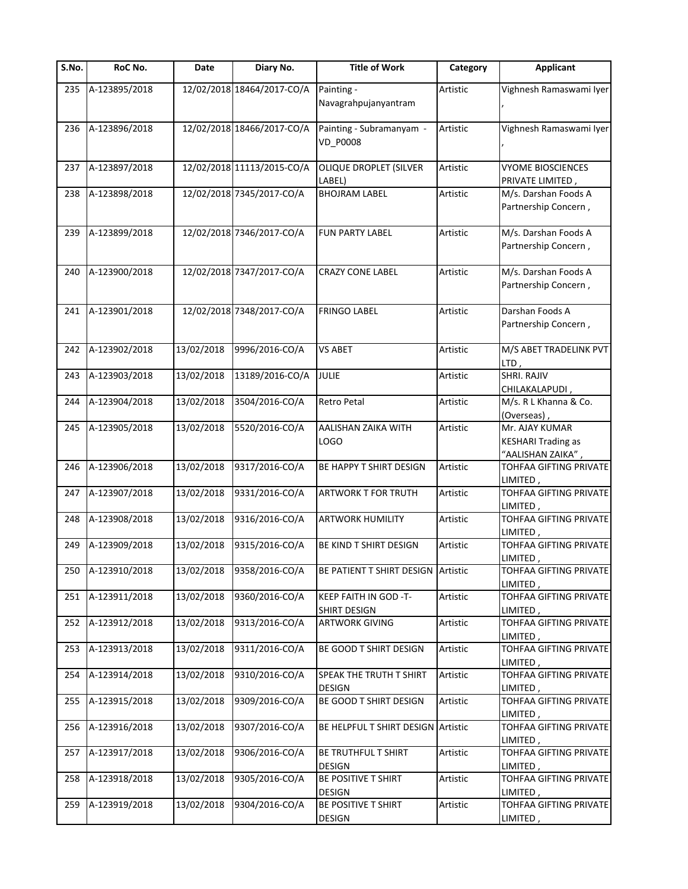| $\overline{\mathsf{S}}$ . No. | RoC No.       | Date       | Diary No.                  | <b>Title of Work</b>                        | Category | <b>Applicant</b>                                                 |
|-------------------------------|---------------|------------|----------------------------|---------------------------------------------|----------|------------------------------------------------------------------|
| 235                           | A-123895/2018 |            | 12/02/2018 18464/2017-CO/A | Painting -<br>Navagrahpujanyantram          | Artistic | Vighnesh Ramaswami Iyer                                          |
| 236                           | A-123896/2018 |            | 12/02/2018 18466/2017-CO/A | Painting - Subramanyam -<br><b>VD_P0008</b> | Artistic | Vighnesh Ramaswami Iyer                                          |
| 237                           | A-123897/2018 |            | 12/02/2018 11113/2015-CO/A | OLIQUE DROPLET (SILVER<br>LABEL)            | Artistic | <b>VYOME BIOSCIENCES</b><br>PRIVATE LIMITED,                     |
| 238                           | A-123898/2018 |            | 12/02/2018 7345/2017-CO/A  | <b>BHOJRAM LABEL</b>                        | Artistic | M/s. Darshan Foods A<br>Partnership Concern,                     |
| 239                           | A-123899/2018 |            | 12/02/2018 7346/2017-CO/A  | <b>FUN PARTY LABEL</b>                      | Artistic | M/s. Darshan Foods A<br>Partnership Concern,                     |
| 240                           | A-123900/2018 |            | 12/02/2018 7347/2017-CO/A  | <b>CRAZY CONE LABEL</b>                     | Artistic | M/s. Darshan Foods A<br>Partnership Concern,                     |
| 241                           | A-123901/2018 |            | 12/02/2018 7348/2017-CO/A  | <b>FRINGO LABEL</b>                         | Artistic | Darshan Foods A<br>Partnership Concern,                          |
| 242                           | A-123902/2018 | 13/02/2018 | 9996/2016-CO/A             | <b>VS ABET</b>                              | Artistic | M/S ABET TRADELINK PVT<br>LTD,                                   |
| 243                           | A-123903/2018 | 13/02/2018 | 13189/2016-CO/A            | <b>JULIE</b>                                | Artistic | <b>SHRI. RAJIV</b><br>CHILAKALAPUDI,                             |
| 244                           | A-123904/2018 | 13/02/2018 | 3504/2016-CO/A             | <b>Retro Petal</b>                          | Artistic | M/s. R L Khanna & Co.<br>(Overseas),                             |
| 245                           | A-123905/2018 | 13/02/2018 | 5520/2016-CO/A             | AALISHAN ZAIKA WITH<br>LOGO                 | Artistic | Mr. AJAY KUMAR<br><b>KESHARI Trading as</b><br>"AALISHAN ZAIKA", |
| 246                           | A-123906/2018 | 13/02/2018 | 9317/2016-CO/A             | BE HAPPY T SHIRT DESIGN                     | Artistic | TOHFAA GIFTING PRIVATE<br>LIMITED,                               |
| 247                           | A-123907/2018 | 13/02/2018 | 9331/2016-CO/A             | ARTWORK T FOR TRUTH                         | Artistic | TOHFAA GIFTING PRIVATE<br>LIMITED,                               |
| 248                           | A-123908/2018 | 13/02/2018 | 9316/2016-CO/A             | <b>ARTWORK HUMILITY</b>                     | Artistic | TOHFAA GIFTING PRIVATE<br>LIMITED,                               |
| 249                           | A-123909/2018 | 13/02/2018 | 9315/2016-CO/A             | BE KIND T SHIRT DESIGN                      | Artistic | TOHFAA GIFTING PRIVATE<br>LIMITED,                               |
| 250                           | A-123910/2018 | 13/02/2018 | 9358/2016-CO/A             | BE PATIENT T SHIRT DESIGN Artistic          |          | TOHFAA GIFTING PRIVATE<br>, LIMITED                              |
| 251                           | A-123911/2018 | 13/02/2018 | 9360/2016-CO/A             | KEEP FAITH IN GOD -T-<br>SHIRT DESIGN       | Artistic | TOHFAA GIFTING PRIVATE<br>LIMITED,                               |
| 252                           | A-123912/2018 | 13/02/2018 | 9313/2016-CO/A             | <b>ARTWORK GIVING</b>                       | Artistic | TOHFAA GIFTING PRIVATE<br>LIMITED,                               |
| 253                           | A-123913/2018 | 13/02/2018 | 9311/2016-CO/A             | BE GOOD T SHIRT DESIGN                      | Artistic | <b>TOHFAA GIFTING PRIVATE</b><br>LIMITED,                        |
| 254                           | A-123914/2018 | 13/02/2018 | 9310/2016-CO/A             | SPEAK THE TRUTH T SHIRT<br><b>DESIGN</b>    | Artistic | TOHFAA GIFTING PRIVATE<br>LIMITED,                               |
| 255                           | A-123915/2018 | 13/02/2018 | 9309/2016-CO/A             | BE GOOD T SHIRT DESIGN                      | Artistic | TOHFAA GIFTING PRIVATE<br>LIMITED,                               |
| 256                           | A-123916/2018 | 13/02/2018 | 9307/2016-CO/A             | BE HELPFUL T SHIRT DESIGN Artistic          |          | TOHFAA GIFTING PRIVATE<br>LIMITED,                               |
| 257                           | A-123917/2018 | 13/02/2018 | 9306/2016-CO/A             | BE TRUTHFUL T SHIRT<br>DESIGN               | Artistic | TOHFAA GIFTING PRIVATE<br>LIMITED,                               |
| 258                           | A-123918/2018 | 13/02/2018 | 9305/2016-CO/A             | BE POSITIVE T SHIRT<br><b>DESIGN</b>        | Artistic | TOHFAA GIFTING PRIVATE<br>LIMITED ,                              |
| 259                           | A-123919/2018 | 13/02/2018 | 9304/2016-CO/A             | BE POSITIVE T SHIRT<br>DESIGN               | Artistic | TOHFAA GIFTING PRIVATE<br>LIMITED,                               |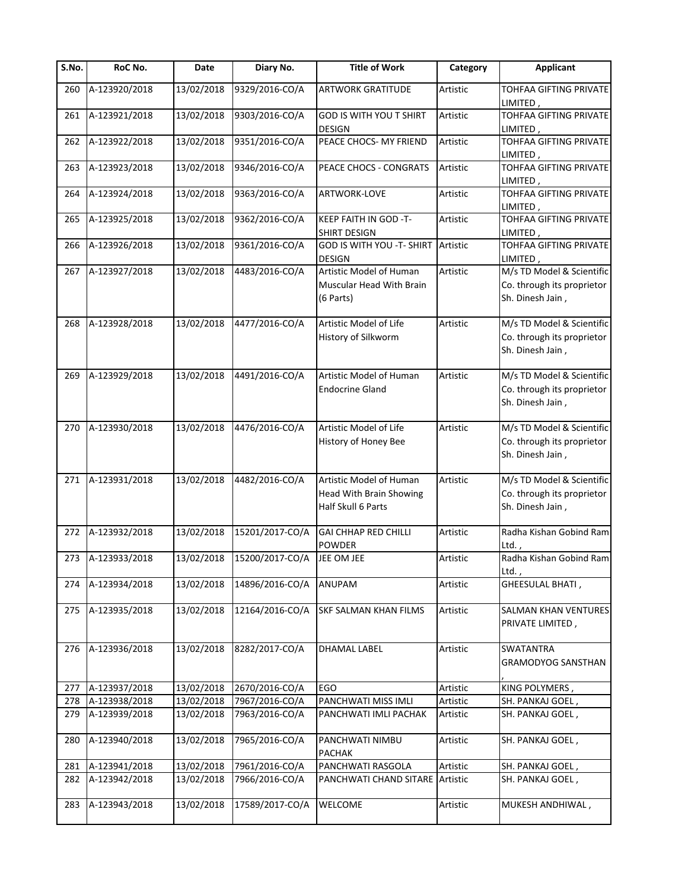| S.No. | RoC No.           | Date       | Diary No.       | <b>Title of Work</b>                                                            | Category | <b>Applicant</b>                                                            |
|-------|-------------------|------------|-----------------|---------------------------------------------------------------------------------|----------|-----------------------------------------------------------------------------|
| 260   | A-123920/2018     | 13/02/2018 | 9329/2016-CO/A  | <b>ARTWORK GRATITUDE</b>                                                        | Artistic | TOHFAA GIFTING PRIVATE<br>LIMITED,                                          |
| 261   | A-123921/2018     | 13/02/2018 | 9303/2016-CO/A  | <b>GOD IS WITH YOU T SHIRT</b><br><b>DESIGN</b>                                 | Artistic | TOHFAA GIFTING PRIVATE<br>LIMITED,                                          |
| 262   | A-123922/2018     | 13/02/2018 | 9351/2016-CO/A  | PEACE CHOCS- MY FRIEND                                                          | Artistic | TOHFAA GIFTING PRIVATE<br>LIMITED,                                          |
| 263   | A-123923/2018     | 13/02/2018 | 9346/2016-CO/A  | PEACE CHOCS - CONGRATS                                                          | Artistic | TOHFAA GIFTING PRIVATE<br>LIMITED,                                          |
| 264   | A-123924/2018     | 13/02/2018 | 9363/2016-CO/A  | ARTWORK-LOVE                                                                    | Artistic | TOHFAA GIFTING PRIVATE<br>LIMITED,                                          |
| 265   | A-123925/2018     | 13/02/2018 | 9362/2016-CO/A  | KEEP FAITH IN GOD -T-<br>SHIRT DESIGN                                           | Artistic | <b>TOHFAA GIFTING PRIVATE</b><br>LIMITED,                                   |
| 266   | A-123926/2018     | 13/02/2018 | 9361/2016-CO/A  | GOD IS WITH YOU -T- SHIRT<br><b>DESIGN</b>                                      | Artistic | TOHFAA GIFTING PRIVATE<br>LIMITED,                                          |
| 267   | A-123927/2018     | 13/02/2018 | 4483/2016-CO/A  | Artistic Model of Human<br>Muscular Head With Brain<br>(6 Parts)                | Artistic | M/s TD Model & Scientific<br>Co. through its proprietor<br>Sh. Dinesh Jain, |
| 268   | A-123928/2018     | 13/02/2018 | 4477/2016-CO/A  | Artistic Model of Life<br>History of Silkworm                                   | Artistic | M/s TD Model & Scientific<br>Co. through its proprietor<br>Sh. Dinesh Jain, |
| 269   | A-123929/2018     | 13/02/2018 | 4491/2016-CO/A  | Artistic Model of Human<br><b>Endocrine Gland</b>                               | Artistic | M/s TD Model & Scientific<br>Co. through its proprietor<br>Sh. Dinesh Jain, |
| 270   | A-123930/2018     | 13/02/2018 | 4476/2016-CO/A  | Artistic Model of Life<br>History of Honey Bee                                  | Artistic | M/s TD Model & Scientific<br>Co. through its proprietor<br>Sh. Dinesh Jain, |
| 271   | A-123931/2018     | 13/02/2018 | 4482/2016-CO/A  | Artistic Model of Human<br><b>Head With Brain Showing</b><br>Half Skull 6 Parts | Artistic | M/s TD Model & Scientific<br>Co. through its proprietor<br>Sh. Dinesh Jain, |
| 272   | A-123932/2018     | 13/02/2018 | 15201/2017-CO/A | <b>GAI CHHAP RED CHILLI</b><br>POWDER                                           | Artistic | Radha Kishan Gobind Ram<br>Ltd.,                                            |
|       | 273 A-123933/2018 | 13/02/2018 | 15200/2017-CO/A | JEE OM JEE                                                                      | Artistic | Radha Kishan Gobind Ram<br>Ltd.,                                            |
| 274   | A-123934/2018     | 13/02/2018 | 14896/2016-CO/A | <b>ANUPAM</b>                                                                   | Artistic | GHEESULAL BHATI,                                                            |
| 275   | A-123935/2018     | 13/02/2018 | 12164/2016-CO/A | SKF SALMAN KHAN FILMS                                                           | Artistic | <b>SALMAN KHAN VENTURES</b><br>PRIVATE LIMITED,                             |
| 276   | A-123936/2018     | 13/02/2018 | 8282/2017-CO/A  | DHAMAL LABEL                                                                    | Artistic | <b>SWATANTRA</b><br><b>GRAMODYOG SANSTHAN</b>                               |
| 277   | A-123937/2018     | 13/02/2018 | 2670/2016-CO/A  | EGO                                                                             | Artistic | KING POLYMERS,                                                              |
| 278   | A-123938/2018     | 13/02/2018 | 7967/2016-CO/A  | PANCHWATI MISS IMLI                                                             | Artistic | SH. PANKAJ GOEL,                                                            |
| 279   | A-123939/2018     | 13/02/2018 | 7963/2016-CO/A  | PANCHWATI IMLI PACHAK                                                           | Artistic | SH. PANKAJ GOEL,                                                            |
| 280   | A-123940/2018     | 13/02/2018 | 7965/2016-CO/A  | PANCHWATI NIMBU<br><b>PACHAK</b>                                                | Artistic | SH. PANKAJ GOEL,                                                            |
| 281   | A-123941/2018     | 13/02/2018 | 7961/2016-CO/A  | PANCHWATI RASGOLA                                                               | Artistic | SH. PANKAJ GOEL,                                                            |
| 282   | A-123942/2018     | 13/02/2018 | 7966/2016-CO/A  | PANCHWATI CHAND SITARE Artistic                                                 |          | SH. PANKAJ GOEL,                                                            |
| 283   | A-123943/2018     | 13/02/2018 | 17589/2017-CO/A | <b>WELCOME</b>                                                                  | Artistic | MUKESH ANDHIWAL,                                                            |
|       |                   |            |                 |                                                                                 |          |                                                                             |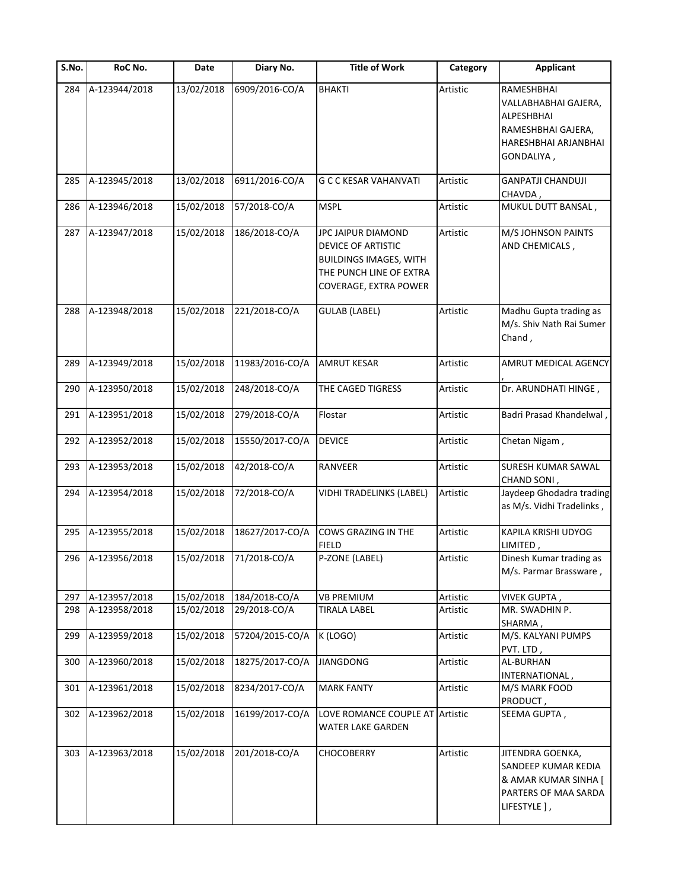| S.No. | RoC No.       | Date       | Diary No.       | <b>Title of Work</b>                                                                                                          | Category | <b>Applicant</b>                                                                                                    |
|-------|---------------|------------|-----------------|-------------------------------------------------------------------------------------------------------------------------------|----------|---------------------------------------------------------------------------------------------------------------------|
| 284   | A-123944/2018 | 13/02/2018 | 6909/2016-CO/A  | <b>BHAKTI</b>                                                                                                                 | Artistic | RAMESHBHAI<br>VALLABHABHAI GAJERA,<br><b>ALPESHBHAI</b><br>RAMESHBHAI GAJERA,<br>HARESHBHAI ARJANBHAI<br>GONDALIYA, |
| 285   | A-123945/2018 | 13/02/2018 | 6911/2016-CO/A  | <b>G C C KESAR VAHANVATI</b>                                                                                                  | Artistic | <b>GANPATJI CHANDUJI</b><br>CHAVDA,                                                                                 |
| 286   | A-123946/2018 | 15/02/2018 | 57/2018-CO/A    | <b>MSPL</b>                                                                                                                   | Artistic | MUKUL DUTT BANSAL,                                                                                                  |
| 287   | A-123947/2018 | 15/02/2018 | 186/2018-CO/A   | JPC JAIPUR DIAMOND<br>DEVICE OF ARTISTIC<br><b>BUILDINGS IMAGES, WITH</b><br>THE PUNCH LINE OF EXTRA<br>COVERAGE, EXTRA POWER | Artistic | M/S JOHNSON PAINTS<br>AND CHEMICALS,                                                                                |
| 288   | A-123948/2018 | 15/02/2018 | 221/2018-CO/A   | <b>GULAB (LABEL)</b>                                                                                                          | Artistic | Madhu Gupta trading as<br>M/s. Shiv Nath Rai Sumer<br>Chand,                                                        |
| 289   | A-123949/2018 | 15/02/2018 | 11983/2016-CO/A | <b>AMRUT KESAR</b>                                                                                                            | Artistic | AMRUT MEDICAL AGENCY                                                                                                |
| 290   | A-123950/2018 | 15/02/2018 | 248/2018-CO/A   | THE CAGED TIGRESS                                                                                                             | Artistic | Dr. ARUNDHATI HINGE,                                                                                                |
| 291   | A-123951/2018 | 15/02/2018 | 279/2018-CO/A   | Flostar                                                                                                                       | Artistic | Badri Prasad Khandelwal,                                                                                            |
| 292   | A-123952/2018 | 15/02/2018 | 15550/2017-CO/A | <b>DEVICE</b>                                                                                                                 | Artistic | Chetan Nigam,                                                                                                       |
| 293   | A-123953/2018 | 15/02/2018 | 42/2018-CO/A    | RANVEER                                                                                                                       | Artistic | <b>SURESH KUMAR SAWAL</b><br>CHAND SONI,                                                                            |
| 294   | A-123954/2018 | 15/02/2018 | 72/2018-CO/A    | VIDHI TRADELINKS (LABEL)                                                                                                      | Artistic | Jaydeep Ghodadra trading<br>as M/s. Vidhi Tradelinks,                                                               |
| 295   | A-123955/2018 | 15/02/2018 | 18627/2017-CO/A | COWS GRAZING IN THE                                                                                                           | Artistic | KAPILA KRISHI UDYOG                                                                                                 |
| 296   | A-123956/2018 | 15/02/2018 | 71/2018-CO/A    | <b>FIELD</b><br>P-ZONE (LABEL)                                                                                                | Artistic | LIMITED,<br>Dinesh Kumar trading as<br>M/s. Parmar Brassware,                                                       |
| 297   | A-123957/2018 | 15/02/2018 | 184/2018-CO/A   | <b>VB PREMIUM</b>                                                                                                             | Artistic | VIVEK GUPTA,                                                                                                        |
| 298   | A-123958/2018 | 15/02/2018 | 29/2018-CO/A    | <b>TIRALA LABEL</b>                                                                                                           | Artistic | MR. SWADHIN P.<br>SHARMA,                                                                                           |
| 299   | A-123959/2018 | 15/02/2018 | 57204/2015-CO/A | K (LOGO)                                                                                                                      | Artistic | M/S. KALYANI PUMPS<br>PVT. LTD,                                                                                     |
| 300   | A-123960/2018 | 15/02/2018 | 18275/2017-CO/A | <b>JIANGDONG</b>                                                                                                              | Artistic | <b>AL-BURHAN</b><br>INTERNATIONAL,                                                                                  |
| 301   | A-123961/2018 | 15/02/2018 | 8234/2017-CO/A  | <b>MARK FANTY</b>                                                                                                             | Artistic | M/S MARK FOOD<br>PRODUCT,                                                                                           |
| 302   | A-123962/2018 | 15/02/2018 | 16199/2017-CO/A | LOVE ROMANCE COUPLE AT Artistic<br><b>WATER LAKE GARDEN</b>                                                                   |          | SEEMA GUPTA,                                                                                                        |
| 303   | A-123963/2018 | 15/02/2018 | 201/2018-CO/A   | <b>CHOCOBERRY</b>                                                                                                             | Artistic | JITENDRA GOENKA,<br>SANDEEP KUMAR KEDIA<br>& AMAR KUMAR SINHA [<br>PARTERS OF MAA SARDA<br>LIFESTYLE 1,             |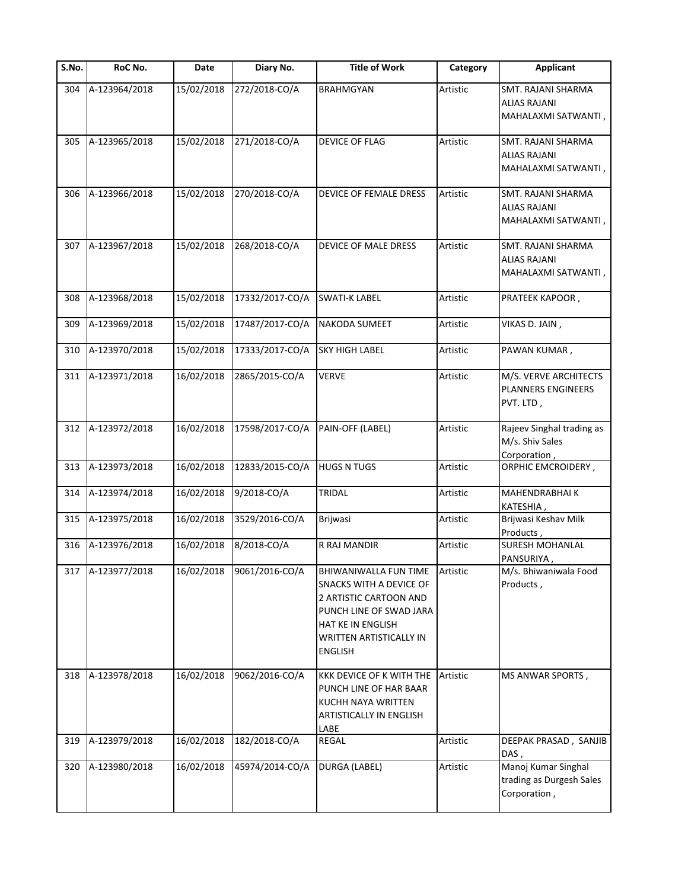| $\overline{\mathsf{S}}$ . No. | RoC No.       | Date       | Diary No.       | <b>Title of Work</b>                                                                                                                                                                         | Category | <b>Applicant</b>                                                 |
|-------------------------------|---------------|------------|-----------------|----------------------------------------------------------------------------------------------------------------------------------------------------------------------------------------------|----------|------------------------------------------------------------------|
| 304                           | A-123964/2018 | 15/02/2018 | 272/2018-CO/A   | <b>BRAHMGYAN</b>                                                                                                                                                                             | Artistic | SMT. RAJANI SHARMA<br><b>ALIAS RAJANI</b><br>MAHALAXMI SATWANTI, |
| 305                           | A-123965/2018 | 15/02/2018 | 271/2018-CO/A   | DEVICE OF FLAG                                                                                                                                                                               | Artistic | SMT. RAJANI SHARMA<br><b>ALIAS RAJANI</b><br>MAHALAXMI SATWANTI, |
| 306                           | A-123966/2018 | 15/02/2018 | 270/2018-CO/A   | DEVICE OF FEMALE DRESS                                                                                                                                                                       | Artistic | SMT. RAJANI SHARMA<br><b>ALIAS RAJANI</b><br>MAHALAXMI SATWANTI, |
| 307                           | A-123967/2018 | 15/02/2018 | 268/2018-CO/A   | DEVICE OF MALE DRESS                                                                                                                                                                         | Artistic | SMT. RAJANI SHARMA<br><b>ALIAS RAJANI</b><br>MAHALAXMI SATWANTI, |
| 308                           | A-123968/2018 | 15/02/2018 | 17332/2017-CO/A | <b>SWATI-K LABEL</b>                                                                                                                                                                         | Artistic | PRATEEK KAPOOR,                                                  |
| 309                           | A-123969/2018 | 15/02/2018 | 17487/2017-CO/A | NAKODA SUMEET                                                                                                                                                                                | Artistic | VIKAS D. JAIN,                                                   |
| 310                           | A-123970/2018 | 15/02/2018 | 17333/2017-CO/A | <b>SKY HIGH LABEL</b>                                                                                                                                                                        | Artistic | PAWAN KUMAR,                                                     |
| 311                           | A-123971/2018 | 16/02/2018 | 2865/2015-CO/A  | <b>VERVE</b>                                                                                                                                                                                 | Artistic | M/S. VERVE ARCHITECTS<br><b>PLANNERS ENGINEERS</b><br>PVT. LTD,  |
| 312                           | A-123972/2018 | 16/02/2018 | 17598/2017-CO/A | PAIN-OFF (LABEL)                                                                                                                                                                             | Artistic | Rajeev Singhal trading as<br>M/s. Shiv Sales<br>Corporation,     |
| 313                           | A-123973/2018 | 16/02/2018 | 12833/2015-CO/A | <b>HUGS N TUGS</b>                                                                                                                                                                           | Artistic | ORPHIC EMCROIDERY,                                               |
| 314                           | A-123974/2018 | 16/02/2018 | 9/2018-CO/A     | TRIDAL                                                                                                                                                                                       | Artistic | MAHENDRABHAI K<br>KATESHIA,                                      |
| 315                           | A-123975/2018 | 16/02/2018 | 3529/2016-CO/A  | Brijwasi                                                                                                                                                                                     | Artistic | Brijwasi Keshav Milk<br>Products,                                |
| 316                           | A-123976/2018 | 16/02/2018 | 8/2018-CO/A     | R RAJ MANDIR                                                                                                                                                                                 | Artistic | <b>SURESH MOHANLAL</b><br>PANSURIYA,                             |
| 317                           | A-123977/2018 | 16/02/2018 | 9061/2016-CO/A  | <b>BHIWANIWALLA FUN TIME</b><br>SNACKS WITH A DEVICE OF<br>2 ARTISTIC CARTOON AND<br>PUNCH LINE OF SWAD JARA<br><b>HAT KE IN ENGLISH</b><br><b>WRITTEN ARTISTICALLY IN</b><br><b>ENGLISH</b> | Artistic | M/s. Bhiwaniwala Food<br>Products,                               |
| 318                           | A-123978/2018 | 16/02/2018 | 9062/2016-CO/A  | KKK DEVICE OF K WITH THE<br>PUNCH LINE OF HAR BAAR<br><b>KUCHH NAYA WRITTEN</b><br><b>ARTISTICALLY IN ENGLISH</b><br>LABE                                                                    | Artistic | MS ANWAR SPORTS,                                                 |
| 319                           | A-123979/2018 | 16/02/2018 | 182/2018-CO/A   | REGAL                                                                                                                                                                                        | Artistic | DEEPAK PRASAD, SANJIB<br>DAS,                                    |
| 320                           | A-123980/2018 | 16/02/2018 | 45974/2014-CO/A | <b>DURGA (LABEL)</b>                                                                                                                                                                         | Artistic | Manoj Kumar Singhal<br>trading as Durgesh Sales<br>Corporation,  |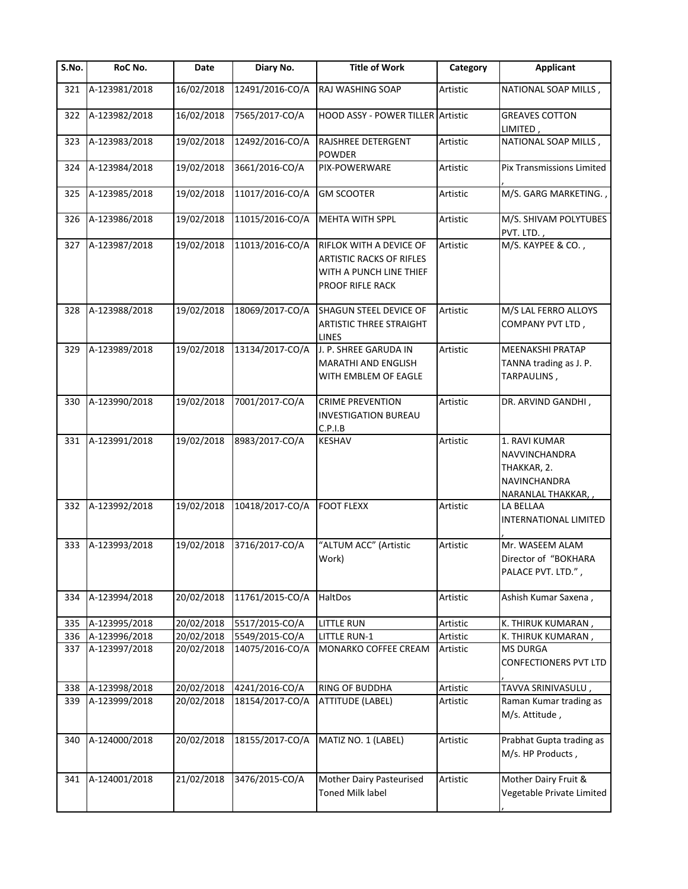| S.No. | RoC No.       | Date       | Diary No.       | <b>Title of Work</b>                                                                                      | Category        | <b>Applicant</b>                                                                           |
|-------|---------------|------------|-----------------|-----------------------------------------------------------------------------------------------------------|-----------------|--------------------------------------------------------------------------------------------|
| 321   | A-123981/2018 | 16/02/2018 | 12491/2016-CO/A | RAJ WASHING SOAP                                                                                          | Artistic        | NATIONAL SOAP MILLS,                                                                       |
| 322   | A-123982/2018 | 16/02/2018 | 7565/2017-CO/A  | HOOD ASSY - POWER TILLER Artistic                                                                         |                 | <b>GREAVES COTTON</b><br>LIMITED,                                                          |
| 323   | A-123983/2018 | 19/02/2018 | 12492/2016-CO/A | RAJSHREE DETERGENT<br><b>POWDER</b>                                                                       | Artistic        | NATIONAL SOAP MILLS,                                                                       |
| 324   | A-123984/2018 | 19/02/2018 | 3661/2016-CO/A  | PIX-POWERWARE                                                                                             | Artistic        | Pix Transmissions Limited                                                                  |
| 325   | A-123985/2018 | 19/02/2018 | 11017/2016-CO/A | <b>GM SCOOTER</b>                                                                                         | Artistic        | M/S. GARG MARKETING.                                                                       |
| 326   | A-123986/2018 | 19/02/2018 | 11015/2016-CO/A | MEHTA WITH SPPL                                                                                           | Artistic        | M/S. SHIVAM POLYTUBES<br>PVT. LTD.,                                                        |
| 327   | A-123987/2018 | 19/02/2018 | 11013/2016-CO/A | RIFLOK WITH A DEVICE OF<br><b>ARTISTIC RACKS OF RIFLES</b><br>WITH A PUNCH LINE THIEF<br>PROOF RIFLE RACK | Artistic        | M/S. KAYPEE & CO.,                                                                         |
| 328   | A-123988/2018 | 19/02/2018 | 18069/2017-CO/A | SHAGUN STEEL DEVICE OF<br><b>ARTISTIC THREE STRAIGHT</b><br><b>LINES</b>                                  | <b>Artistic</b> | M/S LAL FERRO ALLOYS<br>COMPANY PVT LTD,                                                   |
| 329   | A-123989/2018 | 19/02/2018 | 13134/2017-CO/A | J. P. SHREE GARUDA IN<br><b>MARATHI AND ENGLISH</b><br>WITH EMBLEM OF EAGLE                               | Artistic        | <b>MEENAKSHI PRATAP</b><br>TANNA trading as J. P.<br>TARPAULINS,                           |
| 330   | A-123990/2018 | 19/02/2018 | 7001/2017-CO/A  | <b>CRIME PREVENTION</b><br><b>INVESTIGATION BUREAU</b><br>C.P.I.B                                         | Artistic        | DR. ARVIND GANDHI,                                                                         |
| 331   | A-123991/2018 | 19/02/2018 | 8983/2017-CO/A  | <b>KESHAV</b>                                                                                             | Artistic        | 1. RAVI KUMAR<br>NAVVINCHANDRA<br>THAKKAR, 2.<br><b>NAVINCHANDRA</b><br>NARANLAL THAKKAR,, |
| 332   | A-123992/2018 | 19/02/2018 | 10418/2017-CO/A | <b>FOOT FLEXX</b>                                                                                         | Artistic        | LA BELLAA<br>INTERNATIONAL LIMITED                                                         |
| 333   | A-123993/2018 | 19/02/2018 | 3716/2017-CO/A  | "ALTUM ACC" (Artistic<br>Work)                                                                            | Artistic        | Mr. WASEEM ALAM<br>Director of "BOKHARA<br>PALACE PVT. LTD.",                              |
| 334   | A-123994/2018 | 20/02/2018 | 11761/2015-CO/A | HaltDos                                                                                                   | Artistic        | Ashish Kumar Saxena,                                                                       |
| 335   | A-123995/2018 | 20/02/2018 | 5517/2015-CO/A  | <b>LITTLE RUN</b>                                                                                         | Artistic        | K. THIRUK KUMARAN,                                                                         |
| 336   | A-123996/2018 | 20/02/2018 | 5549/2015-CO/A  | <b>LITTLE RUN-1</b>                                                                                       | Artistic        | K. THIRUK KUMARAN,                                                                         |
| 337   | A-123997/2018 | 20/02/2018 | 14075/2016-CO/A | MONARKO COFFEE CREAM                                                                                      | Artistic        | <b>MS DURGA</b><br>CONFECTIONERS PVT LTD                                                   |
| 338   | A-123998/2018 | 20/02/2018 | 4241/2016-CO/A  | <b>RING OF BUDDHA</b>                                                                                     | Artistic        | TAVVA SRINIVASULU,                                                                         |
| 339   | A-123999/2018 | 20/02/2018 | 18154/2017-CO/A | <b>ATTITUDE (LABEL)</b>                                                                                   | Artistic        | Raman Kumar trading as<br>M/s. Attitude,                                                   |
| 340   | A-124000/2018 | 20/02/2018 | 18155/2017-CO/A | MATIZ NO. 1 (LABEL)                                                                                       | Artistic        | Prabhat Gupta trading as<br>M/s. HP Products,                                              |
| 341   | A-124001/2018 | 21/02/2018 | 3476/2015-CO/A  | Mother Dairy Pasteurised<br><b>Toned Milk label</b>                                                       | Artistic        | Mother Dairy Fruit &<br>Vegetable Private Limited                                          |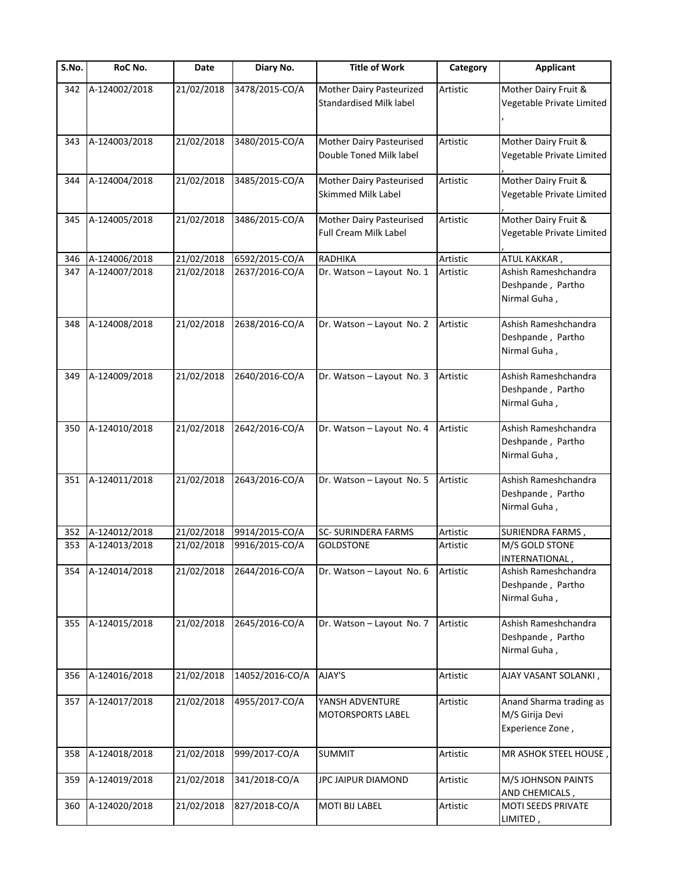| S.No. | RoC No.       | Date       | Diary No.       | <b>Title of Work</b>                                       | Category | <b>Applicant</b>                                               |
|-------|---------------|------------|-----------------|------------------------------------------------------------|----------|----------------------------------------------------------------|
| 342   | A-124002/2018 | 21/02/2018 | 3478/2015-CO/A  | Mother Dairy Pasteurized<br><b>Standardised Milk label</b> | Artistic | Mother Dairy Fruit &<br>Vegetable Private Limited              |
| 343   | A-124003/2018 | 21/02/2018 | 3480/2015-CO/A  | Mother Dairy Pasteurised<br>Double Toned Milk label        | Artistic | Mother Dairy Fruit &<br>Vegetable Private Limited              |
| 344   | A-124004/2018 | 21/02/2018 | 3485/2015-CO/A  | Mother Dairy Pasteurised<br>Skimmed Milk Label             | Artistic | Mother Dairy Fruit &<br>Vegetable Private Limited              |
| 345   | A-124005/2018 | 21/02/2018 | 3486/2015-CO/A  | Mother Dairy Pasteurised<br><b>Full Cream Milk Label</b>   | Artistic | Mother Dairy Fruit &<br>Vegetable Private Limited              |
| 346   | A-124006/2018 | 21/02/2018 | 6592/2015-CO/A  | <b>RADHIKA</b>                                             | Artistic | ATUL KAKKAR,                                                   |
| 347   | A-124007/2018 | 21/02/2018 | 2637/2016-CO/A  | Dr. Watson - Layout No. 1                                  | Artistic | Ashish Rameshchandra<br>Deshpande, Partho<br>Nirmal Guha,      |
| 348   | A-124008/2018 | 21/02/2018 | 2638/2016-CO/A  | Dr. Watson - Layout No. 2                                  | Artistic | Ashish Rameshchandra<br>Deshpande, Partho<br>Nirmal Guha,      |
| 349   | A-124009/2018 | 21/02/2018 | 2640/2016-CO/A  | Dr. Watson - Layout No. 3                                  | Artistic | Ashish Rameshchandra<br>Deshpande, Partho<br>Nirmal Guha,      |
| 350   | A-124010/2018 | 21/02/2018 | 2642/2016-CO/A  | Dr. Watson - Layout No. 4                                  | Artistic | Ashish Rameshchandra<br>Deshpande, Partho<br>Nirmal Guha,      |
| 351   | A-124011/2018 | 21/02/2018 | 2643/2016-CO/A  | Dr. Watson - Layout No. 5                                  | Artistic | Ashish Rameshchandra<br>Deshpande, Partho<br>Nirmal Guha,      |
| 352   | A-124012/2018 | 21/02/2018 | 9914/2015-CO/A  | <b>SC- SURINDERA FARMS</b>                                 | Artistic | SURIENDRA FARMS,                                               |
| 353   | A-124013/2018 | 21/02/2018 | 9916/2015-CO/A  | <b>GOLDSTONE</b>                                           | Artistic | M/S GOLD STONE<br>INTERNATIONAL,                               |
| 354   | A-124014/2018 | 21/02/2018 | 2644/2016-CO/A  | Dr. Watson - Layout No. 6                                  | Artistic | Ashish Rameshchandra<br>Deshpande, Partho<br>Nirmal Guha,      |
| 355   | A-124015/2018 | 21/02/2018 | 2645/2016-CO/A  | Dr. Watson - Layout No. 7                                  | Artistic | Ashish Rameshchandra<br>Deshpande, Partho<br>Nirmal Guha,      |
| 356   | A-124016/2018 | 21/02/2018 | 14052/2016-CO/A | AJAY'S                                                     | Artistic | AJAY VASANT SOLANKI,                                           |
| 357   | A-124017/2018 | 21/02/2018 | 4955/2017-CO/A  | YANSH ADVENTURE<br><b>MOTORSPORTS LABEL</b>                | Artistic | Anand Sharma trading as<br>M/S Girija Devi<br>Experience Zone, |
| 358   | A-124018/2018 | 21/02/2018 | 999/2017-CO/A   | <b>SUMMIT</b>                                              | Artistic | MR ASHOK STEEL HOUSE                                           |
| 359   | A-124019/2018 | 21/02/2018 | 341/2018-CO/A   | JPC JAIPUR DIAMOND                                         | Artistic | M/S JOHNSON PAINTS<br>AND CHEMICALS,                           |
| 360   | A-124020/2018 | 21/02/2018 | 827/2018-CO/A   | <b>MOTI BIJ LABEL</b>                                      | Artistic | MOTI SEEDS PRIVATE<br>LIMITED,                                 |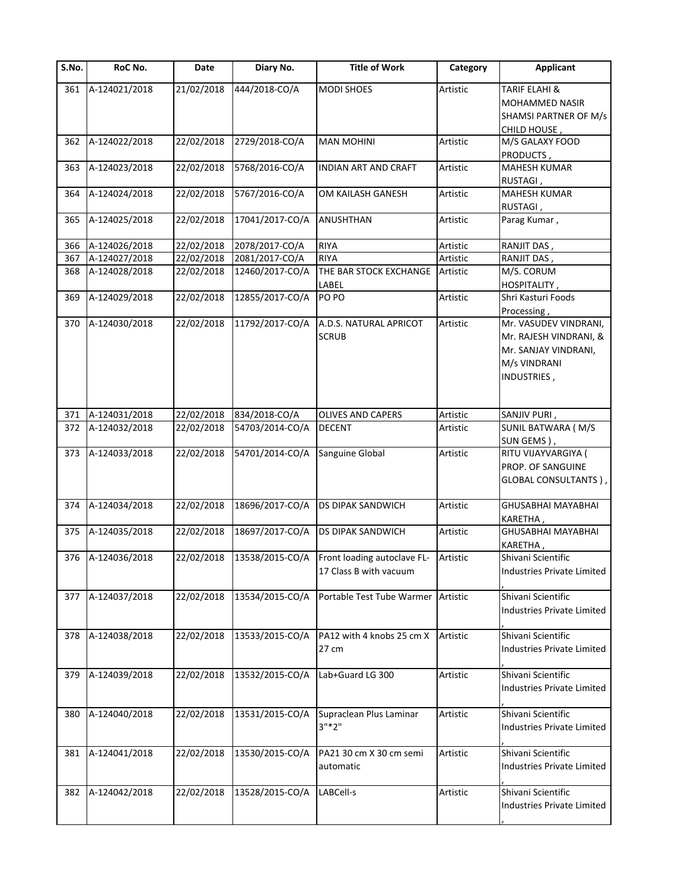| $\overline{S}$ . No. | RoC No.           | Date       | Diary No.       | <b>Title of Work</b>        | Category | <b>Applicant</b>               |
|----------------------|-------------------|------------|-----------------|-----------------------------|----------|--------------------------------|
| 361                  | A-124021/2018     | 21/02/2018 | 444/2018-CO/A   | <b>MODI SHOES</b>           | Artistic | <b>TARIF ELAHI &amp;</b>       |
|                      |                   |            |                 |                             |          | MOHAMMED NASIR                 |
|                      |                   |            |                 |                             |          | <b>SHAMSI PARTNER OF M/s</b>   |
|                      |                   |            |                 |                             |          | CHILD HOUSE,                   |
| 362                  | A-124022/2018     | 22/02/2018 | 2729/2018-CO/A  | <b>MAN MOHINI</b>           | Artistic | M/S GALAXY FOOD                |
|                      |                   |            |                 |                             |          | PRODUCTS,                      |
| 363                  | A-124023/2018     | 22/02/2018 | 5768/2016-CO/A  | <b>INDIAN ART AND CRAFT</b> | Artistic | MAHESH KUMAR                   |
|                      |                   |            |                 |                             |          | RUSTAGI,                       |
| 364                  | A-124024/2018     | 22/02/2018 | 5767/2016-CO/A  | OM KAILASH GANESH           | Artistic | <b>MAHESH KUMAR</b>            |
|                      |                   |            |                 |                             |          | RUSTAGI,                       |
| 365                  | A-124025/2018     | 22/02/2018 | 17041/2017-CO/A | ANUSHTHAN                   | Artistic | Parag Kumar,                   |
|                      |                   |            |                 |                             |          |                                |
| 366                  | A-124026/2018     | 22/02/2018 | 2078/2017-CO/A  | RIYA                        | Artistic | RANJIT DAS,                    |
| 367                  | A-124027/2018     | 22/02/2018 | 2081/2017-CO/A  | <b>RIYA</b>                 | Artistic | RANJIT DAS,                    |
| 368                  | A-124028/2018     | 22/02/2018 | 12460/2017-CO/A | THE BAR STOCK EXCHANGE      | Artistic | M/S. CORUM                     |
|                      |                   |            |                 | LABEL                       |          | HOSPITALITY,                   |
| 369                  | A-124029/2018     | 22/02/2018 | 12855/2017-CO/A | PO PO                       | Artistic | Shri Kasturi Foods             |
|                      |                   |            |                 |                             |          | Processing,                    |
| 370                  | A-124030/2018     | 22/02/2018 | 11792/2017-CO/A | A.D.S. NATURAL APRICOT      | Artistic | Mr. VASUDEV VINDRANI,          |
|                      |                   |            |                 |                             |          |                                |
|                      |                   |            |                 | <b>SCRUB</b>                |          | Mr. RAJESH VINDRANI, &         |
|                      |                   |            |                 |                             |          | Mr. SANJAY VINDRANI,           |
|                      |                   |            |                 |                             |          | M/s VINDRANI                   |
|                      |                   |            |                 |                             |          | INDUSTRIES,                    |
|                      |                   |            |                 |                             |          |                                |
| 371                  | A-124031/2018     | 22/02/2018 | 834/2018-CO/A   | <b>OLIVES AND CAPERS</b>    | Artistic | SANJIV PURI,                   |
| 372                  | A-124032/2018     | 22/02/2018 | 54703/2014-CO/A | <b>DECENT</b>               | Artistic | SUNIL BATWARA (M/S             |
|                      |                   |            |                 |                             |          | SUN GEMS),                     |
| 373                  | A-124033/2018     | 22/02/2018 | 54701/2014-CO/A | Sanguine Global             | Artistic | RITU VIJAYVARGIYA (            |
|                      |                   |            |                 |                             |          | PROP. OF SANGUINE              |
|                      |                   |            |                 |                             |          |                                |
|                      |                   |            |                 |                             |          | GLOBAL CONSULTANTS),           |
| 374                  | A-124034/2018     | 22/02/2018 | 18696/2017-CO/A | <b>DS DIPAK SANDWICH</b>    | Artistic | GHUSABHAI MAYABHAI             |
|                      |                   |            |                 |                             |          |                                |
| 375                  | A-124035/2018     | 22/02/2018 | 18697/2017-CO/A | <b>DS DIPAK SANDWICH</b>    | Artistic | KARETHA,<br>GHUSABHAI MAYABHAI |
|                      |                   |            |                 |                             |          |                                |
|                      |                   |            |                 |                             |          | KARETHA,                       |
|                      | 376 A-124036/2018 | 22/02/2018 | 13538/2015-CO/A | Front loading autoclave FL- | Artistic | Shivani Scientific             |
|                      |                   |            |                 | 17 Class B with vacuum      |          | Industries Private Limited     |
|                      |                   |            |                 | Portable Test Tube Warmer   | Artistic | Shivani Scientific             |
| 377                  | A-124037/2018     | 22/02/2018 | 13534/2015-CO/A |                             |          |                                |
|                      |                   |            |                 |                             |          | Industries Private Limited     |
|                      |                   |            |                 |                             |          |                                |
| 378                  | A-124038/2018     | 22/02/2018 | 13533/2015-CO/A | PA12 with 4 knobs 25 cm X   | Artistic | Shivani Scientific             |
|                      |                   |            |                 | 27 cm                       |          | Industries Private Limited     |
|                      |                   | 22/02/2018 |                 | Lab+Guard LG 300            |          | Shivani Scientific             |
| 379                  | A-124039/2018     |            | 13532/2015-CO/A |                             | Artistic |                                |
|                      |                   |            |                 |                             |          | Industries Private Limited     |
|                      |                   |            |                 |                             |          |                                |
| 380                  | A-124040/2018     | 22/02/2018 | 13531/2015-CO/A | Supraclean Plus Laminar     | Artistic | Shivani Scientific             |
|                      |                   |            |                 | $3"*2"$                     |          | Industries Private Limited     |
|                      |                   |            |                 |                             |          |                                |
| 381                  | A-124041/2018     | 22/02/2018 | 13530/2015-CO/A | PA21 30 cm X 30 cm semi     | Artistic | Shivani Scientific             |
|                      |                   |            |                 | automatic                   |          | Industries Private Limited     |
|                      |                   |            |                 |                             |          |                                |
| 382                  | A-124042/2018     | 22/02/2018 | 13528/2015-CO/A | LABCell-s                   | Artistic | Shivani Scientific             |
|                      |                   |            |                 |                             |          | Industries Private Limited     |
|                      |                   |            |                 |                             |          |                                |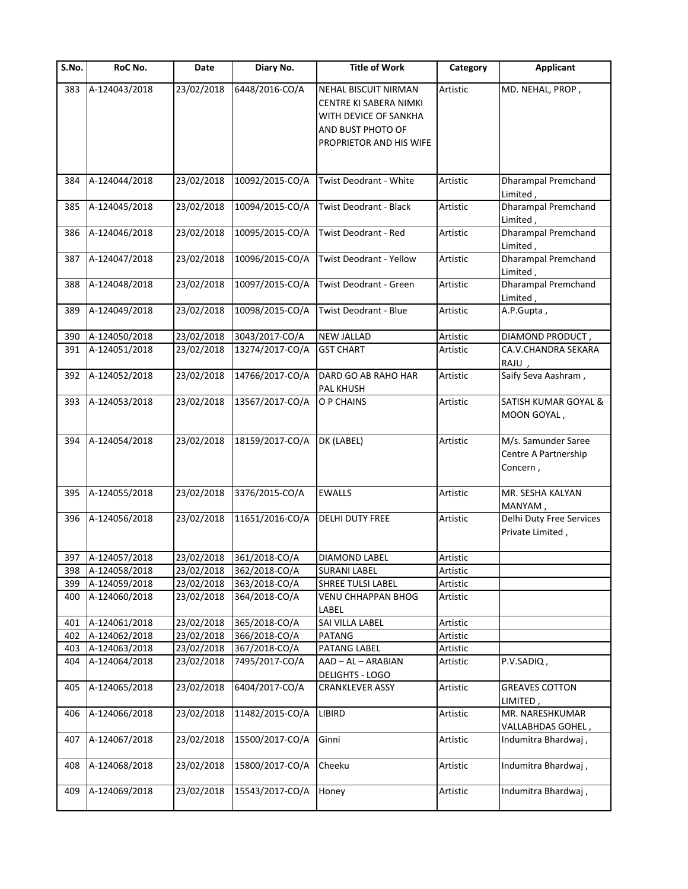| S.No. | RoC No.       | Date       | Diary No.       | <b>Title of Work</b>                                                                                                           | Category | <b>Applicant</b>                                        |
|-------|---------------|------------|-----------------|--------------------------------------------------------------------------------------------------------------------------------|----------|---------------------------------------------------------|
| 383   | A-124043/2018 | 23/02/2018 | 6448/2016-CO/A  | <b>NEHAL BISCUIT NIRMAN</b><br>CENTRE KI SABERA NIMKI<br>WITH DEVICE OF SANKHA<br>AND BUST PHOTO OF<br>PROPRIETOR AND HIS WIFE | Artistic | MD. NEHAL, PROP,                                        |
| 384   | A-124044/2018 | 23/02/2018 | 10092/2015-CO/A | Twist Deodrant - White                                                                                                         | Artistic | <b>Dharampal Premchand</b><br>Limited,                  |
| 385   | A-124045/2018 | 23/02/2018 | 10094/2015-CO/A | <b>Twist Deodrant - Black</b>                                                                                                  | Artistic | Dharampal Premchand<br>Limited,                         |
| 386   | A-124046/2018 | 23/02/2018 | 10095/2015-CO/A | Twist Deodrant - Red                                                                                                           | Artistic | Dharampal Premchand<br>Limited,                         |
| 387   | A-124047/2018 | 23/02/2018 | 10096/2015-CO/A | Twist Deodrant - Yellow                                                                                                        | Artistic | <b>Dharampal Premchand</b><br>Limited,                  |
| 388   | A-124048/2018 | 23/02/2018 | 10097/2015-CO/A | Twist Deodrant - Green                                                                                                         | Artistic | Dharampal Premchand<br>Limited,                         |
| 389   | A-124049/2018 | 23/02/2018 | 10098/2015-CO/A | Twist Deodrant - Blue                                                                                                          | Artistic | A.P.Gupta,                                              |
| 390   | A-124050/2018 | 23/02/2018 | 3043/2017-CO/A  | <b>NEW JALLAD</b>                                                                                                              | Artistic | DIAMOND PRODUCT,                                        |
| 391   | A-124051/2018 | 23/02/2018 | 13274/2017-CO/A | <b>GST CHART</b>                                                                                                               | Artistic | CA.V.CHANDRA SEKARA<br>RAJU,                            |
| 392   | A-124052/2018 | 23/02/2018 | 14766/2017-CO/A | DARD GO AB RAHO HAR<br>PAL KHUSH                                                                                               | Artistic | Saify Seva Aashram,                                     |
| 393   | A-124053/2018 | 23/02/2018 | 13567/2017-CO/A | O P CHAINS                                                                                                                     | Artistic | SATISH KUMAR GOYAL &<br>MOON GOYAL,                     |
| 394   | A-124054/2018 | 23/02/2018 | 18159/2017-CO/A | DK (LABEL)                                                                                                                     | Artistic | M/s. Samunder Saree<br>Centre A Partnership<br>Concern, |
| 395   | A-124055/2018 | 23/02/2018 | 3376/2015-CO/A  | <b>EWALLS</b>                                                                                                                  | Artistic | MR. SESHA KALYAN<br>MANYAM,                             |
| 396   | A-124056/2018 | 23/02/2018 | 11651/2016-CO/A | <b>DELHI DUTY FREE</b>                                                                                                         | Artistic | Delhi Duty Free Services<br>Private Limited,            |
| 397   | A-124057/2018 | 23/02/2018 | 361/2018-CO/A   | <b>DIAMOND LABEL</b>                                                                                                           | Artistic |                                                         |
| 398   | A-124058/2018 | 23/02/2018 | 362/2018-CO/A   | <b>SURANI LABEL</b>                                                                                                            | Artistic |                                                         |
| 399   | A-124059/2018 | 23/02/2018 | 363/2018-CO/A   | SHREE TULSI LABEL                                                                                                              | Artistic |                                                         |
| 400   | A-124060/2018 | 23/02/2018 | 364/2018-CO/A   | <b>VENU CHHAPPAN BHOG</b><br>LABEL                                                                                             | Artistic |                                                         |
| 401   | A-124061/2018 | 23/02/2018 | 365/2018-CO/A   | SAI VILLA LABEL                                                                                                                | Artistic |                                                         |
| 402   | A-124062/2018 | 23/02/2018 | 366/2018-CO/A   | <b>PATANG</b>                                                                                                                  | Artistic |                                                         |
| 403   | A-124063/2018 | 23/02/2018 | 367/2018-CO/A   | PATANG LABEL                                                                                                                   | Artistic |                                                         |
| 404   | A-124064/2018 | 23/02/2018 | 7495/2017-CO/A  | AAD - AL - ARABIAN<br><b>DELIGHTS - LOGO</b>                                                                                   | Artistic | P.V.SADIQ,                                              |
| 405   | A-124065/2018 | 23/02/2018 | 6404/2017-CO/A  | <b>CRANKLEVER ASSY</b>                                                                                                         | Artistic | <b>GREAVES COTTON</b><br>LIMITED,                       |
| 406   | A-124066/2018 | 23/02/2018 | 11482/2015-CO/A | LIBIRD                                                                                                                         | Artistic | MR. NARESHKUMAR<br>VALLABHDAS GOHEL,                    |
| 407   | A-124067/2018 | 23/02/2018 | 15500/2017-CO/A | Ginni                                                                                                                          | Artistic | Indumitra Bhardwaj,                                     |
| 408   | A-124068/2018 | 23/02/2018 | 15800/2017-CO/A | Cheeku                                                                                                                         | Artistic | Indumitra Bhardwaj,                                     |
| 409   | A-124069/2018 | 23/02/2018 | 15543/2017-CO/A | Honey                                                                                                                          | Artistic | Indumitra Bhardwaj,                                     |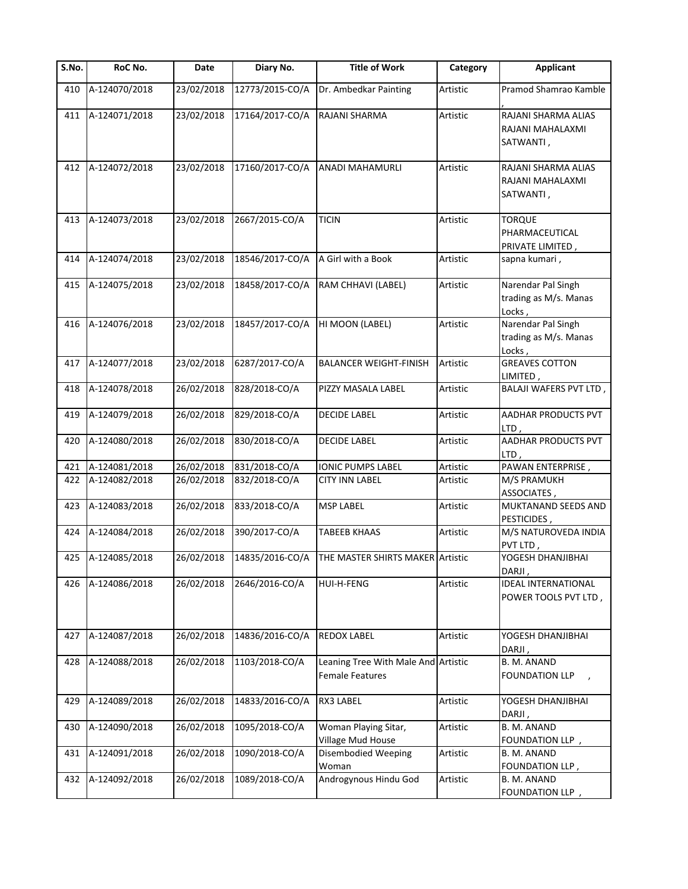| S.No. | RoC No.       | Date       | Diary No.       | <b>Title of Work</b>                                          | Category | <b>Applicant</b>                                      |
|-------|---------------|------------|-----------------|---------------------------------------------------------------|----------|-------------------------------------------------------|
| 410   | A-124070/2018 | 23/02/2018 | 12773/2015-CO/A | Dr. Ambedkar Painting                                         | Artistic | Pramod Shamrao Kamble                                 |
| 411   | A-124071/2018 | 23/02/2018 | 17164/2017-CO/A | RAJANI SHARMA                                                 | Artistic | RAJANI SHARMA ALIAS<br>RAJANI MAHALAXMI<br>SATWANTI,  |
| 412   | A-124072/2018 | 23/02/2018 | 17160/2017-CO/A | <b>ANADI MAHAMURLI</b>                                        | Artistic | RAJANI SHARMA ALIAS<br>RAJANI MAHALAXMI<br>SATWANTI,  |
| 413   | A-124073/2018 | 23/02/2018 | 2667/2015-CO/A  | <b>TICIN</b>                                                  | Artistic | <b>TORQUE</b><br>PHARMACEUTICAL<br>PRIVATE LIMITED,   |
| 414   | A-124074/2018 | 23/02/2018 | 18546/2017-CO/A | A Girl with a Book                                            | Artistic | sapna kumari,                                         |
| 415   | A-124075/2018 | 23/02/2018 | 18458/2017-CO/A | RAM CHHAVI (LABEL)                                            | Artistic | Narendar Pal Singh<br>trading as M/s. Manas<br>Locks, |
| 416   | A-124076/2018 | 23/02/2018 | 18457/2017-CO/A | HI MOON (LABEL)                                               | Artistic | Narendar Pal Singh<br>trading as M/s. Manas<br>Locks, |
| 417   | A-124077/2018 | 23/02/2018 | 6287/2017-CO/A  | <b>BALANCER WEIGHT-FINISH</b>                                 | Artistic | <b>GREAVES COTTON</b><br>LIMITED,                     |
| 418   | A-124078/2018 | 26/02/2018 | 828/2018-CO/A   | PIZZY MASALA LABEL                                            | Artistic | <b>BALAJI WAFERS PVT LTD,</b>                         |
| 419   | A-124079/2018 | 26/02/2018 | 829/2018-CO/A   | <b>DECIDE LABEL</b>                                           | Artistic | AADHAR PRODUCTS PVT<br>LTD,                           |
| 420   | A-124080/2018 | 26/02/2018 | 830/2018-CO/A   | <b>DECIDE LABEL</b>                                           | Artistic | <b>AADHAR PRODUCTS PVT</b><br>LTD,                    |
| 421   | A-124081/2018 | 26/02/2018 | 831/2018-CO/A   | <b>IONIC PUMPS LABEL</b>                                      | Artistic | PAWAN ENTERPRISE,                                     |
| 422   | A-124082/2018 | 26/02/2018 | 832/2018-CO/A   | <b>CITY INN LABEL</b>                                         | Artistic | M/S PRAMUKH<br>ASSOCIATES,                            |
| 423   | A-124083/2018 | 26/02/2018 | 833/2018-CO/A   | <b>MSP LABEL</b>                                              | Artistic | MUKTANAND SEEDS AND<br>PESTICIDES,                    |
| 424   | A-124084/2018 | 26/02/2018 | 390/2017-CO/A   | <b>TABEEB KHAAS</b>                                           | Artistic | M/S NATUROVEDA INDIA<br>PVT LTD,                      |
| 425   | A-124085/2018 | 26/02/2018 | 14835/2016-CO/A | THE MASTER SHIRTS MAKER Artistic                              |          | YOGESH DHANJIBHAI<br>DARJI,                           |
| 426   | A-124086/2018 | 26/02/2018 | 2646/2016-CO/A  | HUI-H-FENG                                                    | Artistic | <b>IDEAL INTERNATIONAL</b><br>POWER TOOLS PVT LTD,    |
| 427   | A-124087/2018 | 26/02/2018 | 14836/2016-CO/A | REDOX LABEL                                                   | Artistic | YOGESH DHANJIBHAI<br>DARJI,                           |
| 428   | A-124088/2018 | 26/02/2018 | 1103/2018-CO/A  | Leaning Tree With Male And Artistic<br><b>Female Features</b> |          | B. M. ANAND<br><b>FOUNDATION LLP</b>                  |
| 429   | A-124089/2018 | 26/02/2018 | 14833/2016-CO/A | RX3 LABEL                                                     | Artistic | YOGESH DHANJIBHAI<br>DARJI,                           |
| 430   | A-124090/2018 | 26/02/2018 | 1095/2018-CO/A  | Woman Playing Sitar,<br>Village Mud House                     | Artistic | B. M. ANAND<br>FOUNDATION LLP,                        |
| 431   | A-124091/2018 | 26/02/2018 | 1090/2018-CO/A  | <b>Disembodied Weeping</b><br>Woman                           | Artistic | B. M. ANAND<br>FOUNDATION LLP,                        |
| 432   | A-124092/2018 | 26/02/2018 | 1089/2018-CO/A  | Androgynous Hindu God                                         | Artistic | B. M. ANAND<br>FOUNDATION LLP,                        |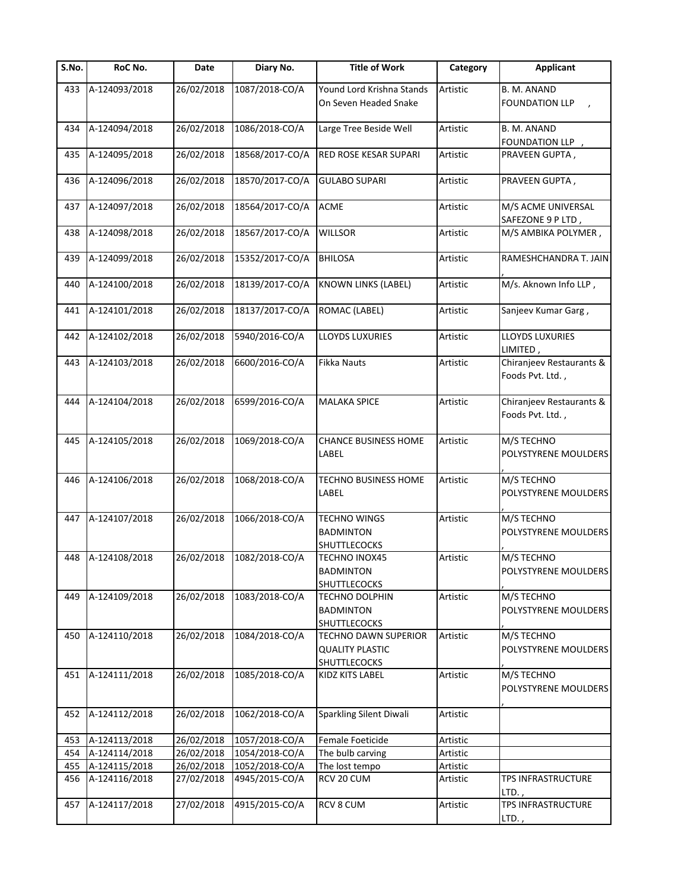| S.No. | RoC No.           | Date       | Diary No.       | <b>Title of Work</b>                                                  | Category | <b>Applicant</b>                             |
|-------|-------------------|------------|-----------------|-----------------------------------------------------------------------|----------|----------------------------------------------|
| 433   | A-124093/2018     | 26/02/2018 | 1087/2018-CO/A  | Yound Lord Krishna Stands                                             | Artistic | B. M. ANAND                                  |
|       |                   |            |                 | On Seven Headed Snake                                                 |          | <b>FOUNDATION LLP</b>                        |
| 434   | A-124094/2018     | 26/02/2018 | 1086/2018-CO/A  | Large Tree Beside Well                                                | Artistic | B. M. ANAND<br>FOUNDATION LLP,               |
| 435   | A-124095/2018     | 26/02/2018 | 18568/2017-CO/A | RED ROSE KESAR SUPARI                                                 | Artistic | PRAVEEN GUPTA,                               |
| 436   | A-124096/2018     | 26/02/2018 | 18570/2017-CO/A | <b>GULABO SUPARI</b>                                                  | Artistic | PRAVEEN GUPTA,                               |
| 437   | A-124097/2018     | 26/02/2018 | 18564/2017-CO/A | <b>ACME</b>                                                           | Artistic | M/S ACME UNIVERSAL<br>SAFEZONE 9 P LTD,      |
| 438   | A-124098/2018     | 26/02/2018 | 18567/2017-CO/A | <b>WILLSOR</b>                                                        | Artistic | M/S AMBIKA POLYMER,                          |
| 439   | A-124099/2018     | 26/02/2018 | 15352/2017-CO/A | <b>BHILOSA</b>                                                        | Artistic | RAMESHCHANDRA T. JAIN                        |
| 440   | A-124100/2018     | 26/02/2018 | 18139/2017-CO/A | <b>KNOWN LINKS (LABEL)</b>                                            | Artistic | M/s. Aknown Info LLP,                        |
| 441   | A-124101/2018     | 26/02/2018 | 18137/2017-CO/A | ROMAC (LABEL)                                                         | Artistic | Sanjeev Kumar Garg,                          |
| 442   | A-124102/2018     | 26/02/2018 | 5940/2016-CO/A  | LLOYDS LUXURIES                                                       | Artistic | LLOYDS LUXURIES<br>LIMITED,                  |
| 443   | A-124103/2018     | 26/02/2018 | 6600/2016-CO/A  | <b>Fikka Nauts</b>                                                    | Artistic | Chiranjeev Restaurants &<br>Foods Pvt. Ltd., |
| 444   | A-124104/2018     | 26/02/2018 | 6599/2016-CO/A  | <b>MALAKA SPICE</b>                                                   | Artistic | Chiranjeev Restaurants &<br>Foods Pvt. Ltd., |
| 445   | A-124105/2018     | 26/02/2018 | 1069/2018-CO/A  | <b>CHANCE BUSINESS HOME</b><br>LABEL                                  | Artistic | M/S TECHNO<br>POLYSTYRENE MOULDERS           |
| 446   | A-124106/2018     | 26/02/2018 | 1068/2018-CO/A  | TECHNO BUSINESS HOME<br>LABEL                                         | Artistic | M/S TECHNO<br>POLYSTYRENE MOULDERS           |
| 447   | A-124107/2018     | 26/02/2018 | 1066/2018-CO/A  | <b>TECHNO WINGS</b><br><b>BADMINTON</b><br><b>SHUTTLECOCKS</b>        | Artistic | M/S TECHNO<br>POLYSTYRENE MOULDERS           |
|       | 448 A-124108/2018 | 26/02/2018 | 1082/2018-CO/A  | <b>TECHNO INOX45</b><br><b>BADMINTON</b><br><b>SHUTTLECOCKS</b>       | Artistic | M/S TECHNO<br>POLYSTYRENE MOULDERS           |
| 449   | A-124109/2018     | 26/02/2018 | 1083/2018-CO/A  | <b>TECHNO DOLPHIN</b><br><b>BADMINTON</b><br><b>SHUTTLECOCKS</b>      | Artistic | M/S TECHNO<br>POLYSTYRENE MOULDERS           |
| 450   | A-124110/2018     | 26/02/2018 | 1084/2018-CO/A  | <b>TECHNO DAWN SUPERIOR</b><br><b>QUALITY PLASTIC</b><br>SHUTTLECOCKS | Artistic | M/S TECHNO<br>POLYSTYRENE MOULDERS           |
| 451   | A-124111/2018     | 26/02/2018 | 1085/2018-CO/A  | KIDZ KITS LABEL                                                       | Artistic | M/S TECHNO<br>POLYSTYRENE MOULDERS           |
| 452   | A-124112/2018     | 26/02/2018 | 1062/2018-CO/A  | Sparkling Silent Diwali                                               | Artistic |                                              |
| 453   | A-124113/2018     | 26/02/2018 | 1057/2018-CO/A  | Female Foeticide                                                      | Artistic |                                              |
| 454   | A-124114/2018     | 26/02/2018 | 1054/2018-CO/A  | The bulb carving                                                      | Artistic |                                              |
| 455   | A-124115/2018     | 26/02/2018 | 1052/2018-CO/A  | The lost tempo                                                        | Artistic |                                              |
| 456   | A-124116/2018     | 27/02/2018 | 4945/2015-CO/A  | RCV 20 CUM                                                            | Artistic | TPS INFRASTRUCTURE<br>LTD.,                  |
| 457   | A-124117/2018     | 27/02/2018 | 4915/2015-CO/A  | RCV 8 CUM                                                             | Artistic | <b>TPS INFRASTRUCTURE</b><br>LTD.,           |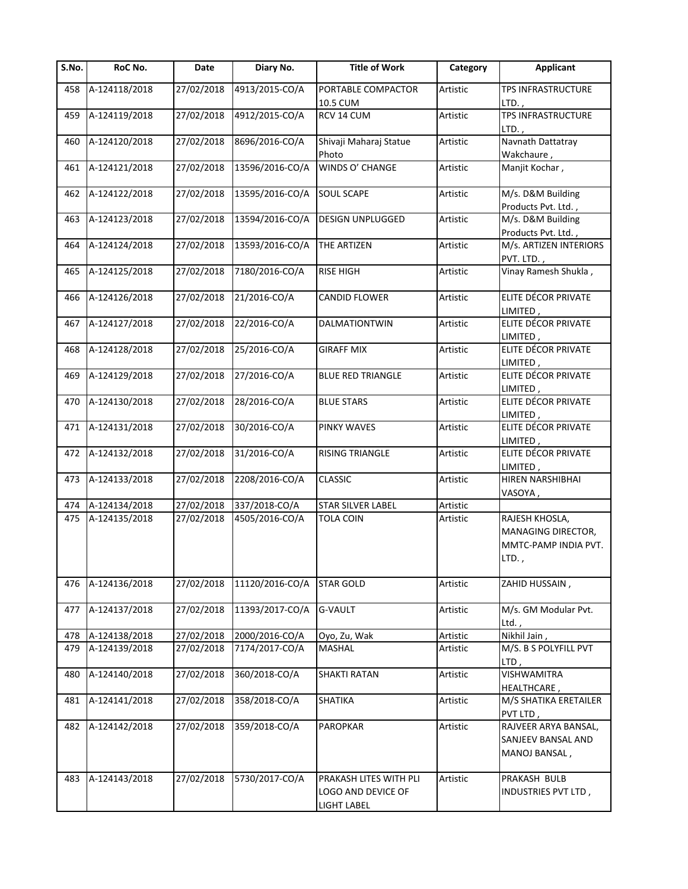| S.No.      | RoC No.                        | Date                    | Diary No.                       | <b>Title of Work</b>                  | Category             | <b>Applicant</b>               |
|------------|--------------------------------|-------------------------|---------------------------------|---------------------------------------|----------------------|--------------------------------|
| 458        | A-124118/2018                  | 27/02/2018              | 4913/2015-CO/A                  | PORTABLE COMPACTOR<br>10.5 CUM        | Artistic             | TPS INFRASTRUCTURE<br>$LTD.$ , |
| 459        | A-124119/2018                  | 27/02/2018              | 4912/2015-CO/A                  | RCV 14 CUM                            | Artistic             | TPS INFRASTRUCTURE             |
|            |                                |                         |                                 |                                       |                      | LTD.,                          |
| 460        | A-124120/2018                  | 27/02/2018              | 8696/2016-CO/A                  | Shivaji Maharaj Statue                | Artistic             | Navnath Dattatray              |
|            |                                |                         |                                 | Photo                                 |                      | Wakchaure,                     |
| 461        | A-124121/2018                  | 27/02/2018              | 13596/2016-CO/A                 | WINDS O' CHANGE                       | Artistic             | Manjit Kochar,                 |
| 462        | A-124122/2018                  | 27/02/2018              | 13595/2016-CO/A                 | <b>SOUL SCAPE</b>                     | Artistic             | M/s. D&M Building              |
|            |                                |                         |                                 |                                       |                      | Products Pvt. Ltd.,            |
| 463        | A-124123/2018                  | 27/02/2018              | 13594/2016-CO/A                 | DESIGN UNPLUGGED                      | Artistic             | M/s. D&M Building              |
|            |                                |                         |                                 |                                       |                      | Products Pvt. Ltd.,            |
| 464        | A-124124/2018                  | 27/02/2018              | 13593/2016-CO/A                 | THE ARTIZEN                           | Artistic             | M/s. ARTIZEN INTERIORS         |
|            |                                |                         |                                 |                                       |                      | PVT. LTD.,                     |
| 465        | A-124125/2018                  | 27/02/2018              | 7180/2016-CO/A                  | <b>RISE HIGH</b>                      | Artistic             | Vinay Ramesh Shukla,           |
| 466        | A-124126/2018                  | 27/02/2018              | 21/2016-CO/A                    | CANDID FLOWER                         | Artistic             | ELITE DÉCOR PRIVATE            |
|            |                                |                         |                                 |                                       |                      | LIMITED,                       |
| 467        | A-124127/2018                  | 27/02/2018              | 22/2016-CO/A                    | DALMATIONTWIN                         | Artistic             | ELITE DÉCOR PRIVATE            |
|            |                                |                         |                                 |                                       |                      | LIMITED,                       |
| 468        | A-124128/2018                  | 27/02/2018              | 25/2016-CO/A                    | <b>GIRAFF MIX</b>                     | Artistic             | ELITE DÉCOR PRIVATE            |
|            |                                |                         |                                 |                                       |                      | LIMITED,                       |
| 469        | A-124129/2018                  | 27/02/2018              | 27/2016-CO/A                    | <b>BLUE RED TRIANGLE</b>              | Artistic             | ELITE DÉCOR PRIVATE            |
|            |                                |                         |                                 |                                       |                      | LIMITED,                       |
| 470        | A-124130/2018                  | 27/02/2018              | 28/2016-CO/A                    | <b>BLUE STARS</b>                     | Artistic             | ELITE DÉCOR PRIVATE            |
|            |                                |                         |                                 |                                       |                      | LIMITED,                       |
| 471        | A-124131/2018                  | 27/02/2018              | 30/2016-CO/A                    | PINKY WAVES                           | Artistic             | ELITE DÉCOR PRIVATE            |
|            |                                |                         |                                 |                                       |                      | LIMITED,                       |
| 472        | A-124132/2018                  | 27/02/2018              | 31/2016-CO/A                    | RISING TRIANGLE                       | Artistic             | ELITE DÉCOR PRIVATE            |
|            |                                |                         |                                 |                                       |                      | LIMITED,                       |
| 473        | A-124133/2018                  | 27/02/2018              | 2208/2016-CO/A                  | <b>CLASSIC</b>                        | Artistic             | HIREN NARSHIBHAI               |
|            |                                | 27/02/2018              |                                 |                                       |                      | VASOYA,                        |
| 474<br>475 | A-124134/2018<br>A-124135/2018 | 27/02/2018              | 337/2018-CO/A<br>4505/2016-CO/A | STAR SILVER LABEL<br><b>TOLA COIN</b> | Artistic<br>Artistic | RAJESH KHOSLA,                 |
|            |                                |                         |                                 |                                       |                      | MANAGING DIRECTOR,             |
|            |                                |                         |                                 |                                       |                      | MMTC-PAMP INDIA PVT.           |
|            |                                |                         |                                 |                                       |                      | LTD.,                          |
|            |                                |                         |                                 |                                       |                      |                                |
| 476        | A-124136/2018                  | 27/02/2018              | 11120/2016-CO/A                 | <b>STAR GOLD</b>                      | Artistic             | ZAHID HUSSAIN,                 |
|            |                                | $\overline{27}/02/2018$ |                                 |                                       |                      | M/s. GM Modular Pvt.           |
| 477        | A-124137/2018                  |                         | 11393/2017-CO/A                 | <b>G-VAULT</b>                        | Artistic             | $Ltd.$ ,                       |
| 478        | A-124138/2018                  | 27/02/2018              | 2000/2016-CO/A                  | Oyo, Zu, Wak                          | Artistic             | Nikhil Jain,                   |
| 479        | A-124139/2018                  | 27/02/2018              | 7174/2017-CO/A                  | MASHAL                                | Artistic             | M/S. B S POLYFILL PVT          |
|            |                                |                         |                                 |                                       |                      | LTD,                           |
| 480        | A-124140/2018                  | 27/02/2018              | 360/2018-CO/A                   | <b>SHAKTI RATAN</b>                   | Artistic             | <b>VISHWAMITRA</b>             |
|            |                                |                         |                                 |                                       |                      | HEALTHCARE,                    |
| 481        | A-124141/2018                  | 27/02/2018              | 358/2018-CO/A                   | SHATIKA                               | Artistic             | M/S SHATIKA ERETAILER          |
|            |                                |                         |                                 |                                       |                      | PVT LTD,                       |
| 482        | A-124142/2018                  | 27/02/2018              | 359/2018-CO/A                   | PAROPKAR                              | Artistic             | RAJVEER ARYA BANSAL,           |
|            |                                |                         |                                 |                                       |                      | SANJEEV BANSAL AND             |
|            |                                |                         |                                 |                                       |                      | MANOJ BANSAL,                  |
|            |                                |                         |                                 |                                       |                      |                                |
| 483        | A-124143/2018                  | 27/02/2018              | 5730/2017-CO/A                  | PRAKASH LITES WITH PLI                | Artistic             | PRAKASH BULB                   |
|            |                                |                         |                                 | LOGO AND DEVICE OF                    |                      | INDUSTRIES PVT LTD,            |
|            |                                |                         |                                 | LIGHT LABEL                           |                      |                                |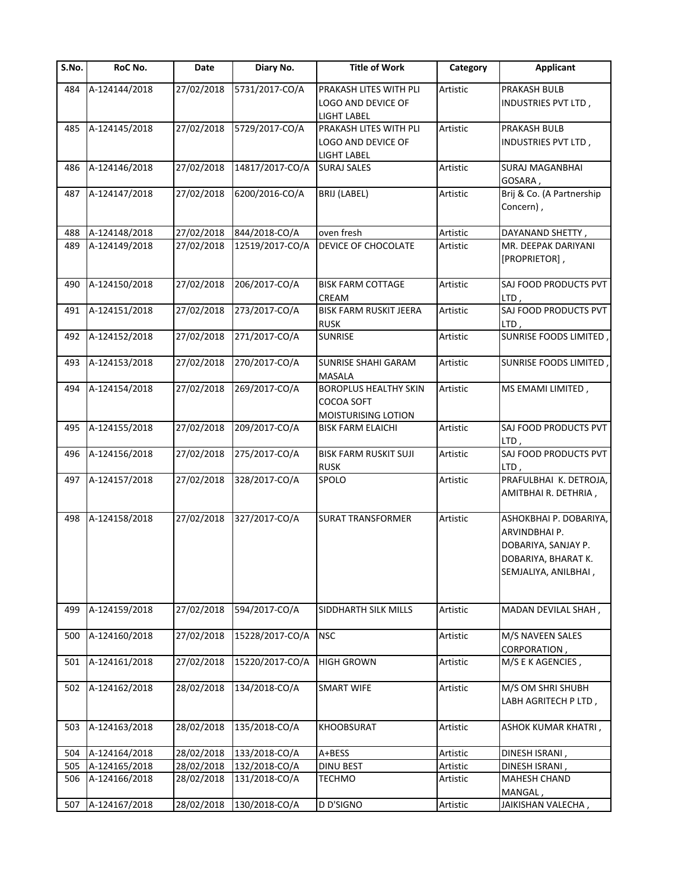| S.No. | RoC No.       | Date       | Diary No.       | <b>Title of Work</b>                                                              | Category | <b>Applicant</b>                                                                                              |
|-------|---------------|------------|-----------------|-----------------------------------------------------------------------------------|----------|---------------------------------------------------------------------------------------------------------------|
| 484   | A-124144/2018 | 27/02/2018 | 5731/2017-CO/A  | PRAKASH LITES WITH PLI<br><b>LOGO AND DEVICE OF</b>                               | Artistic | PRAKASH BULB<br>INDUSTRIES PVT LTD,                                                                           |
| 485   | A-124145/2018 | 27/02/2018 | 5729/2017-CO/A  | <b>LIGHT LABEL</b><br>PRAKASH LITES WITH PLI<br>LOGO AND DEVICE OF<br>LIGHT LABEL | Artistic | PRAKASH BULB<br>INDUSTRIES PVT LTD,                                                                           |
| 486   | A-124146/2018 | 27/02/2018 | 14817/2017-CO/A | <b>SURAJ SALES</b>                                                                | Artistic | SURAJ MAGANBHAI<br>GOSARA,                                                                                    |
| 487   | A-124147/2018 | 27/02/2018 | 6200/2016-CO/A  | <b>BRIJ (LABEL)</b>                                                               | Artistic | Brij & Co. (A Partnership<br>Concern),                                                                        |
| 488   | A-124148/2018 | 27/02/2018 | 844/2018-CO/A   | oven fresh                                                                        | Artistic | DAYANAND SHETTY,                                                                                              |
| 489   | A-124149/2018 | 27/02/2018 | 12519/2017-CO/A | DEVICE OF CHOCOLATE                                                               | Artistic | MR. DEEPAK DARIYANI<br>[PROPRIETOR],                                                                          |
| 490   | A-124150/2018 | 27/02/2018 | 206/2017-CO/A   | <b>BISK FARM COTTAGE</b><br>CREAM                                                 | Artistic | SAJ FOOD PRODUCTS PVT<br>LTD,                                                                                 |
| 491   | A-124151/2018 | 27/02/2018 | 273/2017-CO/A   | <b>BISK FARM RUSKIT JEERA</b><br><b>RUSK</b>                                      | Artistic | SAJ FOOD PRODUCTS PVT<br>LTD,                                                                                 |
| 492   | A-124152/2018 | 27/02/2018 | 271/2017-CO/A   | <b>SUNRISE</b>                                                                    | Artistic | <b>SUNRISE FOODS LIMITED</b>                                                                                  |
| 493   | A-124153/2018 | 27/02/2018 | 270/2017-CO/A   | <b>SUNRISE SHAHI GARAM</b><br>MASALA                                              | Artistic | SUNRISE FOODS LIMITED,                                                                                        |
| 494   | A-124154/2018 | 27/02/2018 | 269/2017-CO/A   | <b>BOROPLUS HEALTHY SKIN</b><br>COCOA SOFT<br>MOISTURISING LOTION                 | Artistic | MS EMAMI LIMITED,                                                                                             |
| 495   | A-124155/2018 | 27/02/2018 | 209/2017-CO/A   | <b>BISK FARM ELAICHI</b>                                                          | Artistic | SAJ FOOD PRODUCTS PVT<br>LTD,                                                                                 |
| 496   | A-124156/2018 | 27/02/2018 | 275/2017-CO/A   | <b>BISK FARM RUSKIT SUJI</b><br><b>RUSK</b>                                       | Artistic | SAJ FOOD PRODUCTS PVT<br>LTD,                                                                                 |
| 497   | A-124157/2018 | 27/02/2018 | 328/2017-CO/A   | SPOLO                                                                             | Artistic | PRAFULBHAI K. DETROJA,<br>AMITBHAI R. DETHRIA,                                                                |
| 498   | A-124158/2018 | 27/02/2018 | 327/2017-CO/A   | <b>SURAT TRANSFORMER</b>                                                          | Artistic | ASHOKBHAI P. DOBARIYA,<br>ARVINDBHAI P.<br>DOBARIYA, SANJAY P.<br>DOBARIYA, BHARAT K.<br>SEMJALIYA, ANILBHAI, |
| 499   | A-124159/2018 | 27/02/2018 | 594/2017-CO/A   | SIDDHARTH SILK MILLS                                                              | Artistic | MADAN DEVILAL SHAH,                                                                                           |
| 500   | A-124160/2018 | 27/02/2018 | 15228/2017-CO/A | <b>NSC</b>                                                                        | Artistic | M/S NAVEEN SALES<br>CORPORATION,                                                                              |
| 501   | A-124161/2018 | 27/02/2018 | 15220/2017-CO/A | <b>HIGH GROWN</b>                                                                 | Artistic | M/S E K AGENCIES,                                                                                             |
| 502   | A-124162/2018 | 28/02/2018 | 134/2018-CO/A   | <b>SMART WIFE</b>                                                                 | Artistic | M/S OM SHRI SHUBH<br>LABH AGRITECH P LTD,                                                                     |
| 503   | A-124163/2018 | 28/02/2018 | 135/2018-CO/A   | <b>KHOOBSURAT</b>                                                                 | Artistic | ASHOK KUMAR KHATRI,                                                                                           |
| 504   | A-124164/2018 | 28/02/2018 | 133/2018-CO/A   | A+BESS                                                                            | Artistic | DINESH ISRANI,                                                                                                |
| 505   | A-124165/2018 | 28/02/2018 | 132/2018-CO/A   | <b>DINU BEST</b>                                                                  | Artistic | DINESH ISRANI,                                                                                                |
| 506   | A-124166/2018 | 28/02/2018 | 131/2018-CO/A   | <b>TECHMO</b>                                                                     | Artistic | <b>MAHESH CHAND</b>                                                                                           |
|       |               |            |                 |                                                                                   |          | MANGAL,                                                                                                       |
| 507   | A-124167/2018 | 28/02/2018 | 130/2018-CO/A   | D D'SIGNO                                                                         | Artistic | JAIKISHAN VALECHA,                                                                                            |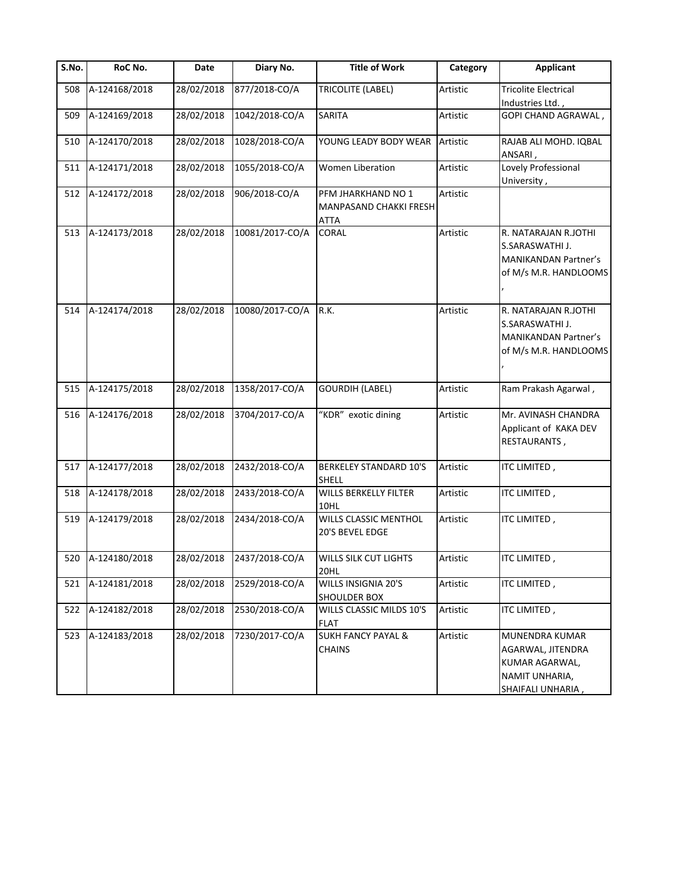| S.No. | RoC No.           | Date       | Diary No.       | <b>Title of Work</b>                                 | Category | <b>Applicant</b>                                                                                |
|-------|-------------------|------------|-----------------|------------------------------------------------------|----------|-------------------------------------------------------------------------------------------------|
| 508   | A-124168/2018     | 28/02/2018 | 877/2018-CO/A   | TRICOLITE (LABEL)                                    | Artistic | <b>Tricolite Electrical</b><br>Industries Ltd.,                                                 |
| 509   | A-124169/2018     | 28/02/2018 | 1042/2018-CO/A  | <b>SARITA</b>                                        | Artistic | GOPI CHAND AGRAWAL,                                                                             |
| 510   | A-124170/2018     | 28/02/2018 | 1028/2018-CO/A  | YOUNG LEADY BODY WEAR                                | Artistic | RAJAB ALI MOHD. IQBAL<br>ANSARI,                                                                |
| 511   | A-124171/2018     | 28/02/2018 | 1055/2018-CO/A  | <b>Women Liberation</b>                              | Artistic | Lovely Professional<br>University,                                                              |
| 512   | A-124172/2018     | 28/02/2018 | 906/2018-CO/A   | PFM JHARKHAND NO 1<br>MANPASAND CHAKKI FRESH<br>ATTA | Artistic |                                                                                                 |
| 513   | A-124173/2018     | 28/02/2018 | 10081/2017-CO/A | <b>CORAL</b>                                         | Artistic | R. NATARAJAN R.JOTHI<br>S.SARASWATHI J.<br><b>MANIKANDAN Partner's</b><br>of M/s M.R. HANDLOOMS |
| 514   | A-124174/2018     | 28/02/2018 | 10080/2017-CO/A | R.K.                                                 | Artistic | R. NATARAJAN R.JOTHI<br>S.SARASWATHI J.<br><b>MANIKANDAN Partner's</b><br>of M/s M.R. HANDLOOMS |
| 515   | A-124175/2018     | 28/02/2018 | 1358/2017-CO/A  | <b>GOURDIH (LABEL)</b>                               | Artistic | Ram Prakash Agarwal,                                                                            |
| 516   | A-124176/2018     | 28/02/2018 | 3704/2017-CO/A  | "KDR" exotic dining                                  | Artistic | Mr. AVINASH CHANDRA<br>Applicant of KAKA DEV<br>RESTAURANTS,                                    |
| 517   | A-124177/2018     | 28/02/2018 | 2432/2018-CO/A  | <b>BERKELEY STANDARD 10'S</b><br><b>SHELL</b>        | Artistic | ITC LIMITED,                                                                                    |
| 518   | A-124178/2018     | 28/02/2018 | 2433/2018-CO/A  | WILLS BERKELLY FILTER<br>10HL                        | Artistic | ITC LIMITED,                                                                                    |
| 519   | A-124179/2018     | 28/02/2018 | 2434/2018-CO/A  | WILLS CLASSIC MENTHOL<br>20'S BEVEL EDGE             | Artistic | ITC LIMITED,                                                                                    |
|       | 520 A-124180/2018 | 28/02/2018 | 2437/2018-CO/A  | WILLS SILK CUT LIGHTS<br>20HL                        | Artistic | ITC LIMITED,                                                                                    |
| 521   | A-124181/2018     | 28/02/2018 | 2529/2018-CO/A  | WILLS INSIGNIA 20'S<br><b>SHOULDER BOX</b>           | Artistic | ITC LIMITED,                                                                                    |
| 522   | A-124182/2018     | 28/02/2018 | 2530/2018-CO/A  | WILLS CLASSIC MILDS 10'S<br><b>FLAT</b>              | Artistic | ITC LIMITED,                                                                                    |
| 523   | A-124183/2018     | 28/02/2018 | 7230/2017-CO/A  | <b>SUKH FANCY PAYAL &amp;</b><br><b>CHAINS</b>       | Artistic | MUNENDRA KUMAR<br>AGARWAL, JITENDRA<br>KUMAR AGARWAL,<br>NAMIT UNHARIA,<br>SHAIFALI UNHARIA,    |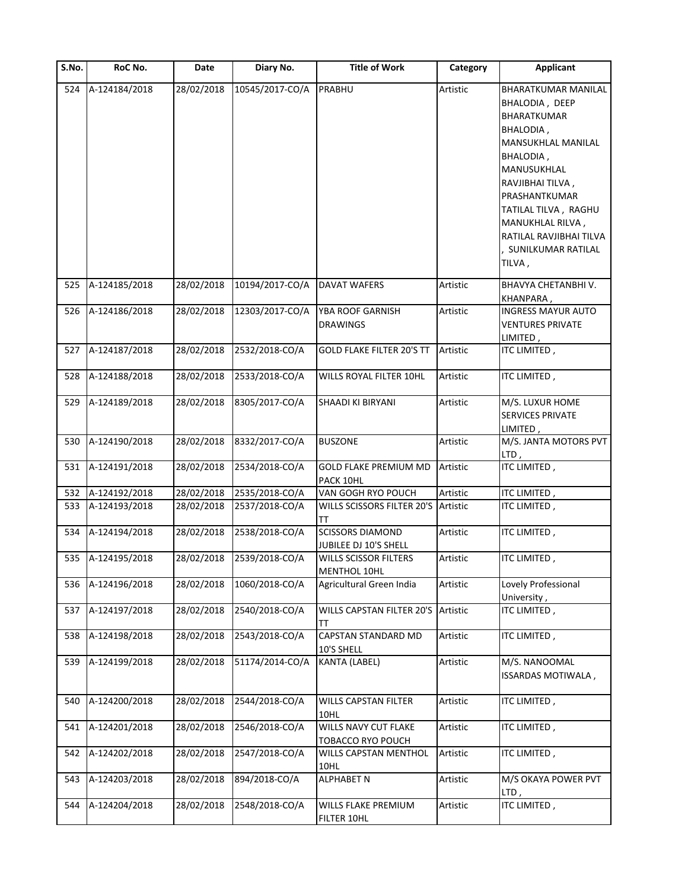| S.No. | RoC No.       | Date       | Diary No.       | <b>Title of Work</b>                             | Category | <b>Applicant</b>                                                                                                                                                                                                                                                       |
|-------|---------------|------------|-----------------|--------------------------------------------------|----------|------------------------------------------------------------------------------------------------------------------------------------------------------------------------------------------------------------------------------------------------------------------------|
| 524   | A-124184/2018 | 28/02/2018 | 10545/2017-CO/A | PRABHU                                           | Artistic | <b>BHARATKUMAR MANILAL</b><br>BHALODIA, DEEP<br>BHARATKUMAR<br>BHALODIA,<br>MANSUKHLAL MANILAL<br>BHALODIA,<br>MANUSUKHLAL<br>RAVJIBHAI TILVA,<br>PRASHANTKUMAR<br>TATILAL TILVA, RAGHU<br>MANUKHLAL RILVA,<br>RATILAL RAVJIBHAI TILVA<br>SUNILKUMAR RATILAL<br>TILVA, |
| 525   | A-124185/2018 | 28/02/2018 | 10194/2017-CO/A | <b>DAVAT WAFERS</b>                              | Artistic | BHAVYA CHETANBHI V.<br>KHANPARA,                                                                                                                                                                                                                                       |
| 526   | A-124186/2018 | 28/02/2018 | 12303/2017-CO/A | YBA ROOF GARNISH<br><b>DRAWINGS</b>              | Artistic | INGRESS MAYUR AUTO<br>VENTURES PRIVATE<br>LIMITED,                                                                                                                                                                                                                     |
| 527   | A-124187/2018 | 28/02/2018 | 2532/2018-CO/A  | <b>GOLD FLAKE FILTER 20'S TT</b>                 | Artistic | ITC LIMITED,                                                                                                                                                                                                                                                           |
| 528   | A-124188/2018 | 28/02/2018 | 2533/2018-CO/A  | WILLS ROYAL FILTER 10HL                          | Artistic | ITC LIMITED,                                                                                                                                                                                                                                                           |
| 529   | A-124189/2018 | 28/02/2018 | 8305/2017-CO/A  | SHAADI KI BIRYANI                                | Artistic | M/S. LUXUR HOME<br>SERVICES PRIVATE<br>LIMITED ,                                                                                                                                                                                                                       |
| 530   | A-124190/2018 | 28/02/2018 | 8332/2017-CO/A  | <b>BUSZONE</b>                                   | Artistic | M/S. JANTA MOTORS PVT<br>LTD,                                                                                                                                                                                                                                          |
| 531   | A-124191/2018 | 28/02/2018 | 2534/2018-CO/A  | <b>GOLD FLAKE PREMIUM MD</b><br>PACK 10HL        | Artistic | ITC LIMITED,                                                                                                                                                                                                                                                           |
| 532   | A-124192/2018 | 28/02/2018 | 2535/2018-CO/A  | VAN GOGH RYO POUCH                               | Artistic | ITC LIMITED,                                                                                                                                                                                                                                                           |
| 533   | A-124193/2018 | 28/02/2018 | 2537/2018-CO/A  | WILLS SCISSORS FILTER 20'S<br>TΤ                 | Artistic | ITC LIMITED,                                                                                                                                                                                                                                                           |
| 534   | A-124194/2018 | 28/02/2018 | 2538/2018-CO/A  | <b>SCISSORS DIAMOND</b><br>JUBILEE DJ 10'S SHELL | Artistic | ITC LIMITED,                                                                                                                                                                                                                                                           |
| 535   | A-124195/2018 | 28/02/2018 | 2539/2018-CO/A  | WILLS SCISSOR FILTERS<br>MENTHOL 10HL            | Artistic | ITC LIMITED,                                                                                                                                                                                                                                                           |
| 536   | A-124196/2018 | 28/02/2018 | 1060/2018-CO/A  | Agricultural Green India                         | Artistic | Lovely Professional<br>University,                                                                                                                                                                                                                                     |
| 537   | A-124197/2018 | 28/02/2018 | 2540/2018-CO/A  | WILLS CAPSTAN FILTER 20'S<br>TΤ                  | Artistic | ITC LIMITED,                                                                                                                                                                                                                                                           |
| 538   | A-124198/2018 | 28/02/2018 | 2543/2018-CO/A  | CAPSTAN STANDARD MD<br>10'S SHELL                | Artistic | ITC LIMITED,                                                                                                                                                                                                                                                           |
| 539   | A-124199/2018 | 28/02/2018 | 51174/2014-CO/A | KANTA (LABEL)                                    | Artistic | M/S. NANOOMAL<br>ISSARDAS MOTIWALA,                                                                                                                                                                                                                                    |
| 540   | A-124200/2018 | 28/02/2018 | 2544/2018-CO/A  | <b>WILLS CAPSTAN FILTER</b><br>10HL              | Artistic | ITC LIMITED,                                                                                                                                                                                                                                                           |
| 541   | A-124201/2018 | 28/02/2018 | 2546/2018-CO/A  | WILLS NAVY CUT FLAKE<br>TOBACCO RYO POUCH        | Artistic | ITC LIMITED,                                                                                                                                                                                                                                                           |
| 542   | A-124202/2018 | 28/02/2018 | 2547/2018-CO/A  | WILLS CAPSTAN MENTHOL<br>10HL                    | Artistic | ITC LIMITED,                                                                                                                                                                                                                                                           |
| 543   | A-124203/2018 | 28/02/2018 | 894/2018-CO/A   | <b>ALPHABET N</b>                                | Artistic | M/S OKAYA POWER PVT<br>LTD,                                                                                                                                                                                                                                            |
| 544   | A-124204/2018 | 28/02/2018 | 2548/2018-CO/A  | WILLS FLAKE PREMIUM<br>FILTER 10HL               | Artistic | ITC LIMITED,                                                                                                                                                                                                                                                           |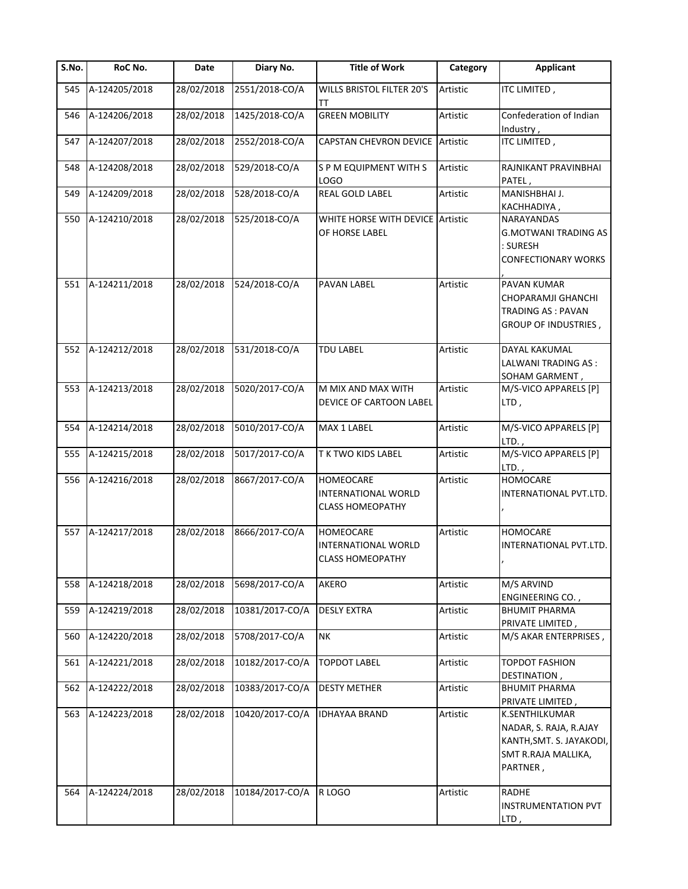| S.No. | RoC No.       | Date       | Diary No.       | <b>Title of Work</b>                                               | Category | <b>Applicant</b>                                                                                        |
|-------|---------------|------------|-----------------|--------------------------------------------------------------------|----------|---------------------------------------------------------------------------------------------------------|
| 545   | A-124205/2018 | 28/02/2018 | 2551/2018-CO/A  | WILLS BRISTOL FILTER 20'S<br>тт                                    | Artistic | ITC LIMITED,                                                                                            |
| 546   | A-124206/2018 | 28/02/2018 | 1425/2018-CO/A  | <b>GREEN MOBILITY</b>                                              | Artistic | Confederation of Indian<br>Industry,                                                                    |
| 547   | A-124207/2018 | 28/02/2018 | 2552/2018-CO/A  | <b>CAPSTAN CHEVRON DEVICE</b>                                      | Artistic | ITC LIMITED,                                                                                            |
| 548   | A-124208/2018 | 28/02/2018 | 529/2018-CO/A   | S P M EQUIPMENT WITH S<br>LOGO                                     | Artistic | RAJNIKANT PRAVINBHAI<br>PATEL,                                                                          |
| 549   | A-124209/2018 | 28/02/2018 | 528/2018-CO/A   | REAL GOLD LABEL                                                    | Artistic | MANISHBHAI J.<br>KACHHADIYA,                                                                            |
| 550   | A-124210/2018 | 28/02/2018 | 525/2018-CO/A   | WHITE HORSE WITH DEVICE Artistic<br>OF HORSE LABEL                 |          | NARAYANDAS<br><b>G.MOTWANI TRADING AS</b><br>: SURESH<br><b>CONFECTIONARY WORKS</b>                     |
| 551   | A-124211/2018 | 28/02/2018 | 524/2018-CO/A   | PAVAN LABEL                                                        | Artistic | <b>PAVAN KUMAR</b><br>CHOPARAMJI GHANCHI<br><b>TRADING AS: PAVAN</b><br><b>GROUP OF INDUSTRIES,</b>     |
| 552   | A-124212/2018 | 28/02/2018 | 531/2018-CO/A   | TDU LABEL                                                          | Artistic | DAYAL KAKUMAL<br>LALWANI TRADING AS :<br>SOHAM GARMENT,                                                 |
| 553   | A-124213/2018 | 28/02/2018 | 5020/2017-CO/A  | M MIX AND MAX WITH<br>DEVICE OF CARTOON LABEL                      | Artistic | M/S-VICO APPARELS [P]<br>LTD,                                                                           |
| 554   | A-124214/2018 | 28/02/2018 | 5010/2017-CO/A  | MAX 1 LABEL                                                        | Artistic | M/S-VICO APPARELS [P]<br>$LTD.$ ,                                                                       |
| 555   | A-124215/2018 | 28/02/2018 | 5017/2017-CO/A  | T K TWO KIDS LABEL                                                 | Artistic | M/S-VICO APPARELS [P]<br>$LTD.$ ,                                                                       |
| 556   | A-124216/2018 | 28/02/2018 | 8667/2017-CO/A  | <b>HOMEOCARE</b><br>INTERNATIONAL WORLD<br><b>CLASS HOMEOPATHY</b> | Artistic | <b>HOMOCARE</b><br>INTERNATIONAL PVT.LTD.                                                               |
| 557   | A-124217/2018 | 28/02/2018 | 8666/2017-CO/A  | HOMEOCARE<br>INTERNATIONAL WORLD<br><b>CLASS HOMEOPATHY</b>        | Artistic | <b>HOMOCARE</b><br>INTERNATIONAL PVT.LTD.                                                               |
| 558   | A-124218/2018 | 28/02/2018 | 5698/2017-CO/A  | AKERO                                                              | Artistic | M/S ARVIND<br><b>ENGINEERING CO.,</b>                                                                   |
| 559   | A-124219/2018 | 28/02/2018 | 10381/2017-CO/A | <b>DESLY EXTRA</b>                                                 | Artistic | <b>BHUMIT PHARMA</b><br>PRIVATE LIMITED,                                                                |
| 560   | A-124220/2018 | 28/02/2018 | 5708/2017-CO/A  | NK                                                                 | Artistic | M/S AKAR ENTERPRISES,                                                                                   |
| 561   | A-124221/2018 | 28/02/2018 | 10182/2017-CO/A | <b>TOPDOT LABEL</b>                                                | Artistic | <b>TOPDOT FASHION</b><br>DESTINATION,                                                                   |
| 562   | A-124222/2018 | 28/02/2018 | 10383/2017-CO/A | <b>DESTY METHER</b>                                                | Artistic | <b>BHUMIT PHARMA</b><br>PRIVATE LIMITED,                                                                |
| 563   | A-124223/2018 | 28/02/2018 | 10420/2017-CO/A | <b>IDHAYAA BRAND</b>                                               | Artistic | K.SENTHILKUMAR<br>NADAR, S. RAJA, R.AJAY<br>KANTH, SMT. S. JAYAKODI,<br>SMT R.RAJA MALLIKA,<br>PARTNER, |
| 564   | A-124224/2018 | 28/02/2018 | 10184/2017-CO/A | R LOGO                                                             | Artistic | <b>RADHE</b><br><b>INSTRUMENTATION PVT</b><br>LTD,                                                      |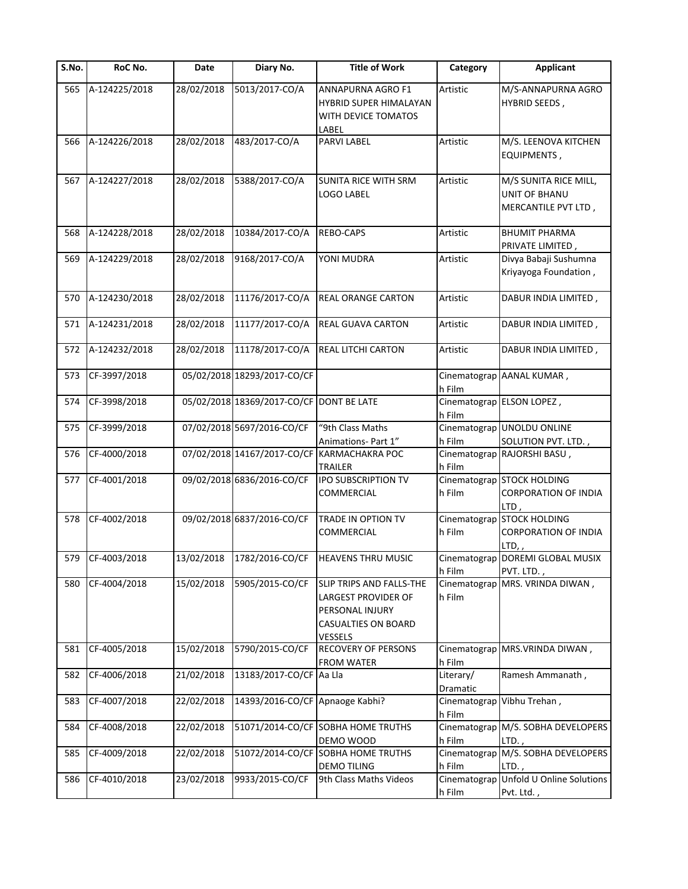| S.No. | RoC No.       | Date       | Diary No.                                | <b>Title of Work</b>                                                                                 | Category               | <b>Applicant</b>                                                  |
|-------|---------------|------------|------------------------------------------|------------------------------------------------------------------------------------------------------|------------------------|-------------------------------------------------------------------|
| 565   | A-124225/2018 | 28/02/2018 | 5013/2017-CO/A                           | ANNAPURNA AGRO F1<br>HYBRID SUPER HIMALAYAN<br>WITH DEVICE TOMATOS<br>LABEL                          | Artistic               | M/S-ANNAPURNA AGRO<br><b>HYBRID SEEDS,</b>                        |
| 566   | A-124226/2018 | 28/02/2018 | 483/2017-CO/A                            | PARVI LABEL                                                                                          | Artistic               | M/S. LEENOVA KITCHEN<br>EQUIPMENTS,                               |
| 567   | A-124227/2018 | 28/02/2018 | 5388/2017-CO/A                           | SUNITA RICE WITH SRM<br>LOGO LABEL                                                                   | Artistic               | M/S SUNITA RICE MILL,<br>UNIT OF BHANU<br>MERCANTILE PVT LTD,     |
| 568   | A-124228/2018 | 28/02/2018 | 10384/2017-CO/A                          | REBO-CAPS                                                                                            | Artistic               | <b>BHUMIT PHARMA</b><br>PRIVATE LIMITED,                          |
| 569   | A-124229/2018 | 28/02/2018 | 9168/2017-CO/A                           | YONI MUDRA                                                                                           | Artistic               | Divya Babaji Sushumna<br>Kriyayoga Foundation,                    |
| 570   | A-124230/2018 | 28/02/2018 | 11176/2017-CO/A                          | REAL ORANGE CARTON                                                                                   | Artistic               | DABUR INDIA LIMITED,                                              |
| 571   | A-124231/2018 | 28/02/2018 | 11177/2017-CO/A                          | REAL GUAVA CARTON                                                                                    | Artistic               | DABUR INDIA LIMITED,                                              |
| 572   | A-124232/2018 | 28/02/2018 | 11178/2017-CO/A                          | REAL LITCHI CARTON                                                                                   | Artistic               | DABUR INDIA LIMITED,                                              |
| 573   | CF-3997/2018  |            | 05/02/2018 18293/2017-CO/CF              |                                                                                                      | h Film                 | Cinematograp AANAL KUMAR,                                         |
| 574   | CF-3998/2018  |            | 05/02/2018 18369/2017-CO/CF DONT BE LATE |                                                                                                      | h Film                 | Cinematograp ELSON LOPEZ,                                         |
| 575   | CF-3999/2018  |            | 07/02/2018 5697/2016-CO/CF               | "9th Class Maths<br>Animations- Part 1"                                                              | h Film                 | Cinematograp UNOLDU ONLINE<br>SOLUTION PVT. LTD.,                 |
| 576   | CF-4000/2018  |            | 07/02/2018 14167/2017-CO/CF              | KARMACHAKRA POC<br><b>TRAILER</b>                                                                    | h Film                 | Cinematograp RAJORSHI BASU,                                       |
| 577   | CF-4001/2018  |            | 09/02/2018 6836/2016-CO/CF               | <b>IPO SUBSCRIPTION TV</b><br>COMMERCIAL                                                             | h Film                 | Cinematograp STOCK HOLDING<br><b>CORPORATION OF INDIA</b><br>LTD, |
| 578   | CF-4002/2018  |            | 09/02/2018 6837/2016-CO/CF               | TRADE IN OPTION TV<br>COMMERCIAL                                                                     | Cinematograp<br>h Film | <b>STOCK HOLDING</b><br><b>CORPORATION OF INDIA</b><br>LTD,       |
| 579   | CF-4003/2018  | 13/02/2018 | 1782/2016-CO/CF                          | <b>HEAVENS THRU MUSIC</b>                                                                            | h Film                 | Cinematograp DOREMI GLOBAL MUSIX<br>PVT. LTD.,                    |
| 580   | CF-4004/2018  | 15/02/2018 | 5905/2015-CO/CF                          | SLIP TRIPS AND FALLS-THE<br>LARGEST PROVIDER OF<br>PERSONAL INJURY<br>CASUALTIES ON BOARD<br>VESSELS | h Film                 | Cinematograp MRS. VRINDA DIWAN,                                   |
| 581   | CF-4005/2018  | 15/02/2018 | 5790/2015-CO/CF                          | RECOVERY OF PERSONS<br><b>FROM WATER</b>                                                             | h Film                 | Cinematograp MRS. VRINDA DIWAN,                                   |
| 582   | CF-4006/2018  | 21/02/2018 | 13183/2017-CO/CF Aa Lla                  |                                                                                                      | Literary/<br>Dramatic  | Ramesh Ammanath,                                                  |
| 583   | CF-4007/2018  | 22/02/2018 | 14393/2016-CO/CF                         | Apnaoge Kabhi?                                                                                       | Cinematograp<br>h Film | Vibhu Trehan,                                                     |
| 584   | CF-4008/2018  | 22/02/2018 |                                          | 51071/2014-CO/CF SOBHA HOME TRUTHS<br>DEMO WOOD                                                      | h Film                 | Cinematograp M/S. SOBHA DEVELOPERS<br>LTD.,                       |
| 585   | CF-4009/2018  | 22/02/2018 |                                          | 51072/2014-CO/CF SOBHA HOME TRUTHS<br><b>DEMO TILING</b>                                             | h Film                 | Cinematograp M/S. SOBHA DEVELOPERS<br>LTD.,                       |
| 586   | CF-4010/2018  | 23/02/2018 | 9933/2015-CO/CF                          | 9th Class Maths Videos                                                                               | h Film                 | Cinematograp Unfold U Online Solutions<br>Pvt. Ltd.,              |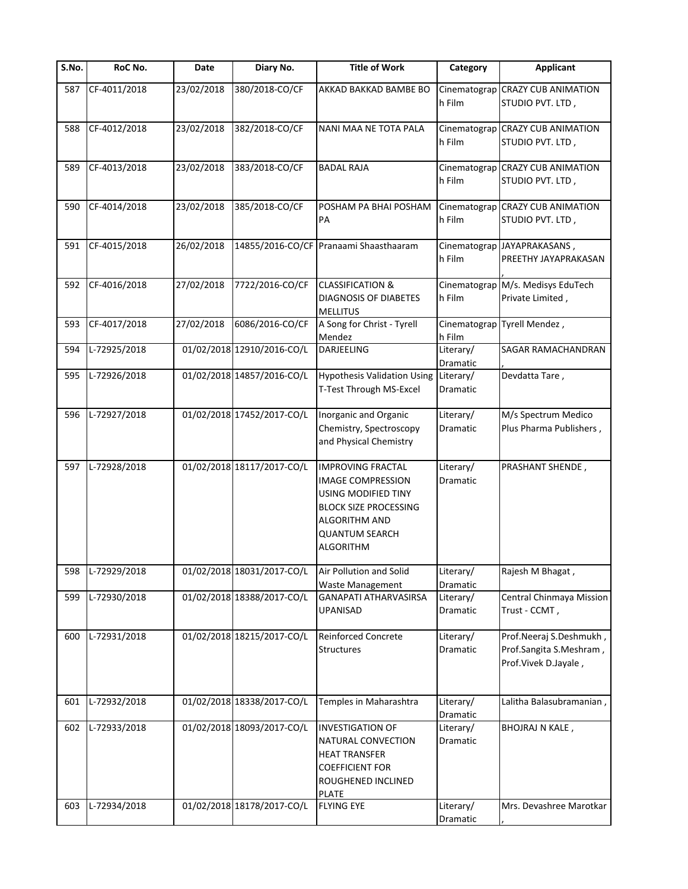| S.No. | RoC No.      | Date       | Diary No.                  | <b>Title of Work</b>                                                                                                                                                      | Category                     | <b>Applicant</b>                                                           |
|-------|--------------|------------|----------------------------|---------------------------------------------------------------------------------------------------------------------------------------------------------------------------|------------------------------|----------------------------------------------------------------------------|
| 587   | CF-4011/2018 | 23/02/2018 | 380/2018-CO/CF             | AKKAD BAKKAD BAMBE BO                                                                                                                                                     | Cinematograp<br>h Film       | <b>CRAZY CUB ANIMATION</b><br>STUDIO PVT. LTD,                             |
| 588   | CF-4012/2018 | 23/02/2018 | 382/2018-CO/CF             | NANI MAA NE TOTA PALA                                                                                                                                                     | Cinematograp<br>h Film       | <b>CRAZY CUB ANIMATION</b><br>STUDIO PVT. LTD,                             |
| 589   | CF-4013/2018 | 23/02/2018 | 383/2018-CO/CF             | <b>BADAL RAJA</b>                                                                                                                                                         | Cinematograp<br>h Film       | <b>CRAZY CUB ANIMATION</b><br>STUDIO PVT. LTD,                             |
| 590   | CF-4014/2018 | 23/02/2018 | 385/2018-CO/CF             | POSHAM PA BHAI POSHAM<br>PA                                                                                                                                               | h Film                       | Cinematograp CRAZY CUB ANIMATION<br>STUDIO PVT. LTD,                       |
| 591   | CF-4015/2018 | 26/02/2018 | 14855/2016-CO/CF           | Pranaami Shaasthaaram                                                                                                                                                     | h Film                       | Cinematograp JAYAPRAKASANS,<br>PREETHY JAYAPRAKASAN                        |
| 592   | CF-4016/2018 | 27/02/2018 | 7722/2016-CO/CF            | <b>CLASSIFICATION &amp;</b><br>DIAGNOSIS OF DIABETES<br><b>MELLITUS</b>                                                                                                   | Cinematograp<br>h Film       | M/s. Medisys EduTech<br>Private Limited,                                   |
| 593   | CF-4017/2018 | 27/02/2018 | 6086/2016-CO/CF            | A Song for Christ - Tyrell<br>Mendez                                                                                                                                      | Cinematograp<br>h Film       | Tyrell Mendez,                                                             |
| 594   | L-72925/2018 |            | 01/02/2018 12910/2016-CO/L | DARJEELING                                                                                                                                                                | Literary/<br>Dramatic        | SAGAR RAMACHANDRAN                                                         |
| 595   | L-72926/2018 |            | 01/02/2018 14857/2016-CO/L | <b>Hypothesis Validation Using</b><br>T-Test Through MS-Excel                                                                                                             | Literary/<br>Dramatic        | Devdatta Tare,                                                             |
| 596   | L-72927/2018 |            | 01/02/2018 17452/2017-CO/L | Inorganic and Organic<br>Chemistry, Spectroscopy<br>and Physical Chemistry                                                                                                | Literary/<br>Dramatic        | M/s Spectrum Medico<br>Plus Pharma Publishers,                             |
| 597   | L-72928/2018 |            | 01/02/2018 18117/2017-CO/L | <b>IMPROVING FRACTAL</b><br><b>IMAGE COMPRESSION</b><br>USING MODIFIED TINY<br><b>BLOCK SIZE PROCESSING</b><br>ALGORITHM AND<br><b>QUANTUM SEARCH</b><br><b>ALGORITHM</b> | Literary/<br><b>Dramatic</b> | PRASHANT SHENDE,                                                           |
| 598   | L-72929/2018 |            | 01/02/2018 18031/2017-CO/L | Air Pollution and Solid<br>Waste Management                                                                                                                               | Literary/<br>Dramatic        | Rajesh M Bhagat,                                                           |
| 599   | L-72930/2018 |            | 01/02/2018 18388/2017-CO/L | <b>GANAPATI ATHARVASIRSA</b><br>UPANISAD                                                                                                                                  | Literary/<br>Dramatic        | Central Chinmaya Mission<br>Trust - CCMT,                                  |
| 600   | L-72931/2018 |            | 01/02/2018 18215/2017-CO/L | Reinforced Concrete<br><b>Structures</b>                                                                                                                                  | Literary/<br>Dramatic        | Prof.Neeraj S.Deshmukh,<br>Prof.Sangita S.Meshram,<br>Prof.Vivek D.Jayale, |
| 601   | L-72932/2018 |            | 01/02/2018 18338/2017-CO/L | Temples in Maharashtra                                                                                                                                                    | Literary/<br>Dramatic        | Lalitha Balasubramanian,                                                   |
| 602   | L-72933/2018 |            | 01/02/2018 18093/2017-CO/L | <b>INVESTIGATION OF</b><br>NATURAL CONVECTION<br><b>HEAT TRANSFER</b><br><b>COEFFICIENT FOR</b><br>ROUGHENED INCLINED<br><b>PLATE</b>                                     | Literary/<br>Dramatic        | BHOJRAJ N KALE,                                                            |
| 603   | L-72934/2018 |            | 01/02/2018 18178/2017-CO/L | <b>FLYING EYE</b>                                                                                                                                                         | Literary/<br>Dramatic        | Mrs. Devashree Marotkar                                                    |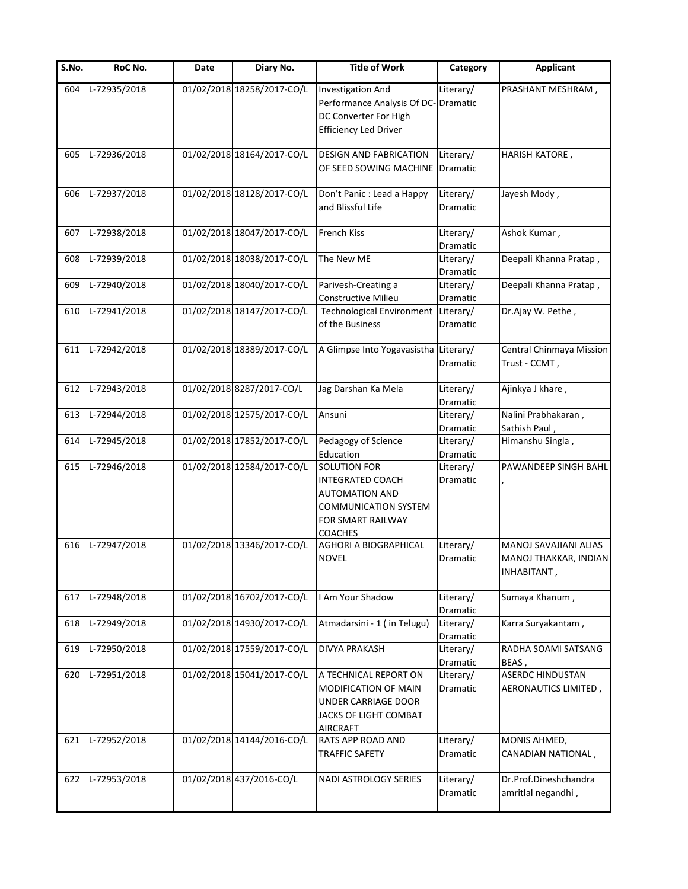| S.No. | RoC No.      | Date | Diary No.                  | <b>Title of Work</b>                                                                                                            | Category              | <b>Applicant</b>                                              |
|-------|--------------|------|----------------------------|---------------------------------------------------------------------------------------------------------------------------------|-----------------------|---------------------------------------------------------------|
| 604   | L-72935/2018 |      | 01/02/2018 18258/2017-CO/L | Investigation And<br>Performance Analysis Of DC-<br>DC Converter For High<br><b>Efficiency Led Driver</b>                       | Literary/<br>Dramatic | PRASHANT MESHRAM,                                             |
| 605   | L-72936/2018 |      | 01/02/2018 18164/2017-CO/L | <b>DESIGN AND FABRICATION</b><br>OF SEED SOWING MACHINE                                                                         | Literary/<br>Dramatic | HARISH KATORE,                                                |
| 606   | L-72937/2018 |      | 01/02/2018 18128/2017-CO/L | Don't Panic : Lead a Happy<br>and Blissful Life                                                                                 | Literary/<br>Dramatic | Jayesh Mody,                                                  |
| 607   | L-72938/2018 |      | 01/02/2018 18047/2017-CO/L | French Kiss                                                                                                                     | Literary/<br>Dramatic | Ashok Kumar,                                                  |
| 608   | L-72939/2018 |      | 01/02/2018 18038/2017-CO/L | The New ME                                                                                                                      | Literary/<br>Dramatic | Deepali Khanna Pratap,                                        |
| 609   | L-72940/2018 |      | 01/02/2018 18040/2017-CO/L | Parivesh-Creating a<br>Constructive Milieu                                                                                      | Literary/<br>Dramatic | Deepali Khanna Pratap,                                        |
| 610   | L-72941/2018 |      | 01/02/2018 18147/2017-CO/L | <b>Technological Environment</b><br>of the Business                                                                             | Literary/<br>Dramatic | Dr.Ajay W. Pethe,                                             |
| 611   | L-72942/2018 |      | 01/02/2018 18389/2017-CO/L | A Glimpse Into Yogavasistha Literary/                                                                                           | Dramatic              | Central Chinmaya Mission<br>Trust - CCMT,                     |
| 612   | L-72943/2018 |      | 01/02/2018 8287/2017-CO/L  | Jag Darshan Ka Mela                                                                                                             | Literary/<br>Dramatic | Ajinkya J khare,                                              |
| 613   | L-72944/2018 |      | 01/02/2018 12575/2017-CO/L | Ansuni                                                                                                                          | Literary/<br>Dramatic | Nalini Prabhakaran,<br>Sathish Paul,                          |
| 614   | L-72945/2018 |      | 01/02/2018 17852/2017-CO/L | Pedagogy of Science<br>Education                                                                                                | Literary/<br>Dramatic | Himanshu Singla,                                              |
| 615   | L-72946/2018 |      | 01/02/2018 12584/2017-CO/L | SOLUTION FOR<br><b>INTEGRATED COACH</b><br><b>AUTOMATION AND</b><br>COMMUNICATION SYSTEM<br>FOR SMART RAILWAY<br><b>COACHES</b> | Literary/<br>Dramatic | PAWANDEEP SINGH BAHL                                          |
| 616   | L-72947/2018 |      | 01/02/2018 13346/2017-CO/L | AGHORI A BIOGRAPHICAL<br><b>NOVEL</b>                                                                                           | Literary/<br>Dramatic | MANOJ SAVAJIANI ALIAS<br>MANOJ THAKKAR, INDIAN<br>INHABITANT, |
| 617   | L-72948/2018 |      | 01/02/2018 16702/2017-CO/L | I Am Your Shadow                                                                                                                | Literary/<br>Dramatic | Sumaya Khanum,                                                |
| 618   | L-72949/2018 |      | 01/02/2018 14930/2017-CO/L | Atmadarsini - 1 (in Telugu)                                                                                                     | Literary/<br>Dramatic | Karra Suryakantam,                                            |
| 619   | L-72950/2018 |      | 01/02/2018 17559/2017-CO/L | <b>DIVYA PRAKASH</b>                                                                                                            | Literary/<br>Dramatic | RADHA SOAMI SATSANG<br>BEAS,                                  |
| 620   | L-72951/2018 |      | 01/02/2018 15041/2017-CO/L | A TECHNICAL REPORT ON<br>MODIFICATION OF MAIN<br>UNDER CARRIAGE DOOR<br>JACKS OF LIGHT COMBAT<br><b>AIRCRAFT</b>                | Literary/<br>Dramatic | <b>ASERDC HINDUSTAN</b><br>AERONAUTICS LIMITED,               |
| 621   | L-72952/2018 |      | 01/02/2018 14144/2016-CO/L | RATS APP ROAD AND<br>TRAFFIC SAFETY                                                                                             | Literary/<br>Dramatic | MONIS AHMED,<br>CANADIAN NATIONAL,                            |
| 622   | L-72953/2018 |      | 01/02/2018 437/2016-CO/L   | NADI ASTROLOGY SERIES                                                                                                           | Literary/<br>Dramatic | Dr.Prof.Dineshchandra<br>amritlal negandhi,                   |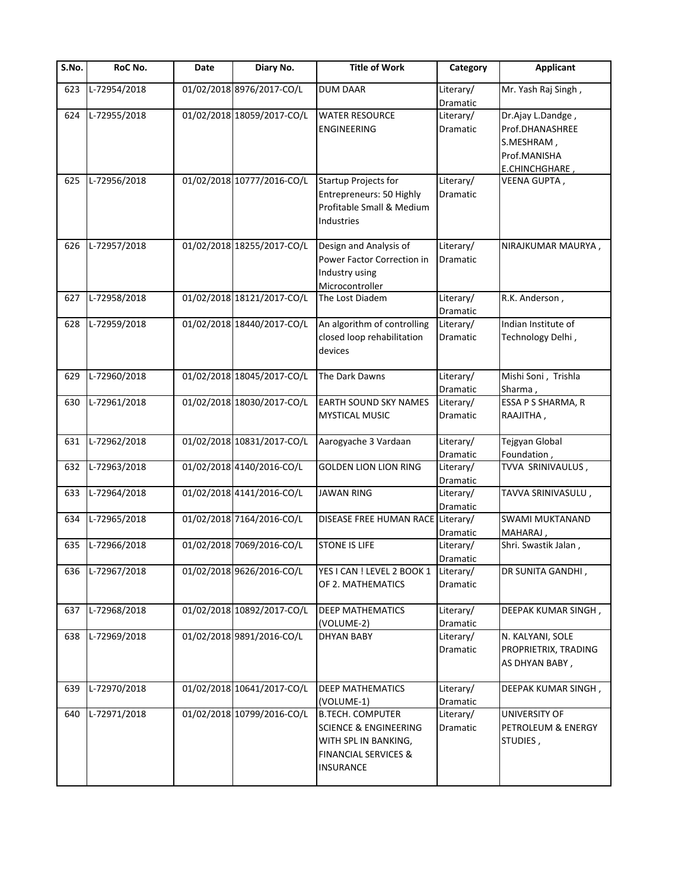| S.No. | RoC No.      | Date | Diary No.                  | <b>Title of Work</b>                                                                                                                | Category                     | <b>Applicant</b>                                                                     |
|-------|--------------|------|----------------------------|-------------------------------------------------------------------------------------------------------------------------------------|------------------------------|--------------------------------------------------------------------------------------|
| 623   | L-72954/2018 |      | 01/02/2018 8976/2017-CO/L  | <b>DUM DAAR</b>                                                                                                                     | Literary/<br>Dramatic        | Mr. Yash Raj Singh,                                                                  |
| 624   | L-72955/2018 |      | 01/02/2018 18059/2017-CO/L | <b>WATER RESOURCE</b><br><b>ENGINEERING</b>                                                                                         | Literary/<br><b>Dramatic</b> | Dr.Ajay L.Dandge,<br>Prof.DHANASHREE<br>S.MESHRAM,<br>Prof.MANISHA<br>E.CHINCHGHARE, |
| 625   | L-72956/2018 |      | 01/02/2018 10777/2016-CO/L | <b>Startup Projects for</b><br>Entrepreneurs: 50 Highly<br>Profitable Small & Medium<br><b>Industries</b>                           | Literary/<br>Dramatic        | VEENA GUPTA,                                                                         |
| 626   | L-72957/2018 |      | 01/02/2018 18255/2017-CO/L | Design and Analysis of<br>Power Factor Correction in<br>Industry using<br>Microcontroller                                           | Literary/<br>Dramatic        | NIRAJKUMAR MAURYA,                                                                   |
| 627   | L-72958/2018 |      | 01/02/2018 18121/2017-CO/L | The Lost Diadem                                                                                                                     | Literary/<br>Dramatic        | R.K. Anderson,                                                                       |
| 628   | L-72959/2018 |      | 01/02/2018 18440/2017-CO/L | An algorithm of controlling<br>closed loop rehabilitation<br>devices                                                                | Literary/<br>Dramatic        | Indian Institute of<br>Technology Delhi,                                             |
| 629   | L-72960/2018 |      | 01/02/2018 18045/2017-CO/L | The Dark Dawns                                                                                                                      | Literary/<br>Dramatic        | Mishi Soni, Trishla<br>Sharma,                                                       |
| 630   | L-72961/2018 |      | 01/02/2018 18030/2017-CO/L | EARTH SOUND SKY NAMES<br><b>MYSTICAL MUSIC</b>                                                                                      | Literary/<br>Dramatic        | ESSA P S SHARMA, R<br>RAAJITHA,                                                      |
| 631   | L-72962/2018 |      | 01/02/2018 10831/2017-CO/L | Aarogyache 3 Vardaan                                                                                                                | Literary/<br>Dramatic        | Tejgyan Global<br>Foundation,                                                        |
| 632   | L-72963/2018 |      | 01/02/2018 4140/2016-CO/L  | <b>GOLDEN LION LION RING</b>                                                                                                        | Literary/<br>Dramatic        | TVVA SRINIVAULUS,                                                                    |
| 633   | L-72964/2018 |      | 01/02/2018 4141/2016-CO/L  | <b>JAWAN RING</b>                                                                                                                   | Literary/<br>Dramatic        | TAVVA SRINIVASULU,                                                                   |
| 634   | L-72965/2018 |      | 01/02/2018 7164/2016-CO/L  | DISEASE FREE HUMAN RACE                                                                                                             | Literary/<br>Dramatic        | <b>SWAMI MUKTANAND</b><br>MAHARAJ,                                                   |
| 635   | L-72966/2018 |      | 01/02/2018 7069/2016-CO/L  | <b>STONE IS LIFE</b>                                                                                                                | Literary/<br>Dramatic        | Shri. Swastik Jalan,                                                                 |
| 636   | L-72967/2018 |      | 01/02/2018 9626/2016-CO/L  | YES I CAN ! LEVEL 2 BOOK 1<br>OF 2. MATHEMATICS                                                                                     | Literary/<br>Dramatic        | DR SUNITA GANDHI,                                                                    |
| 637   | L-72968/2018 |      | 01/02/2018 10892/2017-CO/L | <b>DEEP MATHEMATICS</b><br>(VOLUME-2)                                                                                               | Literary/<br>Dramatic        | DEEPAK KUMAR SINGH,                                                                  |
| 638   | L-72969/2018 |      | 01/02/2018 9891/2016-CO/L  | <b>DHYAN BABY</b>                                                                                                                   | Literary/<br>Dramatic        | N. KALYANI, SOLE<br>PROPRIETRIX, TRADING<br>AS DHYAN BABY,                           |
| 639   | L-72970/2018 |      | 01/02/2018 10641/2017-CO/L | <b>DEEP MATHEMATICS</b><br>(VOLUME-1)                                                                                               | Literary/<br><b>Dramatic</b> | DEEPAK KUMAR SINGH,                                                                  |
| 640   | L-72971/2018 |      | 01/02/2018 10799/2016-CO/L | <b>B.TECH. COMPUTER</b><br><b>SCIENCE &amp; ENGINEERING</b><br>WITH SPL IN BANKING,<br><b>FINANCIAL SERVICES &amp;</b><br>INSURANCE | Literary/<br>Dramatic        | UNIVERSITY OF<br>PETROLEUM & ENERGY<br>STUDIES,                                      |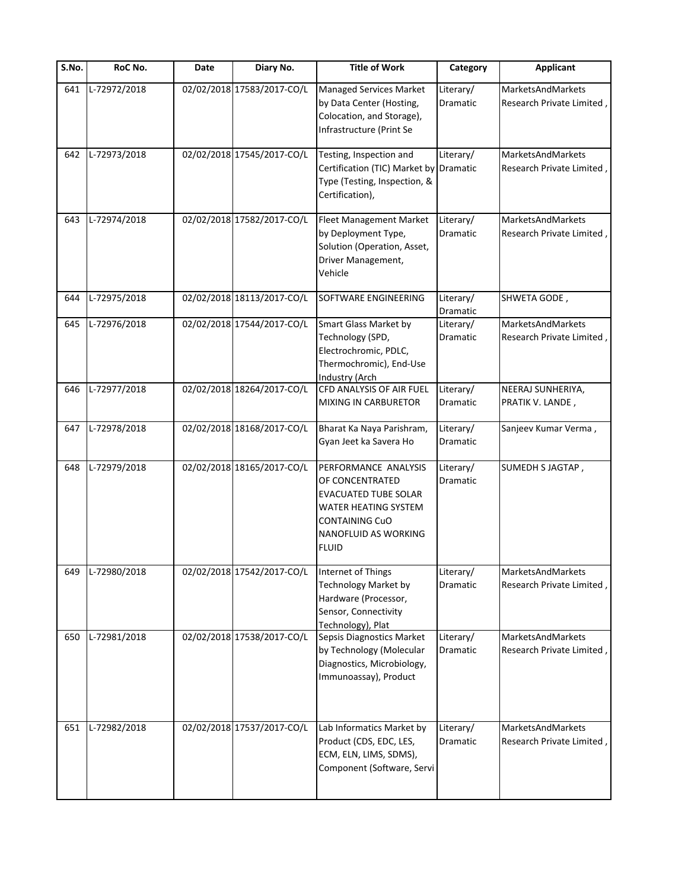| S.No. | RoC No.      | Date | Diary No.                  | Title of Work                                                                                                                                                   | Category                     | Applicant                                      |
|-------|--------------|------|----------------------------|-----------------------------------------------------------------------------------------------------------------------------------------------------------------|------------------------------|------------------------------------------------|
| 641   | L-72972/2018 |      | 02/02/2018 17583/2017-CO/L | Managed Services Market<br>by Data Center (Hosting,<br>Colocation, and Storage),<br>Infrastructure (Print Se                                                    | Literary/<br>Dramatic        | MarketsAndMarkets<br>Research Private Limited, |
| 642   | L-72973/2018 |      | 02/02/2018 17545/2017-CO/L | Testing, Inspection and<br>Certification (TIC) Market by Dramatic<br>Type (Testing, Inspection, &<br>Certification),                                            | Literary/                    | MarketsAndMarkets<br>Research Private Limited, |
| 643   | L-72974/2018 |      | 02/02/2018 17582/2017-CO/L | Fleet Management Market<br>by Deployment Type,<br>Solution (Operation, Asset,<br>Driver Management,<br>Vehicle                                                  | Literary/<br>Dramatic        | MarketsAndMarkets<br>Research Private Limited, |
| 644   | L-72975/2018 |      | 02/02/2018 18113/2017-CO/L | SOFTWARE ENGINEERING                                                                                                                                            | Literary/<br>Dramatic        | SHWETA GODE,                                   |
| 645   | L-72976/2018 |      | 02/02/2018 17544/2017-CO/L | <b>Smart Glass Market by</b><br>Technology (SPD,<br>Electrochromic, PDLC,<br>Thermochromic), End-Use<br>Industry (Arch                                          | Literary/<br>Dramatic        | MarketsAndMarkets<br>Research Private Limited  |
| 646   | L-72977/2018 |      | 02/02/2018 18264/2017-CO/L | CFD ANALYSIS OF AIR FUEL<br>MIXING IN CARBURETOR                                                                                                                | Literary/<br>Dramatic        | NEERAJ SUNHERIYA,<br>PRATIK V. LANDE,          |
| 647   | L-72978/2018 |      | 02/02/2018 18168/2017-CO/L | Bharat Ka Naya Parishram,<br>Gyan Jeet ka Savera Ho                                                                                                             | Literary/<br>Dramatic        | Sanjeev Kumar Verma,                           |
| 648   | L-72979/2018 |      | 02/02/2018 18165/2017-CO/L | PERFORMANCE ANALYSIS<br>OF CONCENTRATED<br><b>EVACUATED TUBE SOLAR</b><br>WATER HEATING SYSTEM<br>CONTAINING CuO<br><b>NANOFLUID AS WORKING</b><br><b>FLUID</b> | Literary/<br>Dramatic        | SUMEDH S JAGTAP,                               |
| 649   | L-72980/2018 |      | 02/02/2018 17542/2017-CO/L | Internet of Things<br>Technology Market by<br>Hardware (Processor,<br>Sensor, Connectivity<br>Technology), Plat                                                 | Literary/<br>Dramatic        | MarketsAndMarkets<br>Research Private Limited, |
| 650   | L-72981/2018 |      | 02/02/2018 17538/2017-CO/L | Sepsis Diagnostics Market<br>by Technology (Molecular<br>Diagnostics, Microbiology,<br>Immunoassay), Product                                                    | Literary/<br><b>Dramatic</b> | MarketsAndMarkets<br>Research Private Limited, |
| 651   | L-72982/2018 |      | 02/02/2018 17537/2017-CO/L | Lab Informatics Market by<br>Product (CDS, EDC, LES,<br>ECM, ELN, LIMS, SDMS),<br>Component (Software, Servi                                                    | Literary/<br>Dramatic        | MarketsAndMarkets<br>Research Private Limited, |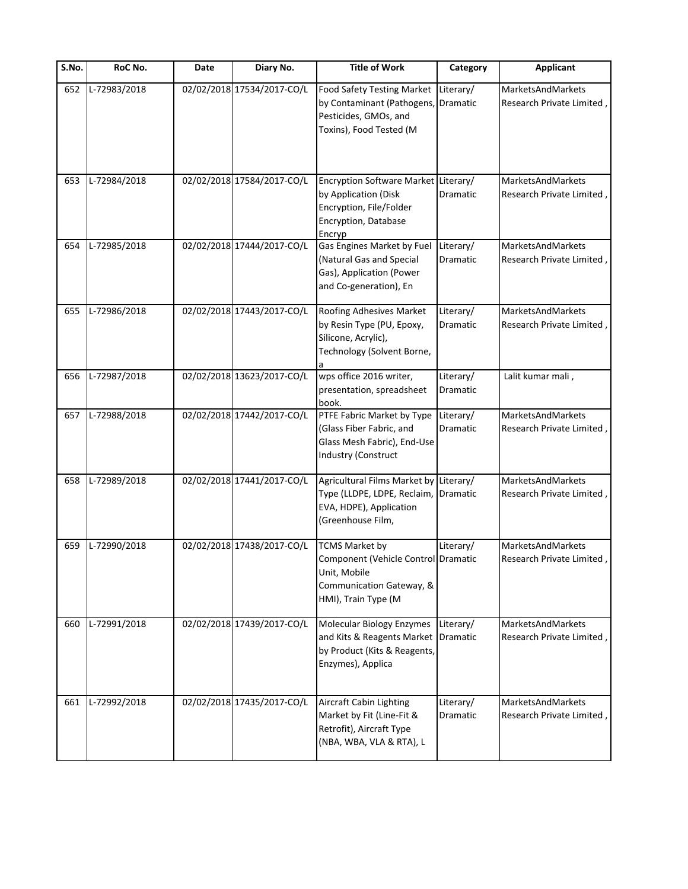| S.No. | RoC No.      | Date | Diary No.                  | <b>Title of Work</b>                                                                                                            | Category                     | <b>Applicant</b>                               |
|-------|--------------|------|----------------------------|---------------------------------------------------------------------------------------------------------------------------------|------------------------------|------------------------------------------------|
| 652   | L-72983/2018 |      | 02/02/2018 17534/2017-CO/L | Food Safety Testing Market  <br>by Contaminant (Pathogens,<br>Pesticides, GMOs, and<br>Toxins), Food Tested (M                  | Literary/<br>Dramatic        | MarketsAndMarkets<br>Research Private Limited, |
| 653   | L-72984/2018 |      | 02/02/2018 17584/2017-CO/L | Encryption Software Market Literary/<br>by Application (Disk<br>Encryption, File/Folder<br>Encryption, Database<br>Encryp       | Dramatic                     | MarketsAndMarkets<br>Research Private Limited, |
| 654   | L-72985/2018 |      | 02/02/2018 17444/2017-CO/L | Gas Engines Market by Fuel<br>(Natural Gas and Special<br>Gas), Application (Power<br>and Co-generation), En                    | Literary/<br>Dramatic        | MarketsAndMarkets<br>Research Private Limited, |
| 655   | L-72986/2018 |      | 02/02/2018 17443/2017-CO/L | Roofing Adhesives Market<br>by Resin Type (PU, Epoxy,<br>Silicone, Acrylic),<br>Technology (Solvent Borne,                      | Literary/<br><b>Dramatic</b> | MarketsAndMarkets<br>Research Private Limited, |
| 656   | L-72987/2018 |      | 02/02/2018 13623/2017-CO/L | wps office 2016 writer,<br>presentation, spreadsheet<br>book.                                                                   | Literary/<br>Dramatic        | Lalit kumar mali,                              |
| 657   | L-72988/2018 |      | 02/02/2018 17442/2017-CO/L | PTFE Fabric Market by Type<br>(Glass Fiber Fabric, and<br>Glass Mesh Fabric), End-Use<br><b>Industry (Construct</b>             | Literary/<br>Dramatic        | MarketsAndMarkets<br>Research Private Limited, |
| 658   | L-72989/2018 |      | 02/02/2018 17441/2017-CO/L | Agricultural Films Market by Literary/<br>Type (LLDPE, LDPE, Reclaim, Dramatic<br>EVA, HDPE), Application<br>(Greenhouse Film,  |                              | MarketsAndMarkets<br>Research Private Limited, |
| 659   | L-72990/2018 |      | 02/02/2018 17438/2017-CO/L | <b>TCMS Market by</b><br>Component (Vehicle Control Dramatic<br>Unit, Mobile<br>Communication Gateway, &<br>HMI), Train Type (M | Literary/                    | MarketsAndMarkets<br>Research Private Limited  |
| 660   | L-72991/2018 |      | 02/02/2018 17439/2017-CO/L | Molecular Biology Enzymes<br>and Kits & Reagents Market<br>by Product (Kits & Reagents,<br>Enzymes), Applica                    | Literary/<br>Dramatic        | MarketsAndMarkets<br>Research Private Limited, |
| 661   | L-72992/2018 |      | 02/02/2018 17435/2017-CO/L | Aircraft Cabin Lighting<br>Market by Fit (Line-Fit &<br>Retrofit), Aircraft Type<br>(NBA, WBA, VLA & RTA), L                    | Literary/<br>Dramatic        | MarketsAndMarkets<br>Research Private Limited, |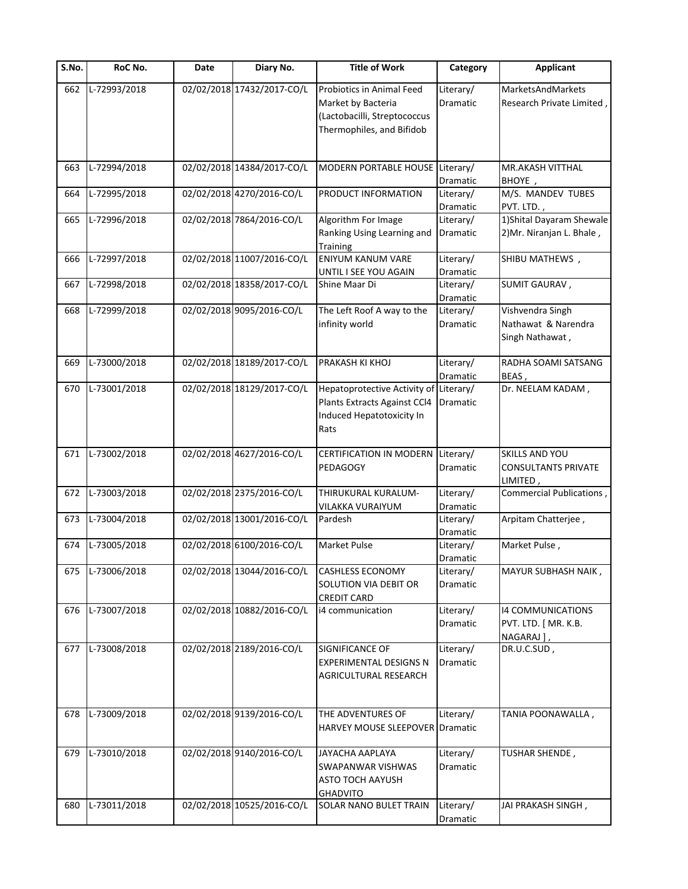| S.No. | RoC No.      | Date | Diary No.                  | <b>Title of Work</b>                                                                                         | Category              | <b>Applicant</b>                                                |
|-------|--------------|------|----------------------------|--------------------------------------------------------------------------------------------------------------|-----------------------|-----------------------------------------------------------------|
| 662   | L-72993/2018 |      | 02/02/2018 17432/2017-CO/L | Probiotics in Animal Feed<br>Market by Bacteria<br>(Lactobacilli, Streptococcus<br>Thermophiles, and Bifidob | Literary/<br>Dramatic | MarketsAndMarkets<br>Research Private Limited,                  |
| 663   | L-72994/2018 |      | 02/02/2018 14384/2017-CO/L | MODERN PORTABLE HOUSE Literary/                                                                              |                       | MR.AKASH VITTHAL                                                |
| 664   | L-72995/2018 |      | 02/02/2018 4270/2016-CO/L  | PRODUCT INFORMATION                                                                                          | Dramatic<br>Literary/ | BHOYE,<br>M/S. MANDEV TUBES                                     |
|       |              |      |                            |                                                                                                              | Dramatic              | PVT. LTD.,                                                      |
| 665   | L-72996/2018 |      | 02/02/2018 7864/2016-CO/L  | Algorithm For Image<br>Ranking Using Learning and<br><b>Training</b>                                         | Literary/<br>Dramatic | 1) Shital Dayaram Shewale<br>2) Mr. Niranjan L. Bhale,          |
| 666   | L-72997/2018 |      | 02/02/2018 11007/2016-CO/L | <b>ENIYUM KANUM VARE</b><br>UNTIL I SEE YOU AGAIN                                                            | Literary/<br>Dramatic | SHIBU MATHEWS,                                                  |
| 667   | L-72998/2018 |      | 02/02/2018 18358/2017-CO/L | Shine Maar Di                                                                                                | Literary/<br>Dramatic | SUMIT GAURAV,                                                   |
| 668   | L-72999/2018 |      | 02/02/2018 9095/2016-CO/L  | The Left Roof A way to the<br>infinity world                                                                 | Literary/<br>Dramatic | Vishvendra Singh<br>Nathawat & Narendra<br>Singh Nathawat,      |
| 669   | L-73000/2018 |      | 02/02/2018 18189/2017-CO/L | PRAKASH KI KHOJ                                                                                              | Literary/<br>Dramatic | RADHA SOAMI SATSANG<br>BEAS,                                    |
| 670   | L-73001/2018 |      | 02/02/2018 18129/2017-CO/L | Hepatoprotective Activity of Literary/<br>Plants Extracts Against CCl4<br>Induced Hepatotoxicity In<br>Rats  | Dramatic              | Dr. NEELAM KADAM,                                               |
| 671   | L-73002/2018 |      | 02/02/2018 4627/2016-CO/L  | CERTIFICATION IN MODERN<br><b>PEDAGOGY</b>                                                                   | Literary/<br>Dramatic | <b>SKILLS AND YOU</b><br><b>CONSULTANTS PRIVATE</b><br>LIMITED, |
| 672   | L-73003/2018 |      | 02/02/2018 2375/2016-CO/L  | THIRUKURAL KURALUM-<br>VILAKKA VURAIYUM                                                                      | Literary/<br>Dramatic | Commercial Publications,                                        |
| 673   | L-73004/2018 |      | 02/02/2018 13001/2016-CO/L | Pardesh                                                                                                      | Literary/<br>Dramatic | Arpitam Chatterjee,                                             |
| 674   | L-73005/2018 |      | 02/02/2018 6100/2016-CO/L  | Market Pulse                                                                                                 | Literary/<br>Dramatic | Market Pulse,                                                   |
| 675   | L-73006/2018 |      | 02/02/2018 13044/2016-CO/L | <b>CASHLESS ECONOMY</b><br>SOLUTION VIA DEBIT OR<br><b>CREDIT CARD</b>                                       | Literary/<br>Dramatic | MAYUR SUBHASH NAIK,                                             |
| 676   | L-73007/2018 |      | 02/02/2018 10882/2016-CO/L | i4 communication                                                                                             | Literary/<br>Dramatic | 14 COMMUNICATIONS<br>PVT. LTD. [ MR. K.B.<br>NAGARAJ],          |
| 677   | L-73008/2018 |      | 02/02/2018 2189/2016-CO/L  | SIGNIFICANCE OF<br><b>EXPERIMENTAL DESIGNS N</b><br>AGRICULTURAL RESEARCH                                    | Literary/<br>Dramatic | DR.U.C.SUD,                                                     |
| 678   | L-73009/2018 |      | 02/02/2018 9139/2016-CO/L  | THE ADVENTURES OF<br>HARVEY MOUSE SLEEPOVER                                                                  | Literary/<br>Dramatic | TANIA POONAWALLA,                                               |
| 679   | L-73010/2018 |      | 02/02/2018 9140/2016-CO/L  | JAYACHA AAPLAYA<br>SWAPANWAR VISHWAS<br><b>ASTO TOCH AAYUSH</b><br><b>GHADVITO</b>                           | Literary/<br>Dramatic | TUSHAR SHENDE,                                                  |
| 680   | L-73011/2018 |      | 02/02/2018 10525/2016-CO/L | SOLAR NANO BULET TRAIN                                                                                       | Literary/<br>Dramatic | JAI PRAKASH SINGH,                                              |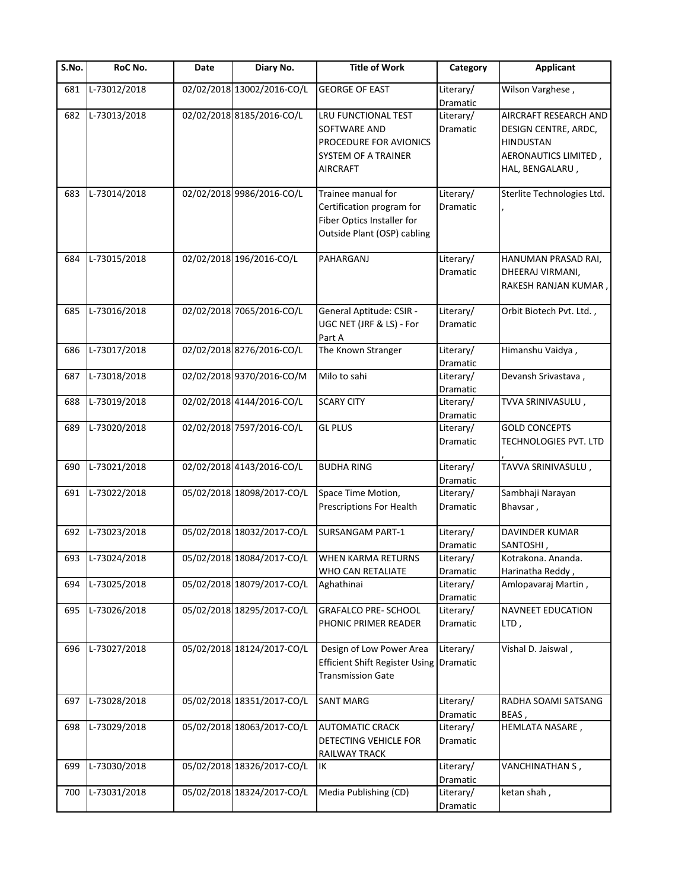| S.No. | RoC No.      | Date | Diary No.                  | <b>Title of Work</b>                                                                                         | Category                     | <b>Applicant</b>                                                                                             |
|-------|--------------|------|----------------------------|--------------------------------------------------------------------------------------------------------------|------------------------------|--------------------------------------------------------------------------------------------------------------|
| 681   | L-73012/2018 |      | 02/02/2018 13002/2016-CO/L | <b>GEORGE OF EAST</b>                                                                                        | Literary/<br>Dramatic        | Wilson Varghese,                                                                                             |
| 682   | L-73013/2018 |      | 02/02/2018 8185/2016-CO/L  | LRU FUNCTIONAL TEST<br>SOFTWARE AND<br>PROCEDURE FOR AVIONICS<br>SYSTEM OF A TRAINER<br>AIRCRAFT             | Literary/<br>Dramatic        | AIRCRAFT RESEARCH AND<br>DESIGN CENTRE, ARDC,<br><b>HINDUSTAN</b><br>AERONAUTICS LIMITED,<br>HAL, BENGALARU, |
| 683   | L-73014/2018 |      | 02/02/2018 9986/2016-CO/L  | Trainee manual for<br>Certification program for<br>Fiber Optics Installer for<br>Outside Plant (OSP) cabling | Literary/<br>Dramatic        | Sterlite Technologies Ltd.                                                                                   |
| 684   | L-73015/2018 |      | 02/02/2018 196/2016-CO/L   | PAHARGANJ                                                                                                    | Literary/<br><b>Dramatic</b> | HANUMAN PRASAD RAI,<br>DHEERAJ VIRMANI,<br>RAKESH RANJAN KUMAR,                                              |
| 685   | L-73016/2018 |      | 02/02/2018 7065/2016-CO/L  | General Aptitude: CSIR -<br>UGC NET (JRF & LS) - For<br>Part A                                               | Literary/<br><b>Dramatic</b> | Orbit Biotech Pvt. Ltd.,                                                                                     |
| 686   | L-73017/2018 |      | 02/02/2018 8276/2016-CO/L  | The Known Stranger                                                                                           | Literary/<br>Dramatic        | Himanshu Vaidya,                                                                                             |
| 687   | L-73018/2018 |      | 02/02/2018 9370/2016-CO/M  | Milo to sahi                                                                                                 | Literary/<br>Dramatic        | Devansh Srivastava,                                                                                          |
| 688   | L-73019/2018 |      | 02/02/2018 4144/2016-CO/L  | <b>SCARY CITY</b>                                                                                            | Literary/<br>Dramatic        | TVVA SRINIVASULU,                                                                                            |
| 689   | L-73020/2018 |      | 02/02/2018 7597/2016-CO/L  | <b>GL PLUS</b>                                                                                               | Literary/<br><b>Dramatic</b> | <b>GOLD CONCEPTS</b><br>TECHNOLOGIES PVT. LTD                                                                |
| 690   | L-73021/2018 |      | 02/02/2018 4143/2016-CO/L  | <b>BUDHA RING</b>                                                                                            | Literary/<br>Dramatic        | TAVVA SRINIVASULU,                                                                                           |
| 691   | L-73022/2018 |      | 05/02/2018 18098/2017-CO/L | Space Time Motion,<br>Prescriptions For Health                                                               | Literary/<br>Dramatic        | Sambhaji Narayan<br>Bhavsar,                                                                                 |
| 692   | L-73023/2018 |      | 05/02/2018 18032/2017-CO/L | <b>SURSANGAM PART-1</b>                                                                                      | Literary/<br>Dramatic        | DAVINDER KUMAR<br>SANTOSHI,                                                                                  |
| 693   | L-73024/2018 |      | 05/02/2018 18084/2017-CO/L | <b>WHEN KARMA RETURNS</b><br>WHO CAN RETALIATE                                                               | Literary/<br>Dramatic        | Kotrakona. Ananda.<br>Harinatha Reddy,                                                                       |
| 694   | L-73025/2018 |      | 05/02/2018 18079/2017-CO/L | Aghathinai                                                                                                   | Literary/<br>Dramatic        | Amlopavaraj Martin,                                                                                          |
| 695   | L-73026/2018 |      | 05/02/2018 18295/2017-CO/L | <b>GRAFALCO PRE- SCHOOL</b><br>PHONIC PRIMER READER                                                          | Literary/<br>Dramatic        | NAVNEET EDUCATION<br>LTD,                                                                                    |
| 696   | L-73027/2018 |      | 05/02/2018 18124/2017-CO/L | Design of Low Power Area<br>Efficient Shift Register Using Dramatic<br><b>Transmission Gate</b>              | Literary/                    | Vishal D. Jaiswal,                                                                                           |
| 697   | L-73028/2018 |      | 05/02/2018 18351/2017-CO/L | <b>SANT MARG</b>                                                                                             | Literary/<br>Dramatic        | RADHA SOAMI SATSANG<br>BEAS,                                                                                 |
| 698   | L-73029/2018 |      | 05/02/2018 18063/2017-CO/L | <b>AUTOMATIC CRACK</b><br>DETECTING VEHICLE FOR<br>RAILWAY TRACK                                             | Literary/<br>Dramatic        | HEMLATA NASARE,                                                                                              |
| 699   | L-73030/2018 |      | 05/02/2018 18326/2017-CO/L | IK                                                                                                           | Literary/<br>Dramatic        | VANCHINATHAN S,                                                                                              |
| 700   | L-73031/2018 |      | 05/02/2018 18324/2017-CO/L | Media Publishing (CD)                                                                                        | Literary/<br>Dramatic        | ketan shah,                                                                                                  |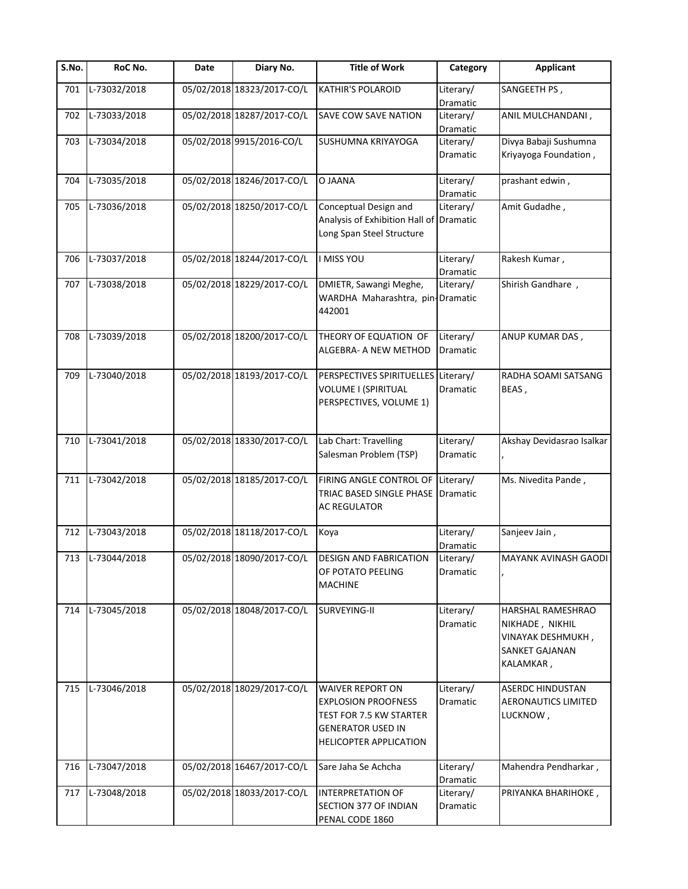| S.No. | RoC No.            | Date | Diary No.                  | <b>Title of Work</b>                                                                                                                   | Category              | <b>Applicant</b>                                                                                       |
|-------|--------------------|------|----------------------------|----------------------------------------------------------------------------------------------------------------------------------------|-----------------------|--------------------------------------------------------------------------------------------------------|
| 701   | L-73032/2018       |      | 05/02/2018 18323/2017-CO/L | <b>KATHIR'S POLAROID</b>                                                                                                               | Literary/<br>Dramatic | SANGEETH PS,                                                                                           |
| 702   | L-73033/2018       |      | 05/02/2018 18287/2017-CO/L | <b>SAVE COW SAVE NATION</b>                                                                                                            | Literary/<br>Dramatic | ANIL MULCHANDANI,                                                                                      |
| 703   | L-73034/2018       |      | 05/02/2018 9915/2016-CO/L  | SUSHUMNA KRIYAYOGA                                                                                                                     | Literary/             | Divya Babaji Sushumna                                                                                  |
|       |                    |      |                            |                                                                                                                                        | Dramatic              | Kriyayoga Foundation,                                                                                  |
| 704   | L-73035/2018       |      | 05/02/2018 18246/2017-CO/L | O JAANA                                                                                                                                | Literary/<br>Dramatic | prashant edwin,                                                                                        |
| 705   | L-73036/2018       |      | 05/02/2018 18250/2017-CO/L | Conceptual Design and                                                                                                                  | Literary/             | Amit Gudadhe,                                                                                          |
|       |                    |      |                            | Analysis of Exhibition Hall of Dramatic<br>Long Span Steel Structure                                                                   |                       |                                                                                                        |
| 706   | L-73037/2018       |      | 05/02/2018 18244/2017-CO/L | <b>I MISS YOU</b>                                                                                                                      | Literary/<br>Dramatic | Rakesh Kumar,                                                                                          |
| 707   | L-73038/2018       |      | 05/02/2018 18229/2017-CO/L | DMIETR, Sawangi Meghe,                                                                                                                 | Literary/             | Shirish Gandhare,                                                                                      |
|       |                    |      |                            | WARDHA Maharashtra, pin-Dramatic<br>442001                                                                                             |                       |                                                                                                        |
| 708   | L-73039/2018       |      | 05/02/2018 18200/2017-CO/L | THEORY OF EQUATION OF<br>ALGEBRA- A NEW METHOD                                                                                         | Literary/<br>Dramatic | ANUP KUMAR DAS,                                                                                        |
| 709   | L-73040/2018       |      | 05/02/2018 18193/2017-CO/L | PERSPECTIVES SPIRITUELLES Literary/<br>VOLUME I (SPIRITUAL<br>PERSPECTIVES, VOLUME 1)                                                  | Dramatic              | RADHA SOAMI SATSANG<br>BEAS,                                                                           |
| 710   | L-73041/2018       |      | 05/02/2018 18330/2017-CO/L | Lab Chart: Travelling                                                                                                                  | Literary/             | Akshay Devidasrao Isalkar                                                                              |
|       |                    |      |                            | Salesman Problem (TSP)                                                                                                                 | Dramatic              |                                                                                                        |
| 711   | L-73042/2018       |      | 05/02/2018 18185/2017-CO/L | FIRING ANGLE CONTROL OF<br>TRIAC BASED SINGLE PHASE<br><b>AC REGULATOR</b>                                                             | Literary/<br>Dramatic | Ms. Nivedita Pande,                                                                                    |
| 712   | L-73043/2018       |      | 05/02/2018 18118/2017-CO/L | Koya                                                                                                                                   | Literary/<br>Dramatic | Sanjeev Jain,                                                                                          |
|       | 713   L-73044/2018 |      | 05/02/2018 18090/2017-CO/L | <b>DESIGN AND FABRICATION</b>                                                                                                          | Literary/             | <b>MAYANK AVINASH GAODI</b>                                                                            |
|       |                    |      |                            | OF POTATO PEELING<br><b>MACHINE</b>                                                                                                    | Dramatic              |                                                                                                        |
| 714   | L-73045/2018       |      | 05/02/2018 18048/2017-CO/L | SURVEYING-II                                                                                                                           | Literary/<br>Dramatic | <b>HARSHAL RAMESHRAO</b><br>NIKHADE, NIKHIL<br>VINAYAK DESHMUKH,<br><b>SANKET GAJANAN</b><br>KALAMKAR, |
| 715   | L-73046/2018       |      | 05/02/2018 18029/2017-CO/L | <b>WAIVER REPORT ON</b><br><b>EXPLOSION PROOFNESS</b><br>TEST FOR 7.5 KW STARTER<br><b>GENERATOR USED IN</b><br>HELICOPTER APPLICATION | Literary/<br>Dramatic | <b>ASERDC HINDUSTAN</b><br><b>AERONAUTICS LIMITED</b><br>LUCKNOW,                                      |
| 716   | L-73047/2018       |      | 05/02/2018 16467/2017-CO/L | Sare Jaha Se Achcha                                                                                                                    | Literary/<br>Dramatic | Mahendra Pendharkar,                                                                                   |
| 717   | L-73048/2018       |      | 05/02/2018 18033/2017-CO/L | <b>INTERPRETATION OF</b><br>SECTION 377 OF INDIAN<br>PENAL CODE 1860                                                                   | Literary/<br>Dramatic | PRIYANKA BHARIHOKE,                                                                                    |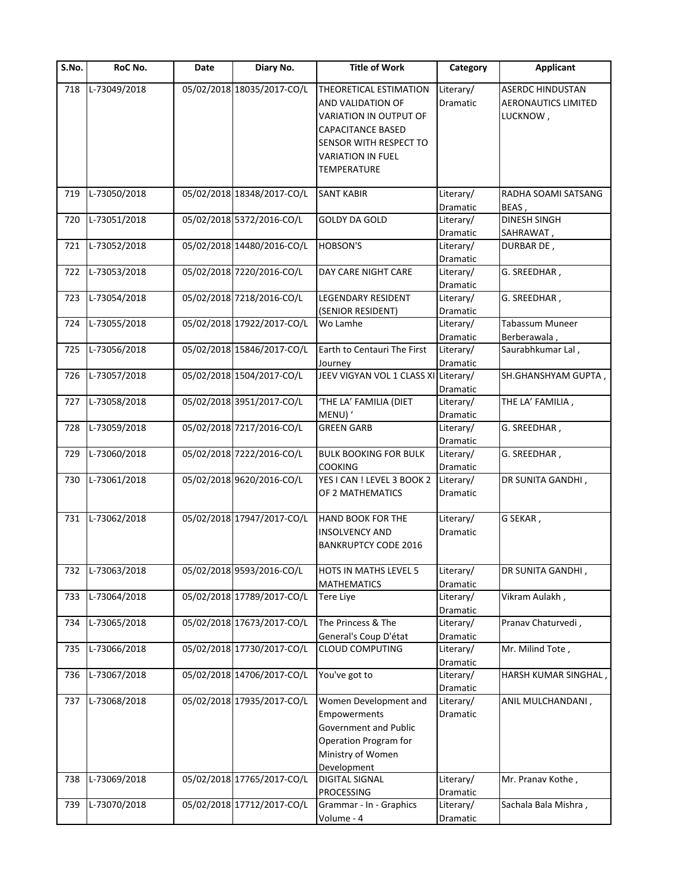| S.No. | RoC No.      | Date | Diary No.                  | <b>Title of Work</b>                 | Category              | <b>Applicant</b>                |
|-------|--------------|------|----------------------------|--------------------------------------|-----------------------|---------------------------------|
| 718   | L-73049/2018 |      | 05/02/2018 18035/2017-CO/L | THEORETICAL ESTIMATION               | Literary/             | <b>ASERDC HINDUSTAN</b>         |
|       |              |      |                            | AND VALIDATION OF                    | Dramatic              | <b>AERONAUTICS LIMITED</b>      |
|       |              |      |                            | VARIATION IN OUTPUT OF               |                       | LUCKNOW,                        |
|       |              |      |                            | <b>CAPACITANCE BASED</b>             |                       |                                 |
|       |              |      |                            | SENSOR WITH RESPECT TO               |                       |                                 |
|       |              |      |                            | <b>VARIATION IN FUEL</b>             |                       |                                 |
|       |              |      |                            | <b>TEMPERATURE</b>                   |                       |                                 |
|       |              |      |                            |                                      |                       |                                 |
| 719   | L-73050/2018 |      | 05/02/2018 18348/2017-CO/L | <b>SANT KABIR</b>                    | Literary/             | RADHA SOAMI SATSANG             |
|       |              |      |                            |                                      | Dramatic              | BEAS,                           |
| 720   | L-73051/2018 |      | 05/02/2018 5372/2016-CO/L  | <b>GOLDY DA GOLD</b>                 | Literary/             | <b>DINESH SINGH</b>             |
|       |              |      |                            |                                      | Dramatic              | SAHRAWAT,                       |
| 721   | L-73052/2018 |      | 05/02/2018 14480/2016-CO/L | <b>HOBSON'S</b>                      | Literary/             | DURBAR DE,                      |
|       |              |      |                            |                                      | Dramatic              |                                 |
| 722   | L-73053/2018 |      | 05/02/2018 7220/2016-CO/L  | DAY CARE NIGHT CARE                  | Literary/             | G. SREEDHAR,                    |
|       |              |      | 05/02/2018 7218/2016-CO/L  |                                      | Dramatic              |                                 |
| 723   | L-73054/2018 |      |                            | <b>LEGENDARY RESIDENT</b>            | Literary/             | G. SREEDHAR,                    |
|       |              |      |                            | (SENIOR RESIDENT)                    | Dramatic              |                                 |
| 724   | L-73055/2018 |      | 05/02/2018 17922/2017-CO/L | Wo Lamhe                             | Literary/             | Tabassum Muneer<br>Berberawala, |
| 725   | L-73056/2018 |      | 05/02/2018 15846/2017-CO/L | Earth to Centauri The First          | Dramatic<br>Literary/ | Saurabhkumar Lal,               |
|       |              |      |                            | Journey                              | Dramatic              |                                 |
| 726   | L-73057/2018 |      | 05/02/2018 1504/2017-CO/L  | JEEV VIGYAN VOL 1 CLASS XI Literary/ |                       | SH.GHANSHYAM GUPTA,             |
|       |              |      |                            |                                      | Dramatic              |                                 |
| 727   | L-73058/2018 |      | 05/02/2018 3951/2017-CO/L  | 'THE LA' FAMILIA (DIET               | Literary/             | THE LA' FAMILIA,                |
|       |              |      |                            | MENU) '                              | Dramatic              |                                 |
| 728   | L-73059/2018 |      | 05/02/2018 7217/2016-CO/L  | <b>GREEN GARB</b>                    | Literary/             | G. SREEDHAR,                    |
|       |              |      |                            |                                      | Dramatic              |                                 |
| 729   | L-73060/2018 |      | 05/02/2018 7222/2016-CO/L  | <b>BULK BOOKING FOR BULK</b>         | Literary/             | G. SREEDHAR,                    |
|       |              |      |                            | <b>COOKING</b>                       | Dramatic              |                                 |
| 730   | L-73061/2018 |      | 05/02/2018 9620/2016-CO/L  | YES I CAN ! LEVEL 3 BOOK 2           | Literary/             | DR SUNITA GANDHI,               |
|       |              |      |                            | OF 2 MATHEMATICS                     | Dramatic              |                                 |
|       |              |      |                            |                                      |                       |                                 |
| 731   | L-73062/2018 |      | 05/02/2018 17947/2017-CO/L | <b>HAND BOOK FOR THE</b>             | Literary/             | G SEKAR,                        |
|       |              |      |                            | <b>INSOLVENCY AND</b>                | Dramatic              |                                 |
|       |              |      |                            | <b>BANKRUPTCY CODE 2016</b>          |                       |                                 |
|       |              |      |                            |                                      |                       |                                 |
| 732   | L-73063/2018 |      | 05/02/2018 9593/2016-CO/L  | <b>HOTS IN MATHS LEVEL 5</b>         | Literary/             | DR SUNITA GANDHI,               |
|       |              |      |                            | <b>MATHEMATICS</b>                   | Dramatic              |                                 |
| 733   | L-73064/2018 |      | 05/02/2018 17789/2017-CO/L | <b>Tere Liye</b>                     | Literary/             | Vikram Aulakh,                  |
|       |              |      |                            |                                      | Dramatic              |                                 |
| 734   | L-73065/2018 |      | 05/02/2018 17673/2017-CO/L | The Princess & The                   | Literary/             | Pranav Chaturvedi,              |
|       |              |      |                            | General's Coup D'état                | Dramatic              |                                 |
| 735   | L-73066/2018 |      | 05/02/2018 17730/2017-CO/L | <b>CLOUD COMPUTING</b>               | Literary/             | Mr. Milind Tote,                |
|       |              |      |                            |                                      | Dramatic              |                                 |
| 736   | L-73067/2018 |      | 05/02/2018 14706/2017-CO/L | You've got to                        | Literary/             | HARSH KUMAR SINGHAL             |
|       |              |      |                            |                                      | Dramatic              |                                 |
| 737   | L-73068/2018 |      | 05/02/2018 17935/2017-CO/L | Women Development and                | Literary/             | ANIL MULCHANDANI,               |
|       |              |      |                            | Empowerments                         | Dramatic              |                                 |
|       |              |      |                            | Government and Public                |                       |                                 |
|       |              |      |                            | Operation Program for                |                       |                                 |
|       |              |      |                            | Ministry of Women                    |                       |                                 |
|       |              |      |                            | Development                          |                       |                                 |
| 738   | L-73069/2018 |      | 05/02/2018 17765/2017-CO/L | <b>DIGITAL SIGNAL</b>                | Literary/             | Mr. Pranav Kothe,               |
|       |              |      |                            | <b>PROCESSING</b>                    | Dramatic              |                                 |
| 739   | L-73070/2018 |      | 05/02/2018 17712/2017-CO/L | Grammar - In - Graphics              | Literary/             | Sachala Bala Mishra,            |
|       |              |      |                            | Volume - 4                           | Dramatic              |                                 |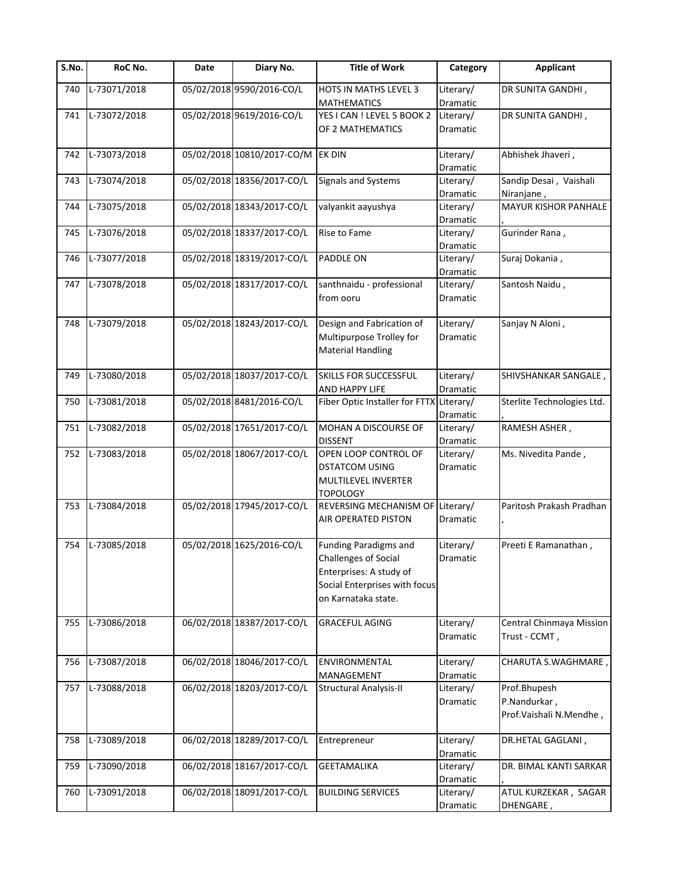| S.No. | <b>RoC No.</b> | Date | Diary No.                  | <b>Title of Work</b>                                                                                                                           | Category                     | <b>Applicant</b>                                          |
|-------|----------------|------|----------------------------|------------------------------------------------------------------------------------------------------------------------------------------------|------------------------------|-----------------------------------------------------------|
| 740   | L-73071/2018   |      | 05/02/2018 9590/2016-CO/L  | HOTS IN MATHS LEVEL 3<br><b>MATHEMATICS</b>                                                                                                    | Literary/<br>Dramatic        | DR SUNITA GANDHI,                                         |
| 741   | L-73072/2018   |      | 05/02/2018 9619/2016-CO/L  | YES I CAN ! LEVEL 5 BOOK 2<br>OF 2 MATHEMATICS                                                                                                 | Literary/<br>Dramatic        | DR SUNITA GANDHI,                                         |
| 742   | L-73073/2018   |      | 05/02/2018 10810/2017-CO/M | EK DIN                                                                                                                                         | Literary/<br>Dramatic        | Abhishek Jhaveri,                                         |
| 743   | L-73074/2018   |      | 05/02/2018 18356/2017-CO/L | <b>Signals and Systems</b>                                                                                                                     | Literary/<br>Dramatic        | Sandip Desai, Vaishali<br>Niranjane,                      |
| 744   | L-73075/2018   |      | 05/02/2018 18343/2017-CO/L | valyankit aayushya                                                                                                                             | Literary/<br>Dramatic        | MAYUR KISHOR PANHALE                                      |
| 745   | L-73076/2018   |      | 05/02/2018 18337/2017-CO/L | Rise to Fame                                                                                                                                   | Literary/<br>Dramatic        | Gurinder Rana,                                            |
| 746   | L-73077/2018   |      | 05/02/2018 18319/2017-CO/L | PADDLE ON                                                                                                                                      | Literary/<br>Dramatic        | Suraj Dokania,                                            |
| 747   | L-73078/2018   |      | 05/02/2018 18317/2017-CO/L | santhnaidu - professional<br>from ooru                                                                                                         | Literary/<br>Dramatic        | Santosh Naidu,                                            |
| 748   | L-73079/2018   |      | 05/02/2018 18243/2017-CO/L | Design and Fabrication of<br>Multipurpose Trolley for<br><b>Material Handling</b>                                                              | Literary/<br>Dramatic        | Sanjay N Aloni,                                           |
| 749   | L-73080/2018   |      | 05/02/2018 18037/2017-CO/L | SKILLS FOR SUCCESSFUL<br>AND HAPPY LIFE                                                                                                        | Literary/<br>Dramatic        | SHIVSHANKAR SANGALE,                                      |
| 750   | L-73081/2018   |      | 05/02/2018 8481/2016-CO/L  | Fiber Optic Installer for FTTX Literary/                                                                                                       | Dramatic                     | Sterlite Technologies Ltd.                                |
| 751   | L-73082/2018   |      | 05/02/2018 17651/2017-CO/L | MOHAN A DISCOURSE OF<br><b>DISSENT</b>                                                                                                         | Literary/<br>Dramatic        | RAMESH ASHER,                                             |
| 752   | L-73083/2018   |      | 05/02/2018 18067/2017-CO/L | OPEN LOOP CONTROL OF<br><b>DSTATCOM USING</b><br>MULTILEVEL INVERTER<br><b>TOPOLOGY</b>                                                        | Literary/<br>Dramatic        | Ms. Nivedita Pande,                                       |
| 753   | L-73084/2018   |      | 05/02/2018 17945/2017-CO/L | REVERSING MECHANISM OF<br><b>AIR OPERATED PISTON</b>                                                                                           | Literary/<br><b>Dramatic</b> | Paritosh Prakash Pradhan                                  |
| 754   | L-73085/2018   |      | 05/02/2018 1625/2016-CO/L  | <b>Funding Paradigms and</b><br><b>Challenges of Social</b><br>Enterprises: A study of<br>Social Enterprises with focus<br>on Karnataka state. | Literary/<br>Dramatic        | Preeti E Ramanathan,                                      |
| 755   | L-73086/2018   |      | 06/02/2018 18387/2017-CO/L | <b>GRACEFUL AGING</b>                                                                                                                          | Literary/<br>Dramatic        | Central Chinmaya Mission<br>Trust - CCMT,                 |
| 756   | L-73087/2018   |      | 06/02/2018 18046/2017-CO/L | <b>ENVIRONMENTAL</b><br>MANAGEMENT                                                                                                             | Literary/<br>Dramatic        | CHARUTA S.WAGHMARE                                        |
| 757   | L-73088/2018   |      | 06/02/2018 18203/2017-CO/L | <b>Structural Analysis-II</b>                                                                                                                  | Literary/<br>Dramatic        | Prof.Bhupesh<br>P.Nandurkar,<br>Prof. Vaishali N. Mendhe, |
| 758   | L-73089/2018   |      | 06/02/2018 18289/2017-CO/L | Entrepreneur                                                                                                                                   | Literary/<br>Dramatic        | DR.HETAL GAGLANI,                                         |
| 759   | L-73090/2018   |      | 06/02/2018 18167/2017-CO/L | <b>GEETAMALIKA</b>                                                                                                                             | Literary/<br>Dramatic        | DR. BIMAL KANTI SARKAR                                    |
| 760   | L-73091/2018   |      | 06/02/2018 18091/2017-CO/L | <b>BUILDING SERVICES</b>                                                                                                                       | Literary/<br>Dramatic        | ATUL KURZEKAR, SAGAR<br>DHENGARE,                         |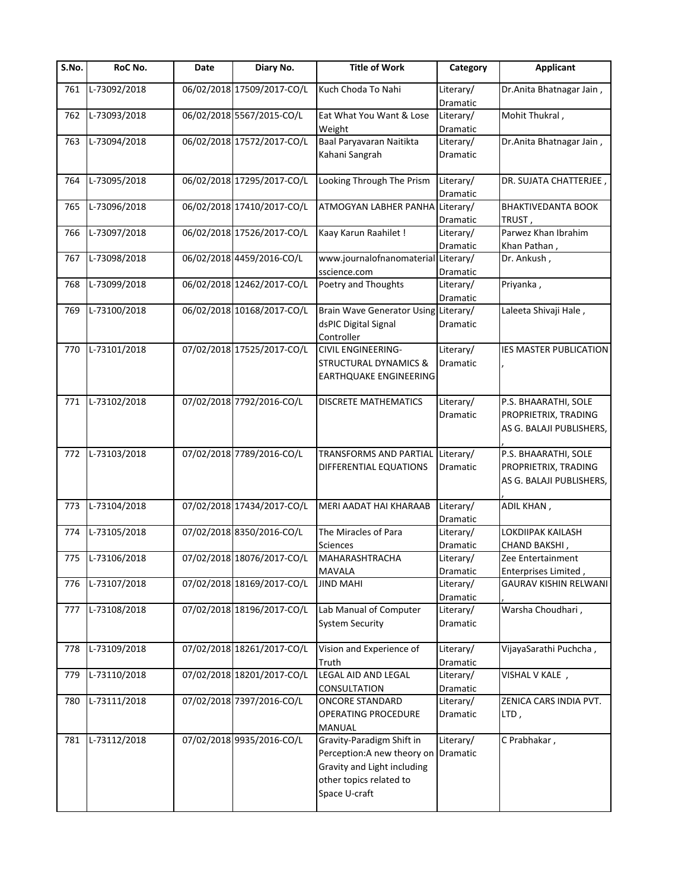| S.No. | RoC No.            | Date | Diary No.                  | <b>Title of Work</b>                       | Category              | <b>Applicant</b>                    |
|-------|--------------------|------|----------------------------|--------------------------------------------|-----------------------|-------------------------------------|
| 761   | L-73092/2018       |      | 06/02/2018 17509/2017-CO/L | Kuch Choda To Nahi                         | Literary/<br>Dramatic | Dr.Anita Bhatnagar Jain,            |
| 762   | L-73093/2018       |      | 06/02/2018 5567/2015-CO/L  | Eat What You Want & Lose                   | Literary/             | Mohit Thukral,                      |
|       |                    |      |                            | Weight                                     | Dramatic              |                                     |
| 763   | L-73094/2018       |      | 06/02/2018 17572/2017-CO/L | Baal Paryavaran Naitikta<br>Kahani Sangrah | Literary/<br>Dramatic | Dr. Anita Bhatnagar Jain,           |
|       |                    |      |                            |                                            |                       |                                     |
| 764   | L-73095/2018       |      | 06/02/2018 17295/2017-CO/L | Looking Through The Prism                  | Literary/<br>Dramatic | DR. SUJATA CHATTERJEE               |
| 765   | L-73096/2018       |      | 06/02/2018 17410/2017-CO/L | ATMOGYAN LABHER PANHA Literary/            |                       | <b>BHAKTIVEDANTA BOOK</b>           |
|       |                    |      |                            |                                            | Dramatic              | TRUST ,                             |
| 766   | L-73097/2018       |      | 06/02/2018 17526/2017-CO/L | Kaay Karun Raahilet !                      | Literary/<br>Dramatic | Parwez Khan Ibrahim<br>Khan Pathan, |
| 767   | L-73098/2018       |      | 06/02/2018 4459/2016-CO/L  | www.journalofnanomaterial Literary/        |                       | Dr. Ankush,                         |
|       |                    |      |                            | sscience.com                               | Dramatic              |                                     |
| 768   | L-73099/2018       |      | 06/02/2018 12462/2017-CO/L | Poetry and Thoughts                        | Literary/<br>Dramatic | Priyanka,                           |
| 769   | L-73100/2018       |      | 06/02/2018 10168/2017-CO/L | Brain Wave Generator Using Literary/       |                       | Laleeta Shivaji Hale,               |
|       |                    |      |                            | dsPIC Digital Signal                       | Dramatic              |                                     |
|       |                    |      |                            | Controller                                 |                       |                                     |
| 770   | L-73101/2018       |      | 07/02/2018 17525/2017-CO/L | <b>CIVIL ENGINEERING-</b>                  | Literary/             | IES MASTER PUBLICATION              |
|       |                    |      |                            | <b>STRUCTURAL DYNAMICS &amp;</b>           | <b>Dramatic</b>       |                                     |
|       |                    |      |                            | EARTHQUAKE ENGINEERING                     |                       |                                     |
|       |                    |      |                            |                                            |                       |                                     |
| 771   | L-73102/2018       |      | 07/02/2018 7792/2016-CO/L  | <b>DISCRETE MATHEMATICS</b>                | Literary/             | P.S. BHAARATHI, SOLE                |
|       |                    |      |                            |                                            | Dramatic              | PROPRIETRIX, TRADING                |
|       |                    |      |                            |                                            |                       | AS G. BALAJI PUBLISHERS,            |
| 772   | L-73103/2018       |      | 07/02/2018 7789/2016-CO/L  | TRANSFORMS AND PARTIAL                     | Literary/             | P.S. BHAARATHI, SOLE                |
|       |                    |      |                            | DIFFERENTIAL EQUATIONS                     | Dramatic              | PROPRIETRIX, TRADING                |
|       |                    |      |                            |                                            |                       | AS G. BALAJI PUBLISHERS,            |
| 773   | L-73104/2018       |      | 07/02/2018 17434/2017-CO/L | MERI AADAT HAI KHARAAB                     | Literary/             | ADIL KHAN,                          |
|       |                    |      |                            |                                            | Dramatic              |                                     |
| 774   | L-73105/2018       |      | 07/02/2018 8350/2016-CO/L  | The Miracles of Para                       | Literary/             | LOKDIIPAK KAILASH                   |
|       |                    |      |                            | <b>Sciences</b>                            | Dramatic              | CHAND BAKSHI,                       |
|       | 775   L-73106/2018 |      | 07/02/2018 18076/2017-CO/L | <b>MAHARASHTRACHA</b>                      | Literary/             | Zee Entertainment                   |
|       |                    |      |                            | MAVALA                                     | Dramatic              | Enterprises Limited                 |
| 776   | L-73107/2018       |      | 07/02/2018 18169/2017-CO/L | <b>JIND MAHI</b>                           | Literary/             | <b>GAURAV KISHIN RELWANI</b>        |
|       |                    |      |                            |                                            | Dramatic              |                                     |
| 777   | L-73108/2018       |      | 07/02/2018 18196/2017-CO/L | Lab Manual of Computer                     | Literary/             | Warsha Choudhari,                   |
|       |                    |      |                            | <b>System Security</b>                     | Dramatic              |                                     |
| 778   | L-73109/2018       |      | 07/02/2018 18261/2017-CO/L | Vision and Experience of                   | Literary/             | VijayaSarathi Puchcha,              |
|       |                    |      |                            | Truth                                      | Dramatic              |                                     |
| 779   | L-73110/2018       |      | 07/02/2018 18201/2017-CO/L | LEGAL AID AND LEGAL                        | Literary/             | VISHAL V KALE,                      |
|       |                    |      |                            | CONSULTATION                               | Dramatic              |                                     |
| 780   | L-73111/2018       |      | 07/02/2018 7397/2016-CO/L  | <b>ONCORE STANDARD</b>                     | Literary/             | ZENICA CARS INDIA PVT.              |
|       |                    |      |                            | <b>OPERATING PROCEDURE</b>                 | Dramatic              | LTD,                                |
| 781   | L-73112/2018       |      | 07/02/2018 9935/2016-CO/L  | <b>MANUAL</b><br>Gravity-Paradigm Shift in | Literary/             | C Prabhakar,                        |
|       |                    |      |                            | Perception: A new theory on                | Dramatic              |                                     |
|       |                    |      |                            | Gravity and Light including                |                       |                                     |
|       |                    |      |                            | other topics related to                    |                       |                                     |
|       |                    |      |                            | Space U-craft                              |                       |                                     |
|       |                    |      |                            |                                            |                       |                                     |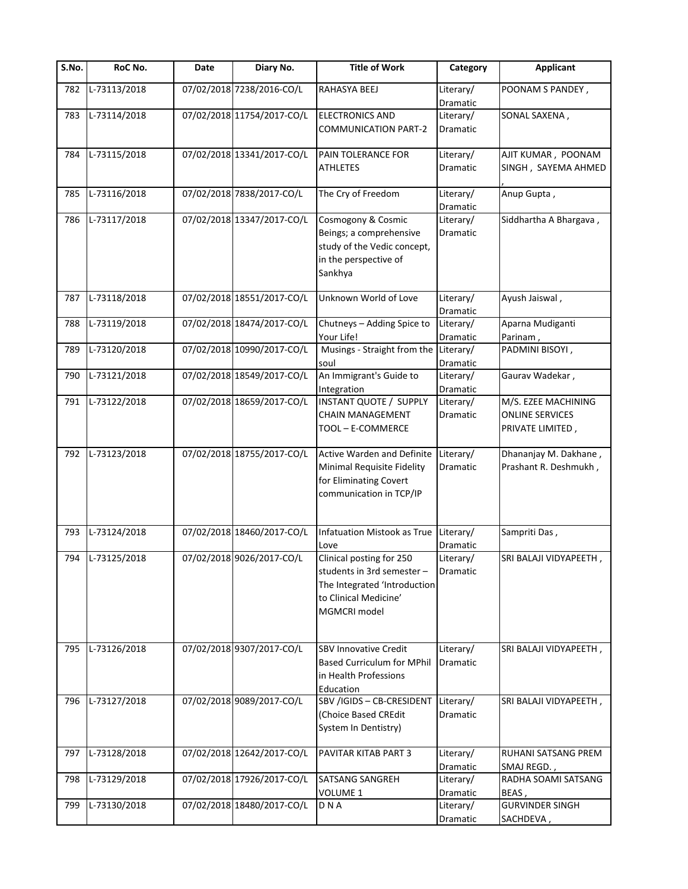| S.No. | RoC No.          | Date | Diary No.                  | <b>Title of Work</b>                                                                                                            | Category                     | <b>Applicant</b>                                                  |
|-------|------------------|------|----------------------------|---------------------------------------------------------------------------------------------------------------------------------|------------------------------|-------------------------------------------------------------------|
| 782   | L-73113/2018     |      | 07/02/2018 7238/2016-CO/L  | RAHASYA BEEJ                                                                                                                    | Literary/<br>Dramatic        | POONAM S PANDEY,                                                  |
| 783   | L-73114/2018     |      | 07/02/2018 11754/2017-CO/L | <b>ELECTRONICS AND</b><br><b>COMMUNICATION PART-2</b>                                                                           | Literary/<br><b>Dramatic</b> | SONAL SAXENA,                                                     |
| 784   | L-73115/2018     |      | 07/02/2018 13341/2017-CO/L | PAIN TOLERANCE FOR<br>ATHLETES                                                                                                  | Literary/<br>Dramatic        | AJIT KUMAR, POONAM<br>SINGH, SAYEMA AHMED                         |
| 785   | L-73116/2018     |      | 07/02/2018 7838/2017-CO/L  | The Cry of Freedom                                                                                                              | Literary/<br>Dramatic        | Anup Gupta,                                                       |
| 786   | L-73117/2018     |      | 07/02/2018 13347/2017-CO/L | Cosmogony & Cosmic<br>Beings; a comprehensive<br>study of the Vedic concept,<br>in the perspective of<br>Sankhya                | Literary/<br>Dramatic        | Siddhartha A Bhargava,                                            |
| 787   | L-73118/2018     |      | 07/02/2018 18551/2017-CO/L | Unknown World of Love                                                                                                           | Literary/<br>Dramatic        | Ayush Jaiswal,                                                    |
| 788   | L-73119/2018     |      | 07/02/2018 18474/2017-CO/L | Chutneys - Adding Spice to<br>Your Life!                                                                                        | Literary/<br>Dramatic        | Aparna Mudiganti<br>Parinam,                                      |
| 789   | L-73120/2018     |      | 07/02/2018 10990/2017-CO/L | Musings - Straight from the<br>soul                                                                                             | Literary/<br>Dramatic        | PADMINI BISOYI,                                                   |
| 790   | L-73121/2018     |      | 07/02/2018 18549/2017-CO/L | An Immigrant's Guide to<br>Integration                                                                                          | Literary/<br>Dramatic        | Gaurav Wadekar,                                                   |
| 791   | L-73122/2018     |      | 07/02/2018 18659/2017-CO/L | <b>INSTANT QUOTE / SUPPLY</b><br><b>CHAIN MANAGEMENT</b><br>TOOL - E-COMMERCE                                                   | Literary/<br>Dramatic        | M/S. EZEE MACHINING<br><b>ONLINE SERVICES</b><br>PRIVATE LIMITED, |
| 792   | L-73123/2018     |      | 07/02/2018 18755/2017-CO/L | Active Warden and Definite<br>Minimal Requisite Fidelity<br>for Eliminating Covert<br>communication in TCP/IP                   | Literary/<br>Dramatic        | Dhananjay M. Dakhane,<br>Prashant R. Deshmukh,                    |
| 793   | L-73124/2018     |      | 07/02/2018 18460/2017-CO/L | Infatuation Mistook as True<br>Love                                                                                             | Literary/<br>Dramatic        | Sampriti Das,                                                     |
|       | 794 L-73125/2018 |      | 07/02/2018 9026/2017-CO/L  | Clinical posting for 250<br>students in 3rd semester -<br>The Integrated 'Introduction<br>to Clinical Medicine'<br>MGMCRI model | Literary/<br>Dramatic        | SRI BALAJI VIDYAPEETH,                                            |
| 795   | L-73126/2018     |      | 07/02/2018 9307/2017-CO/L  | <b>SBV Innovative Credit</b><br><b>Based Curriculum for MPhil</b><br>in Health Professions<br>Education                         | Literary/<br>Dramatic        | SRI BALAJI VIDYAPEETH,                                            |
| 796   | L-73127/2018     |      | 07/02/2018 9089/2017-CO/L  | SBV /IGIDS - CB-CRESIDENT<br>(Choice Based CREdit<br>System In Dentistry)                                                       | Literary/<br>Dramatic        | SRI BALAJI VIDYAPEETH,                                            |
| 797   | L-73128/2018     |      | 07/02/2018 12642/2017-CO/L | PAVITAR KITAB PART 3                                                                                                            | Literary/<br>Dramatic        | RUHANI SATSANG PREM<br>SMAJ REGD.,                                |
| 798   | L-73129/2018     |      | 07/02/2018 17926/2017-CO/L | <b>SATSANG SANGREH</b><br>VOLUME 1                                                                                              | Literary/<br>Dramatic        | RADHA SOAMI SATSANG<br>BEAS,                                      |
| 799   | L-73130/2018     |      | 07/02/2018 18480/2017-CO/L | D N A                                                                                                                           | Literary/<br>Dramatic        | <b>GURVINDER SINGH</b><br>SACHDEVA,                               |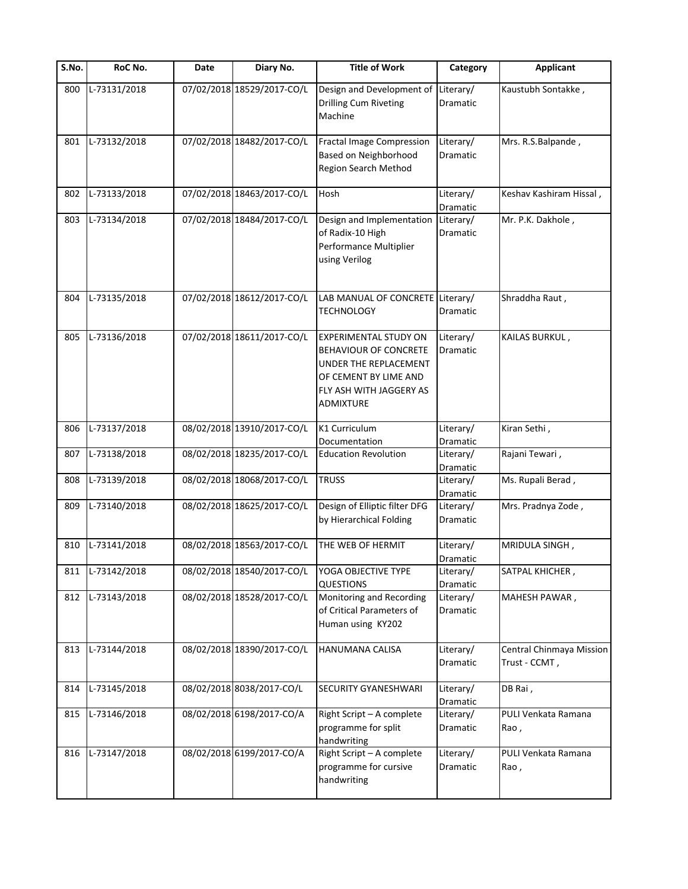| S.No. | RoC No.      | Date | Diary No.                  | <b>Title of Work</b>                                                                                                                            | Category              | <b>Applicant</b>                          |
|-------|--------------|------|----------------------------|-------------------------------------------------------------------------------------------------------------------------------------------------|-----------------------|-------------------------------------------|
| 800   | L-73131/2018 |      | 07/02/2018 18529/2017-CO/L | Design and Development of<br><b>Drilling Cum Riveting</b><br>Machine                                                                            | Literary/<br>Dramatic | Kaustubh Sontakke,                        |
| 801   | L-73132/2018 |      | 07/02/2018 18482/2017-CO/L | <b>Fractal Image Compression</b><br>Based on Neighborhood<br>Region Search Method                                                               | Literary/<br>Dramatic | Mrs. R.S.Balpande,                        |
| 802   | L-73133/2018 |      | 07/02/2018 18463/2017-CO/L | Hosh                                                                                                                                            | Literary/<br>Dramatic | Keshav Kashiram Hissal,                   |
| 803   | L-73134/2018 |      | 07/02/2018 18484/2017-CO/L | Design and Implementation<br>of Radix-10 High<br>Performance Multiplier<br>using Verilog                                                        | Literary/<br>Dramatic | Mr. P.K. Dakhole,                         |
| 804   | L-73135/2018 |      | 07/02/2018 18612/2017-CO/L | LAB MANUAL OF CONCRETE Literary/<br><b>TECHNOLOGY</b>                                                                                           | Dramatic              | Shraddha Raut,                            |
| 805   | L-73136/2018 |      | 07/02/2018 18611/2017-CO/L | <b>EXPERIMENTAL STUDY ON</b><br>BEHAVIOUR OF CONCRETE<br>UNDER THE REPLACEMENT<br>OF CEMENT BY LIME AND<br>FLY ASH WITH JAGGERY AS<br>ADMIXTURE | Literary/<br>Dramatic | KAILAS BURKUL,                            |
| 806   | L-73137/2018 |      | 08/02/2018 13910/2017-CO/L | K1 Curriculum<br>Documentation                                                                                                                  | Literary/<br>Dramatic | Kiran Sethi,                              |
| 807   | L-73138/2018 |      | 08/02/2018 18235/2017-CO/L | <b>Education Revolution</b>                                                                                                                     | Literary/<br>Dramatic | Rajani Tewari,                            |
| 808   | L-73139/2018 |      | 08/02/2018 18068/2017-CO/L | <b>TRUSS</b>                                                                                                                                    | Literary/<br>Dramatic | Ms. Rupali Berad,                         |
| 809   | L-73140/2018 |      | 08/02/2018 18625/2017-CO/L | Design of Elliptic filter DFG<br>by Hierarchical Folding                                                                                        | Literary/<br>Dramatic | Mrs. Pradnya Zode,                        |
| 810   | L-73141/2018 |      | 08/02/2018 18563/2017-CO/L | THE WEB OF HERMIT                                                                                                                               | Literary/<br>Dramatic | MRIDULA SINGH,                            |
| 811   | L-73142/2018 |      | 08/02/2018 18540/2017-CO/L | YOGA OBJECTIVE TYPE<br><b>QUESTIONS</b>                                                                                                         | Literary/<br>Dramatic | SATPAL KHICHER,                           |
| 812   | L-73143/2018 |      | 08/02/2018 18528/2017-CO/L | Monitoring and Recording<br>of Critical Parameters of<br>Human using KY202                                                                      | Literary/<br>Dramatic | MAHESH PAWAR,                             |
| 813   | L-73144/2018 |      | 08/02/2018 18390/2017-CO/L | HANUMANA CALISA                                                                                                                                 | Literary/<br>Dramatic | Central Chinmaya Mission<br>Trust - CCMT, |
| 814   | L-73145/2018 |      | 08/02/2018 8038/2017-CO/L  | SECURITY GYANESHWARI                                                                                                                            | Literary/<br>Dramatic | DB Rai,                                   |
| 815   | L-73146/2018 |      | 08/02/2018 6198/2017-CO/A  | Right Script - A complete<br>programme for split<br>handwriting                                                                                 | Literary/<br>Dramatic | PULI Venkata Ramana<br>Rao,               |
| 816   | L-73147/2018 |      | 08/02/2018 6199/2017-CO/A  | Right Script - A complete<br>programme for cursive<br>handwriting                                                                               | Literary/<br>Dramatic | PULI Venkata Ramana<br>Rao,               |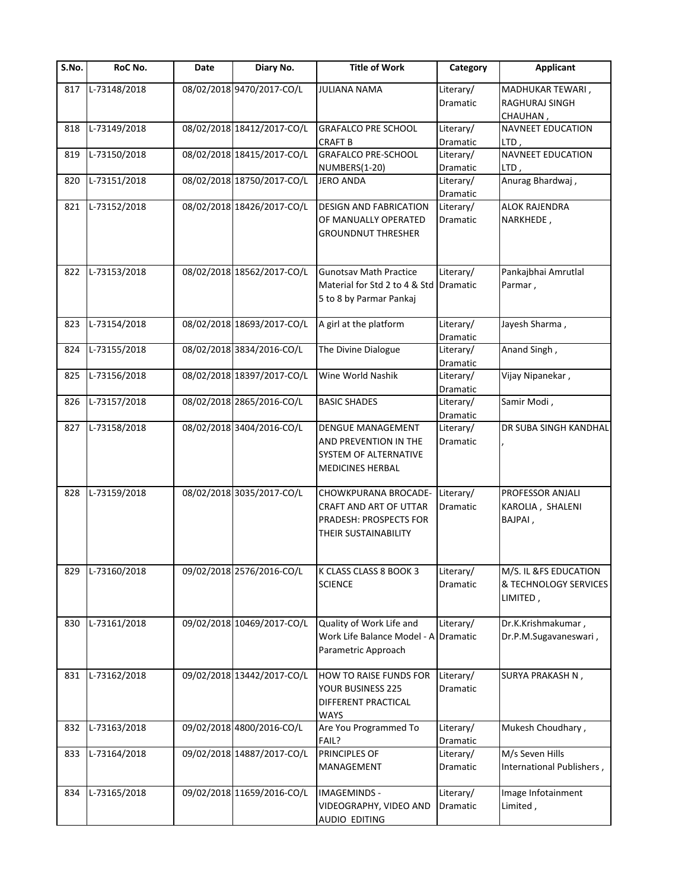| S.No. | RoC No.      | Date | Diary No.                  | <b>Title of Work</b>                                                                                  | Category                     | <b>Applicant</b>                                           |
|-------|--------------|------|----------------------------|-------------------------------------------------------------------------------------------------------|------------------------------|------------------------------------------------------------|
| 817   | L-73148/2018 |      | 08/02/2018 9470/2017-CO/L  | <b>JULIANA NAMA</b>                                                                                   | Literary/<br>Dramatic        | MADHUKAR TEWARI,<br>RAGHURAJ SINGH<br>CHAUHAN,             |
| 818   | L-73149/2018 |      | 08/02/2018 18412/2017-CO/L | <b>GRAFALCO PRE SCHOOL</b><br><b>CRAFT B</b>                                                          | Literary/<br>Dramatic        | <b>NAVNEET EDUCATION</b><br>LTD,                           |
| 819   | L-73150/2018 |      | 08/02/2018 18415/2017-CO/L | <b>GRAFALCO PRE-SCHOOL</b><br>NUMBERS(1-20)                                                           | Literary/<br>Dramatic        | <b>NAVNEET EDUCATION</b><br>LTD,                           |
| 820   | L-73151/2018 |      | 08/02/2018 18750/2017-CO/L | <b>JERO ANDA</b>                                                                                      | Literary/<br><b>Dramatic</b> | Anurag Bhardwaj,                                           |
| 821   | L-73152/2018 |      | 08/02/2018 18426/2017-CO/L | <b>DESIGN AND FABRICATION</b><br>OF MANUALLY OPERATED<br><b>GROUNDNUT THRESHER</b>                    | Literary/<br>Dramatic        | <b>ALOK RAJENDRA</b><br>NARKHEDE,                          |
| 822   | L-73153/2018 |      | 08/02/2018 18562/2017-CO/L | <b>Gunotsav Math Practice</b><br>Material for Std 2 to 4 & Std<br>5 to 8 by Parmar Pankaj             | Literary/<br><b>Dramatic</b> | Pankajbhai Amrutlal<br>Parmar,                             |
| 823   | L-73154/2018 |      | 08/02/2018 18693/2017-CO/L | A girl at the platform                                                                                | Literary/<br>Dramatic        | Jayesh Sharma,                                             |
| 824   | L-73155/2018 |      | 08/02/2018 3834/2016-CO/L  | The Divine Dialogue                                                                                   | Literary/<br>Dramatic        | Anand Singh,                                               |
| 825   | L-73156/2018 |      | 08/02/2018 18397/2017-CO/L | Wine World Nashik                                                                                     | Literary/<br>Dramatic        | Vijay Nipanekar,                                           |
| 826   | L-73157/2018 |      | 08/02/2018 2865/2016-CO/L  | <b>BASIC SHADES</b>                                                                                   | Literary/<br>Dramatic        | Samir Modi,                                                |
| 827   | L-73158/2018 |      | 08/02/2018 3404/2016-CO/L  | <b>DENGUE MANAGEMENT</b><br>AND PREVENTION IN THE<br>SYSTEM OF ALTERNATIVE<br><b>MEDICINES HERBAL</b> | Literary/<br>Dramatic        | DR SUBA SINGH KANDHAL                                      |
| 828   | L-73159/2018 |      | 08/02/2018 3035/2017-CO/L  | CHOWKPURANA BROCADE-<br>CRAFT AND ART OF UTTAR<br>PRADESH: PROSPECTS FOR<br>THEIR SUSTAINABILITY      | Literary/<br>Dramatic        | PROFESSOR ANJALI<br>KAROLIA, SHALENI<br>BAJPAI,            |
| 829   | L-73160/2018 |      | 09/02/2018 2576/2016-CO/L  | K CLASS CLASS 8 BOOK 3<br><b>SCIENCE</b>                                                              | Literary/<br>Dramatic        | M/S. IL &FS EDUCATION<br>& TECHNOLOGY SERVICES<br>LIMITED, |
| 830   | L-73161/2018 |      | 09/02/2018 10469/2017-CO/L | Quality of Work Life and<br>Work Life Balance Model - A<br>Parametric Approach                        | Literary/<br>Dramatic        | Dr.K.Krishmakumar,<br>Dr.P.M.Sugavaneswari,                |
| 831   | L-73162/2018 |      | 09/02/2018 13442/2017-CO/L | <b>HOW TO RAISE FUNDS FOR</b><br>YOUR BUSINESS 225<br>DIFFERENT PRACTICAL<br><b>WAYS</b>              | Literary/<br>Dramatic        | SURYA PRAKASH N,                                           |
| 832   | L-73163/2018 |      | 09/02/2018 4800/2016-CO/L  | Are You Programmed To<br>FAIL?                                                                        | Literary/<br>Dramatic        | Mukesh Choudhary,                                          |
| 833   | L-73164/2018 |      | 09/02/2018 14887/2017-CO/L | PRINCIPLES OF<br>MANAGEMENT                                                                           | Literary/<br>Dramatic        | M/s Seven Hills<br>International Publishers,               |
| 834   | L-73165/2018 |      | 09/02/2018 11659/2016-CO/L | <b>IMAGEMINDS -</b><br>VIDEOGRAPHY, VIDEO AND<br><b>AUDIO EDITING</b>                                 | Literary/<br>Dramatic        | Image Infotainment<br>Limited,                             |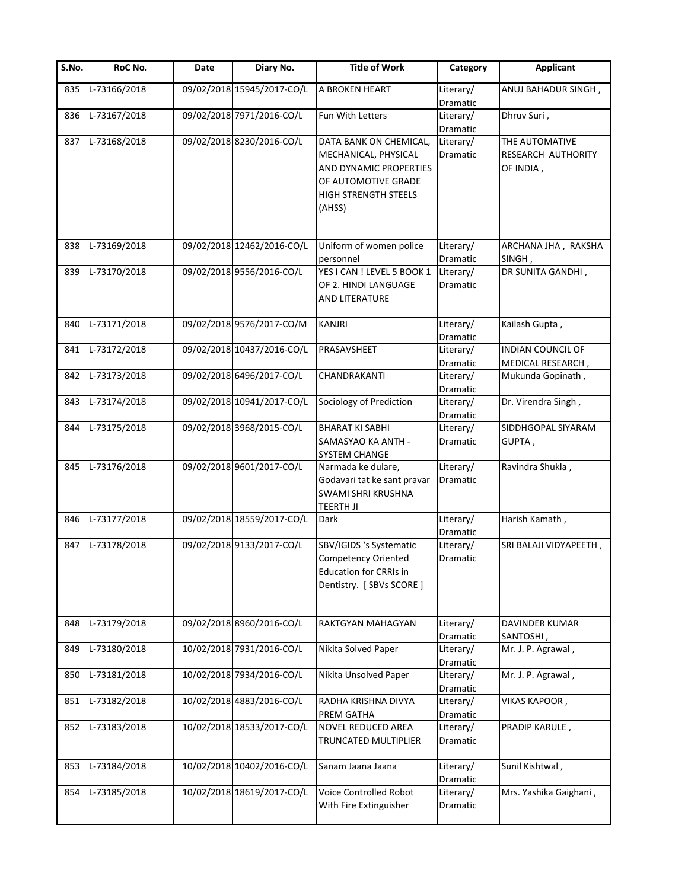| S.No. | RoC No.      | Date | Diary No.                  | <b>Title of Work</b>                                                                                           | Category                     | <b>Applicant</b>                |
|-------|--------------|------|----------------------------|----------------------------------------------------------------------------------------------------------------|------------------------------|---------------------------------|
| 835   | L-73166/2018 |      | 09/02/2018 15945/2017-CO/L | A BROKEN HEART                                                                                                 | Literary/<br>Dramatic        | ANUJ BAHADUR SINGH,             |
| 836   | L-73167/2018 |      | 09/02/2018 7971/2016-CO/L  | Fun With Letters                                                                                               | Literary/<br>Dramatic        | Dhruv Suri,                     |
| 837   | L-73168/2018 |      | 09/02/2018 8230/2016-CO/L  | DATA BANK ON CHEMICAL,                                                                                         | Literary/                    | THE AUTOMATIVE                  |
|       |              |      |                            | MECHANICAL, PHYSICAL<br>AND DYNAMIC PROPERTIES<br>OF AUTOMOTIVE GRADE<br><b>HIGH STRENGTH STEELS</b><br>(AHSS) | Dramatic                     | RESEARCH AUTHORITY<br>OF INDIA, |
| 838   | L-73169/2018 |      | 09/02/2018 12462/2016-CO/L | Uniform of women police                                                                                        | Literary/                    | ARCHANA JHA, RAKSHA             |
|       |              |      |                            | personnel                                                                                                      | Dramatic                     | SINGH,                          |
| 839   | L-73170/2018 |      | 09/02/2018 9556/2016-CO/L  | YES I CAN ! LEVEL 5 BOOK 1<br>OF 2. HINDI LANGUAGE<br><b>AND LITERATURE</b>                                    | Literary/<br><b>Dramatic</b> | DR SUNITA GANDHI,               |
| 840   | L-73171/2018 |      | 09/02/2018 9576/2017-CO/M  | <b>KANJRI</b>                                                                                                  | Literary/<br>Dramatic        | Kailash Gupta,                  |
| 841   | L-73172/2018 |      | 09/02/2018 10437/2016-CO/L | PRASAVSHEET                                                                                                    | Literary/                    | <b>INDIAN COUNCIL OF</b>        |
|       |              |      |                            |                                                                                                                | Dramatic                     | MEDICAL RESEARCH,               |
| 842   | L-73173/2018 |      | 09/02/2018 6496/2017-CO/L  | CHANDRAKANTI                                                                                                   | Literary/<br>Dramatic        | Mukunda Gopinath,               |
| 843   | L-73174/2018 |      | 09/02/2018 10941/2017-CO/L | Sociology of Prediction                                                                                        | Literary/<br>Dramatic        | Dr. Virendra Singh,             |
| 844   | L-73175/2018 |      | 09/02/2018 3968/2015-CO/L  | <b>BHARAT KI SABHI</b><br>SAMASYAO KA ANTH -<br>SYSTEM CHANGE                                                  | Literary/<br>Dramatic        | SIDDHGOPAL SIYARAM<br>GUPTA,    |
| 845   | L-73176/2018 |      | 09/02/2018 9601/2017-CO/L  | Narmada ke dulare,<br>Godavari tat ke sant pravar<br><b>SWAMI SHRI KRUSHNA</b><br><b>TEERTH JI</b>             | Literary/<br>Dramatic        | Ravindra Shukla,                |
| 846   | L-73177/2018 |      | 09/02/2018 18559/2017-CO/L | Dark                                                                                                           | Literary/<br>Dramatic        | Harish Kamath,                  |
| 847   | L-73178/2018 |      | 09/02/2018 9133/2017-CO/L  | SBV/IGIDS 's Systematic<br>Competency Oriented<br><b>Education for CRRIs in</b><br>Dentistry. [SBVs SCORE]     | Literary/<br>Dramatic        | SRI BALAJI VIDYAPEETH,          |
| 848   | L-73179/2018 |      | 09/02/2018 8960/2016-CO/L  | RAKTGYAN MAHAGYAN                                                                                              | Literary/<br>Dramatic        | DAVINDER KUMAR<br>SANTOSHI,     |
| 849   | L-73180/2018 |      | 10/02/2018 7931/2016-CO/L  | Nikita Solved Paper                                                                                            | Literary/<br>Dramatic        | Mr. J. P. Agrawal,              |
| 850   | L-73181/2018 |      | 10/02/2018 7934/2016-CO/L  | Nikita Unsolved Paper                                                                                          | Literary/<br>Dramatic        | Mr. J. P. Agrawal,              |
| 851   | L-73182/2018 |      | 10/02/2018 4883/2016-CO/L  | RADHA KRISHNA DIVYA<br>PREM GATHA                                                                              | Literary/<br>Dramatic        | VIKAS KAPOOR,                   |
| 852   | L-73183/2018 |      | 10/02/2018 18533/2017-CO/L | NOVEL REDUCED AREA<br>TRUNCATED MULTIPLIER                                                                     | Literary/<br>Dramatic        | PRADIP KARULE,                  |
| 853   | L-73184/2018 |      | 10/02/2018 10402/2016-CO/L | Sanam Jaana Jaana                                                                                              | Literary/<br>Dramatic        | Sunil Kishtwal,                 |
| 854   | L-73185/2018 |      | 10/02/2018 18619/2017-CO/L | Voice Controlled Robot<br>With Fire Extinguisher                                                               | Literary/<br>Dramatic        | Mrs. Yashika Gaighani,          |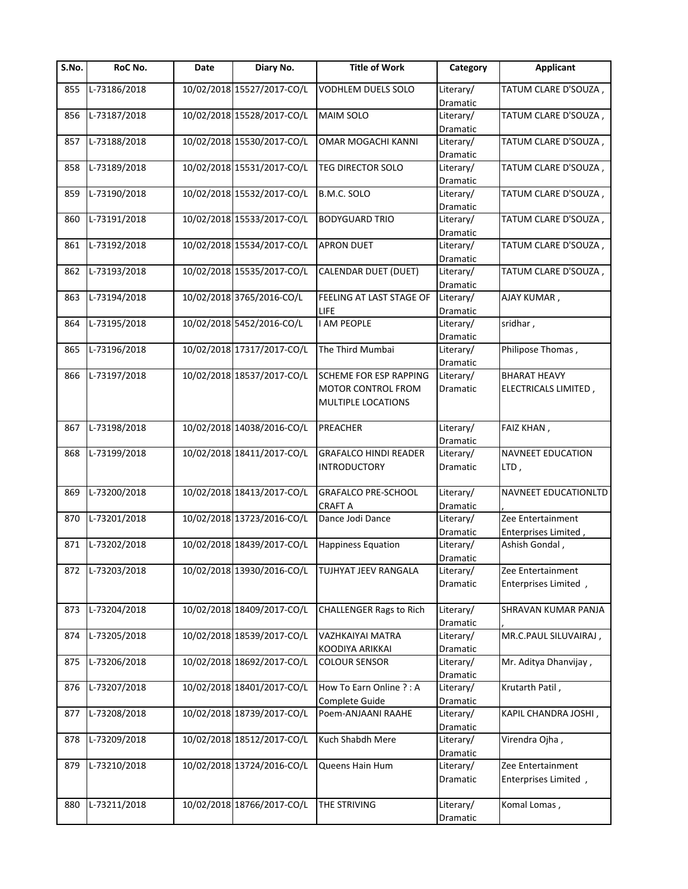| S.No. | RoC No.      | Date | Diary No.                  | <b>Title of Work</b>           | Category  | <b>Applicant</b>         |
|-------|--------------|------|----------------------------|--------------------------------|-----------|--------------------------|
| 855   | L-73186/2018 |      | 10/02/2018 15527/2017-CO/L | VODHLEM DUELS SOLO             | Literary/ | , TATUM CLARE D'SOUZA    |
|       |              |      |                            |                                | Dramatic  |                          |
| 856   | L-73187/2018 |      | 10/02/2018 15528/2017-CO/L | <b>MAIM SOLO</b>               | Literary/ | TATUM CLARE D'SOUZA,     |
|       |              |      |                            |                                | Dramatic  |                          |
| 857   | L-73188/2018 |      | 10/02/2018 15530/2017-CO/L | OMAR MOGACHI KANNI             | Literary/ | TATUM CLARE D'SOUZA,     |
|       |              |      |                            |                                | Dramatic  |                          |
| 858   | L-73189/2018 |      | 10/02/2018 15531/2017-CO/L | TEG DIRECTOR SOLO              | Literary/ | TATUM CLARE D'SOUZA,     |
|       |              |      |                            |                                | Dramatic  |                          |
| 859   | L-73190/2018 |      | 10/02/2018 15532/2017-CO/L | B.M.C. SOLO                    | Literary/ | TATUM CLARE D'SOUZA,     |
|       |              |      |                            |                                | Dramatic  |                          |
| 860   | L-73191/2018 |      | 10/02/2018 15533/2017-CO/L | <b>BODYGUARD TRIO</b>          | Literary/ | TATUM CLARE D'SOUZA,     |
|       |              |      |                            |                                | Dramatic  |                          |
| 861   | L-73192/2018 |      | 10/02/2018 15534/2017-CO/L | <b>APRON DUET</b>              | Literary/ | TATUM CLARE D'SOUZA,     |
|       |              |      |                            |                                | Dramatic  |                          |
| 862   | L-73193/2018 |      | 10/02/2018 15535/2017-CO/L | CALENDAR DUET (DUET)           | Literary/ | TATUM CLARE D'SOUZA,     |
|       |              |      |                            |                                | Dramatic  |                          |
| 863   | L-73194/2018 |      | 10/02/2018 3765/2016-CO/L  | FEELING AT LAST STAGE OF       | Literary/ | AJAY KUMAR,              |
|       |              |      |                            | LIFE                           | Dramatic  |                          |
| 864   | L-73195/2018 |      | 10/02/2018 5452/2016-CO/L  | <b>I AM PEOPLE</b>             | Literary/ | sridhar,                 |
|       |              |      |                            |                                | Dramatic  |                          |
| 865   | L-73196/2018 |      | 10/02/2018 17317/2017-CO/L | The Third Mumbai               | Literary/ | Philipose Thomas,        |
|       |              |      |                            |                                | Dramatic  |                          |
| 866   | L-73197/2018 |      | 10/02/2018 18537/2017-CO/L | SCHEME FOR ESP RAPPING         | Literary/ | <b>BHARAT HEAVY</b>      |
|       |              |      |                            | MOTOR CONTROL FROM             | Dramatic  | ELECTRICALS LIMITED,     |
|       |              |      |                            | <b>MULTIPLE LOCATIONS</b>      |           |                          |
|       |              |      |                            |                                |           |                          |
| 867   | L-73198/2018 |      | 10/02/2018 14038/2016-CO/L | <b>PREACHER</b>                | Literary/ | FAIZ KHAN,               |
|       |              |      |                            |                                | Dramatic  |                          |
|       | L-73199/2018 |      | 10/02/2018 18411/2017-CO/L |                                |           |                          |
| 868   |              |      |                            | <b>GRAFALCO HINDI READER</b>   | Literary/ | <b>NAVNEET EDUCATION</b> |
|       |              |      |                            | <b>INTRODUCTORY</b>            | Dramatic  | LTD,                     |
|       |              |      |                            |                                |           |                          |
| 869   | L-73200/2018 |      | 10/02/2018 18413/2017-CO/L | GRAFALCO PRE-SCHOOL            | Literary/ | NAVNEET EDUCATIONLTD     |
|       |              |      |                            | <b>CRAFT A</b>                 | Dramatic  |                          |
| 870   | L-73201/2018 |      | 10/02/2018 13723/2016-CO/L | Dance Jodi Dance               | Literary/ | Zee Entertainment        |
|       |              |      |                            |                                | Dramatic  | Enterprises Limited,     |
| 871   | L-73202/2018 |      | 10/02/2018 18439/2017-CO/L | <b>Happiness Equation</b>      | Literary/ | Ashish Gondal,           |
|       |              |      |                            |                                | Dramatic  |                          |
| 872   | L-73203/2018 |      | 10/02/2018 13930/2016-CO/L | <b>TUJHYAT JEEV RANGALA</b>    | Literary/ | Zee Entertainment        |
|       |              |      |                            |                                | Dramatic  | Enterprises Limited,     |
|       |              |      |                            |                                |           |                          |
| 873   | L-73204/2018 |      | 10/02/2018 18409/2017-CO/L | <b>CHALLENGER Rags to Rich</b> | Literary/ | SHRAVAN KUMAR PANJA      |
|       |              |      |                            |                                | Dramatic  |                          |
| 874   | L-73205/2018 |      | 10/02/2018 18539/2017-CO/L | VAZHKAIYAI MATRA               | Literary/ | MR.C.PAUL SILUVAIRAJ,    |
|       |              |      |                            | KOODIYA ARIKKAI                | Dramatic  |                          |
| 875   | L-73206/2018 |      | 10/02/2018 18692/2017-CO/L | <b>COLOUR SENSOR</b>           | Literary/ | Mr. Aditya Dhanvijay,    |
|       |              |      |                            |                                | Dramatic  |                          |
| 876   | L-73207/2018 |      | 10/02/2018 18401/2017-CO/L | How To Earn Online ? : A       | Literary/ | Krutarth Patil,          |
|       |              |      |                            | Complete Guide                 | Dramatic  |                          |
| 877   | L-73208/2018 |      | 10/02/2018 18739/2017-CO/L | Poem-ANJAANI RAAHE             | Literary/ | KAPIL CHANDRA JOSHI,     |
|       |              |      |                            |                                | Dramatic  |                          |
| 878   | L-73209/2018 |      | 10/02/2018 18512/2017-CO/L | Kuch Shabdh Mere               | Literary/ | Virendra Ojha,           |
|       |              |      |                            |                                | Dramatic  |                          |
| 879   | L-73210/2018 |      | 10/02/2018 13724/2016-CO/L | Queens Hain Hum                | Literary/ | Zee Entertainment        |
|       |              |      |                            |                                | Dramatic  | Enterprises Limited,     |
|       |              |      |                            |                                |           |                          |
| 880   | L-73211/2018 |      | 10/02/2018 18766/2017-CO/L | THE STRIVING                   | Literary/ | Komal Lomas,             |
|       |              |      |                            |                                | Dramatic  |                          |
|       |              |      |                            |                                |           |                          |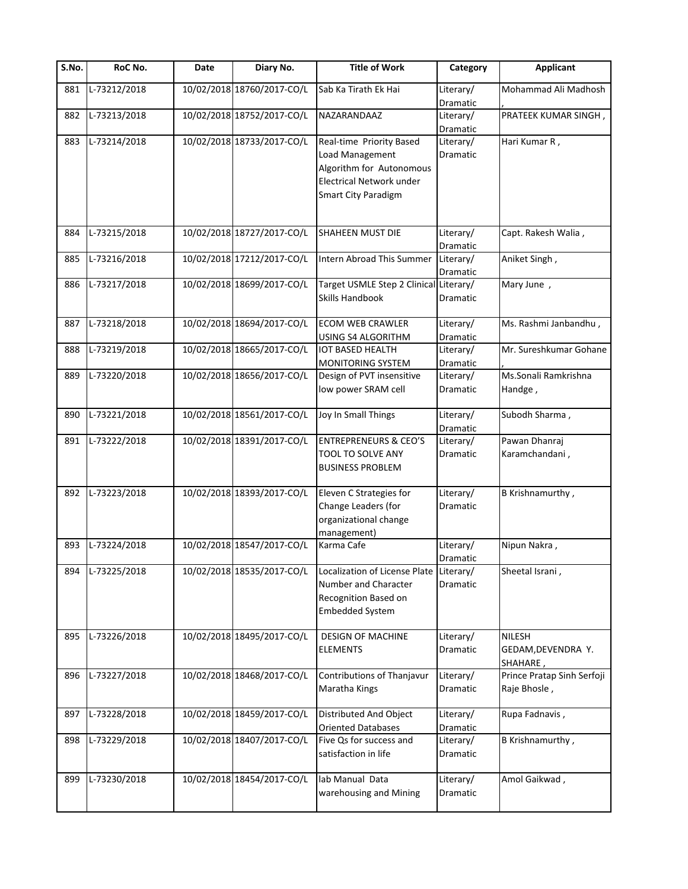| S.No. | RoC No.      | Date | Diary No.                  | <b>Title of Work</b>                                                                                                                     | Category              | <b>Applicant</b>                           |
|-------|--------------|------|----------------------------|------------------------------------------------------------------------------------------------------------------------------------------|-----------------------|--------------------------------------------|
| 881   | L-73212/2018 |      | 10/02/2018 18760/2017-CO/L | Sab Ka Tirath Ek Hai                                                                                                                     | Literary/<br>Dramatic | Mohammad Ali Madhosh                       |
| 882   | L-73213/2018 |      | 10/02/2018 18752/2017-CO/L | NAZARANDAAZ                                                                                                                              | Literary/<br>Dramatic | PRATEEK KUMAR SINGH,                       |
| 883   | L-73214/2018 |      | 10/02/2018 18733/2017-CO/L | Real-time Priority Based<br>Load Management<br>Algorithm for Autonomous<br><b>Electrical Network under</b><br><b>Smart City Paradigm</b> | Literary/<br>Dramatic | Hari Kumar R,                              |
| 884   | L-73215/2018 |      | 10/02/2018 18727/2017-CO/L | <b>SHAHEEN MUST DIE</b>                                                                                                                  | Literary/<br>Dramatic | Capt. Rakesh Walia,                        |
| 885   | L-73216/2018 |      | 10/02/2018 17212/2017-CO/L | Intern Abroad This Summer                                                                                                                | Literary/<br>Dramatic | Aniket Singh,                              |
| 886   | L-73217/2018 |      | 10/02/2018 18699/2017-CO/L | Target USMLE Step 2 Clinical Literary/<br>Skills Handbook                                                                                | Dramatic              | Mary June,                                 |
| 887   | L-73218/2018 |      | 10/02/2018 18694/2017-CO/L | <b>ECOM WEB CRAWLER</b><br>USING S4 ALGORITHM                                                                                            | Literary/<br>Dramatic | Ms. Rashmi Janbandhu,                      |
| 888   | L-73219/2018 |      | 10/02/2018 18665/2017-CO/L | <b>IOT BASED HEALTH</b><br><b>MONITORING SYSTEM</b>                                                                                      | Literary/<br>Dramatic | Mr. Sureshkumar Gohane                     |
| 889   | L-73220/2018 |      | 10/02/2018 18656/2017-CO/L | Design of PVT insensitive<br>low power SRAM cell                                                                                         | Literary/<br>Dramatic | Ms.Sonali Ramkrishna<br>Handge,            |
| 890   | L-73221/2018 |      | 10/02/2018 18561/2017-CO/L | Joy In Small Things                                                                                                                      | Literary/<br>Dramatic | Subodh Sharma,                             |
| 891   | L-73222/2018 |      | 10/02/2018 18391/2017-CO/L | <b>ENTREPRENEURS &amp; CEO'S</b><br>TOOL TO SOLVE ANY<br><b>BUSINESS PROBLEM</b>                                                         | Literary/<br>Dramatic | Pawan Dhanraj<br>Karamchandani,            |
| 892   | L-73223/2018 |      | 10/02/2018 18393/2017-CO/L | Eleven C Strategies for<br>Change Leaders (for<br>organizational change<br>management)                                                   | Literary/<br>Dramatic | B Krishnamurthy,                           |
| 893   | L-73224/2018 |      | 10/02/2018 18547/2017-CO/L | Karma Cafe                                                                                                                               | Literary/<br>Dramatic | Nipun Nakra,                               |
| 894   | L-73225/2018 |      | 10/02/2018 18535/2017-CO/L | Localization of License Plate Literary/<br>Number and Character<br>Recognition Based on<br><b>Embedded System</b>                        | Dramatic              | Sheetal Israni,                            |
| 895   | L-73226/2018 |      | 10/02/2018 18495/2017-CO/L | <b>DESIGN OF MACHINE</b><br><b>ELEMENTS</b>                                                                                              | Literary/<br>Dramatic | NILESH<br>GEDAM, DEVENDRA Y.<br>SHAHARE,   |
| 896   | L-73227/2018 |      | 10/02/2018 18468/2017-CO/L | Contributions of Thanjavur<br>Maratha Kings                                                                                              | Literary/<br>Dramatic | Prince Pratap Sinh Serfoji<br>Raje Bhosle, |
| 897   | L-73228/2018 |      | 10/02/2018 18459/2017-CO/L | Distributed And Object<br><b>Oriented Databases</b>                                                                                      | Literary/<br>Dramatic | Rupa Fadnavis,                             |
| 898   | L-73229/2018 |      | 10/02/2018 18407/2017-CO/L | Five Qs for success and<br>satisfaction in life                                                                                          | Literary/<br>Dramatic | B Krishnamurthy,                           |
| 899   | L-73230/2018 |      | 10/02/2018 18454/2017-CO/L | lab Manual Data<br>warehousing and Mining                                                                                                | Literary/<br>Dramatic | Amol Gaikwad,                              |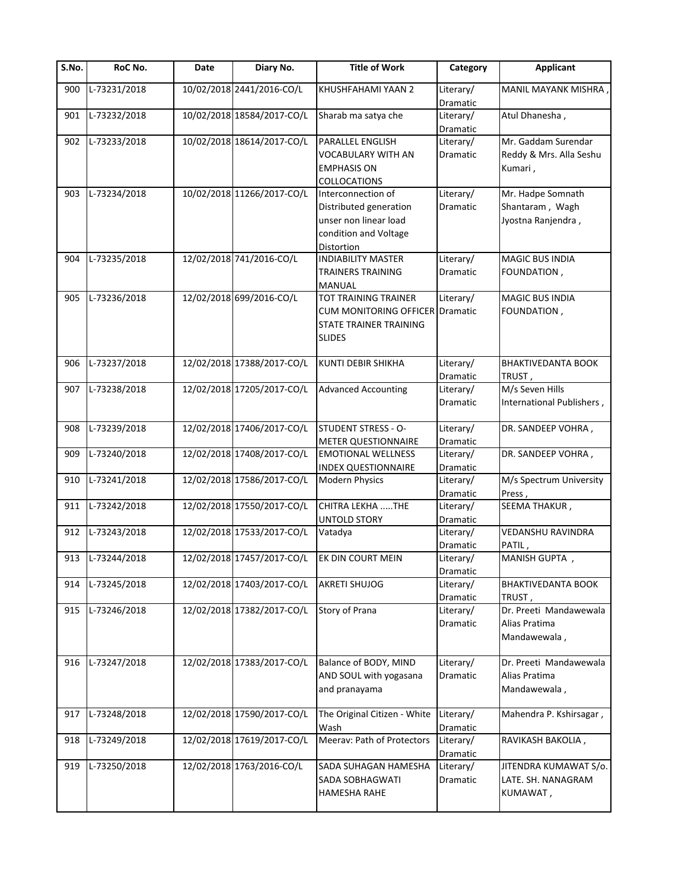| $\overline{S}$ .No. | RoC No.      | Date | Diary No.                  | <b>Title of Work</b>                                                                                         | Category                     | <b>Applicant</b>                                           |
|---------------------|--------------|------|----------------------------|--------------------------------------------------------------------------------------------------------------|------------------------------|------------------------------------------------------------|
| 900                 | L-73231/2018 |      | 10/02/2018 2441/2016-CO/L  | KHUSHFAHAMI YAAN 2                                                                                           | Literary/<br>Dramatic        | MANIL MAYANK MISHRA                                        |
| 901                 | L-73232/2018 |      | 10/02/2018 18584/2017-CO/L | Sharab ma satya che                                                                                          | Literary/<br>Dramatic        | Atul Dhanesha,                                             |
| 902                 | L-73233/2018 |      | 10/02/2018 18614/2017-CO/L | PARALLEL ENGLISH<br>VOCABULARY WITH AN<br><b>EMPHASIS ON</b><br>COLLOCATIONS                                 | Literary/<br>Dramatic        | Mr. Gaddam Surendar<br>Reddy & Mrs. Alla Seshu<br>Kumari,  |
| 903                 | L-73234/2018 |      | 10/02/2018 11266/2017-CO/L | Interconnection of<br>Distributed generation<br>unser non linear load<br>condition and Voltage<br>Distortion | Literary/<br><b>Dramatic</b> | Mr. Hadpe Somnath<br>Shantaram, Wagh<br>Jyostna Ranjendra, |
| 904                 | L-73235/2018 |      | 12/02/2018 741/2016-CO/L   | <b>INDIABILITY MASTER</b><br>TRAINERS TRAINING<br>MANUAL                                                     | Literary/<br>Dramatic        | MAGIC BUS INDIA<br>FOUNDATION,                             |
| 905                 | L-73236/2018 |      | 12/02/2018 699/2016-CO/L   | TOT TRAINING TRAINER<br>CUM MONITORING OFFICER Dramatic<br>STATE TRAINER TRAINING<br><b>SLIDES</b>           | Literary/                    | <b>MAGIC BUS INDIA</b><br>FOUNDATION,                      |
| 906                 | L-73237/2018 |      | 12/02/2018 17388/2017-CO/L | KUNTI DEBIR SHIKHA                                                                                           | Literary/<br>Dramatic        | <b>BHAKTIVEDANTA BOOK</b><br>, TRUST                       |
| 907                 | L-73238/2018 |      | 12/02/2018 17205/2017-CO/L | <b>Advanced Accounting</b>                                                                                   | Literary/<br>Dramatic        | M/s Seven Hills<br>International Publishers,               |
| 908                 | L-73239/2018 |      | 12/02/2018 17406/2017-CO/L | <b>STUDENT STRESS - O-</b><br>METER QUESTIONNAIRE                                                            | Literary/<br>Dramatic        | DR. SANDEEP VOHRA,                                         |
| 909                 | L-73240/2018 |      | 12/02/2018 17408/2017-CO/L | <b>EMOTIONAL WELLNESS</b><br><b>INDEX QUESTIONNAIRE</b>                                                      | Literary/<br>Dramatic        | DR. SANDEEP VOHRA,                                         |
| 910                 | L-73241/2018 |      | 12/02/2018 17586/2017-CO/L | <b>Modern Physics</b>                                                                                        | Literary/<br>Dramatic        | M/s Spectrum University<br>Press,                          |
| 911                 | L-73242/2018 |      | 12/02/2018 17550/2017-CO/L | CHITRA LEKHA THE<br>UNTOLD STORY                                                                             | Literary/<br>Dramatic        | SEEMA THAKUR,                                              |
| 912                 | L-73243/2018 |      | 12/02/2018 17533/2017-CO/L | Vatadya                                                                                                      | Literary/<br>Dramatic        | VEDANSHU RAVINDRA<br>PATIL,                                |
| 913                 | L-73244/2018 |      | 12/02/2018 17457/2017-CO/L | EK DIN COURT MEIN                                                                                            | Literary/<br>Dramatic        | MANISH GUPTA,                                              |
| 914                 | L-73245/2018 |      | 12/02/2018 17403/2017-CO/L | <b>AKRETI SHUJOG</b>                                                                                         | Literary/<br>Dramatic        | BHAKTIVEDANTA BOOK<br>TRUST,                               |
| 915                 | L-73246/2018 |      | 12/02/2018 17382/2017-CO/L | Story of Prana                                                                                               | Literary/<br>Dramatic        | Dr. Preeti Mandawewala<br>Alias Pratima<br>Mandawewala,    |
| 916                 | L-73247/2018 |      | 12/02/2018 17383/2017-CO/L | Balance of BODY, MIND<br>AND SOUL with yogasana<br>and pranayama                                             | Literary/<br>Dramatic        | Dr. Preeti Mandawewala<br>Alias Pratima<br>Mandawewala,    |
| 917                 | L-73248/2018 |      | 12/02/2018 17590/2017-CO/L | The Original Citizen - White<br>Wash                                                                         | Literary/<br>Dramatic        | Mahendra P. Kshirsagar,                                    |
| 918                 | L-73249/2018 |      | 12/02/2018 17619/2017-CO/L | Meerav: Path of Protectors                                                                                   | Literary/<br>Dramatic        | RAVIKASH BAKOLIA,                                          |
| 919                 | L-73250/2018 |      | 12/02/2018 1763/2016-CO/L  | SADA SUHAGAN HAMESHA<br>SADA SOBHAGWATI<br><b>HAMESHA RAHE</b>                                               | Literary/<br>Dramatic        | JITENDRA KUMAWAT S/o.<br>LATE. SH. NANAGRAM<br>KUMAWAT,    |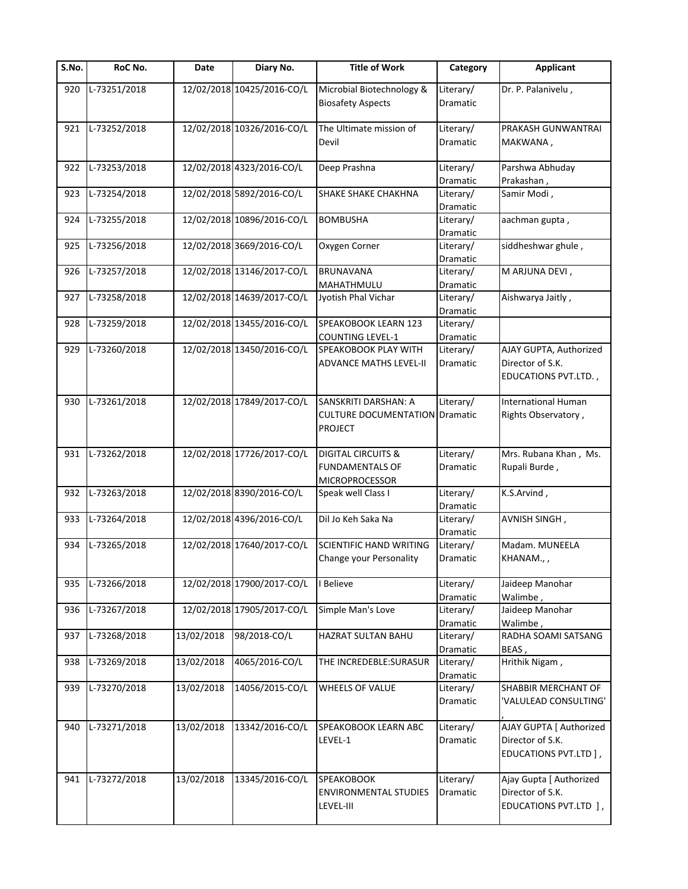| S.No. | RoC No.      | Date       | Diary No.                  | <b>Title of Work</b>                                                             | Category                          | <b>Applicant</b>                                                     |
|-------|--------------|------------|----------------------------|----------------------------------------------------------------------------------|-----------------------------------|----------------------------------------------------------------------|
| 920   | L-73251/2018 |            | 12/02/2018 10425/2016-CO/L | Microbial Biotechnology &<br><b>Biosafety Aspects</b>                            | Literary/<br>Dramatic             | Dr. P. Palanivelu,                                                   |
|       |              |            |                            |                                                                                  |                                   |                                                                      |
| 921   | L-73252/2018 |            | 12/02/2018 10326/2016-CO/L | The Ultimate mission of<br>Devil                                                 | Literary/<br>Dramatic             | PRAKASH GUNWANTRAI<br>MAKWANA,                                       |
| 922   | L-73253/2018 |            | 12/02/2018 4323/2016-CO/L  | Deep Prashna                                                                     | Literary/                         | Parshwa Abhuday                                                      |
| 923   | L-73254/2018 |            | 12/02/2018 5892/2016-CO/L  | <b>SHAKE SHAKE CHAKHNA</b>                                                       | Dramatic<br>Literary/<br>Dramatic | Prakashan,<br>Samir Modi,                                            |
| 924   | L-73255/2018 |            | 12/02/2018 10896/2016-CO/L | <b>BOMBUSHA</b>                                                                  | Literary/<br>Dramatic             | aachman gupta,                                                       |
| 925   | L-73256/2018 |            | 12/02/2018 3669/2016-CO/L  | Oxygen Corner                                                                    | Literary/<br>Dramatic             | siddheshwar ghule,                                                   |
| 926   | L-73257/2018 |            | 12/02/2018 13146/2017-CO/L | <b>BRUNAVANA</b><br>MAHATHMULU                                                   | Literary/<br>Dramatic             | M ARJUNA DEVI,                                                       |
| 927   | L-73258/2018 |            | 12/02/2018 14639/2017-CO/L | Jyotish Phal Vichar                                                              | Literary/<br>Dramatic             | Aishwarya Jaitly,                                                    |
| 928   | L-73259/2018 |            | 12/02/2018 13455/2016-CO/L | SPEAKOBOOK LEARN 123<br><b>COUNTING LEVEL-1</b>                                  | Literary/<br>Dramatic             |                                                                      |
| 929   | L-73260/2018 |            | 12/02/2018 13450/2016-CO/L | SPEAKOBOOK PLAY WITH<br><b>ADVANCE MATHS LEVEL-II</b>                            | Literary/<br>Dramatic             | AJAY GUPTA, Authorized<br>Director of S.K.                           |
|       |              |            |                            |                                                                                  |                                   | EDUCATIONS PVT.LTD.,                                                 |
| 930   | L-73261/2018 |            | 12/02/2018 17849/2017-CO/L | SANSKRITI DARSHAN: A<br><b>CULTURE DOCUMENTATION Dramatic</b><br><b>PROJECT</b>  | Literary/                         | <b>International Human</b><br>Rights Observatory,                    |
| 931   | L-73262/2018 |            | 12/02/2018 17726/2017-CO/L | <b>DIGITAL CIRCUITS &amp;</b><br><b>FUNDAMENTALS OF</b><br><b>MICROPROCESSOR</b> | Literary/<br>Dramatic             | Mrs. Rubana Khan, Ms.<br>Rupali Burde,                               |
| 932   | L-73263/2018 |            | 12/02/2018 8390/2016-CO/L  | Speak well Class I                                                               | Literary/<br>Dramatic             | K.S.Arvind,                                                          |
| 933   | L-73264/2018 |            | 12/02/2018 4396/2016-CO/L  | Dil Jo Keh Saka Na                                                               | Literary/<br>Dramatic             | AVNISH SINGH,                                                        |
| 934   | L-73265/2018 |            | 12/02/2018 17640/2017-CO/L | <b>SCIENTIFIC HAND WRITING</b><br>Change your Personality                        | Literary/<br>Dramatic             | Madam. MUNEELA<br>KHANAM.,,                                          |
| 935   | L-73266/2018 |            | 12/02/2018 17900/2017-CO/L | <b>Believe</b>                                                                   | Literary/                         | Jaideep Manohar                                                      |
| 936   | L-73267/2018 |            | 12/02/2018 17905/2017-CO/L | Simple Man's Love                                                                | Dramatic<br>Literary/<br>Dramatic | Walimbe,<br>Jaideep Manohar<br>Walimbe,                              |
| 937   | L-73268/2018 | 13/02/2018 | 98/2018-CO/L               | HAZRAT SULTAN BAHU                                                               | Literary/<br>Dramatic             | RADHA SOAMI SATSANG<br>BEAS,                                         |
| 938   | L-73269/2018 | 13/02/2018 | 4065/2016-CO/L             | THE INCREDEBLE: SURASUR                                                          | Literary/<br>Dramatic             | Hrithik Nigam,                                                       |
| 939   | L-73270/2018 | 13/02/2018 | 14056/2015-CO/L            | <b>WHEELS OF VALUE</b>                                                           | Literary/<br>Dramatic             | SHABBIR MERCHANT OF<br>'VALULEAD CONSULTING'                         |
| 940   | L-73271/2018 | 13/02/2018 | 13342/2016-CO/L            | SPEAKOBOOK LEARN ABC<br>LEVEL-1                                                  | Literary/<br>Dramatic             | AJAY GUPTA [ Authorized<br>Director of S.K.<br>EDUCATIONS PVT.LTD ], |
| 941   | L-73272/2018 | 13/02/2018 | 13345/2016-CO/L            | <b>SPEAKOBOOK</b><br><b>ENVIRONMENTAL STUDIES</b><br>LEVEL-III                   | Literary/<br>Dramatic             | Ajay Gupta [ Authorized<br>Director of S.K.<br>EDUCATIONS PVT.LTD ], |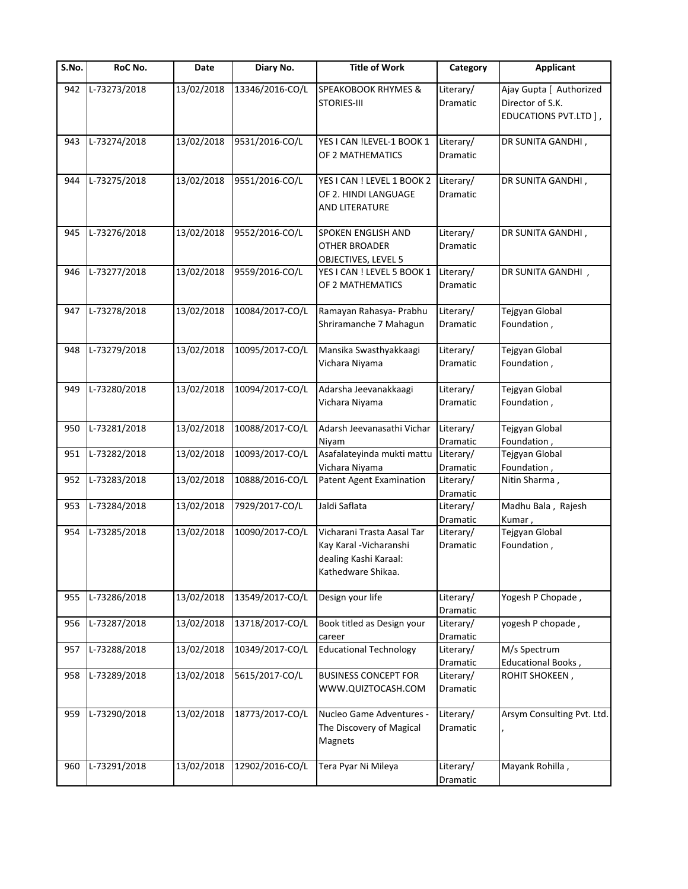| S.No. | RoC No.      | Date       | Diary No.       | <b>Title of Work</b>                                                                                 | Category                     | <b>Applicant</b>                                                     |
|-------|--------------|------------|-----------------|------------------------------------------------------------------------------------------------------|------------------------------|----------------------------------------------------------------------|
| 942   | L-73273/2018 | 13/02/2018 | 13346/2016-CO/L | <b>SPEAKOBOOK RHYMES &amp;</b><br><b>STORIES-III</b>                                                 | Literary/<br>Dramatic        | Ajay Gupta [ Authorized<br>Director of S.K.<br>EDUCATIONS PVT.LTD ], |
| 943   | L-73274/2018 | 13/02/2018 | 9531/2016-CO/L  | YES I CAN !LEVEL-1 BOOK 1                                                                            | Literary/                    | DR SUNITA GANDHI,                                                    |
|       |              |            |                 | OF 2 MATHEMATICS                                                                                     | Dramatic                     |                                                                      |
| 944   | L-73275/2018 | 13/02/2018 | 9551/2016-CO/L  | YES I CAN ! LEVEL 1 BOOK 2<br>OF 2. HINDI LANGUAGE                                                   | Literary/<br><b>Dramatic</b> | DR SUNITA GANDHI,                                                    |
| 945   | L-73276/2018 | 13/02/2018 | 9552/2016-CO/L  | AND LITERATURE<br>SPOKEN ENGLISH AND                                                                 | Literary/                    | DR SUNITA GANDHI,                                                    |
|       |              |            |                 | <b>OTHER BROADER</b><br>OBJECTIVES, LEVEL 5                                                          | Dramatic                     |                                                                      |
| 946   | L-73277/2018 | 13/02/2018 | 9559/2016-CO/L  | YES I CAN ! LEVEL 5 BOOK 1<br>OF 2 MATHEMATICS                                                       | Literary/<br>Dramatic        | DR SUNITA GANDHI,                                                    |
| 947   | L-73278/2018 | 13/02/2018 | 10084/2017-CO/L | Ramayan Rahasya- Prabhu<br>Shriramanche 7 Mahagun                                                    | Literary/<br>Dramatic        | Tejgyan Global<br>Foundation,                                        |
| 948   | L-73279/2018 | 13/02/2018 | 10095/2017-CO/L | Mansika Swasthyakkaagi<br>Vichara Niyama                                                             | Literary/<br>Dramatic        | Tejgyan Global<br>Foundation,                                        |
| 949   | L-73280/2018 | 13/02/2018 | 10094/2017-CO/L | Adarsha Jeevanakkaagi<br>Vichara Niyama                                                              | Literary/<br>Dramatic        | Tejgyan Global<br>Foundation,                                        |
| 950   | L-73281/2018 | 13/02/2018 | 10088/2017-CO/L | Adarsh Jeevanasathi Vichar<br>Niyam                                                                  | Literary/<br>Dramatic        | Tejgyan Global<br>Foundation,                                        |
| 951   | L-73282/2018 | 13/02/2018 | 10093/2017-CO/L | Asafalateyinda mukti mattu<br>Vichara Niyama                                                         | Literary/<br>Dramatic        | Tejgyan Global<br>Foundation,                                        |
| 952   | L-73283/2018 | 13/02/2018 | 10888/2016-CO/L | <b>Patent Agent Examination</b>                                                                      | Literary/<br>Dramatic        | Nitin Sharma,                                                        |
| 953   | L-73284/2018 | 13/02/2018 | 7929/2017-CO/L  | Jaldi Saflata                                                                                        | Literary/<br>Dramatic        | Madhu Bala, Rajesh<br>Kumar,                                         |
| 954   | L-73285/2018 | 13/02/2018 | 10090/2017-CO/L | Vicharani Trasta Aasal Tar<br>Kay Karal - Vicharanshi<br>dealing Kashi Karaal:<br>Kathedware Shikaa. | Literary/<br>Dramatic        | Tejgyan Global<br>Foundation,                                        |
| 955   | L-73286/2018 | 13/02/2018 | 13549/2017-CO/L | Design your life                                                                                     | Literary/<br>Dramatic        | Yogesh P Chopade,                                                    |
| 956   | L-73287/2018 | 13/02/2018 | 13718/2017-CO/L | Book titled as Design your<br>career                                                                 | Literary/<br>Dramatic        | yogesh P chopade,                                                    |
| 957   | L-73288/2018 | 13/02/2018 | 10349/2017-CO/L | <b>Educational Technology</b>                                                                        | Literary/<br>Dramatic        | M/s Spectrum<br>Educational Books,                                   |
| 958   | L-73289/2018 | 13/02/2018 | 5615/2017-CO/L  | <b>BUSINESS CONCEPT FOR</b><br>WWW.QUIZTOCASH.COM                                                    | Literary/<br>Dramatic        | ROHIT SHOKEEN,                                                       |
| 959   | L-73290/2018 | 13/02/2018 | 18773/2017-CO/L | Nucleo Game Adventures -<br>The Discovery of Magical<br>Magnets                                      | Literary/<br>Dramatic        | Arsym Consulting Pvt. Ltd.                                           |
| 960   | L-73291/2018 | 13/02/2018 | 12902/2016-CO/L | Tera Pyar Ni Mileya                                                                                  | Literary/<br>Dramatic        | Mayank Rohilla,                                                      |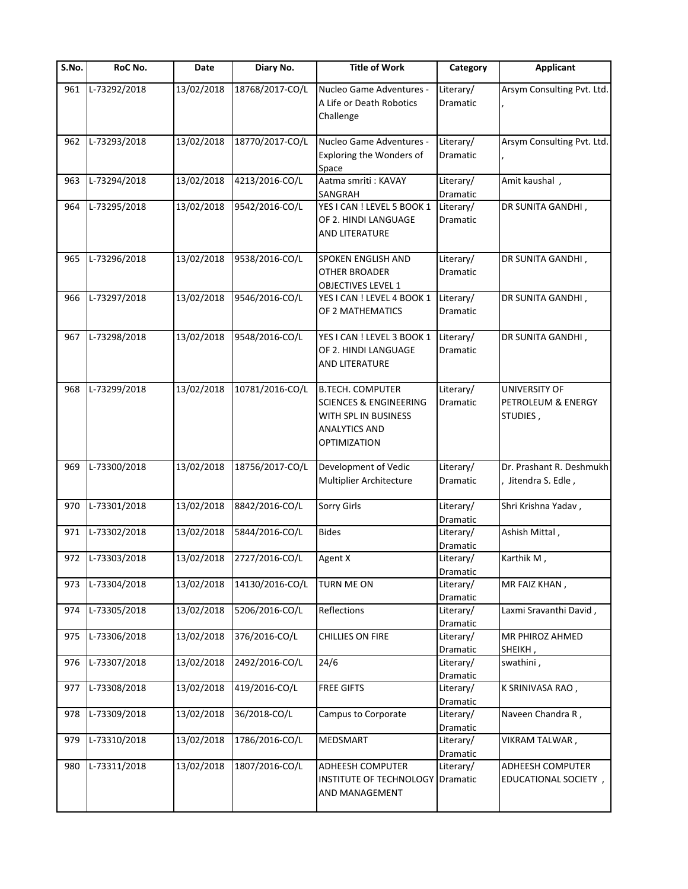| S.No. | RoC No.                   | Date       | Diary No.       | <b>Title of Work</b>                                                                                                                | Category                     | <b>Applicant</b>                                |
|-------|---------------------------|------------|-----------------|-------------------------------------------------------------------------------------------------------------------------------------|------------------------------|-------------------------------------------------|
| 961   | $\overline{L-73292/2018}$ | 13/02/2018 | 18768/2017-CO/L | Nucleo Game Adventures -<br>A Life or Death Robotics<br>Challenge                                                                   | Literary/<br>Dramatic        | Arsym Consulting Pvt. Ltd.                      |
| 962   | L-73293/2018              | 13/02/2018 | 18770/2017-CO/L | Nucleo Game Adventures -<br>Exploring the Wonders of<br>Space                                                                       | Literary/<br>Dramatic        | Arsym Consulting Pvt. Ltd.                      |
| 963   | L-73294/2018              | 13/02/2018 | 4213/2016-CO/L  | Aatma smriti: KAVAY<br>SANGRAH                                                                                                      | Literary/<br>Dramatic        | Amit kaushal,                                   |
| 964   | L-73295/2018              | 13/02/2018 | 9542/2016-CO/L  | YES I CAN ! LEVEL 5 BOOK 1<br>OF 2. HINDI LANGUAGE<br>AND LITERATURE                                                                | Literary/<br><b>Dramatic</b> | DR SUNITA GANDHI,                               |
| 965   | L-73296/2018              | 13/02/2018 | 9538/2016-CO/L  | SPOKEN ENGLISH AND<br><b>OTHER BROADER</b><br><b>OBJECTIVES LEVEL 1</b>                                                             | Literary/<br>Dramatic        | DR SUNITA GANDHI,                               |
| 966   | L-73297/2018              | 13/02/2018 | 9546/2016-CO/L  | YES I CAN ! LEVEL 4 BOOK 1<br>OF 2 MATHEMATICS                                                                                      | Literary/<br><b>Dramatic</b> | DR SUNITA GANDHI,                               |
| 967   | L-73298/2018              | 13/02/2018 | 9548/2016-CO/L  | YES I CAN ! LEVEL 3 BOOK 1<br>OF 2. HINDI LANGUAGE<br>AND LITERATURE                                                                | Literary/<br>Dramatic        | DR SUNITA GANDHI,                               |
| 968   | L-73299/2018              | 13/02/2018 | 10781/2016-CO/L | <b>B.TECH. COMPUTER</b><br><b>SCIENCES &amp; ENGINEERING</b><br>WITH SPL IN BUSINESS<br><b>ANALYTICS AND</b><br><b>OPTIMIZATION</b> | Literary/<br>Dramatic        | UNIVERSITY OF<br>PETROLEUM & ENERGY<br>STUDIES, |
| 969   | L-73300/2018              | 13/02/2018 | 18756/2017-CO/L | Development of Vedic<br>Multiplier Architecture                                                                                     | Literary/<br>Dramatic        | Dr. Prashant R. Deshmukh<br>Jitendra S. Edle,   |
| 970   | L-73301/2018              | 13/02/2018 | 8842/2016-CO/L  | <b>Sorry Girls</b>                                                                                                                  | Literary/<br>Dramatic        | Shri Krishna Yadav,                             |
| 971   | L-73302/2018              | 13/02/2018 | 5844/2016-CO/L  | <b>Bides</b>                                                                                                                        | Literary/<br>Dramatic        | Ashish Mittal,                                  |
|       | 972 L-73303/2018          | 13/02/2018 | 2727/2016-CO/L  | Agent X                                                                                                                             | Literary/<br>Dramatic        | Karthik M,                                      |
| 973   | L-73304/2018              | 13/02/2018 | 14130/2016-CO/L | <b>TURN ME ON</b>                                                                                                                   | Literary/<br>Dramatic        | MR FAIZ KHAN,                                   |
| 974   | L-73305/2018              | 13/02/2018 | 5206/2016-CO/L  | Reflections                                                                                                                         | Literary/<br>Dramatic        | Laxmi Sravanthi David,                          |
| 975   | L-73306/2018              | 13/02/2018 | 376/2016-CO/L   | CHILLIES ON FIRE                                                                                                                    | Literary/<br>Dramatic        | MR PHIROZ AHMED<br>SHEIKH,                      |
| 976   | L-73307/2018              | 13/02/2018 | 2492/2016-CO/L  | 24/6                                                                                                                                | Literary/<br>Dramatic        | swathini,                                       |
| 977   | L-73308/2018              | 13/02/2018 | 419/2016-CO/L   | <b>FREE GIFTS</b>                                                                                                                   | Literary/<br>Dramatic        | K SRINIVASA RAO,                                |
| 978   | L-73309/2018              | 13/02/2018 | 36/2018-CO/L    | Campus to Corporate                                                                                                                 | Literary/<br>Dramatic        | Naveen Chandra R,                               |
| 979   | L-73310/2018              | 13/02/2018 | 1786/2016-CO/L  | MEDSMART                                                                                                                            | Literary/<br>Dramatic        | VIKRAM TALWAR,                                  |
| 980   | L-73311/2018              | 13/02/2018 | 1807/2016-CO/L  | ADHEESH COMPUTER<br><b>INSTITUTE OF TECHNOLOGY Dramatic</b><br>AND MANAGEMENT                                                       | Literary/                    | ADHEESH COMPUTER<br>EDUCATIONAL SOCIETY,        |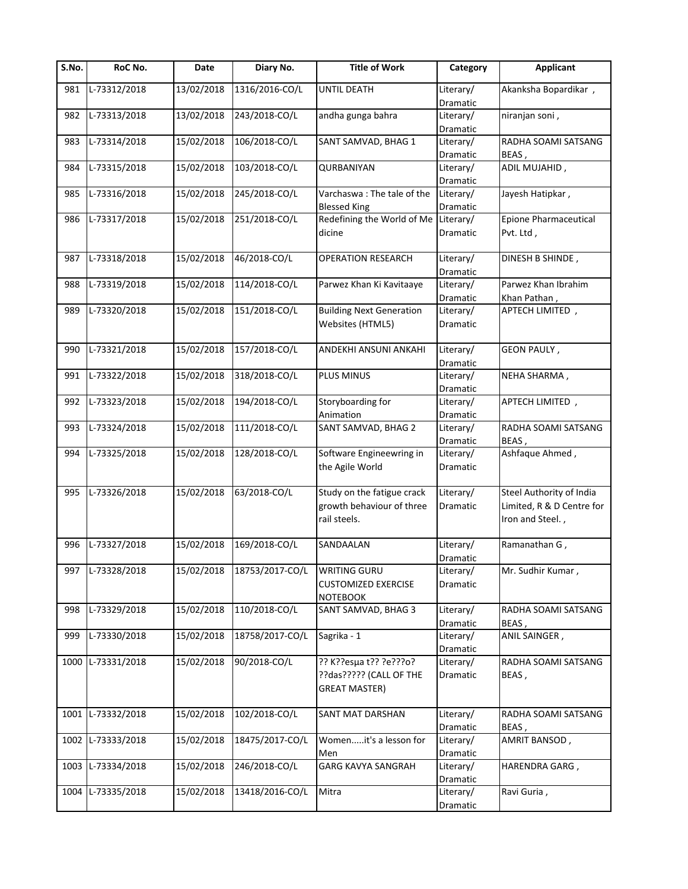| $\overline{\mathsf{S}}$ . No. | RoC No.           | Date       | Diary No.       | <b>Title of Work</b>                 | Category              | <b>Applicant</b>             |
|-------------------------------|-------------------|------------|-----------------|--------------------------------------|-----------------------|------------------------------|
| 981                           | L-73312/2018      | 13/02/2018 | 1316/2016-CO/L  | UNTIL DEATH                          | Literary/             | Akanksha Bopardikar,         |
|                               |                   |            |                 |                                      | Dramatic              |                              |
| 982                           | L-73313/2018      | 13/02/2018 | 243/2018-CO/L   | andha gunga bahra                    | Literary/             | niranjan soni,               |
|                               |                   |            |                 |                                      | Dramatic              |                              |
| 983                           | L-73314/2018      | 15/02/2018 | 106/2018-CO/L   | SANT SAMVAD, BHAG 1                  | Literary/             | RADHA SOAMI SATSANG          |
|                               |                   |            |                 |                                      | Dramatic              | BEAS,                        |
| 984                           | L-73315/2018      | 15/02/2018 | 103/2018-CO/L   | QURBANIYAN                           | Literary/             | ADIL MUJAHID,                |
|                               |                   |            |                 |                                      | Dramatic              |                              |
| 985                           | L-73316/2018      | 15/02/2018 | 245/2018-CO/L   | Varchaswa: The tale of the           | Literary/             | Jayesh Hatipkar,             |
|                               |                   |            |                 | <b>Blessed King</b>                  | Dramatic              |                              |
| 986                           | L-73317/2018      | 15/02/2018 | 251/2018-CO/L   | Redefining the World of Me Literary/ |                       | <b>Epione Pharmaceutical</b> |
|                               |                   |            |                 | dicine                               | Dramatic              | Pvt. Ltd,                    |
| 987                           | L-73318/2018      | 15/02/2018 | 46/2018-CO/L    | <b>OPERATION RESEARCH</b>            | Literary/             | DINESH B SHINDE,             |
|                               |                   |            |                 |                                      | Dramatic              |                              |
| 988                           | L-73319/2018      | 15/02/2018 | 114/2018-CO/L   | Parwez Khan Ki Kavitaaye             | Literary/             | Parwez Khan Ibrahim          |
|                               |                   |            |                 |                                      | Dramatic              | Khan Pathan,                 |
| 989                           | L-73320/2018      | 15/02/2018 | 151/2018-CO/L   | <b>Building Next Generation</b>      | Literary/             | APTECH LIMITED,              |
|                               |                   |            |                 | Websites (HTML5)                     | Dramatic              |                              |
|                               |                   |            |                 |                                      |                       |                              |
| 990                           | L-73321/2018      | 15/02/2018 | 157/2018-CO/L   | ANDEKHI ANSUNI ANKAHI                | Literary/             | <b>GEON PAULY,</b>           |
|                               |                   |            |                 |                                      | Dramatic              |                              |
| 991                           | L-73322/2018      | 15/02/2018 | 318/2018-CO/L   | PLUS MINUS                           | Literary/             | NEHA SHARMA,                 |
|                               |                   |            |                 |                                      | Dramatic              |                              |
| 992                           | L-73323/2018      | 15/02/2018 | 194/2018-CO/L   | Storyboarding for                    | Literary/             | APTECH LIMITED,              |
|                               |                   |            |                 | Animation                            |                       |                              |
| 993                           | L-73324/2018      | 15/02/2018 | 111/2018-CO/L   | SANT SAMVAD, BHAG 2                  | Dramatic<br>Literary/ | RADHA SOAMI SATSANG          |
|                               |                   |            |                 |                                      |                       | BEAS,                        |
|                               | L-73325/2018      |            | 128/2018-CO/L   |                                      | Dramatic              |                              |
| 994                           |                   | 15/02/2018 |                 | Software Engineewring in             | Literary/             | Ashfaque Ahmed,              |
|                               |                   |            |                 | the Agile World                      | Dramatic              |                              |
| 995                           | L-73326/2018      | 15/02/2018 | 63/2018-CO/L    | Study on the fatigue crack           | Literary/             | Steel Authority of India     |
|                               |                   |            |                 | growth behaviour of three            | Dramatic              | Limited, R & D Centre for    |
|                               |                   |            |                 | rail steels.                         |                       | Iron and Steel.,             |
|                               |                   |            |                 |                                      |                       |                              |
| 996                           | L-73327/2018      | 15/02/2018 | 169/2018-CO/L   | SANDAALAN                            | Literary/             | Ramanathan G,                |
|                               |                   |            |                 |                                      | Dramatic              |                              |
| 997                           | L-73328/2018      | 15/02/2018 | 18753/2017-CO/L | <b>WRITING GURU</b>                  | Literary/             | Mr. Sudhir Kumar,            |
|                               |                   |            |                 | <b>CUSTOMIZED EXERCISE</b>           | Dramatic              |                              |
|                               |                   |            |                 | <b>NOTEBOOK</b>                      |                       |                              |
| 998                           | L-73329/2018      | 15/02/2018 | 110/2018-CO/L   | SANT SAMVAD, BHAG 3                  | Literary/             | RADHA SOAMI SATSANG          |
|                               |                   |            |                 |                                      | Dramatic              | BEAS,                        |
| 999                           | L-73330/2018      | 15/02/2018 | 18758/2017-CO/L | Sagrika - 1                          | Literary/             | ANIL SAINGER,                |
|                               |                   |            |                 |                                      | Dramatic              |                              |
| 1000                          | L-73331/2018      | 15/02/2018 | 90/2018-CO/L    | ?? K??esµa t?? ?e???o?               | Literary/             | RADHA SOAMI SATSANG          |
|                               |                   |            |                 | ??das????? (CALL OF THE              | Dramatic              | BEAS,                        |
|                               |                   |            |                 | <b>GREAT MASTER)</b>                 |                       |                              |
|                               |                   |            |                 |                                      |                       |                              |
| 1001                          | L-73332/2018      | 15/02/2018 | 102/2018-CO/L   | SANT MAT DARSHAN                     | Literary/             | RADHA SOAMI SATSANG          |
|                               |                   |            |                 |                                      | Dramatic              | BEAS,                        |
| 1002                          | L-73333/2018      | 15/02/2018 | 18475/2017-CO/L | Womenit's a lesson for               | Literary/             | AMRIT BANSOD,                |
|                               |                   |            |                 | Men                                  | Dramatic              |                              |
| 1003                          | L-73334/2018      | 15/02/2018 | 246/2018-CO/L   | <b>GARG KAVYA SANGRAH</b>            | Literary/             | HARENDRA GARG,               |
|                               |                   |            |                 |                                      | Dramatic              |                              |
|                               | 1004 L-73335/2018 | 15/02/2018 | 13418/2016-CO/L | Mitra                                | Literary/             | Ravi Guria,                  |
|                               |                   |            |                 |                                      | Dramatic              |                              |
|                               |                   |            |                 |                                      |                       |                              |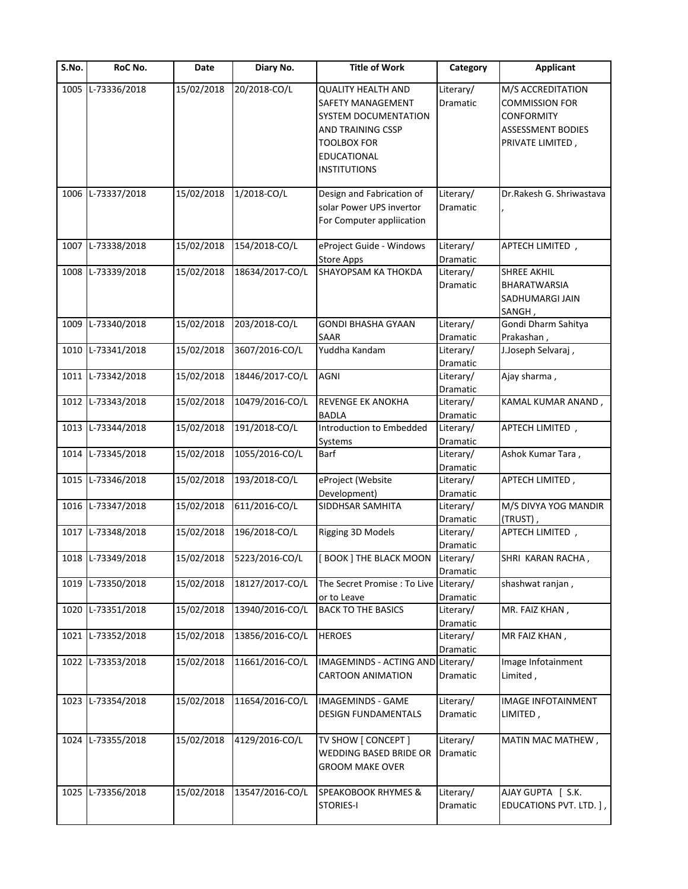| $\overline{\mathsf{S}}$ . No. | RoC No.           | Date       | Diary No.       | <b>Title of Work</b>                                                                        | Category                          | <b>Applicant</b>                                                                            |
|-------------------------------|-------------------|------------|-----------------|---------------------------------------------------------------------------------------------|-----------------------------------|---------------------------------------------------------------------------------------------|
|                               | 1005 L-73336/2018 | 15/02/2018 | 20/2018-CO/L    | <b>QUALITY HEALTH AND</b><br>SAFETY MANAGEMENT<br>SYSTEM DOCUMENTATION<br>AND TRAINING CSSP | Literary/<br>Dramatic             | M/S ACCREDITATION<br><b>COMMISSION FOR</b><br><b>CONFORMITY</b><br><b>ASSESSMENT BODIES</b> |
|                               |                   |            |                 | <b>TOOLBOX FOR</b><br>EDUCATIONAL<br><b>INSTITUTIONS</b>                                    |                                   | PRIVATE LIMITED,                                                                            |
|                               | 1006 L-73337/2018 | 15/02/2018 | 1/2018-CO/L     | Design and Fabrication of<br>solar Power UPS invertor<br>For Computer appliication          | Literary/<br>Dramatic             | Dr.Rakesh G. Shriwastava                                                                    |
|                               | 1007 L-73338/2018 | 15/02/2018 | 154/2018-CO/L   | eProject Guide - Windows<br><b>Store Apps</b>                                               | Literary/<br>Dramatic             | APTECH LIMITED,                                                                             |
|                               | 1008 L-73339/2018 | 15/02/2018 | 18634/2017-CO/L | SHAYOPSAM KA THOKDA                                                                         | Literary/<br>Dramatic             | <b>SHREE AKHIL</b><br><b>BHARATWARSIA</b><br>SADHUMARGI JAIN<br>SANGH,                      |
| 1009                          | L-73340/2018      | 15/02/2018 | 203/2018-CO/L   | <b>GONDI BHASHA GYAAN</b>                                                                   | Literary/                         | Gondi Dharm Sahitya                                                                         |
| 1010                          | L-73341/2018      | 15/02/2018 | 3607/2016-CO/L  | SAAR<br>Yuddha Kandam                                                                       | Dramatic<br>Literary/<br>Dramatic | Prakashan,<br>J.Joseph Selvaraj,                                                            |
|                               | 1011 L-73342/2018 | 15/02/2018 | 18446/2017-CO/L | <b>AGNI</b>                                                                                 | Literary/<br>Dramatic             | Ajay sharma,                                                                                |
|                               | 1012 L-73343/2018 | 15/02/2018 | 10479/2016-CO/L | REVENGE EK ANOKHA<br><b>BADLA</b>                                                           | Literary/<br>Dramatic             | KAMAL KUMAR ANAND,                                                                          |
|                               | 1013 L-73344/2018 | 15/02/2018 | 191/2018-CO/L   | Introduction to Embedded<br>Systems                                                         | Literary/<br>Dramatic             | APTECH LIMITED,                                                                             |
|                               | 1014 L-73345/2018 | 15/02/2018 | 1055/2016-CO/L  | Barf                                                                                        | Literary/<br>Dramatic             | Ashok Kumar Tara,                                                                           |
|                               | 1015 L-73346/2018 | 15/02/2018 | 193/2018-CO/L   | eProject (Website<br>Development)                                                           | Literary/<br>Dramatic             | APTECH LIMITED,                                                                             |
|                               | 1016 L-73347/2018 | 15/02/2018 | 611/2016-CO/L   | SIDDHSAR SAMHITA                                                                            | Literary/<br>Dramatic             | M/S DIVYA YOG MANDIR<br>(TRUST),                                                            |
|                               | 1017 L-73348/2018 | 15/02/2018 | 196/2018-CO/L   | Rigging 3D Models                                                                           | Literary/<br>Dramatic             | APTECH LIMITED,                                                                             |
|                               | 1018 L-73349/2018 | 15/02/2018 | 5223/2016-CO/L  | <b>BOOK   THE BLACK MOON</b>                                                                | Literary/<br>Dramatic             | SHRI KARAN RACHA,                                                                           |
| 1019                          | L-73350/2018      | 15/02/2018 | 18127/2017-CO/L | The Secret Promise : To Live<br>or to Leave                                                 | Literary/<br>Dramatic             | shashwat ranjan,                                                                            |
| 1020                          | L-73351/2018      | 15/02/2018 | 13940/2016-CO/L | <b>BACK TO THE BASICS</b>                                                                   | Literary/<br>Dramatic             | MR. FAIZ KHAN,                                                                              |
| 1021                          | L-73352/2018      | 15/02/2018 | 13856/2016-CO/L | <b>HEROES</b>                                                                               | Literary/<br>Dramatic             | MR FAIZ KHAN,                                                                               |
|                               | 1022 L-73353/2018 | 15/02/2018 | 11661/2016-CO/L | IMAGEMINDS - ACTING AND Literary/<br><b>CARTOON ANIMATION</b>                               | Dramatic                          | Image Infotainment<br>Limited,                                                              |
|                               | 1023 L-73354/2018 | 15/02/2018 | 11654/2016-CO/L | <b>IMAGEMINDS - GAME</b><br><b>DESIGN FUNDAMENTALS</b>                                      | Literary/<br>Dramatic             | <b>IMAGE INFOTAINMENT</b><br>LIMITED,                                                       |
|                               | 1024 L-73355/2018 | 15/02/2018 | 4129/2016-CO/L  | TV SHOW [ CONCEPT ]<br><b>WEDDING BASED BRIDE OR</b><br><b>GROOM MAKE OVER</b>              | Literary/<br>Dramatic             | MATIN MAC MATHEW,                                                                           |
|                               | 1025 L-73356/2018 | 15/02/2018 | 13547/2016-CO/L | SPEAKOBOOK RHYMES &<br><b>STORIES-I</b>                                                     | Literary/<br>Dramatic             | AJAY GUPTA [ S.K.<br>EDUCATIONS PVT. LTD. ],                                                |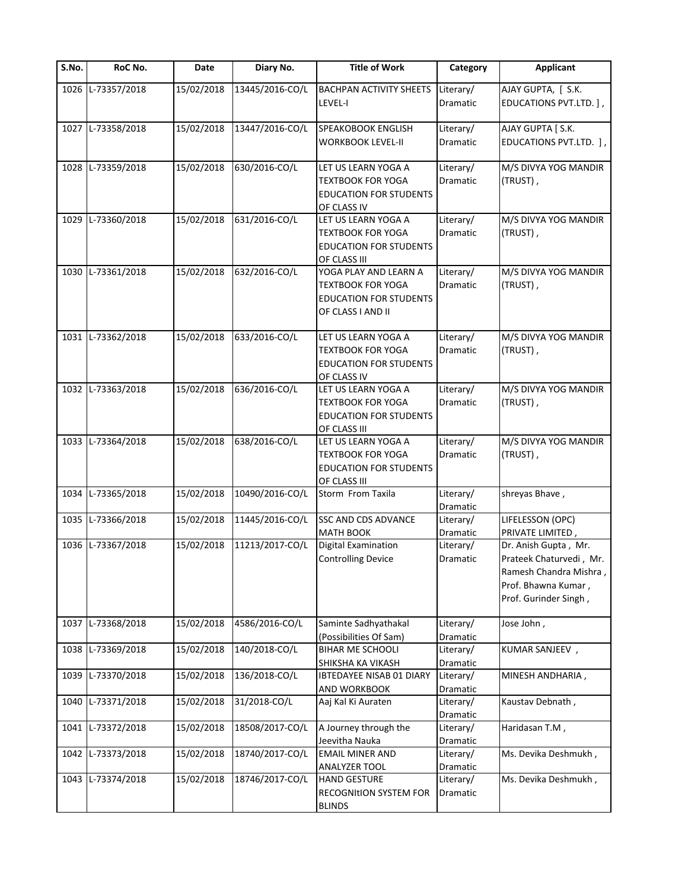| S.No. | RoC No.           | Date       | Diary No.       | <b>Title of Work</b>            | Category  | <b>Applicant</b>                             |
|-------|-------------------|------------|-----------------|---------------------------------|-----------|----------------------------------------------|
|       | 1026 L-73357/2018 | 15/02/2018 | 13445/2016-CO/L | <b>BACHPAN ACTIVITY SHEETS</b>  | Literary/ | AJAY GUPTA, [ S.K.                           |
|       |                   |            |                 | LEVEL-I                         | Dramatic  | EDUCATIONS PVT.LTD. ],                       |
|       | 1027 L-73358/2018 | 15/02/2018 | 13447/2016-CO/L | SPEAKOBOOK ENGLISH              | Literary/ | AJAY GUPTA [ S.K.                            |
|       |                   |            |                 | <b>WORKBOOK LEVEL-II</b>        | Dramatic  | EDUCATIONS PVT.LTD. ],                       |
|       | 1028 L-73359/2018 | 15/02/2018 | 630/2016-CO/L   | LET US LEARN YOGA A             | Literary/ | M/S DIVYA YOG MANDIR                         |
|       |                   |            |                 | <b>TEXTBOOK FOR YOGA</b>        | Dramatic  | (TRUST),                                     |
|       |                   |            |                 | <b>EDUCATION FOR STUDENTS</b>   |           |                                              |
|       |                   |            |                 | OF CLASS IV                     |           |                                              |
|       | 1029 L-73360/2018 | 15/02/2018 | 631/2016-CO/L   | LET US LEARN YOGA A             | Literary/ | M/S DIVYA YOG MANDIR                         |
|       |                   |            |                 | <b>TEXTBOOK FOR YOGA</b>        | Dramatic  | (TRUST),                                     |
|       |                   |            |                 | <b>EDUCATION FOR STUDENTS</b>   |           |                                              |
|       |                   |            |                 | OF CLASS III                    |           |                                              |
| 1030  | L-73361/2018      | 15/02/2018 | 632/2016-CO/L   | YOGA PLAY AND LEARN A           | Literary/ | M/S DIVYA YOG MANDIR                         |
|       |                   |            |                 | <b>TEXTBOOK FOR YOGA</b>        | Dramatic  | (TRUST),                                     |
|       |                   |            |                 | <b>EDUCATION FOR STUDENTS</b>   |           |                                              |
|       |                   |            |                 | OF CLASS I AND II               |           |                                              |
|       | 1031 L-73362/2018 |            |                 | LET US LEARN YOGA A             | Literary/ |                                              |
|       |                   | 15/02/2018 | 633/2016-CO/L   | <b>TEXTBOOK FOR YOGA</b>        | Dramatic  | M/S DIVYA YOG MANDIR<br>(TRUST),             |
|       |                   |            |                 | <b>EDUCATION FOR STUDENTS</b>   |           |                                              |
|       |                   |            |                 | OF CLASS IV                     |           |                                              |
|       | 1032 L-73363/2018 | 15/02/2018 | 636/2016-CO/L   | LET US LEARN YOGA A             | Literary/ | M/S DIVYA YOG MANDIR                         |
|       |                   |            |                 | <b>TEXTBOOK FOR YOGA</b>        | Dramatic  | (TRUST),                                     |
|       |                   |            |                 | <b>EDUCATION FOR STUDENTS</b>   |           |                                              |
|       |                   |            |                 | OF CLASS III                    |           |                                              |
|       | 1033 L-73364/2018 | 15/02/2018 | 638/2016-CO/L   | LET US LEARN YOGA A             | Literary/ | M/S DIVYA YOG MANDIR                         |
|       |                   |            |                 | <b>TEXTBOOK FOR YOGA</b>        | Dramatic  | (TRUST),                                     |
|       |                   |            |                 | <b>EDUCATION FOR STUDENTS</b>   |           |                                              |
|       |                   |            |                 | OF CLASS III                    |           |                                              |
|       | 1034 L-73365/2018 | 15/02/2018 | 10490/2016-CO/L | Storm From Taxila               | Literary/ | shreyas Bhave,                               |
|       |                   |            |                 |                                 | Dramatic  |                                              |
| 1035  | L-73366/2018      | 15/02/2018 | 11445/2016-CO/L | <b>SSC AND CDS ADVANCE</b>      | Literary/ | LIFELESSON (OPC)                             |
|       |                   |            |                 | <b>MATH BOOK</b>                | Dramatic  | PRIVATE LIMITED,                             |
|       | 1036 L-73367/2018 | 15/02/2018 | 11213/2017-CO/L | <b>Digital Examination</b>      | Literary/ | Dr. Anish Gupta, Mr.                         |
|       |                   |            |                 | <b>Controlling Device</b>       | Dramatic  | Prateek Chaturvedi, Mr.                      |
|       |                   |            |                 |                                 |           | Ramesh Chandra Mishra,                       |
|       |                   |            |                 |                                 |           | Prof. Bhawna Kumar,<br>Prof. Gurinder Singh, |
|       |                   |            |                 |                                 |           |                                              |
|       | 1037 L-73368/2018 | 15/02/2018 | 4586/2016-CO/L  | Saminte Sadhyathakal            | Literary/ | Jose John,                                   |
|       |                   |            |                 | (Possibilities Of Sam)          | Dramatic  |                                              |
| 1038  | L-73369/2018      | 15/02/2018 | 140/2018-CO/L   | <b>BIHAR ME SCHOOLI</b>         | Literary/ | KUMAR SANJEEV,                               |
|       |                   |            |                 | SHIKSHA KA VIKASH               | Dramatic  |                                              |
| 1039  | L-73370/2018      | 15/02/2018 | 136/2018-CO/L   | <b>IBTEDAYEE NISAB 01 DIARY</b> | Literary/ | MINESH ANDHARIA,                             |
|       |                   |            |                 | AND WORKBOOK                    | Dramatic  |                                              |
| 1040  | L-73371/2018      | 15/02/2018 | 31/2018-CO/L    | Aaj Kal Ki Auraten              | Literary/ | Kaustav Debnath,                             |
|       |                   |            |                 |                                 | Dramatic  |                                              |
| 1041  | L-73372/2018      | 15/02/2018 | 18508/2017-CO/L | A Journey through the           | Literary/ | Haridasan T.M,                               |
|       |                   |            |                 | Jeevitha Nauka                  | Dramatic  |                                              |
| 1042  | L-73373/2018      | 15/02/2018 | 18740/2017-CO/L | <b>EMAIL MINER AND</b>          | Literary/ | Ms. Devika Deshmukh,                         |
|       |                   |            |                 | ANALYZER TOOL                   | Dramatic  |                                              |
|       | 1043 L-73374/2018 | 15/02/2018 | 18746/2017-CO/L | <b>HAND GESTURE</b>             | Literary/ | Ms. Devika Deshmukh,                         |
|       |                   |            |                 | <b>RECOGNItION SYSTEM FOR</b>   | Dramatic  |                                              |
|       |                   |            |                 | <b>BLINDS</b>                   |           |                                              |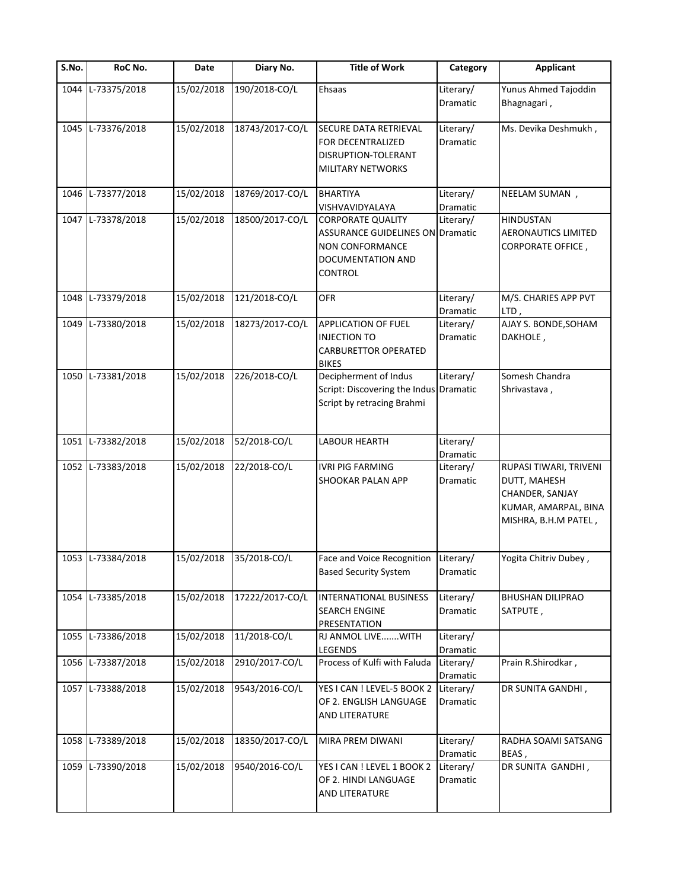| S.No. | RoC No.           | Date       | Diary No.       | <b>Title of Work</b>                                                                                                   | Category              | <b>Applicant</b>                                                                                          |
|-------|-------------------|------------|-----------------|------------------------------------------------------------------------------------------------------------------------|-----------------------|-----------------------------------------------------------------------------------------------------------|
| 1044  | L-73375/2018      | 15/02/2018 | 190/2018-CO/L   | Ehsaas                                                                                                                 | Literary/<br>Dramatic | Yunus Ahmed Tajoddin<br>Bhagnagari,                                                                       |
| 1045  | L-73376/2018      | 15/02/2018 | 18743/2017-CO/L | SECURE DATA RETRIEVAL<br>FOR DECENTRALIZED<br>DISRUPTION-TOLERANT<br>MILITARY NETWORKS                                 | Literary/<br>Dramatic | Ms. Devika Deshmukh,                                                                                      |
| 1046  | L-73377/2018      | 15/02/2018 | 18769/2017-CO/L | <b>BHARTIYA</b><br>VISHVAVIDYALAYA                                                                                     | Literary/<br>Dramatic | NEELAM SUMAN,                                                                                             |
|       | 1047 L-73378/2018 | 15/02/2018 | 18500/2017-CO/L | <b>CORPORATE QUALITY</b><br><b>ASSURANCE GUIDELINES ON Dramatic</b><br>NON CONFORMANCE<br>DOCUMENTATION AND<br>CONTROL | Literary/             | <b>HINDUSTAN</b><br><b>AERONAUTICS LIMITED</b><br><b>CORPORATE OFFICE,</b>                                |
| 1048  | L-73379/2018      | 15/02/2018 | 121/2018-CO/L   | <b>OFR</b>                                                                                                             | Literary/<br>Dramatic | M/S. CHARIES APP PVT<br>LTD,                                                                              |
| 1049  | L-73380/2018      | 15/02/2018 | 18273/2017-CO/L | APPLICATION OF FUEL<br><b>INJECTION TO</b><br><b>CARBURETTOR OPERATED</b><br><b>BIKES</b>                              | Literary/<br>Dramatic | AJAY S. BONDE, SOHAM<br>DAKHOLE,                                                                          |
| 1050  | L-73381/2018      | 15/02/2018 | 226/2018-CO/L   | Decipherment of Indus<br>Script: Discovering the Indus Dramatic<br>Script by retracing Brahmi                          | Literary/             | Somesh Chandra<br>Shrivastava,                                                                            |
| 1051  | L-73382/2018      | 15/02/2018 | 52/2018-CO/L    | LABOUR HEARTH                                                                                                          | Literary/<br>Dramatic |                                                                                                           |
|       | 1052 L-73383/2018 | 15/02/2018 | 22/2018-CO/L    | <b>IVRI PIG FARMING</b><br>SHOOKAR PALAN APP                                                                           | Literary/<br>Dramatic | RUPASI TIWARI, TRIVENI<br>DUTT, MAHESH<br>CHANDER, SANJAY<br>KUMAR, AMARPAL, BINA<br>MISHRA, B.H.M PATEL, |
|       | 1053 L-73384/2018 | 15/02/2018 | 35/2018-CO/L    | Face and Voice Recognition<br><b>Based Security System</b>                                                             | Literary/<br>Dramatic | Yogita Chitriv Dubey,                                                                                     |
| 1054  | L-73385/2018      | 15/02/2018 | 17222/2017-CO/L | <b>INTERNATIONAL BUSINESS</b><br><b>SEARCH ENGINE</b><br>PRESENTATION                                                  | Literary/<br>Dramatic | <b>BHUSHAN DILIPRAO</b><br>SATPUTE,                                                                       |
| 1055  | L-73386/2018      | 15/02/2018 | 11/2018-CO/L    | RJ ANMOL LIVEWITH<br>LEGENDS                                                                                           | Literary/<br>Dramatic |                                                                                                           |
|       | 1056 L-73387/2018 | 15/02/2018 | 2910/2017-CO/L  | Process of Kulfi with Faluda                                                                                           | Literary/<br>Dramatic | Prain R.Shirodkar,                                                                                        |
|       | 1057 L-73388/2018 | 15/02/2018 | 9543/2016-CO/L  | YES I CAN ! LEVEL-5 BOOK 2<br>OF 2. ENGLISH LANGUAGE<br>AND LITERATURE                                                 | Literary/<br>Dramatic | DR SUNITA GANDHI,                                                                                         |
| 1058  | L-73389/2018      | 15/02/2018 | 18350/2017-CO/L | MIRA PREM DIWANI                                                                                                       | Literary/<br>Dramatic | RADHA SOAMI SATSANG<br>BEAS,                                                                              |
| 1059  | L-73390/2018      | 15/02/2018 | 9540/2016-CO/L  | YES I CAN ! LEVEL 1 BOOK 2<br>OF 2. HINDI LANGUAGE<br>AND LITERATURE                                                   | Literary/<br>Dramatic | DR SUNITA GANDHI,                                                                                         |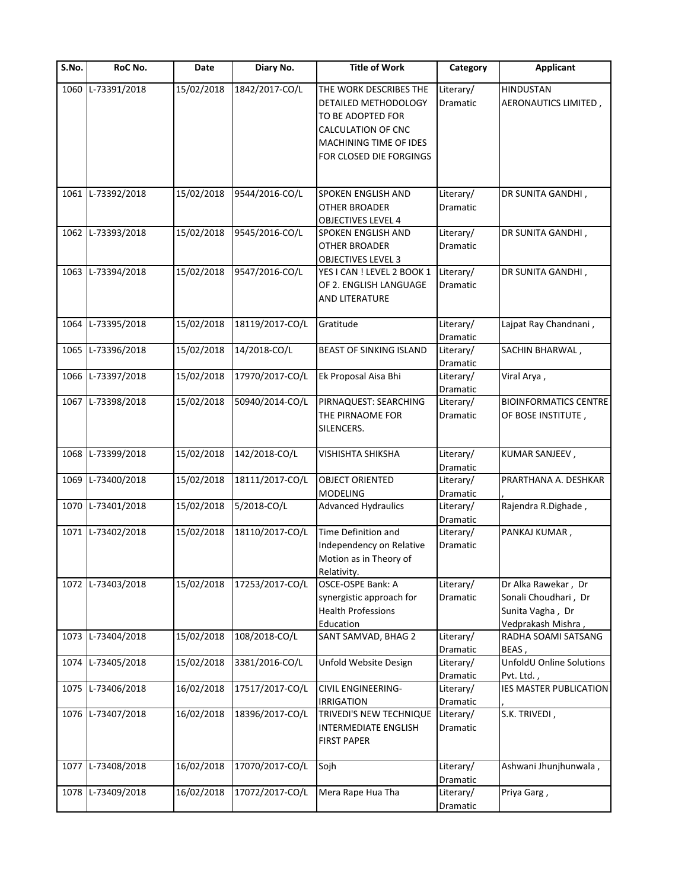| S.No. | RoC No.           | Date       | Diary No.       | <b>Title of Work</b>                                                  | Category              | <b>Applicant</b>                                               |
|-------|-------------------|------------|-----------------|-----------------------------------------------------------------------|-----------------------|----------------------------------------------------------------|
| 1060  | L-73391/2018      | 15/02/2018 | 1842/2017-CO/L  | THE WORK DESCRIBES THE<br>DETAILED METHODOLOGY                        | Literary/<br>Dramatic | <b>HINDUSTAN</b><br>AERONAUTICS LIMITED,                       |
|       |                   |            |                 | TO BE ADOPTED FOR<br>CALCULATION OF CNC<br>MACHINING TIME OF IDES     |                       |                                                                |
|       |                   |            |                 | FOR CLOSED DIE FORGINGS                                               |                       |                                                                |
|       | 1061 L-73392/2018 | 15/02/2018 | 9544/2016-CO/L  | SPOKEN ENGLISH AND                                                    | Literary/             | DR SUNITA GANDHI,                                              |
|       |                   |            |                 | OTHER BROADER<br><b>OBJECTIVES LEVEL 4</b>                            | Dramatic              |                                                                |
|       | 1062 L-73393/2018 | 15/02/2018 | 9545/2016-CO/L  | SPOKEN ENGLISH AND<br>OTHER BROADER<br><b>OBJECTIVES LEVEL 3</b>      | Literary/<br>Dramatic | DR SUNITA GANDHI,                                              |
|       | 1063 L-73394/2018 | 15/02/2018 | 9547/2016-CO/L  | YES I CAN ! LEVEL 2 BOOK 1                                            | Literary/             | DR SUNITA GANDHI,                                              |
|       |                   |            |                 | OF 2. ENGLISH LANGUAGE<br>AND LITERATURE                              | Dramatic              |                                                                |
| 1064  | L-73395/2018      | 15/02/2018 | 18119/2017-CO/L | Gratitude                                                             | Literary/<br>Dramatic | Lajpat Ray Chandnani,                                          |
| 1065  | L-73396/2018      | 15/02/2018 | 14/2018-CO/L    | BEAST OF SINKING ISLAND                                               | Literary/<br>Dramatic | SACHIN BHARWAL,                                                |
|       | 1066 L-73397/2018 | 15/02/2018 | 17970/2017-CO/L | Ek Proposal Aisa Bhi                                                  | Literary/<br>Dramatic | Viral Arya,                                                    |
|       | 1067 L-73398/2018 | 15/02/2018 | 50940/2014-CO/L | PIRNAQUEST: SEARCHING                                                 | Literary/             | <b>BIOINFORMATICS CENTRE</b>                                   |
|       |                   |            |                 | THE PIRNAOME FOR<br>SILENCERS.                                        | Dramatic              | OF BOSE INSTITUTE,                                             |
| 1068  | L-73399/2018      | 15/02/2018 | 142/2018-CO/L   | VISHISHTA SHIKSHA                                                     | Literary/<br>Dramatic | KUMAR SANJEEV,                                                 |
|       | 1069 L-73400/2018 | 15/02/2018 | 18111/2017-CO/L | <b>OBJECT ORIENTED</b><br>MODELING                                    | Literary/<br>Dramatic | PRARTHANA A. DESHKAR                                           |
|       | 1070 L-73401/2018 | 15/02/2018 | 5/2018-CO/L     | <b>Advanced Hydraulics</b>                                            | Literary/<br>Dramatic | Rajendra R.Dighade,                                            |
|       | 1071 L-73402/2018 | 15/02/2018 | 18110/2017-CO/L | Time Definition and                                                   | Literary/             | PANKAJ KUMAR,                                                  |
|       |                   |            |                 | Independency on Relative<br>Motion as in Theory of                    | Dramatic              |                                                                |
|       | 1072 L-73403/2018 | 15/02/2018 | 17253/2017-CO/L | Relativity.<br>OSCE-OSPE Bank: A                                      | Literary/             | Dr Alka Rawekar, Dr                                            |
|       |                   |            |                 | synergistic approach for<br><b>Health Professions</b><br>Education    | Dramatic              | Sonali Choudhari, Dr<br>Sunita Vagha, Dr<br>Vedprakash Mishra, |
|       | 1073 L-73404/2018 | 15/02/2018 | 108/2018-CO/L   | SANT SAMVAD, BHAG 2                                                   | Literary/<br>Dramatic | RADHA SOAMI SATSANG<br>BEAS,                                   |
|       | 1074 L-73405/2018 | 15/02/2018 | 3381/2016-CO/L  | Unfold Website Design                                                 | Literary/<br>Dramatic | UnfoldU Online Solutions<br>Pvt. Ltd.,                         |
|       | 1075 L-73406/2018 | 16/02/2018 | 17517/2017-CO/L | <b>CIVIL ENGINEERING-</b><br><b>IRRIGATION</b>                        | Literary/<br>Dramatic | IES MASTER PUBLICATION                                         |
|       | 1076 L-73407/2018 | 16/02/2018 | 18396/2017-CO/L | TRIVEDI'S NEW TECHNIQUE<br>INTERMEDIATE ENGLISH<br><b>FIRST PAPER</b> | Literary/<br>Dramatic | S.K. TRIVEDI,                                                  |
|       | 1077 L-73408/2018 | 16/02/2018 | 17070/2017-CO/L | Sojh                                                                  | Literary/<br>Dramatic | Ashwani Jhunjhunwala,                                          |
|       | 1078 L-73409/2018 | 16/02/2018 | 17072/2017-CO/L | Mera Rape Hua Tha                                                     | Literary/<br>Dramatic | Priya Garg,                                                    |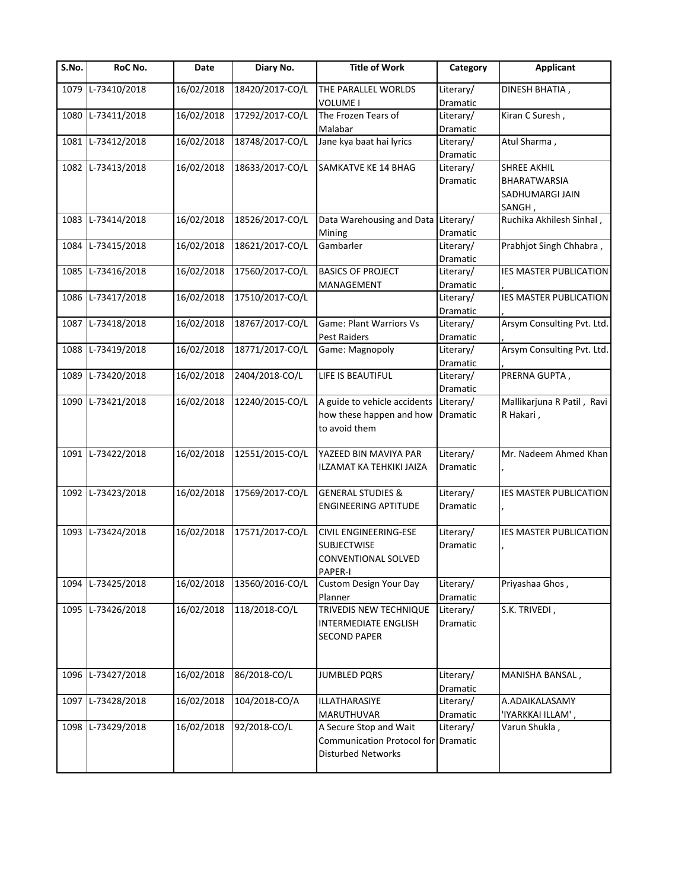| S.No. | RoC No.           | Date       | Diary No.       | <b>Title of Work</b>                | Category  | <b>Applicant</b>              |
|-------|-------------------|------------|-----------------|-------------------------------------|-----------|-------------------------------|
| 1079  | L-73410/2018      | 16/02/2018 | 18420/2017-CO/L | THE PARALLEL WORLDS                 | Literary/ | DINESH BHATIA,                |
|       |                   |            |                 | <b>VOLUME I</b>                     | Dramatic  |                               |
| 1080  | L-73411/2018      | 16/02/2018 | 17292/2017-CO/L | The Frozen Tears of                 | Literary/ | Kiran C Suresh,               |
|       |                   |            |                 | Malabar                             | Dramatic  |                               |
| 1081  | L-73412/2018      | 16/02/2018 | 18748/2017-CO/L | Jane kya baat hai lyrics            | Literary/ | Atul Sharma,                  |
|       |                   |            |                 |                                     | Dramatic  |                               |
| 1082  | L-73413/2018      | 16/02/2018 | 18633/2017-CO/L | SAMKATVE KE 14 BHAG                 | Literary/ | SHREE AKHIL                   |
|       |                   |            |                 |                                     | Dramatic  | <b>BHARATWARSIA</b>           |
|       |                   |            |                 |                                     |           | SADHUMARGI JAIN               |
|       |                   |            |                 |                                     |           | SANGH                         |
|       | 1083 L-73414/2018 | 16/02/2018 | 18526/2017-CO/L | Data Warehousing and Data Literary/ |           | Ruchika Akhilesh Sinhal,      |
|       |                   |            |                 | Mining                              | Dramatic  |                               |
| 1084  | L-73415/2018      | 16/02/2018 | 18621/2017-CO/L | Gambarler                           | Literary/ | Prabhjot Singh Chhabra,       |
|       |                   |            |                 |                                     | Dramatic  |                               |
|       | 1085 L-73416/2018 | 16/02/2018 | 17560/2017-CO/L | <b>BASICS OF PROJECT</b>            | Literary/ | <b>IES MASTER PUBLICATION</b> |
|       |                   |            |                 | MANAGEMENT                          | Dramatic  |                               |
|       | 1086 L-73417/2018 | 16/02/2018 | 17510/2017-CO/L |                                     | Literary/ | <b>IES MASTER PUBLICATION</b> |
|       |                   |            |                 |                                     | Dramatic  |                               |
| 1087  | L-73418/2018      | 16/02/2018 | 18767/2017-CO/L | Game: Plant Warriors Vs             | Literary/ | Arsym Consulting Pvt. Ltd.    |
|       |                   |            |                 | <b>Pest Raiders</b>                 | Dramatic  |                               |
| 1088  | L-73419/2018      | 16/02/2018 | 18771/2017-CO/L | Game: Magnopoly                     | Literary/ | Arsym Consulting Pvt. Ltd.    |
|       |                   |            |                 |                                     | Dramatic  |                               |
| 1089  | L-73420/2018      | 16/02/2018 | 2404/2018-CO/L  | LIFE IS BEAUTIFUL                   | Literary/ | PRERNA GUPTA,                 |
|       |                   |            |                 |                                     | Dramatic  |                               |
| 1090  | L-73421/2018      | 16/02/2018 | 12240/2015-CO/L | A guide to vehicle accidents        | Literary/ | Mallikarjuna R Patil, Ravi    |
|       |                   |            |                 | how these happen and how            | Dramatic  | R Hakari,                     |
|       |                   |            |                 | to avoid them                       |           |                               |
|       |                   |            |                 |                                     |           |                               |
| 1091  | L-73422/2018      | 16/02/2018 | 12551/2015-CO/L | YAZEED BIN MAVIYA PAR               | Literary/ | Mr. Nadeem Ahmed Khan         |
|       |                   |            |                 | ILZAMAT KA TEHKIKI JAIZA            | Dramatic  |                               |
|       |                   |            |                 |                                     |           |                               |
| 1092  | L-73423/2018      | 16/02/2018 | 17569/2017-CO/L | <b>GENERAL STUDIES &amp;</b>        | Literary/ | <b>IES MASTER PUBLICATION</b> |
|       |                   |            |                 | <b>ENGINEERING APTITUDE</b>         | Dramatic  |                               |
|       |                   |            |                 |                                     |           |                               |
|       | 1093 L-73424/2018 | 16/02/2018 | 17571/2017-CO/L | CIVIL ENGINEERING-ESE               | Literary/ | IES MASTER PUBLICATION        |
|       |                   |            |                 | <b>SUBJECTWISE</b>                  | Dramatic  |                               |
|       |                   |            |                 | CONVENTIONAL SOLVED                 |           |                               |
|       |                   |            |                 | PAPER-I                             |           |                               |
| 1094  | L-73425/2018      | 16/02/2018 | 13560/2016-CO/L | <b>Custom Design Your Day</b>       | Literary/ | Priyashaa Ghos,               |
|       |                   |            |                 | Planner                             | Dramatic  |                               |
| 1095  | L-73426/2018      | 16/02/2018 | 118/2018-CO/L   | TRIVEDIS NEW TECHNIQUE              | Literary/ | S.K. TRIVEDI,                 |
|       |                   |            |                 | INTERMEDIATE ENGLISH                | Dramatic  |                               |
|       |                   |            |                 | <b>SECOND PAPER</b>                 |           |                               |
|       |                   |            |                 |                                     |           |                               |
|       |                   |            |                 |                                     |           |                               |
|       | 1096 L-73427/2018 | 16/02/2018 | 86/2018-CO/L    | <b>JUMBLED PQRS</b>                 | Literary/ | MANISHA BANSAL,               |
|       |                   |            |                 |                                     | Dramatic  |                               |
| 1097  | L-73428/2018      | 16/02/2018 | 104/2018-CO/A   | ILLATHARASIYE                       | Literary/ | A.ADAIKALASAMY                |
|       |                   |            |                 | MARUTHUVAR                          | Dramatic  | 'IYARKKAI ILLAM',             |
|       | 1098 L-73429/2018 | 16/02/2018 | 92/2018-CO/L    | A Secure Stop and Wait              | Literary/ | , Varun Shukla                |
|       |                   |            |                 | Communication Protocol for Dramatic |           |                               |
|       |                   |            |                 | Disturbed Networks                  |           |                               |
|       |                   |            |                 |                                     |           |                               |
|       |                   |            |                 |                                     |           |                               |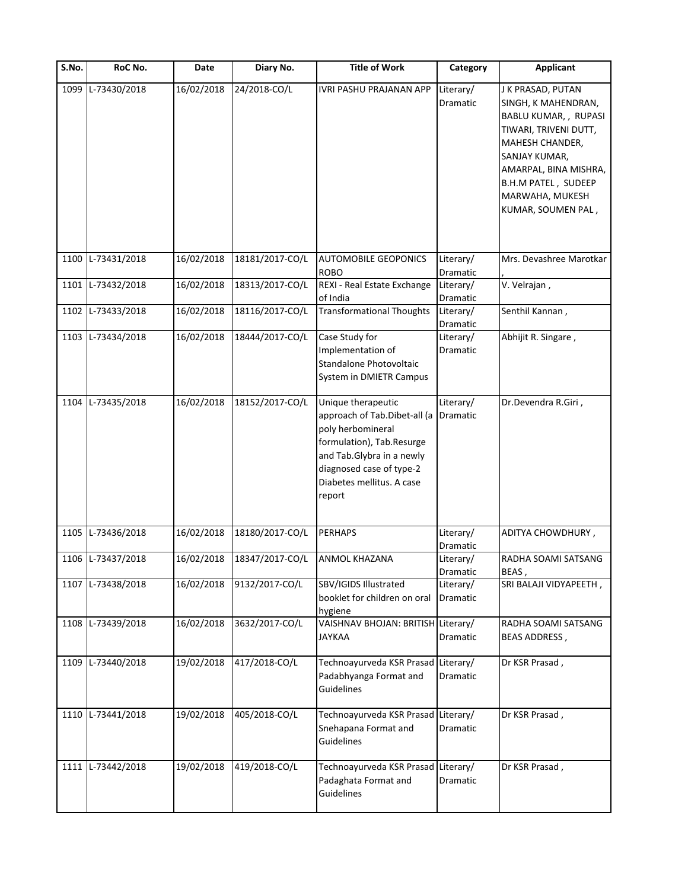| S.No. | RoC No.           | Date       | Diary No.       | <b>Title of Work</b>                                                                                                                                                                                 | Category              | <b>Applicant</b>                                                                                                                                                                                                        |
|-------|-------------------|------------|-----------------|------------------------------------------------------------------------------------------------------------------------------------------------------------------------------------------------------|-----------------------|-------------------------------------------------------------------------------------------------------------------------------------------------------------------------------------------------------------------------|
| 1099  | L-73430/2018      | 16/02/2018 | 24/2018-CO/L    | IVRI PASHU PRAJANAN APP                                                                                                                                                                              | Literary/<br>Dramatic | J K PRASAD, PUTAN<br>SINGH, K MAHENDRAN,<br>BABLU KUMAR, , RUPASI<br>TIWARI, TRIVENI DUTT,<br>MAHESH CHANDER,<br>SANJAY KUMAR,<br>AMARPAL, BINA MISHRA,<br>B.H.M PATEL, SUDEEP<br>MARWAHA, MUKESH<br>KUMAR, SOUMEN PAL, |
|       | 1100 L-73431/2018 | 16/02/2018 | 18181/2017-CO/L | <b>AUTOMOBILE GEOPONICS</b><br><b>ROBO</b>                                                                                                                                                           | Literary/<br>Dramatic | Mrs. Devashree Marotkar                                                                                                                                                                                                 |
|       | 1101 L-73432/2018 | 16/02/2018 | 18313/2017-CO/L | REXI - Real Estate Exchange<br>of India                                                                                                                                                              | Literary/<br>Dramatic | V. Velrajan,                                                                                                                                                                                                            |
| 1102  | L-73433/2018      | 16/02/2018 | 18116/2017-CO/L | <b>Transformational Thoughts</b>                                                                                                                                                                     | Literary/<br>Dramatic | Senthil Kannan,                                                                                                                                                                                                         |
|       | 1103 L-73434/2018 | 16/02/2018 | 18444/2017-CO/L | Case Study for<br>Implementation of<br>Standalone Photovoltaic<br>System in DMIETR Campus                                                                                                            | Literary/<br>Dramatic | Abhijit R. Singare,                                                                                                                                                                                                     |
|       | 1104 L-73435/2018 | 16/02/2018 | 18152/2017-CO/L | Unique therapeutic<br>approach of Tab.Dibet-all (a<br>poly herbomineral<br>formulation), Tab.Resurge<br>and Tab.Glybra in a newly<br>diagnosed case of type-2<br>Diabetes mellitus. A case<br>report | Literary/<br>Dramatic | Dr.Devendra R.Giri,                                                                                                                                                                                                     |
| 1105  | L-73436/2018      | 16/02/2018 | 18180/2017-CO/L | <b>PERHAPS</b>                                                                                                                                                                                       | Literary/<br>Dramatic | ADITYA CHOWDHURY,                                                                                                                                                                                                       |
|       | 1106 L-73437/2018 | 16/02/2018 | 18347/2017-CO/L | <b>ANMOL KHAZANA</b>                                                                                                                                                                                 | Literary/<br>Dramatic | RADHA SOAMI SATSANG<br>BEAS,                                                                                                                                                                                            |
|       | 1107 L-73438/2018 | 16/02/2018 | 9132/2017-CO/L  | SBV/IGIDS Illustrated<br>booklet for children on oral<br>hygiene                                                                                                                                     | Literary/<br>Dramatic | SRI BALAJI VIDYAPEETH,                                                                                                                                                                                                  |
|       | 1108 L-73439/2018 | 16/02/2018 | 3632/2017-CO/L  | VAISHNAV BHOJAN: BRITISH Literary/<br><b>JAYKAA</b>                                                                                                                                                  | Dramatic              | RADHA SOAMI SATSANG<br><b>BEAS ADDRESS,</b>                                                                                                                                                                             |
|       | 1109 L-73440/2018 | 19/02/2018 | 417/2018-CO/L   | Technoayurveda KSR Prasad Literary/<br>Padabhyanga Format and<br>Guidelines                                                                                                                          | Dramatic              | Dr KSR Prasad,                                                                                                                                                                                                          |
|       | 1110 L-73441/2018 | 19/02/2018 | 405/2018-CO/L   | Technoayurveda KSR Prasad Literary/<br>Snehapana Format and<br>Guidelines                                                                                                                            | Dramatic              | Dr KSR Prasad,                                                                                                                                                                                                          |
|       | 1111 L-73442/2018 | 19/02/2018 | 419/2018-CO/L   | Technoayurveda KSR Prasad Literary/<br>Padaghata Format and<br>Guidelines                                                                                                                            | Dramatic              | Dr KSR Prasad,                                                                                                                                                                                                          |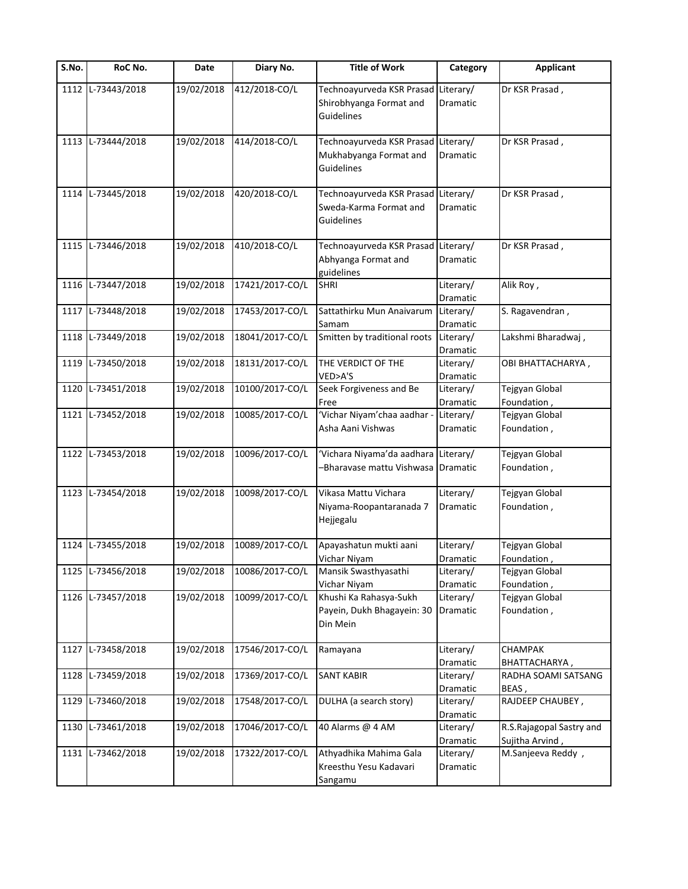| S.No. | RoC No.           | Date       | Diary No.       | <b>Title of Work</b>                                                         | Category              | <b>Applicant</b>                            |
|-------|-------------------|------------|-----------------|------------------------------------------------------------------------------|-----------------------|---------------------------------------------|
| 1112  | L-73443/2018      | 19/02/2018 | 412/2018-CO/L   | Technoayurveda KSR Prasad Literary/<br>Shirobhyanga Format and<br>Guidelines | Dramatic              | Dr KSR Prasad,                              |
|       | 1113 L-73444/2018 | 19/02/2018 | 414/2018-CO/L   | Technoayurveda KSR Prasad Literary/<br>Mukhabyanga Format and<br>Guidelines  | Dramatic              | Dr KSR Prasad,                              |
|       | 1114 L-73445/2018 | 19/02/2018 | 420/2018-CO/L   | Technoayurveda KSR Prasad Literary/<br>Sweda-Karma Format and<br>Guidelines  | Dramatic              | Dr KSR Prasad,                              |
|       | 1115 L-73446/2018 | 19/02/2018 | 410/2018-CO/L   | Technoayurveda KSR Prasad Literary/<br>Abhyanga Format and<br>guidelines     | Dramatic              | Dr KSR Prasad,                              |
|       | 1116 L-73447/2018 | 19/02/2018 | 17421/2017-CO/L | <b>SHRI</b>                                                                  | Literary/<br>Dramatic | Alik Roy,                                   |
| 1117  | L-73448/2018      | 19/02/2018 | 17453/2017-CO/L | Sattathirku Mun Anaivarum<br>Samam                                           | Literary/<br>Dramatic | S. Ragavendran,                             |
| 1118  | L-73449/2018      | 19/02/2018 | 18041/2017-CO/L | Smitten by traditional roots                                                 | Literary/<br>Dramatic | Lakshmi Bharadwaj,                          |
| 1119  | L-73450/2018      | 19/02/2018 | 18131/2017-CO/L | THE VERDICT OF THE<br>VED>A'S                                                | Literary/<br>Dramatic | OBI BHATTACHARYA,                           |
| 1120  | L-73451/2018      | 19/02/2018 | 10100/2017-CO/L | Seek Forgiveness and Be<br>Free                                              | Literary/<br>Dramatic | Tejgyan Global<br>Foundation,               |
|       | 1121 L-73452/2018 | 19/02/2018 | 10085/2017-CO/L | 'Vichar Niyam'chaa aadhar -<br>Asha Aani Vishwas                             | Literary/<br>Dramatic | Tejgyan Global<br>Foundation,               |
| 1122  | L-73453/2018      | 19/02/2018 | 10096/2017-CO/L | 'Vichara Niyama'da aadhara Literary/<br>-Bharavase mattu Vishwasa Dramatic   |                       | Tejgyan Global<br>Foundation,               |
| 1123  | L-73454/2018      | 19/02/2018 | 10098/2017-CO/L | Vikasa Mattu Vichara<br>Niyama-Roopantaranada 7<br>Hejjegalu                 | Literary/<br>Dramatic | Tejgyan Global<br>Foundation,               |
| 1124  | L-73455/2018      | 19/02/2018 | 10089/2017-CO/L | Apayashatun mukti aani<br>Vichar Niyam                                       | Literary/<br>Dramatic | Tejgyan Global<br>Foundation,               |
|       | 1125 L-73456/2018 | 19/02/2018 | 10086/2017-CO/L | Mansik Swasthyasathi<br>Vichar Niyam                                         | Literary/<br>Dramatic | Tejgyan Global<br>Foundation                |
|       | 1126 L-73457/2018 | 19/02/2018 | 10099/2017-CO/L | Khushi Ka Rahasya-Sukh<br>Payein, Dukh Bhagayein: 30<br>Din Mein             | Literary/<br>Dramatic | Tejgyan Global<br>Foundation,               |
| 1127  | L-73458/2018      | 19/02/2018 | 17546/2017-CO/L | Ramayana                                                                     | Literary/<br>Dramatic | CHAMPAK<br>BHATTACHARYA,                    |
| 1128  | L-73459/2018      | 19/02/2018 | 17369/2017-CO/L | <b>SANT KABIR</b>                                                            | Literary/<br>Dramatic | RADHA SOAMI SATSANG<br>BEAS,                |
| 1129  | L-73460/2018      | 19/02/2018 | 17548/2017-CO/L | DULHA (a search story)                                                       | Literary/<br>Dramatic | RAJDEEP CHAUBEY,                            |
| 1130  | L-73461/2018      | 19/02/2018 | 17046/2017-CO/L | 40 Alarms @ 4 AM                                                             | Literary/<br>Dramatic | R.S.Rajagopal Sastry and<br>Sujitha Arvind, |
|       | 1131 L-73462/2018 | 19/02/2018 | 17322/2017-CO/L | Athyadhika Mahima Gala<br>Kreesthu Yesu Kadavari<br>Sangamu                  | Literary/<br>Dramatic | M.Sanjeeva Reddy,                           |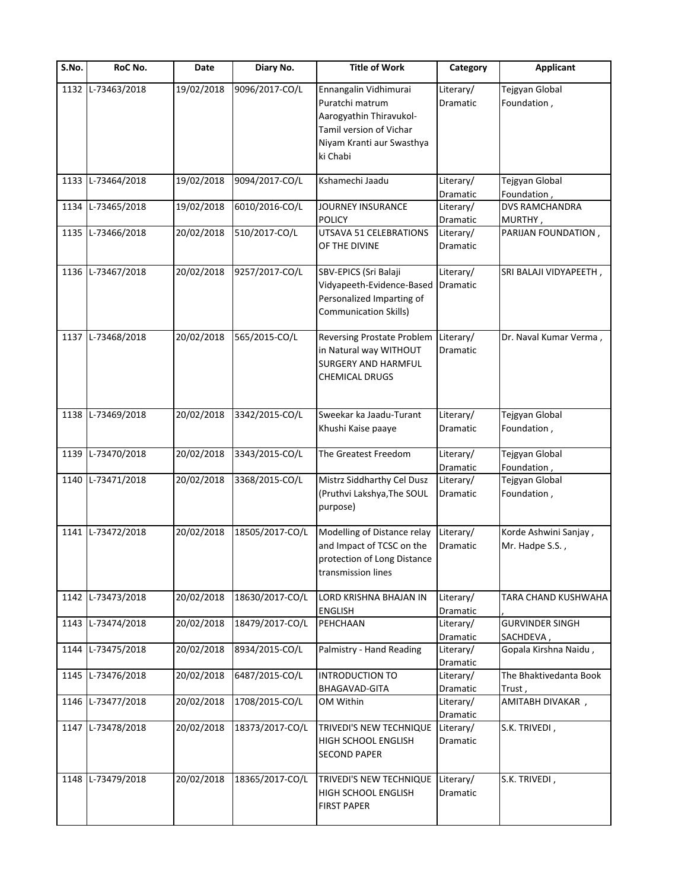| S.No. | RoC No.           | Date       | Diary No.       | <b>Title of Work</b>                                                                                                                    | Category              | <b>Applicant</b>                         |
|-------|-------------------|------------|-----------------|-----------------------------------------------------------------------------------------------------------------------------------------|-----------------------|------------------------------------------|
| 1132  | L-73463/2018      | 19/02/2018 | 9096/2017-CO/L  | Ennangalin Vidhimurai<br>Puratchi matrum<br>Aarogyathin Thiravukol-<br>Tamil version of Vichar<br>Niyam Kranti aur Swasthya<br>ki Chabi | Literary/<br>Dramatic | Tejgyan Global<br>Foundation,            |
|       | 1133 L-73464/2018 | 19/02/2018 | 9094/2017-CO/L  | Kshamechi Jaadu                                                                                                                         | Literary/<br>Dramatic | Tejgyan Global<br>Foundation,            |
| 1134  | L-73465/2018      | 19/02/2018 | 6010/2016-CO/L  | JOURNEY INSURANCE<br><b>POLICY</b>                                                                                                      | Literary/<br>Dramatic | DVS RAMCHANDRA<br>MURTHY,                |
|       | 1135 L-73466/2018 | 20/02/2018 | 510/2017-CO/L   | UTSAVA 51 CELEBRATIONS<br>OF THE DIVINE                                                                                                 | Literary/<br>Dramatic | PARIJAN FOUNDATION,                      |
|       | 1136 L-73467/2018 | 20/02/2018 | 9257/2017-CO/L  | SBV-EPICS (Sri Balaji<br>Vidyapeeth-Evidence-Based<br>Personalized Imparting of<br><b>Communication Skills)</b>                         | Literary/<br>Dramatic | SRI BALAJI VIDYAPEETH,                   |
|       | 1137 L-73468/2018 | 20/02/2018 | 565/2015-CO/L   | <b>Reversing Prostate Problem</b><br>in Natural way WITHOUT<br><b>SURGERY AND HARMFUL</b><br><b>CHEMICAL DRUGS</b>                      | Literary/<br>Dramatic | Dr. Naval Kumar Verma,                   |
|       | 1138 L-73469/2018 | 20/02/2018 | 3342/2015-CO/L  | Sweekar ka Jaadu-Turant<br>Khushi Kaise paaye                                                                                           | Literary/<br>Dramatic | Tejgyan Global<br>Foundation,            |
| 1139  | L-73470/2018      | 20/02/2018 | 3343/2015-CO/L  | The Greatest Freedom                                                                                                                    | Literary/<br>Dramatic | Tejgyan Global<br>Foundation,            |
|       | 1140 L-73471/2018 | 20/02/2018 | 3368/2015-CO/L  | Mistrz Siddharthy Cel Dusz<br>(Pruthvi Lakshya, The SOUL<br>purpose)                                                                    | Literary/<br>Dramatic | Tejgyan Global<br>Foundation,            |
|       | 1141 L-73472/2018 | 20/02/2018 | 18505/2017-CO/L | Modelling of Distance relay<br>and Impact of TCSC on the<br>protection of Long Distance<br>transmission lines                           | Literary/<br>Dramatic | Korde Ashwini Sanjay,<br>Mr. Hadpe S.S., |
| 1142  | L-73473/2018      | 20/02/2018 | 18630/2017-CO/L | LORD KRISHNA BHAJAN IN<br><b>ENGLISH</b>                                                                                                | Literary/<br>Dramatic | TARA CHAND KUSHWAHA                      |
|       | 1143 L-73474/2018 | 20/02/2018 | 18479/2017-CO/L | PEHCHAAN                                                                                                                                | Literary/<br>Dramatic | <b>GURVINDER SINGH</b><br>SACHDEVA,      |
| 1144  | L-73475/2018      | 20/02/2018 | 8934/2015-CO/L  | Palmistry - Hand Reading                                                                                                                | Literary/<br>Dramatic | Gopala Kirshna Naidu,                    |
|       | 1145 L-73476/2018 | 20/02/2018 | 6487/2015-CO/L  | <b>INTRODUCTION TO</b><br>BHAGAVAD-GITA                                                                                                 | Literary/<br>Dramatic | The Bhaktivedanta Book<br>Trust,         |
| 1146  | L-73477/2018      | 20/02/2018 | 1708/2015-CO/L  | OM Within                                                                                                                               | Literary/<br>Dramatic | AMITABH DIVAKAR,                         |
|       | 1147 L-73478/2018 | 20/02/2018 | 18373/2017-CO/L | TRIVEDI'S NEW TECHNIQUE<br>HIGH SCHOOL ENGLISH<br><b>SECOND PAPER</b>                                                                   | Literary/<br>Dramatic | S.K. TRIVEDI,                            |
|       | 1148 L-73479/2018 | 20/02/2018 | 18365/2017-CO/L | TRIVEDI'S NEW TECHNIQUE<br><b>HIGH SCHOOL ENGLISH</b><br><b>FIRST PAPER</b>                                                             | Literary/<br>Dramatic | S.K. TRIVEDI,                            |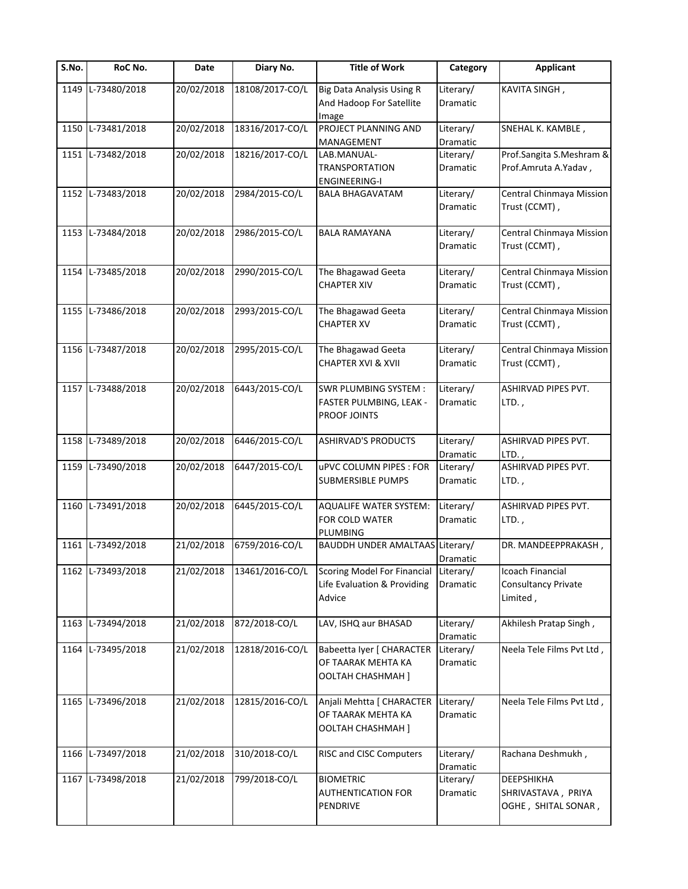| S.No. | RoC No.           | Date       | Diary No.       | <b>Title of Work</b>                   | Category        | <b>Applicant</b>                |
|-------|-------------------|------------|-----------------|----------------------------------------|-----------------|---------------------------------|
| 1149  | L-73480/2018      | 20/02/2018 | 18108/2017-CO/L | <b>Big Data Analysis Using R</b>       | Literary/       | KAVITA SINGH,                   |
|       |                   |            |                 | And Hadoop For Satellite               | Dramatic        |                                 |
|       |                   |            |                 | Image                                  |                 |                                 |
| 1150  | L-73481/2018      | 20/02/2018 | 18316/2017-CO/L | PROJECT PLANNING AND                   | Literary/       | SNEHAL K. KAMBLE,               |
|       |                   |            |                 | MANAGEMENT                             | Dramatic        |                                 |
|       | 1151 L-73482/2018 | 20/02/2018 | 18216/2017-CO/L | LAB.MANUAL-                            | Literary/       | Prof.Sangita S.Meshram &        |
|       |                   |            |                 | <b>TRANSPORTATION</b>                  | Dramatic        | Prof.Amruta A.Yadav,            |
|       |                   |            |                 | <b>ENGINEERING-I</b>                   |                 |                                 |
|       | 1152 L-73483/2018 | 20/02/2018 | 2984/2015-CO/L  | <b>BALA BHAGAVATAM</b>                 | Literary/       | Central Chinmaya Mission        |
|       |                   |            |                 |                                        | Dramatic        | Trust (CCMT),                   |
|       |                   |            |                 |                                        |                 |                                 |
|       | 1153 L-73484/2018 | 20/02/2018 | 2986/2015-CO/L  | <b>BALA RAMAYANA</b>                   | Literary/       | Central Chinmaya Mission        |
|       |                   |            |                 |                                        | Dramatic        | Trust (CCMT),                   |
|       |                   |            |                 |                                        |                 |                                 |
| 1154  | L-73485/2018      | 20/02/2018 | 2990/2015-CO/L  | The Bhagawad Geeta                     | Literary/       | Central Chinmaya Mission        |
|       |                   |            |                 | <b>CHAPTER XIV</b>                     | <b>Dramatic</b> | Trust (CCMT),                   |
|       |                   |            |                 |                                        |                 |                                 |
|       | 1155 L-73486/2018 | 20/02/2018 | 2993/2015-CO/L  | The Bhagawad Geeta                     | Literary/       | <b>Central Chinmaya Mission</b> |
|       |                   |            |                 | <b>CHAPTER XV</b>                      | Dramatic        | Trust (CCMT),                   |
|       |                   |            |                 |                                        |                 |                                 |
| 1156  | L-73487/2018      | 20/02/2018 | 2995/2015-CO/L  | The Bhagawad Geeta                     | Literary/       | Central Chinmaya Mission        |
|       |                   |            |                 | <b>CHAPTER XVI &amp; XVII</b>          | Dramatic        | Trust (CCMT),                   |
|       |                   |            |                 |                                        |                 |                                 |
|       | 1157 L-73488/2018 | 20/02/2018 | 6443/2015-CO/L  | <b>SWR PLUMBING SYSTEM:</b>            | Literary/       | ASHIRVAD PIPES PVT.             |
|       |                   |            |                 |                                        |                 |                                 |
|       |                   |            |                 | FASTER PULMBING, LEAK -                | Dramatic        | $LTD.$ ,                        |
|       |                   |            |                 | PROOF JOINTS                           |                 |                                 |
|       |                   |            |                 |                                        |                 |                                 |
| 1158  | L-73489/2018      | 20/02/2018 | 6446/2015-CO/L  | <b>ASHIRVAD'S PRODUCTS</b>             | Literary/       | ASHIRVAD PIPES PVT.             |
|       |                   |            |                 |                                        | Dramatic        | $LTD.$ ,                        |
| 1159  | L-73490/2018      | 20/02/2018 | 6447/2015-CO/L  | uPVC COLUMN PIPES : FOR                | Literary/       | ASHIRVAD PIPES PVT.             |
|       |                   |            |                 | <b>SUBMERSIBLE PUMPS</b>               | Dramatic        | $LTD.$ ,                        |
|       |                   |            |                 |                                        |                 |                                 |
|       | 1160 L-73491/2018 | 20/02/2018 | 6445/2015-CO/L  | <b>AQUALIFE WATER SYSTEM:</b>          | Literary/       | ASHIRVAD PIPES PVT.             |
|       |                   |            |                 | FOR COLD WATER                         | Dramatic        | LTD.,                           |
|       |                   |            |                 | PLUMBING                               |                 |                                 |
| 1161  | L-73492/2018      | 21/02/2018 | 6759/2016-CO/L  | <b>BAUDDH UNDER AMALTAAS Literary/</b> |                 | DR. MANDEEPPRAKASH,             |
|       |                   |            |                 |                                        | Dramatic        |                                 |
| 1162  | L-73493/2018      | 21/02/2018 | 13461/2016-CO/L | <b>Scoring Model For Financial</b>     | Literary/       | Icoach Financial                |
|       |                   |            |                 | Life Evaluation & Providing            | Dramatic        | <b>Consultancy Private</b>      |
|       |                   |            |                 | Advice                                 |                 | Limited,                        |
|       |                   |            |                 |                                        |                 |                                 |
| 1163  | L-73494/2018      | 21/02/2018 | 872/2018-CO/L   | LAV, ISHQ aur BHASAD                   | Literary/       | Akhilesh Pratap Singh,          |
|       |                   |            |                 |                                        | Dramatic        |                                 |
| 1164  | L-73495/2018      | 21/02/2018 | 12818/2016-CO/L | Babeetta Iyer [ CHARACTER              | Literary/       | Neela Tele Films Pvt Ltd,       |
|       |                   |            |                 | OF TAARAK MEHTA KA                     | Dramatic        |                                 |
|       |                   |            |                 | <b>OOLTAH CHASHMAH</b> ]               |                 |                                 |
|       |                   |            |                 |                                        |                 |                                 |
| 1165  | L-73496/2018      | 21/02/2018 | 12815/2016-CO/L | Anjali Mehtta [ CHARACTER              | Literary/       | Neela Tele Films Pvt Ltd,       |
|       |                   |            |                 | OF TAARAK MEHTA KA                     | Dramatic        |                                 |
|       |                   |            |                 | OOLTAH CHASHMAH]                       |                 |                                 |
|       |                   |            |                 |                                        |                 |                                 |
| 1166  | L-73497/2018      | 21/02/2018 | 310/2018-CO/L   | RISC and CISC Computers                | Literary/       | Rachana Deshmukh,               |
|       |                   |            |                 |                                        |                 |                                 |
|       |                   |            |                 |                                        | Dramatic        |                                 |
|       | 1167 L-73498/2018 | 21/02/2018 | 799/2018-CO/L   | <b>BIOMETRIC</b>                       | Literary/       | DEEPSHIKHA                      |
|       |                   |            |                 | <b>AUTHENTICATION FOR</b>              | Dramatic        | SHRIVASTAVA, PRIYA              |
|       |                   |            |                 | PENDRIVE                               |                 | OGHE, SHITAL SONAR,             |
|       |                   |            |                 |                                        |                 |                                 |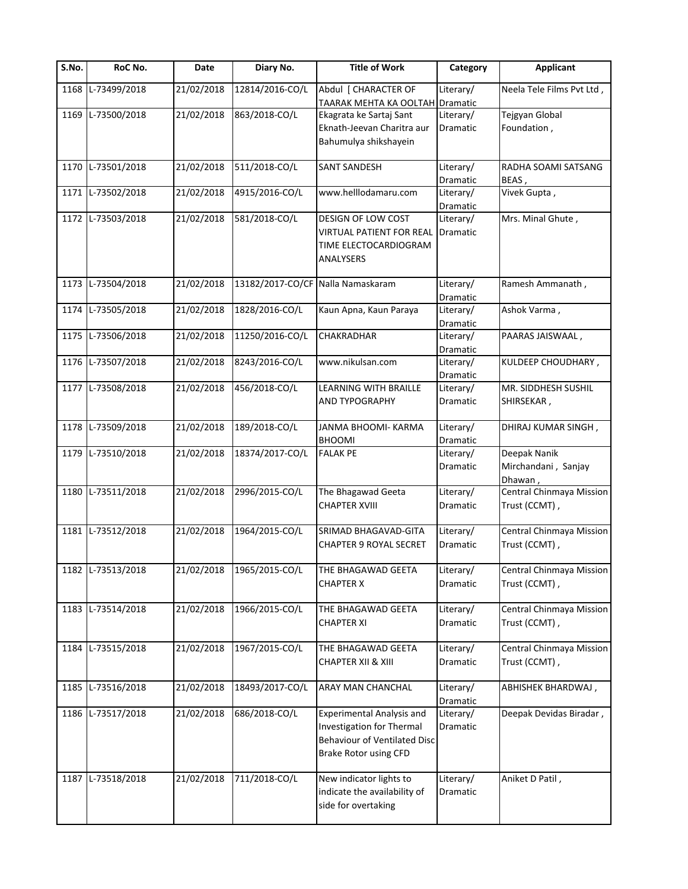| S.No. | RoC No.           | Date       | Diary No.                         | <b>Title of Work</b>                                                                                                   | Category                     | <b>Applicant</b>                               |
|-------|-------------------|------------|-----------------------------------|------------------------------------------------------------------------------------------------------------------------|------------------------------|------------------------------------------------|
| 1168  | L-73499/2018      | 21/02/2018 | 12814/2016-CO/L                   | Abdul [ CHARACTER OF<br><b>TAARAK MEHTA KA OOLTAH</b>                                                                  | Literary/<br>Dramatic        | Neela Tele Films Pvt Ltd,                      |
| 1169  | L-73500/2018      | 21/02/2018 | 863/2018-CO/L                     | Ekagrata ke Sartaj Sant<br>Eknath-Jeevan Charitra aur<br>Bahumulya shikshayein                                         | Literary/<br><b>Dramatic</b> | Tejgyan Global<br>Foundation,                  |
|       | 1170 L-73501/2018 | 21/02/2018 | 511/2018-CO/L                     | SANT SANDESH                                                                                                           | Literary/<br>Dramatic        | RADHA SOAMI SATSANG<br>BEAS,                   |
|       | 1171 L-73502/2018 | 21/02/2018 | 4915/2016-CO/L                    | www.helllodamaru.com                                                                                                   | Literary/<br>Dramatic        | Vivek Gupta,                                   |
|       | 1172 L-73503/2018 | 21/02/2018 | 581/2018-CO/L                     | DESIGN OF LOW COST<br><b>VIRTUAL PATIENT FOR REAL</b><br>TIME ELECTOCARDIOGRAM<br>ANALYSERS                            | Literary/<br>Dramatic        | Mrs. Minal Ghute,                              |
|       | 1173 L-73504/2018 | 21/02/2018 | 13182/2017-CO/CF Nalla Namaskaram |                                                                                                                        | Literary/<br>Dramatic        | Ramesh Ammanath,                               |
|       | 1174 L-73505/2018 | 21/02/2018 | 1828/2016-CO/L                    | Kaun Apna, Kaun Paraya                                                                                                 | Literary/<br>Dramatic        | Ashok Varma,                                   |
|       | 1175 L-73506/2018 | 21/02/2018 | 11250/2016-CO/L                   | CHAKRADHAR                                                                                                             | Literary/<br>Dramatic        | PAARAS JAISWAAL,                               |
|       | 1176 L-73507/2018 | 21/02/2018 | 8243/2016-CO/L                    | www.nikulsan.com                                                                                                       | Literary/<br>Dramatic        | KULDEEP CHOUDHARY,                             |
|       | 1177 L-73508/2018 | 21/02/2018 | 456/2018-CO/L                     | LEARNING WITH BRAILLE<br><b>AND TYPOGRAPHY</b>                                                                         | Literary/<br>Dramatic        | MR. SIDDHESH SUSHIL<br>SHIRSEKAR,              |
|       | 1178 L-73509/2018 | 21/02/2018 | 189/2018-CO/L                     | JANMA BHOOMI- KARMA<br><b>BHOOMI</b>                                                                                   | Literary/<br>Dramatic        | DHIRAJ KUMAR SINGH,                            |
|       | 1179 L-73510/2018 | 21/02/2018 | 18374/2017-CO/L                   | <b>FALAK PE</b>                                                                                                        | Literary/<br>Dramatic        | Deepak Nanik<br>Mirchandani, Sanjay<br>Dhawan, |
|       | 1180 L-73511/2018 | 21/02/2018 | 2996/2015-CO/L                    | The Bhagawad Geeta<br><b>CHAPTER XVIII</b>                                                                             | Literary/<br><b>Dramatic</b> | Central Chinmaya Mission<br>Trust (CCMT),      |
|       | 1181 L-73512/2018 | 21/02/2018 | 1964/2015-CO/L                    | SRIMAD BHAGAVAD-GITA<br><b>CHAPTER 9 ROYAL SECRET</b>                                                                  | Literary/<br>Dramatic        | Central Chinmaya Mission<br>Trust (CCMT),      |
|       | 1182 L-73513/2018 | 21/02/2018 | 1965/2015-CO/L                    | THE BHAGAWAD GEETA<br><b>CHAPTER X</b>                                                                                 | Literary/<br>Dramatic        | Central Chinmaya Mission<br>Trust (CCMT),      |
|       | 1183 L-73514/2018 | 21/02/2018 | 1966/2015-CO/L                    | THE BHAGAWAD GEETA<br><b>CHAPTER XI</b>                                                                                | Literary/<br>Dramatic        | Central Chinmaya Mission<br>Trust (CCMT),      |
| 1184  | L-73515/2018      | 21/02/2018 | 1967/2015-CO/L                    | THE BHAGAWAD GEETA<br><b>CHAPTER XII &amp; XIII</b>                                                                    | Literary/<br>Dramatic        | Central Chinmaya Mission<br>Trust (CCMT),      |
| 1185  | L-73516/2018      | 21/02/2018 | 18493/2017-CO/L                   | <b>ARAY MAN CHANCHAL</b>                                                                                               | Literary/<br>Dramatic        | ABHISHEK BHARDWAJ,                             |
|       | 1186 L-73517/2018 | 21/02/2018 | 686/2018-CO/L                     | <b>Experimental Analysis and</b><br>Investigation for Thermal<br>Behaviour of Ventilated Disc<br>Brake Rotor using CFD | Literary/<br>Dramatic        | Deepak Devidas Biradar,                        |
|       | 1187 L-73518/2018 | 21/02/2018 | 711/2018-CO/L                     | New indicator lights to<br>indicate the availability of<br>side for overtaking                                         | Literary/<br>Dramatic        | Aniket D Patil,                                |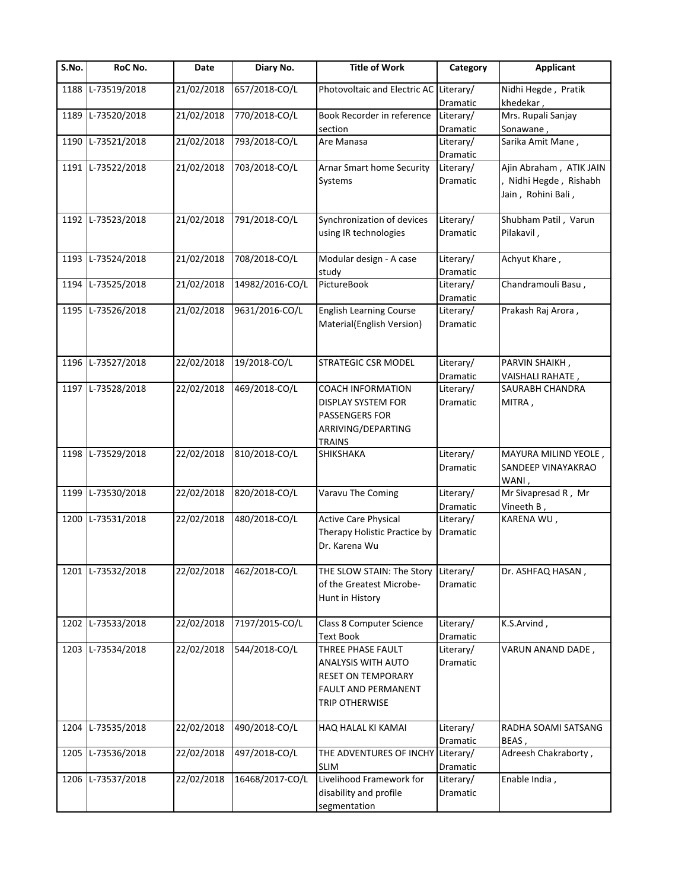| S.No. | RoC No.           | Date       | Diary No.       | <b>Title of Work</b>                                                                                                               | Category              | <b>Applicant</b>                                                      |
|-------|-------------------|------------|-----------------|------------------------------------------------------------------------------------------------------------------------------------|-----------------------|-----------------------------------------------------------------------|
| 1188  | L-73519/2018      | 21/02/2018 | 657/2018-CO/L   | Photovoltaic and Electric AC Literary/                                                                                             | Dramatic              | Nidhi Hegde, Pratik<br>khedekar,                                      |
| 1189  | L-73520/2018      | 21/02/2018 | 770/2018-CO/L   | Book Recorder in reference<br>section                                                                                              | Literary/<br>Dramatic | Mrs. Rupali Sanjay<br>Sonawane,                                       |
|       | 1190 L-73521/2018 | 21/02/2018 | 793/2018-CO/L   | Are Manasa                                                                                                                         | Literary/<br>Dramatic | Sarika Amit Mane,                                                     |
|       | 1191 L-73522/2018 | 21/02/2018 | 703/2018-CO/L   | Arnar Smart home Security<br>Systems                                                                                               | Literary/<br>Dramatic | Ajin Abraham, ATIK JAIN<br>Nidhi Hegde, Rishabh<br>Jain, Rohini Bali, |
|       | 1192 L-73523/2018 | 21/02/2018 | 791/2018-CO/L   | Synchronization of devices<br>using IR technologies                                                                                | Literary/<br>Dramatic | Shubham Patil, Varun<br>Pilakavil,                                    |
|       | 1193 L-73524/2018 | 21/02/2018 | 708/2018-CO/L   | Modular design - A case<br>study                                                                                                   | Literary/<br>Dramatic | Achyut Khare,                                                         |
|       | 1194 L-73525/2018 | 21/02/2018 | 14982/2016-CO/L | PictureBook                                                                                                                        | Literary/<br>Dramatic | Chandramouli Basu,                                                    |
|       | 1195 L-73526/2018 | 21/02/2018 | 9631/2016-CO/L  | <b>English Learning Course</b><br>Material(English Version)                                                                        | Literary/<br>Dramatic | Prakash Raj Arora,                                                    |
|       | 1196 L-73527/2018 | 22/02/2018 | 19/2018-CO/L    | <b>STRATEGIC CSR MODEL</b>                                                                                                         | Literary/<br>Dramatic | PARVIN SHAIKH,<br>VAISHALI RAHATE,                                    |
|       | 1197 L-73528/2018 | 22/02/2018 | 469/2018-CO/L   | <b>COACH INFORMATION</b><br><b>DISPLAY SYSTEM FOR</b><br><b>PASSENGERS FOR</b><br>ARRIVING/DEPARTING<br><b>TRAINS</b>              | Literary/<br>Dramatic | SAURABH CHANDRA<br>MITRA,                                             |
|       | 1198 L-73529/2018 | 22/02/2018 | 810/2018-CO/L   | <b>SHIKSHAKA</b>                                                                                                                   | Literary/<br>Dramatic | MAYURA MILIND YEOLE,<br>SANDEEP VINAYAKRAO<br>WANI,                   |
| 1199  | L-73530/2018      | 22/02/2018 | 820/2018-CO/L   | Varavu The Coming                                                                                                                  | Literary/<br>Dramatic | Mr Sivapresad R, Mr<br>Vineeth B,                                     |
|       | 1200 L-73531/2018 | 22/02/2018 | 480/2018-CO/L   | <b>Active Care Physical</b><br>Therapy Holistic Practice by<br>Dr. Karena Wu                                                       | Literary/<br>Dramatic | KARENA WU,                                                            |
|       | 1201 L-73532/2018 | 22/02/2018 | 462/2018-CO/L   | THE SLOW STAIN: The Story<br>of the Greatest Microbe-<br>Hunt in History                                                           | Literary/<br>Dramatic | Dr. ASHFAQ HASAN,                                                     |
|       | 1202 L-73533/2018 | 22/02/2018 | 7197/2015-CO/L  | Class 8 Computer Science<br><b>Text Book</b>                                                                                       | Literary/<br>Dramatic | K.S.Arvind,                                                           |
|       | 1203 L-73534/2018 | 22/02/2018 | 544/2018-CO/L   | THREE PHASE FAULT<br><b>ANALYSIS WITH AUTO</b><br><b>RESET ON TEMPORARY</b><br><b>FAULT AND PERMANENT</b><br><b>TRIP OTHERWISE</b> | Literary/<br>Dramatic | VARUN ANAND DADE,                                                     |
|       | 1204 L-73535/2018 | 22/02/2018 | 490/2018-CO/L   | HAQ HALAL KI KAMAI                                                                                                                 | Literary/<br>Dramatic | RADHA SOAMI SATSANG<br>BEAS,                                          |
|       | 1205 L-73536/2018 | 22/02/2018 | 497/2018-CO/L   | THE ADVENTURES OF INCHY Literary/<br><b>SLIM</b>                                                                                   | Dramatic              | Adreesh Chakraborty,                                                  |
|       | 1206 L-73537/2018 | 22/02/2018 | 16468/2017-CO/L | Livelihood Framework for<br>disability and profile<br>segmentation                                                                 | Literary/<br>Dramatic | Enable India,                                                         |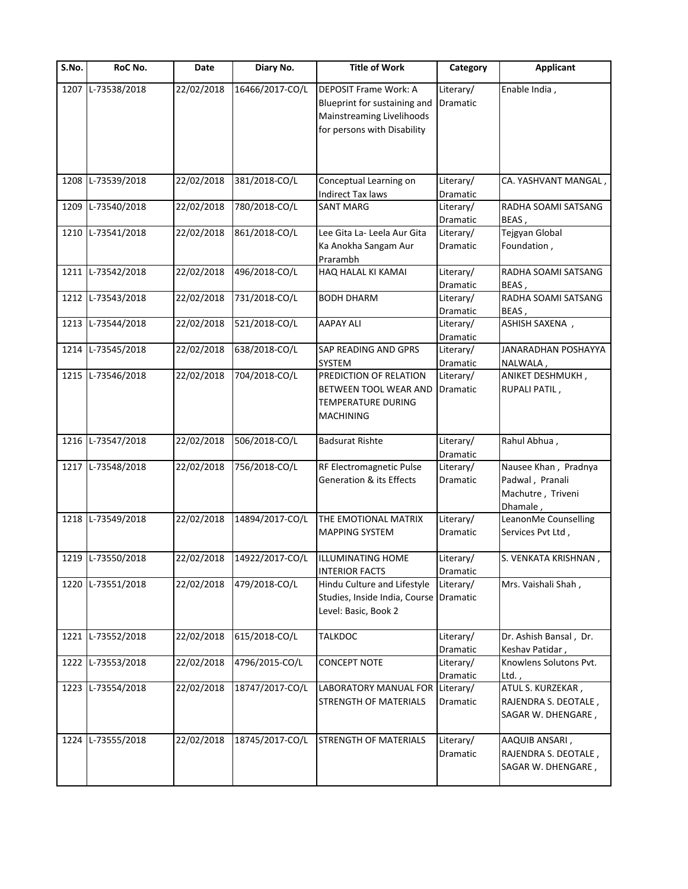| S.No. | RoC No.           | Date       | Diary No.       | <b>Title of Work</b>                                                                                                     | Category              | <b>Applicant</b>                                                         |
|-------|-------------------|------------|-----------------|--------------------------------------------------------------------------------------------------------------------------|-----------------------|--------------------------------------------------------------------------|
| 1207  | L-73538/2018      | 22/02/2018 | 16466/2017-CO/L | <b>DEPOSIT Frame Work: A</b><br>Blueprint for sustaining and<br>Mainstreaming Livelihoods<br>for persons with Disability | Literary/<br>Dramatic | Enable India,                                                            |
| 1208  | L-73539/2018      | 22/02/2018 | 381/2018-CO/L   | Conceptual Learning on<br><b>Indirect Tax laws</b>                                                                       | Literary/<br>Dramatic | CA. YASHVANT MANGAL,                                                     |
| 1209  | L-73540/2018      | 22/02/2018 | 780/2018-CO/L   | <b>SANT MARG</b>                                                                                                         | Literary/<br>Dramatic | RADHA SOAMI SATSANG<br>BEAS,                                             |
|       | 1210 L-73541/2018 | 22/02/2018 | 861/2018-CO/L   | Lee Gita La- Leela Aur Gita<br>Ka Anokha Sangam Aur<br>Prarambh                                                          | Literary/<br>Dramatic | Tejgyan Global<br>Foundation,                                            |
|       | 1211 L-73542/2018 | 22/02/2018 | 496/2018-CO/L   | HAQ HALAL KI KAMAI                                                                                                       | Literary/<br>Dramatic | RADHA SOAMI SATSANG<br>BEAS,                                             |
|       | 1212 L-73543/2018 | 22/02/2018 | 731/2018-CO/L   | <b>BODH DHARM</b>                                                                                                        | Literary/<br>Dramatic | RADHA SOAMI SATSANG<br>BEAS,                                             |
|       | 1213 L-73544/2018 | 22/02/2018 | 521/2018-CO/L   | <b>AAPAY ALI</b>                                                                                                         | Literary/<br>Dramatic | ASHISH SAXENA,                                                           |
| 1214  | L-73545/2018      | 22/02/2018 | 638/2018-CO/L   | SAP READING AND GPRS<br><b>SYSTEM</b>                                                                                    | Literary/<br>Dramatic | JANARADHAN POSHAYYA<br>NALWALA,                                          |
|       | 1215 L-73546/2018 | 22/02/2018 | 704/2018-CO/L   | PREDICTION OF RELATION<br>BETWEEN TOOL WEAR AND<br>TEMPERATURE DURING<br><b>MACHINING</b>                                | Literary/<br>Dramatic | ANIKET DESHMUKH,<br>RUPALI PATIL,                                        |
|       | 1216 L-73547/2018 | 22/02/2018 | 506/2018-CO/L   | <b>Badsurat Rishte</b>                                                                                                   | Literary/<br>Dramatic | Rahul Abhua,                                                             |
|       | 1217 L-73548/2018 | 22/02/2018 | 756/2018-CO/L   | RF Electromagnetic Pulse<br><b>Generation &amp; its Effects</b>                                                          | Literary/<br>Dramatic | Nausee Khan, Pradnya<br>Padwal, Pranali<br>Machutre, Triveni<br>Dhamale, |
|       | 1218 L-73549/2018 | 22/02/2018 | 14894/2017-CO/L | THE EMOTIONAL MATRIX<br><b>MAPPING SYSTEM</b>                                                                            | Literary/<br>Dramatic | LeanonMe Counselling<br>Services Pvt Ltd,                                |
|       | 1219 L-73550/2018 | 22/02/2018 | 14922/2017-CO/L | <b>ILLUMINATING HOME</b><br><b>INTERIOR FACTS</b>                                                                        | Literary/<br>Dramatic | S. VENKATA KRISHNAN,                                                     |
|       | 1220 L-73551/2018 | 22/02/2018 | 479/2018-CO/L   | Hindu Culture and Lifestyle<br>Studies, Inside India, Course Dramatic<br>Level: Basic, Book 2                            | Literary/             | Mrs. Vaishali Shah,                                                      |
| 1221  | L-73552/2018      | 22/02/2018 | 615/2018-CO/L   | <b>TALKDOC</b>                                                                                                           | Literary/<br>Dramatic | Dr. Ashish Bansal, Dr.<br>Keshav Patidar,                                |
| 1222  | L-73553/2018      | 22/02/2018 | 4796/2015-CO/L  | <b>CONCEPT NOTE</b>                                                                                                      | Literary/<br>Dramatic | Knowlens Solutons Pvt.<br>Ltd.                                           |
|       | 1223 L-73554/2018 | 22/02/2018 | 18747/2017-CO/L | LABORATORY MANUAL FOR<br><b>STRENGTH OF MATERIALS</b>                                                                    | Literary/<br>Dramatic | ATUL S. KURZEKAR,<br>RAJENDRA S. DEOTALE,<br>SAGAR W. DHENGARE,          |
|       | 1224 L-73555/2018 | 22/02/2018 | 18745/2017-CO/L | <b>STRENGTH OF MATERIALS</b>                                                                                             | Literary/<br>Dramatic | AAQUIB ANSARI,<br>RAJENDRA S. DEOTALE,<br>SAGAR W. DHENGARE,             |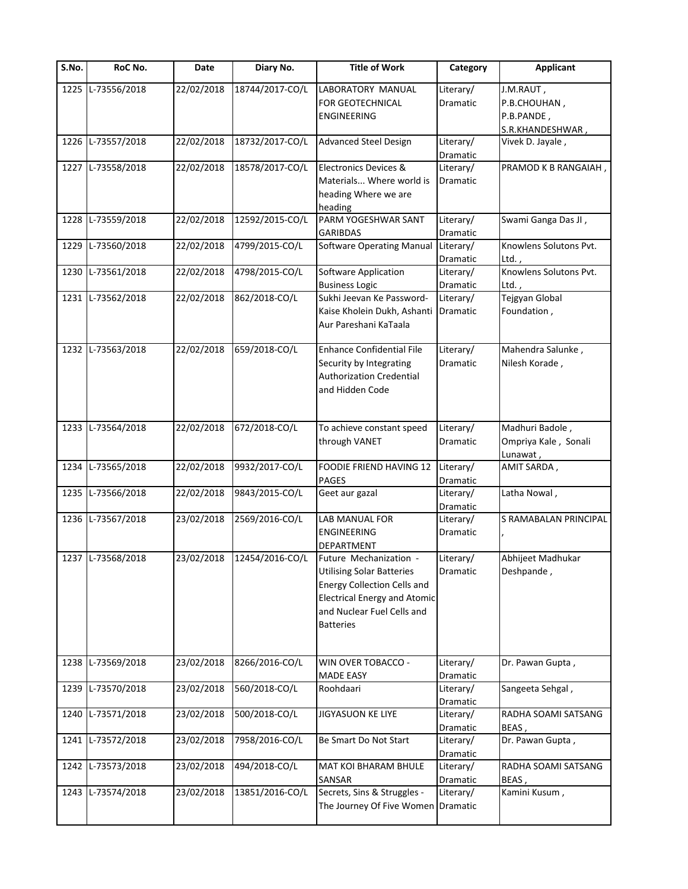| S.No. | RoC No.           | Date       | Diary No.       | <b>Title of Work</b>                                                                                                                                                                      | Category              | <b>Applicant</b>                                            |
|-------|-------------------|------------|-----------------|-------------------------------------------------------------------------------------------------------------------------------------------------------------------------------------------|-----------------------|-------------------------------------------------------------|
| 1225  | L-73556/2018      | 22/02/2018 | 18744/2017-CO/L | LABORATORY MANUAL<br>FOR GEOTECHNICAL<br><b>ENGINEERING</b>                                                                                                                               | Literary/<br>Dramatic | J.M.RAUT,<br>P.B.CHOUHAN,<br>P.B.PANDE,<br>S.R.KHANDESHWAR, |
| 1226  | L-73557/2018      | 22/02/2018 | 18732/2017-CO/L | <b>Advanced Steel Design</b>                                                                                                                                                              | Literary/<br>Dramatic | Vivek D. Jayale,                                            |
| 1227  | L-73558/2018      | 22/02/2018 | 18578/2017-CO/L | <b>Electronics Devices &amp;</b><br>Materials Where world is<br>heading Where we are<br>heading                                                                                           | Literary/<br>Dramatic | PRAMOD K B RANGAIAH,                                        |
| 1228  | L-73559/2018      | 22/02/2018 | 12592/2015-CO/L | PARM YOGESHWAR SANT<br><b>GARIBDAS</b>                                                                                                                                                    | Literary/<br>Dramatic | Swami Ganga Das JI,                                         |
|       | 1229 L-73560/2018 | 22/02/2018 | 4799/2015-CO/L  | <b>Software Operating Manual</b>                                                                                                                                                          | Literary/<br>Dramatic | Knowlens Solutons Pvt.<br>Ltd.,                             |
| 1230  | L-73561/2018      | 22/02/2018 | 4798/2015-CO/L  | Software Application<br><b>Business Logic</b>                                                                                                                                             | Literary/<br>Dramatic | Knowlens Solutons Pvt.<br>$Ltd.$ ,                          |
|       | 1231 L-73562/2018 | 22/02/2018 | 862/2018-CO/L   | Sukhi Jeevan Ke Password-<br>Kaise Kholein Dukh, Ashanti<br>Aur Pareshani KaTaala                                                                                                         | Literary/<br>Dramatic | Tejgyan Global<br>Foundation,                               |
|       | 1232 L-73563/2018 | 22/02/2018 | 659/2018-CO/L   | <b>Enhance Confidential File</b><br>Security by Integrating<br><b>Authorization Credential</b><br>and Hidden Code                                                                         | Literary/<br>Dramatic | Mahendra Salunke,<br>Nilesh Korade,                         |
|       | 1233 L-73564/2018 | 22/02/2018 | 672/2018-CO/L   | To achieve constant speed<br>through VANET                                                                                                                                                | Literary/<br>Dramatic | Madhuri Badole,<br>Ompriya Kale, Sonali<br>Lunawat,         |
| 1234  | L-73565/2018      | 22/02/2018 | 9932/2017-CO/L  | FOODIE FRIEND HAVING 12<br><b>PAGES</b>                                                                                                                                                   | Literary/<br>Dramatic | AMIT SARDA,                                                 |
| 1235  | L-73566/2018      | 22/02/2018 | 9843/2015-CO/L  | Geet aur gazal                                                                                                                                                                            | Literary/<br>Dramatic | Latha Nowal,                                                |
|       | 1236 L-73567/2018 | 23/02/2018 | 2569/2016-CO/L  | LAB MANUAL FOR<br><b>ENGINEERING</b><br><b>DEPARTMENT</b>                                                                                                                                 | Literary/<br>Dramatic | S RAMABALAN PRINCIPAL                                       |
|       | 1237 L-73568/2018 | 23/02/2018 | 12454/2016-CO/L | Future Mechanization -<br><b>Utilising Solar Batteries</b><br><b>Energy Collection Cells and</b><br><b>Electrical Energy and Atomic</b><br>and Nuclear Fuel Cells and<br><b>Batteries</b> | Literary/<br>Dramatic | Abhijeet Madhukar<br>Deshpande,                             |
| 1238  | L-73569/2018      | 23/02/2018 | 8266/2016-CO/L  | WIN OVER TOBACCO -<br><b>MADE EASY</b>                                                                                                                                                    | Literary/<br>Dramatic | Dr. Pawan Gupta,                                            |
| 1239  | L-73570/2018      | 23/02/2018 | 560/2018-CO/L   | Roohdaari                                                                                                                                                                                 | Literary/<br>Dramatic | Sangeeta Sehgal,                                            |
| 1240  | L-73571/2018      | 23/02/2018 | 500/2018-CO/L   | <b>JIGYASUON KE LIYE</b>                                                                                                                                                                  | Literary/<br>Dramatic | RADHA SOAMI SATSANG<br>BEAS,                                |
| 1241  | L-73572/2018      | 23/02/2018 | 7958/2016-CO/L  | Be Smart Do Not Start                                                                                                                                                                     | Literary/<br>Dramatic | Dr. Pawan Gupta,                                            |
| 1242  | L-73573/2018      | 23/02/2018 | 494/2018-CO/L   | MAT KOI BHARAM BHULE<br>SANSAR                                                                                                                                                            | Literary/<br>Dramatic | RADHA SOAMI SATSANG<br>BEAS,                                |
|       | 1243 L-73574/2018 | 23/02/2018 | 13851/2016-CO/L | Secrets, Sins & Struggles -<br>The Journey Of Five Women Dramatic                                                                                                                         | Literary/             | Kamini Kusum,                                               |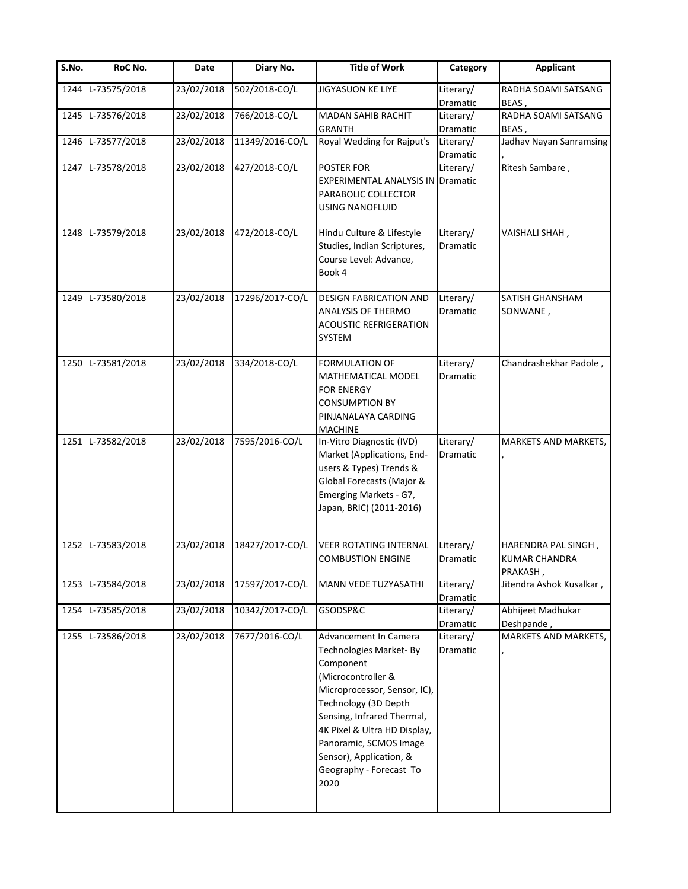| S.No. | RoC No.           | Date       | Diary No.       | <b>Title of Work</b>                                                                                                                                                                                                                                                                             | Category              | <b>Applicant</b>                                        |
|-------|-------------------|------------|-----------------|--------------------------------------------------------------------------------------------------------------------------------------------------------------------------------------------------------------------------------------------------------------------------------------------------|-----------------------|---------------------------------------------------------|
| 1244  | L-73575/2018      | 23/02/2018 | 502/2018-CO/L   | <b>JIGYASUON KE LIYE</b>                                                                                                                                                                                                                                                                         | Literary/<br>Dramatic | RADHA SOAMI SATSANG<br>BEAS,                            |
| 1245  | L-73576/2018      | 23/02/2018 | 766/2018-CO/L   | <b>MADAN SAHIB RACHIT</b><br><b>GRANTH</b>                                                                                                                                                                                                                                                       | Literary/<br>Dramatic | RADHA SOAMI SATSANG<br>BEAS,                            |
| 1246  | L-73577/2018      | 23/02/2018 | 11349/2016-CO/L | Royal Wedding for Rajput's                                                                                                                                                                                                                                                                       | Literary/<br>Dramatic | Jadhav Nayan Sanramsing                                 |
|       | 1247 L-73578/2018 | 23/02/2018 | 427/2018-CO/L   | POSTER FOR<br><b>EXPERIMENTAL ANALYSIS IN Dramatic</b><br>PARABOLIC COLLECTOR<br><b>USING NANOFLUID</b>                                                                                                                                                                                          | Literary/             | Ritesh Sambare,                                         |
|       | 1248 L-73579/2018 | 23/02/2018 | 472/2018-CO/L   | Hindu Culture & Lifestyle<br>Studies, Indian Scriptures,<br>Course Level: Advance,<br>Book 4                                                                                                                                                                                                     | Literary/<br>Dramatic | VAISHALI SHAH,                                          |
| 1249  | L-73580/2018      | 23/02/2018 | 17296/2017-CO/L | <b>DESIGN FABRICATION AND</b><br>ANALYSIS OF THERMO<br><b>ACOUSTIC REFRIGERATION</b><br>SYSTEM                                                                                                                                                                                                   | Literary/<br>Dramatic | SATISH GHANSHAM<br>SONWANE,                             |
|       | 1250 L-73581/2018 | 23/02/2018 | 334/2018-CO/L   | <b>FORMULATION OF</b><br>MATHEMATICAL MODEL<br><b>FOR ENERGY</b><br><b>CONSUMPTION BY</b><br>PINJANALAYA CARDING<br><b>MACHINE</b>                                                                                                                                                               | Literary/<br>Dramatic | Chandrashekhar Padole,                                  |
| 1251  | L-73582/2018      | 23/02/2018 | 7595/2016-CO/L  | In-Vitro Diagnostic (IVD)<br>Market (Applications, End-<br>users & Types) Trends &<br>Global Forecasts (Major &<br>Emerging Markets - G7,<br>Japan, BRIC) (2011-2016)                                                                                                                            | Literary/<br>Dramatic | MARKETS AND MARKETS,                                    |
|       | 1252 L-73583/2018 | 23/02/2018 | 18427/2017-CO/L | <b>VEER ROTATING INTERNAL</b><br><b>COMBUSTION ENGINE</b>                                                                                                                                                                                                                                        | Literary/<br>Dramatic | HARENDRA PAL SINGH,<br><b>KUMAR CHANDRA</b><br>PRAKASH, |
|       | 1253 L-73584/2018 | 23/02/2018 | 17597/2017-CO/L | MANN VEDE TUZYASATHI                                                                                                                                                                                                                                                                             | Literary/<br>Dramatic | Jitendra Ashok Kusalkar,                                |
| 1254  | L-73585/2018      | 23/02/2018 | 10342/2017-CO/L | GSODSP&C                                                                                                                                                                                                                                                                                         | Literary/<br>Dramatic | Abhijeet Madhukar<br>Deshpande,                         |
|       | 1255 L-73586/2018 | 23/02/2018 | 7677/2016-CO/L  | Advancement In Camera<br>Technologies Market-By<br>Component<br>(Microcontroller &<br>Microprocessor, Sensor, IC),<br>Technology (3D Depth<br>Sensing, Infrared Thermal,<br>4K Pixel & Ultra HD Display,<br>Panoramic, SCMOS Image<br>Sensor), Application, &<br>Geography - Forecast To<br>2020 | Literary/<br>Dramatic | MARKETS AND MARKETS,                                    |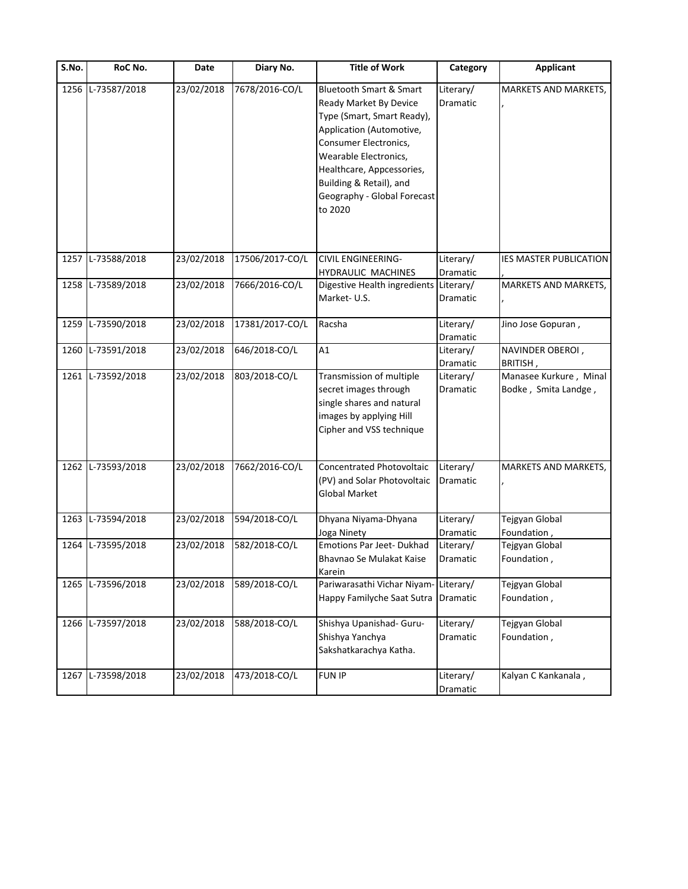| S.No. | RoC No.           | Date       | Diary No.       | <b>Title of Work</b>                                                                                                                                                                                                                                                       | Category              | <b>Applicant</b>                               |
|-------|-------------------|------------|-----------------|----------------------------------------------------------------------------------------------------------------------------------------------------------------------------------------------------------------------------------------------------------------------------|-----------------------|------------------------------------------------|
| 1256  | L-73587/2018      | 23/02/2018 | 7678/2016-CO/L  | <b>Bluetooth Smart &amp; Smart</b><br>Ready Market By Device<br>Type (Smart, Smart Ready),<br>Application (Automotive,<br>Consumer Electronics,<br>Wearable Electronics,<br>Healthcare, Appcessories,<br>Building & Retail), and<br>Geography - Global Forecast<br>to 2020 | Literary/<br>Dramatic | MARKETS AND MARKETS,                           |
|       | 1257 L-73588/2018 | 23/02/2018 | 17506/2017-CO/L | <b>CIVIL ENGINEERING-</b><br>HYDRAULIC MACHINES                                                                                                                                                                                                                            | Literary/<br>Dramatic | IES MASTER PUBLICATION                         |
|       | 1258 L-73589/2018 | 23/02/2018 | 7666/2016-CO/L  | Digestive Health ingredients<br>Market-U.S.                                                                                                                                                                                                                                | Literary/<br>Dramatic | MARKETS AND MARKETS,                           |
| 1259  | L-73590/2018      | 23/02/2018 | 17381/2017-CO/L | Racsha                                                                                                                                                                                                                                                                     | Literary/<br>Dramatic | Jino Jose Gopuran,                             |
| 1260  | L-73591/2018      | 23/02/2018 | 646/2018-CO/L   | A1                                                                                                                                                                                                                                                                         | Literary/<br>Dramatic | NAVINDER OBEROI,<br>BRITISH,                   |
| 1261  | L-73592/2018      | 23/02/2018 | 803/2018-CO/L   | Transmission of multiple<br>secret images through<br>single shares and natural<br>images by applying Hill<br>Cipher and VSS technique                                                                                                                                      | Literary/<br>Dramatic | Manasee Kurkure, Minal<br>Bodke, Smita Landge, |
|       | 1262 L-73593/2018 | 23/02/2018 | 7662/2016-CO/L  | Concentrated Photovoltaic<br>(PV) and Solar Photovoltaic<br><b>Global Market</b>                                                                                                                                                                                           | Literary/<br>Dramatic | MARKETS AND MARKETS,                           |
|       | 1263 L-73594/2018 | 23/02/2018 | 594/2018-CO/L   | Dhyana Niyama-Dhyana<br>Joga Ninety                                                                                                                                                                                                                                        | Literary/<br>Dramatic | Tejgyan Global<br>Foundation,                  |
| 1264  | L-73595/2018      | 23/02/2018 | 582/2018-CO/L   | Emotions Par Jeet-Dukhad<br>Bhavnao Se Mulakat Kaise<br>Karein                                                                                                                                                                                                             | Literary/<br>Dramatic | Tejgyan Global<br>Foundation,                  |
|       | 1265 L-73596/2018 | 23/02/2018 | 589/2018-CO/L   | Pariwarasathi Vichar Niyam-<br>Happy Familyche Saat Sutra                                                                                                                                                                                                                  | Literary/<br>Dramatic | Tejgyan Global<br>Foundation,                  |
|       | 1266 L-73597/2018 | 23/02/2018 | 588/2018-CO/L   | Shishya Upanishad- Guru-<br>Shishya Yanchya<br>Sakshatkarachya Katha.                                                                                                                                                                                                      | Literary/<br>Dramatic | Tejgyan Global<br>Foundation,                  |
|       | 1267 L-73598/2018 | 23/02/2018 | 473/2018-CO/L   | <b>FUN IP</b>                                                                                                                                                                                                                                                              | Literary/<br>Dramatic | Kalyan C Kankanala,                            |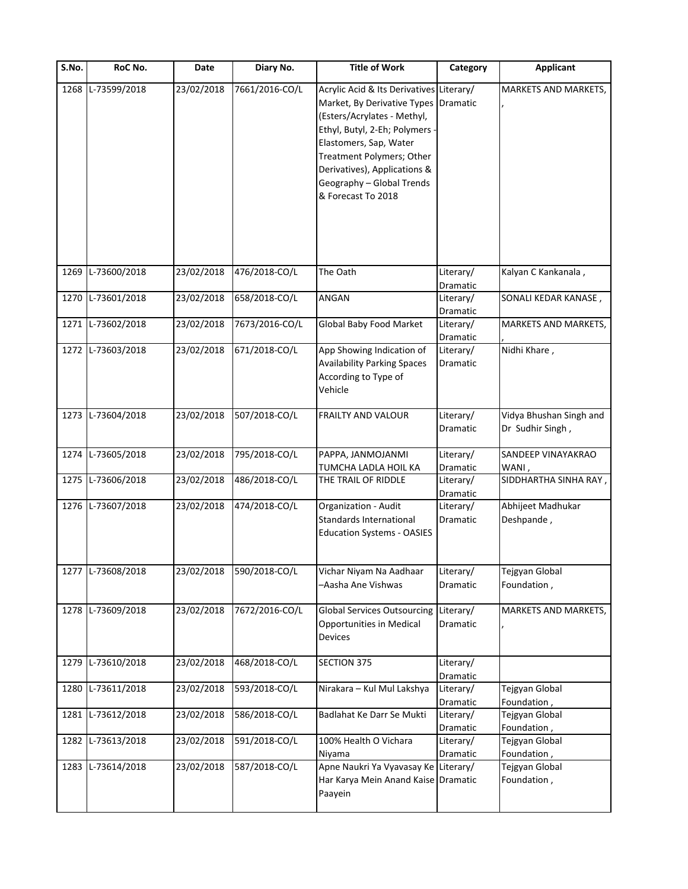| S.No. | RoC No.           | Date       | Diary No.      | <b>Title of Work</b>                                                                                                                                                                                                                                                               | Category                          | <b>Applicant</b>                            |
|-------|-------------------|------------|----------------|------------------------------------------------------------------------------------------------------------------------------------------------------------------------------------------------------------------------------------------------------------------------------------|-----------------------------------|---------------------------------------------|
| 1268  | L-73599/2018      | 23/02/2018 | 7661/2016-CO/L | Acrylic Acid & Its Derivatives Literary/<br>Market, By Derivative Types<br>(Esters/Acrylates - Methyl,<br>Ethyl, Butyl, 2-Eh; Polymers -<br>Elastomers, Sap, Water<br>Treatment Polymers; Other<br>Derivatives), Applications &<br>Geography - Global Trends<br>& Forecast To 2018 | Dramatic                          | MARKETS AND MARKETS,                        |
| 1269  | L-73600/2018      | 23/02/2018 | 476/2018-CO/L  | The Oath                                                                                                                                                                                                                                                                           | Literary/                         | Kalyan C Kankanala,                         |
|       | 1270 L-73601/2018 | 23/02/2018 | 658/2018-CO/L  | ANGAN                                                                                                                                                                                                                                                                              | Dramatic<br>Literary/<br>Dramatic | SONALI KEDAR KANASE,                        |
|       | 1271 L-73602/2018 | 23/02/2018 | 7673/2016-CO/L | Global Baby Food Market                                                                                                                                                                                                                                                            | Literary/<br>Dramatic             | MARKETS AND MARKETS,                        |
|       | 1272 L-73603/2018 | 23/02/2018 | 671/2018-CO/L  | App Showing Indication of<br><b>Availability Parking Spaces</b><br>According to Type of<br>Vehicle                                                                                                                                                                                 | Literary/<br>Dramatic             | Nidhi Khare,                                |
|       | 1273 L-73604/2018 | 23/02/2018 | 507/2018-CO/L  | FRAILTY AND VALOUR                                                                                                                                                                                                                                                                 | Literary/<br>Dramatic             | Vidya Bhushan Singh and<br>Dr Sudhir Singh, |
|       | 1274 L-73605/2018 | 23/02/2018 | 795/2018-CO/L  | PAPPA, JANMOJANMI<br>TUMCHA LADLA HOIL KA                                                                                                                                                                                                                                          | Literary/<br>Dramatic             | SANDEEP VINAYAKRAO<br>WANI,                 |
|       | 1275 L-73606/2018 | 23/02/2018 | 486/2018-CO/L  | THE TRAIL OF RIDDLE                                                                                                                                                                                                                                                                | Literary/<br>Dramatic             | SIDDHARTHA SINHA RAY,                       |
|       | 1276 L-73607/2018 | 23/02/2018 | 474/2018-CO/L  | Organization - Audit<br>Standards International<br><b>Education Systems - OASIES</b>                                                                                                                                                                                               | Literary/<br>Dramatic             | Abhijeet Madhukar<br>Deshpande,             |
|       | 1277 L-73608/2018 | 23/02/2018 | 590/2018-CO/L  | Vichar Niyam Na Aadhaar<br>-Aasha Ane Vishwas                                                                                                                                                                                                                                      | Literary/<br>Dramatic             | Tejgyan Global<br>Foundation,               |
|       | 1278 L-73609/2018 | 23/02/2018 | 7672/2016-CO/L | <b>Global Services Outsourcing</b><br>Opportunities in Medical<br><b>Devices</b>                                                                                                                                                                                                   | Literary/<br>Dramatic             | MARKETS AND MARKETS,                        |
| 1279  | L-73610/2018      | 23/02/2018 | 468/2018-CO/L  | <b>SECTION 375</b>                                                                                                                                                                                                                                                                 | Literary/<br>Dramatic             |                                             |
| 1280  | L-73611/2018      | 23/02/2018 | 593/2018-CO/L  | Nirakara - Kul Mul Lakshya                                                                                                                                                                                                                                                         | Literary/<br>Dramatic             | Tejgyan Global<br>Foundation,               |
| 1281  | L-73612/2018      | 23/02/2018 | 586/2018-CO/L  | Badlahat Ke Darr Se Mukti                                                                                                                                                                                                                                                          | Literary/<br>Dramatic             | Tejgyan Global<br>Foundation,               |
| 1282  | L-73613/2018      | 23/02/2018 | 591/2018-CO/L  | 100% Health O Vichara<br>Niyama                                                                                                                                                                                                                                                    | Literary/<br>Dramatic             | Tejgyan Global<br>Foundation,               |
|       | 1283 L-73614/2018 | 23/02/2018 | 587/2018-CO/L  | Apne Naukri Ya Vyavasay Ke<br>Har Karya Mein Anand Kaise Dramatic<br>Paayein                                                                                                                                                                                                       | Literary/                         | Tejgyan Global<br>Foundation,               |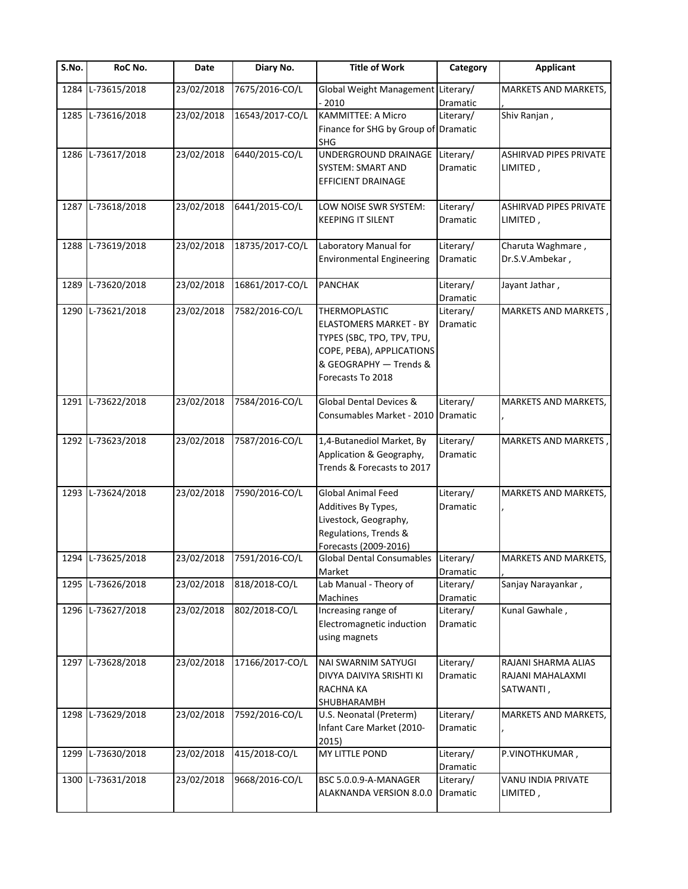| S.No. | RoC No.           | Date       | Diary No.       | <b>Title of Work</b>                                                                                                                                            | Category                     | <b>Applicant</b>                                     |
|-------|-------------------|------------|-----------------|-----------------------------------------------------------------------------------------------------------------------------------------------------------------|------------------------------|------------------------------------------------------|
| 1284  | L-73615/2018      | 23/02/2018 | 7675/2016-CO/L  | <b>Global Weight Management</b><br>$-2010$                                                                                                                      | Literary/<br>Dramatic        | <b>MARKETS AND MARKETS,</b>                          |
| 1285  | L-73616/2018      | 23/02/2018 | 16543/2017-CO/L | <b>KAMMITTEE: A Micro</b><br>Finance for SHG by Group of Dramatic<br><b>SHG</b>                                                                                 | Literary/                    | Shiv Ranjan,                                         |
|       | 1286 L-73617/2018 | 23/02/2018 | 6440/2015-CO/L  | UNDERGROUND DRAINAGE<br>SYSTEM: SMART AND<br>EFFICIENT DRAINAGE                                                                                                 | Literary/<br>Dramatic        | ASHIRVAD PIPES PRIVATE<br>LIMITED,                   |
|       | 1287 L-73618/2018 | 23/02/2018 | 6441/2015-CO/L  | LOW NOISE SWR SYSTEM:<br><b>KEEPING IT SILENT</b>                                                                                                               | Literary/<br>Dramatic        | <b>ASHIRVAD PIPES PRIVATE</b><br>LIMITED,            |
| 1288  | L-73619/2018      | 23/02/2018 | 18735/2017-CO/L | Laboratory Manual for<br><b>Environmental Engineering</b>                                                                                                       | Literary/<br>Dramatic        | Charuta Waghmare,<br>Dr.S.V.Ambekar,                 |
| 1289  | L-73620/2018      | 23/02/2018 | 16861/2017-CO/L | <b>PANCHAK</b>                                                                                                                                                  | Literary/<br>Dramatic        | Jayant Jathar,                                       |
| 1290  | L-73621/2018      | 23/02/2018 | 7582/2016-CO/L  | <b>THERMOPLASTIC</b><br><b>ELASTOMERS MARKET - BY</b><br>TYPES (SBC, TPO, TPV, TPU,<br>COPE, PEBA), APPLICATIONS<br>& GEOGRAPHY - Trends &<br>Forecasts To 2018 | Literary/<br><b>Dramatic</b> | MARKETS AND MARKETS,                                 |
|       | 1291 L-73622/2018 | 23/02/2018 | 7584/2016-CO/L  | Global Dental Devices &<br>Consumables Market - 2010                                                                                                            | Literary/<br>Dramatic        | MARKETS AND MARKETS,                                 |
| 1292  | L-73623/2018      | 23/02/2018 | 7587/2016-CO/L  | 1,4-Butanediol Market, By<br>Application & Geography,<br>Trends & Forecasts to 2017                                                                             | Literary/<br>Dramatic        | MARKETS AND MARKETS                                  |
| 1293  | L-73624/2018      | 23/02/2018 | 7590/2016-CO/L  | Global Animal Feed<br>Additives By Types,<br>Livestock, Geography,<br>Regulations, Trends &<br>Forecasts (2009-2016)                                            | Literary/<br>Dramatic        | MARKETS AND MARKETS,                                 |
|       | 1294 L-73625/2018 | 23/02/2018 | 7591/2016-CO/L  | <b>Global Dental Consumables</b><br>Market                                                                                                                      | Literary/<br>Dramatic        | <b>MARKETS AND MARKETS.</b>                          |
| 1295  | L-73626/2018      | 23/02/2018 | 818/2018-CO/L   | Lab Manual - Theory of<br>Machines                                                                                                                              | Literary/<br>Dramatic        | Sanjay Narayankar,                                   |
|       | 1296 L-73627/2018 | 23/02/2018 | 802/2018-CO/L   | Increasing range of<br>Electromagnetic induction<br>using magnets                                                                                               | Literary/<br>Dramatic        | Kunal Gawhale,                                       |
|       | 1297 L-73628/2018 | 23/02/2018 | 17166/2017-CO/L | NAI SWARNIM SATYUGI<br>DIVYA DAIVIYA SRISHTI KI<br><b>RACHNA KA</b><br>SHUBHARAMBH                                                                              | Literary/<br>Dramatic        | RAJANI SHARMA ALIAS<br>RAJANI MAHALAXMI<br>SATWANTI, |
|       | 1298 L-73629/2018 | 23/02/2018 | 7592/2016-CO/L  | U.S. Neonatal (Preterm)<br>Infant Care Market (2010-<br>2015)                                                                                                   | Literary/<br>Dramatic        | MARKETS AND MARKETS,                                 |
|       | 1299 L-73630/2018 | 23/02/2018 | 415/2018-CO/L   | MY LITTLE POND                                                                                                                                                  | Literary/<br>Dramatic        | P.VINOTHKUMAR,                                       |
|       | 1300 L-73631/2018 | 23/02/2018 | 9668/2016-CO/L  | BSC 5.0.0.9-A-MANAGER<br>ALAKNANDA VERSION 8.0.0                                                                                                                | Literary/<br>Dramatic        | VANU INDIA PRIVATE<br>LIMITED,                       |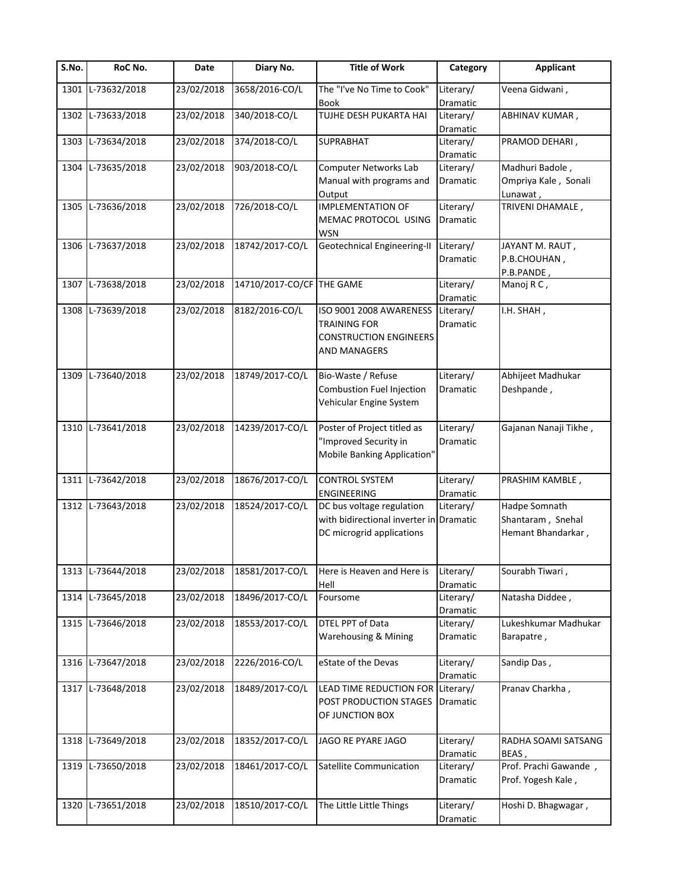| S.No. | RoC No.           | Date       | Diary No.                 | <b>Title of Work</b>                                                                                   | Category              | <b>Applicant</b>                                         |
|-------|-------------------|------------|---------------------------|--------------------------------------------------------------------------------------------------------|-----------------------|----------------------------------------------------------|
| 1301  | L-73632/2018      | 23/02/2018 | 3658/2016-CO/L            | The "I've No Time to Cook"<br><b>Book</b>                                                              | Literary/<br>Dramatic | Veena Gidwani,                                           |
| 1302  | L-73633/2018      | 23/02/2018 | 340/2018-CO/L             | <b>TUJHE DESH PUKARTA HAI</b>                                                                          | Literary/<br>Dramatic | ABHINAV KUMAR,                                           |
| 1303  | L-73634/2018      | 23/02/2018 | 374/2018-CO/L             | <b>SUPRABHAT</b>                                                                                       | Literary/<br>Dramatic | PRAMOD DEHARI,                                           |
| 1304  | L-73635/2018      | 23/02/2018 | 903/2018-CO/L             | <b>Computer Networks Lab</b><br>Manual with programs and<br>Output                                     | Literary/<br>Dramatic | Madhuri Badole,<br>Ompriya Kale, Sonali<br>Lunawat,      |
|       | 1305 L-73636/2018 | 23/02/2018 | 726/2018-CO/L             | <b>IMPLEMENTATION OF</b><br>MEMAC PROTOCOL USING<br><b>WSN</b>                                         | Literary/<br>Dramatic | TRIVENI DHAMALE,                                         |
|       | 1306 L-73637/2018 | 23/02/2018 | 18742/2017-CO/L           | Geotechnical Engineering-II                                                                            | Literary/<br>Dramatic | JAYANT M. RAUT,<br>P.B.CHOUHAN,<br>P.B.PANDE,            |
|       | 1307 L-73638/2018 | 23/02/2018 | 14710/2017-CO/CF THE GAME |                                                                                                        | Literary/<br>Dramatic | Manoj R C,                                               |
|       | 1308 L-73639/2018 | 23/02/2018 | 8182/2016-CO/L            | ISO 9001 2008 AWARENESS<br><b>TRAINING FOR</b><br><b>CONSTRUCTION ENGINEERS</b><br><b>AND MANAGERS</b> | Literary/<br>Dramatic | I.H. SHAH,                                               |
|       | 1309 L-73640/2018 | 23/02/2018 | 18749/2017-CO/L           | Bio-Waste / Refuse<br>Combustion Fuel Injection<br>Vehicular Engine System                             | Literary/<br>Dramatic | Abhijeet Madhukar<br>Deshpande,                          |
|       | 1310 L-73641/2018 | 23/02/2018 | 14239/2017-CO/L           | Poster of Project titled as<br>"Improved Security in<br>Mobile Banking Application"                    | Literary/<br>Dramatic | Gajanan Nanaji Tikhe,                                    |
|       | 1311 L-73642/2018 | 23/02/2018 | 18676/2017-CO/L           | <b>CONTROL SYSTEM</b><br><b>ENGINEERING</b>                                                            | Literary/<br>Dramatic | PRASHIM KAMBLE,                                          |
|       | 1312 L-73643/2018 | 23/02/2018 | 18524/2017-CO/L           | DC bus voltage regulation<br>with bidirectional inverter in Dramatic<br>DC microgrid applications      | Literary/             | Hadpe Somnath<br>Shantaram, Snehal<br>Hemant Bhandarkar, |
|       | 1313 L-73644/2018 | 23/02/2018 | 18581/2017-CO/L           | Here is Heaven and Here is<br>Hell                                                                     | Literary/<br>Dramatic | Sourabh Tiwari,                                          |
| 1314  | L-73645/2018      | 23/02/2018 | 18496/2017-CO/L           | Foursome                                                                                               | Literary/<br>Dramatic | Natasha Diddee,                                          |
|       | 1315 L-73646/2018 | 23/02/2018 | 18553/2017-CO/L           | <b>DTEL PPT of Data</b><br>Warehousing & Mining                                                        | Literary/<br>Dramatic | Lukeshkumar Madhukar<br>Barapatre,                       |
| 1316  | L-73647/2018      | 23/02/2018 | 2226/2016-CO/L            | eState of the Devas                                                                                    | Literary/<br>Dramatic | Sandip Das,                                              |
|       | 1317 L-73648/2018 | 23/02/2018 | 18489/2017-CO/L           | LEAD TIME REDUCTION FOR<br>POST PRODUCTION STAGES<br>OF JUNCTION BOX                                   | Literary/<br>Dramatic | Pranav Charkha,                                          |
| 1318  | L-73649/2018      | 23/02/2018 | 18352/2017-CO/L           | JAGO RE PYARE JAGO                                                                                     | Literary/<br>Dramatic | RADHA SOAMI SATSANG<br>BEAS,                             |
|       | 1319 L-73650/2018 | 23/02/2018 | 18461/2017-CO/L           | Satellite Communication                                                                                | Literary/<br>Dramatic | Prof. Prachi Gawande,<br>Prof. Yogesh Kale,              |
|       | 1320 L-73651/2018 | 23/02/2018 | 18510/2017-CO/L           | The Little Little Things                                                                               | Literary/<br>Dramatic | Hoshi D. Bhagwagar,                                      |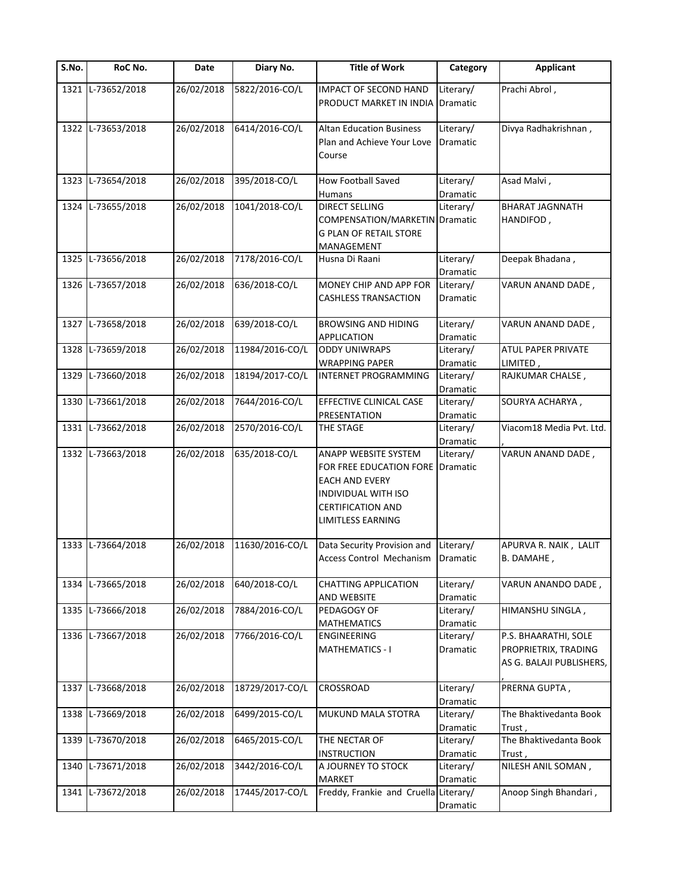| S.No. | RoC No.           | Date       | Diary No.       | <b>Title of Work</b>                  | Category        | <b>Applicant</b>                 |
|-------|-------------------|------------|-----------------|---------------------------------------|-----------------|----------------------------------|
| 1321  | L-73652/2018      | 26/02/2018 | 5822/2016-CO/L  | IMPACT OF SECOND HAND                 | Literary/       | Prachi Abrol,                    |
|       |                   |            |                 | PRODUCT MARKET IN INDIA               | Dramatic        |                                  |
|       |                   |            |                 |                                       |                 |                                  |
|       | 1322 L-73653/2018 | 26/02/2018 | 6414/2016-CO/L  | <b>Altan Education Business</b>       | Literary/       | Divya Radhakrishnan,             |
|       |                   |            |                 | Plan and Achieve Your Love            | <b>Dramatic</b> |                                  |
|       |                   |            |                 | Course                                |                 |                                  |
|       |                   |            |                 |                                       |                 |                                  |
| 1323  | L-73654/2018      | 26/02/2018 | 395/2018-CO/L   | <b>How Football Saved</b>             | Literary/       | Asad Malvi,                      |
|       |                   |            |                 | <b>Humans</b>                         | Dramatic        |                                  |
|       | 1324 L-73655/2018 | 26/02/2018 | 1041/2018-CO/L  | <b>DIRECT SELLING</b>                 | Literary/       | <b>BHARAT JAGNNATH</b>           |
|       |                   |            |                 | COMPENSATION/MARKETIN                 | <b>Dramatic</b> | HANDIFOD,                        |
|       |                   |            |                 | <b>G PLAN OF RETAIL STORE</b>         |                 |                                  |
|       |                   |            |                 | MANAGEMENT                            |                 |                                  |
|       | 1325 L-73656/2018 | 26/02/2018 | 7178/2016-CO/L  | Husna Di Raani                        | Literary/       | Deepak Bhadana,                  |
|       |                   |            |                 |                                       | Dramatic        |                                  |
|       | 1326 L-73657/2018 | 26/02/2018 | 636/2018-CO/L   | MONEY CHIP AND APP FOR                | Literary/       | VARUN ANAND DADE,                |
|       |                   |            |                 | <b>CASHLESS TRANSACTION</b>           | Dramatic        |                                  |
|       |                   |            |                 |                                       |                 |                                  |
|       | 1327 L-73658/2018 | 26/02/2018 | 639/2018-CO/L   | <b>BROWSING AND HIDING</b>            | Literary/       | VARUN ANAND DADE,                |
|       |                   |            |                 | <b>APPLICATION</b>                    | Dramatic        |                                  |
| 1328  | L-73659/2018      | 26/02/2018 | 11984/2016-CO/L | <b>ODDY UNIWRAPS</b>                  | Literary/       | ATUL PAPER PRIVATE               |
|       |                   |            |                 | <b>WRAPPING PAPER</b>                 | Dramatic        | LIMITED,                         |
| 1329  | L-73660/2018      | 26/02/2018 | 18194/2017-CO/L | INTERNET PROGRAMMING                  | Literary/       | RAJKUMAR CHALSE,                 |
|       |                   |            |                 |                                       | Dramatic        |                                  |
| 1330  | L-73661/2018      | 26/02/2018 | 7644/2016-CO/L  | EFFECTIVE CLINICAL CASE               | Literary/       | SOURYA ACHARYA,                  |
|       |                   |            |                 | PRESENTATION                          | Dramatic        |                                  |
|       | 1331 L-73662/2018 | 26/02/2018 | 2570/2016-CO/L  | THE STAGE                             | Literary/       | Viacom18 Media Pvt. Ltd.         |
|       |                   |            |                 |                                       | Dramatic        |                                  |
| 1332  | L-73663/2018      | 26/02/2018 | 635/2018-CO/L   | ANAPP WEBSITE SYSTEM                  | Literary/       | VARUN ANAND DADE,                |
|       |                   |            |                 | FOR FREE EDUCATION FORE               | Dramatic        |                                  |
|       |                   |            |                 | <b>EACH AND EVERY</b>                 |                 |                                  |
|       |                   |            |                 | <b>INDIVIDUAL WITH ISO</b>            |                 |                                  |
|       |                   |            |                 | <b>CERTIFICATION AND</b>              |                 |                                  |
|       |                   |            |                 |                                       |                 |                                  |
|       |                   |            |                 | LIMITLESS EARNING                     |                 |                                  |
|       | 1333 L-73664/2018 | 26/02/2018 | 11630/2016-CO/L | Data Security Provision and           | Literary/       | APURVA R. NAIK, LALIT            |
|       |                   |            |                 | Access Control Mechanism              | Dramatic        | B. DAMAHE,                       |
|       |                   |            |                 |                                       |                 |                                  |
| 1334  | L-73665/2018      | 26/02/2018 | 640/2018-CO/L   | <b>CHATTING APPLICATION</b>           | Literary/       | VARUN ANANDO DADE ,              |
|       |                   |            |                 | AND WEBSITE                           | Dramatic        |                                  |
| 1335  | L-73666/2018      | 26/02/2018 | 7884/2016-CO/L  | PEDAGOGY OF                           | Literary/       | HIMANSHU SINGLA,                 |
|       |                   |            |                 | <b>MATHEMATICS</b>                    | Dramatic        |                                  |
|       | 1336 L-73667/2018 | 26/02/2018 | 7766/2016-CO/L  | <b>ENGINEERING</b>                    | Literary/       | P.S. BHAARATHI, SOLE             |
|       |                   |            |                 | <b>MATHEMATICS - I</b>                | Dramatic        | PROPRIETRIX, TRADING             |
|       |                   |            |                 |                                       |                 | AS G. BALAJI PUBLISHERS,         |
|       |                   |            |                 |                                       |                 |                                  |
| 1337  | L-73668/2018      | 26/02/2018 | 18729/2017-CO/L | CROSSROAD                             | Literary/       | PRERNA GUPTA,                    |
|       |                   |            |                 |                                       | Dramatic        |                                  |
| 1338  | L-73669/2018      | 26/02/2018 | 6499/2015-CO/L  | MUKUND MALA STOTRA                    | Literary/       | The Bhaktivedanta Book           |
|       |                   |            |                 |                                       | Dramatic        |                                  |
| 1339  | L-73670/2018      | 26/02/2018 | 6465/2015-CO/L  | THE NECTAR OF                         |                 | Trust,<br>The Bhaktivedanta Book |
|       |                   |            |                 |                                       | Literary/       |                                  |
|       | L-73671/2018      | 26/02/2018 | 3442/2016-CO/L  | <b>INSTRUCTION</b>                    | Dramatic        | Trust,<br>NILESH ANIL SOMAN,     |
| 1340  |                   |            |                 | A JOURNEY TO STOCK                    | Literary/       |                                  |
|       |                   |            |                 | <b>MARKET</b>                         | Dramatic        |                                  |
| 1341  | L-73672/2018      | 26/02/2018 | 17445/2017-CO/L | Freddy, Frankie and Cruella Literary/ |                 | Anoop Singh Bhandari,            |
|       |                   |            |                 |                                       | Dramatic        |                                  |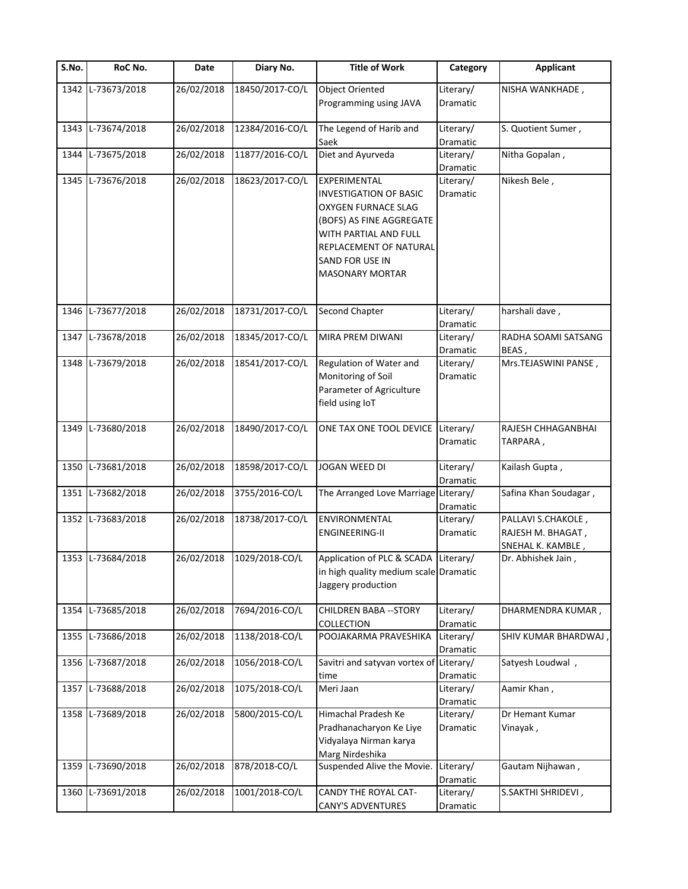| S.No. | RoC No.           | Date       | Diary No.       | <b>Title of Work</b>                                 | Category              | <b>Applicant</b>      |
|-------|-------------------|------------|-----------------|------------------------------------------------------|-----------------------|-----------------------|
| 1342  | L-73673/2018      | 26/02/2018 | 18450/2017-CO/L | <b>Object Oriented</b>                               | Literary/             | NISHA WANKHADE,       |
|       |                   |            |                 | Programming using JAVA                               | Dramatic              |                       |
|       | 1343 L-73674/2018 | 26/02/2018 | 12384/2016-CO/L | The Legend of Harib and                              | Literary/             | S. Quotient Sumer,    |
|       |                   |            |                 | Saek                                                 | Dramatic              |                       |
| 1344  | L-73675/2018      | 26/02/2018 | 11877/2016-CO/L | Diet and Ayurveda                                    | Literary/             | Nitha Gopalan,        |
|       |                   |            |                 |                                                      | Dramatic              |                       |
|       | 1345 L-73676/2018 | 26/02/2018 | 18623/2017-CO/L | EXPERIMENTAL                                         | Literary/             | Nikesh Bele,          |
|       |                   |            |                 | <b>INVESTIGATION OF BASIC</b><br>OXYGEN FURNACE SLAG | Dramatic              |                       |
|       |                   |            |                 | (BOFS) AS FINE AGGREGATE                             |                       |                       |
|       |                   |            |                 | WITH PARTIAL AND FULL                                |                       |                       |
|       |                   |            |                 | REPLACEMENT OF NATURAL                               |                       |                       |
|       |                   |            |                 | SAND FOR USE IN                                      |                       |                       |
|       |                   |            |                 | <b>MASONARY MORTAR</b>                               |                       |                       |
|       |                   |            |                 |                                                      |                       |                       |
| 1346  | L-73677/2018      | 26/02/2018 | 18731/2017-CO/L | <b>Second Chapter</b>                                | Literary/             | harshali dave,        |
|       |                   |            |                 |                                                      | Dramatic              |                       |
| 1347  | L-73678/2018      | 26/02/2018 | 18345/2017-CO/L | MIRA PREM DIWANI                                     | Literary/             | RADHA SOAMI SATSANG   |
|       |                   |            |                 |                                                      | Dramatic              | BEAS,                 |
| 1348  | L-73679/2018      | 26/02/2018 | 18541/2017-CO/L | Regulation of Water and                              | Literary/             | Mrs.TEJASWINI PANSE,  |
|       |                   |            |                 | Monitoring of Soil                                   | Dramatic              |                       |
|       |                   |            |                 | Parameter of Agriculture                             |                       |                       |
|       |                   |            |                 | field using IoT                                      |                       |                       |
|       | 1349 L-73680/2018 | 26/02/2018 | 18490/2017-CO/L | ONE TAX ONE TOOL DEVICE                              | Literary/             | RAJESH CHHAGANBHAI    |
|       |                   |            |                 |                                                      | Dramatic              | TARPARA,              |
|       |                   |            |                 |                                                      |                       |                       |
| 1350  | L-73681/2018      | 26/02/2018 | 18598/2017-CO/L | JOGAN WEED DI                                        | Literary/             | Kailash Gupta,        |
|       |                   |            |                 |                                                      | Dramatic              |                       |
|       | 1351 L-73682/2018 | 26/02/2018 | 3755/2016-CO/L  | The Arranged Love Marriage Literary/                 |                       | Safina Khan Soudagar, |
|       | 1352 L-73683/2018 | 26/02/2018 | 18738/2017-CO/L | <b>ENVIRONMENTAL</b>                                 | Dramatic<br>Literary/ | PALLAVI S.CHAKOLE,    |
|       |                   |            |                 | <b>ENGINEERING-II</b>                                | Dramatic              | RAJESH M. BHAGAT,     |
|       |                   |            |                 |                                                      |                       | SNEHAL K. KAMBLE,     |
|       | 1353 L-73684/2018 | 26/02/2018 | 1029/2018-CO/L  | Application of PLC & SCADA Literary/                 |                       | Dr. Abhishek Jain,    |
|       |                   |            |                 | in high quality medium scale Dramatic                |                       |                       |
|       |                   |            |                 | Jaggery production                                   |                       |                       |
|       |                   |            |                 |                                                      |                       |                       |
| 1354  | L-73685/2018      | 26/02/2018 | 7694/2016-CO/L  | <b>CHILDREN BABA -- STORY</b><br>COLLECTION          | Literary/             | DHARMENDRA KUMAR,     |
| 1355  | L-73686/2018      | 26/02/2018 | 1138/2018-CO/L  | POOJAKARMA PRAVESHIKA                                | Dramatic<br>Literary/ | SHIV KUMAR BHARDWAJ,  |
|       |                   |            |                 |                                                      | Dramatic              |                       |
| 1356  | L-73687/2018      | 26/02/2018 | 1056/2018-CO/L  | Savitri and satyvan vortex of Literary/              |                       | Satyesh Loudwal,      |
|       |                   |            |                 | time                                                 | Dramatic              |                       |
| 1357  | L-73688/2018      | 26/02/2018 | 1075/2018-CO/L  | Meri Jaan                                            | Literary/             | Aamir Khan,           |
|       |                   |            |                 |                                                      | Dramatic              |                       |
|       | 1358 L-73689/2018 | 26/02/2018 | 5800/2015-CO/L  | Himachal Pradesh Ke                                  | Literary/             | Dr Hemant Kumar       |
|       |                   |            |                 | Pradhanacharyon Ke Liye                              | Dramatic              | Vinayak,              |
|       |                   |            |                 | Vidyalaya Nirman karya<br>Marg Nirdeshika            |                       |                       |
| 1359  | L-73690/2018      | 26/02/2018 | 878/2018-CO/L   | Suspended Alive the Movie.                           | Literary/             | Gautam Nijhawan,      |
|       |                   |            |                 |                                                      | Dramatic              |                       |
| 1360  | L-73691/2018      | 26/02/2018 | 1001/2018-CO/L  | CANDY THE ROYAL CAT-                                 | Literary/             | S.SAKTHI SHRIDEVI,    |
|       |                   |            |                 | <b>CANY'S ADVENTURES</b>                             | Dramatic              |                       |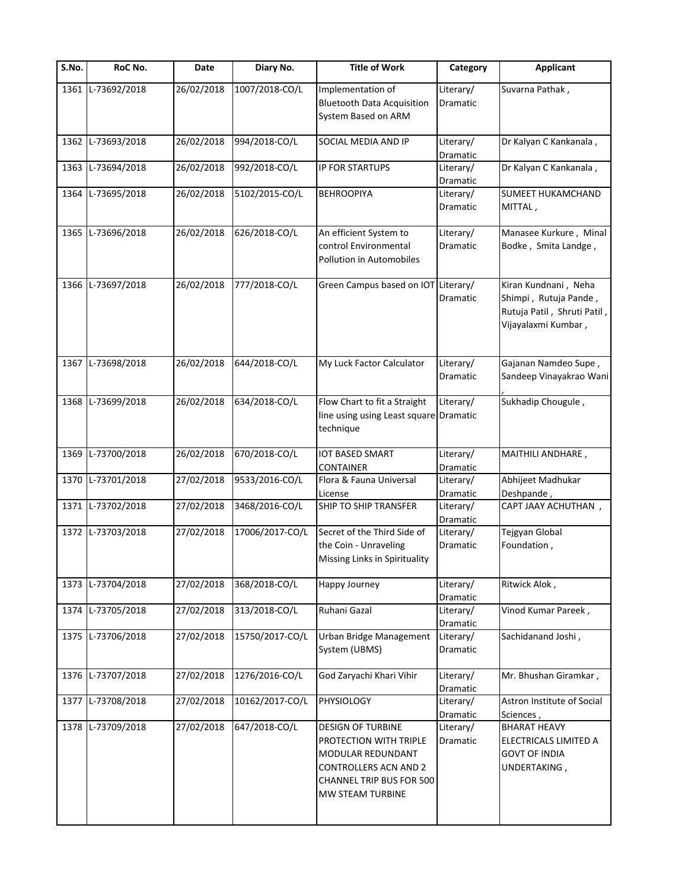| $\overline{\mathsf{S}}$ . No. | RoC No.           | Date       | Diary No.       | <b>Title of Work</b>                                                                                                                                           | Category                     | <b>Applicant</b>                                                                                    |
|-------------------------------|-------------------|------------|-----------------|----------------------------------------------------------------------------------------------------------------------------------------------------------------|------------------------------|-----------------------------------------------------------------------------------------------------|
| 1361                          | L-73692/2018      | 26/02/2018 | 1007/2018-CO/L  | Implementation of<br><b>Bluetooth Data Acquisition</b><br>System Based on ARM                                                                                  | Literary/<br><b>Dramatic</b> | Suvarna Pathak,                                                                                     |
|                               | 1362 L-73693/2018 | 26/02/2018 | 994/2018-CO/L   | SOCIAL MEDIA AND IP                                                                                                                                            | Literary/<br>Dramatic        | Dr Kalyan C Kankanala,                                                                              |
|                               | 1363 L-73694/2018 | 26/02/2018 | 992/2018-CO/L   | <b>IP FOR STARTUPS</b>                                                                                                                                         | Literary/<br>Dramatic        | Dr Kalyan C Kankanala,                                                                              |
|                               | 1364 L-73695/2018 | 26/02/2018 | 5102/2015-CO/L  | <b>BEHROOPIYA</b>                                                                                                                                              | Literary/<br><b>Dramatic</b> | <b>SUMEET HUKAMCHAND</b><br>MITTAL,                                                                 |
|                               | 1365 L-73696/2018 | 26/02/2018 | 626/2018-CO/L   | An efficient System to<br>control Environmental<br>Pollution in Automobiles                                                                                    | Literary/<br>Dramatic        | Manasee Kurkure, Minal<br>Bodke, Smita Landge,                                                      |
| 1366                          | L-73697/2018      | 26/02/2018 | 777/2018-CO/L   | Green Campus based on IOT                                                                                                                                      | Literary/<br>Dramatic        | Kiran Kundnani, Neha<br>Shimpi, Rutuja Pande,<br>Rutuja Patil, Shruti Patil,<br>Vijayalaxmi Kumbar, |
|                               | 1367 L-73698/2018 | 26/02/2018 | 644/2018-CO/L   | My Luck Factor Calculator                                                                                                                                      | Literary/<br>Dramatic        | Gajanan Namdeo Supe,<br>Sandeep Vinayakrao Wani                                                     |
|                               | 1368 L-73699/2018 | 26/02/2018 | 634/2018-CO/L   | Flow Chart to fit a Straight<br>line using using Least square Dramatic<br>technique                                                                            | Literary/                    | Sukhadip Chougule,                                                                                  |
| 1369                          | L-73700/2018      | 26/02/2018 | 670/2018-CO/L   | <b>IOT BASED SMART</b><br><b>CONTAINER</b>                                                                                                                     | Literary/<br>Dramatic        | MAITHILI ANDHARE,                                                                                   |
|                               | 1370 L-73701/2018 | 27/02/2018 | 9533/2016-CO/L  | Flora & Fauna Universal<br>License                                                                                                                             | Literary/<br>Dramatic        | Abhijeet Madhukar<br>Deshpande,                                                                     |
|                               | 1371 L-73702/2018 | 27/02/2018 | 3468/2016-CO/L  | SHIP TO SHIP TRANSFER                                                                                                                                          | Literary/<br>Dramatic        | CAPT JAAY ACHUTHAN,                                                                                 |
|                               | 1372 L-73703/2018 | 27/02/2018 | 17006/2017-CO/L | Secret of the Third Side of<br>the Coin - Unraveling<br>Missing Links in Spirituality                                                                          | Literary/<br>Dramatic        | Tejgyan Global<br>Foundation,                                                                       |
|                               | 1373 L-73704/2018 | 27/02/2018 | 368/2018-CO/L   | Happy Journey                                                                                                                                                  | Literary/<br>Dramatic        | Ritwick Alok,                                                                                       |
|                               | 1374 L-73705/2018 | 27/02/2018 | 313/2018-CO/L   | Ruhani Gazal                                                                                                                                                   | Literary/<br>Dramatic        | Vinod Kumar Pareek,                                                                                 |
|                               | 1375 L-73706/2018 | 27/02/2018 | 15750/2017-CO/L | Urban Bridge Management<br>System (UBMS)                                                                                                                       | Literary/<br>Dramatic        | Sachidanand Joshi,                                                                                  |
| 1376                          | L-73707/2018      | 27/02/2018 | 1276/2016-CO/L  | God Zaryachi Khari Vihir                                                                                                                                       | Literary/<br>Dramatic        | Mr. Bhushan Giramkar,                                                                               |
| 1377                          | L-73708/2018      | 27/02/2018 | 10162/2017-CO/L | PHYSIOLOGY                                                                                                                                                     | Literary/<br>Dramatic        | Astron Institute of Social<br>Sciences                                                              |
|                               | 1378 L-73709/2018 | 27/02/2018 | 647/2018-CO/L   | <b>DESIGN OF TURBINE</b><br>PROTECTION WITH TRIPLE<br>MODULAR REDUNDANT<br><b>CONTROLLERS ACN AND 2</b><br><b>CHANNEL TRIP BUS FOR 500</b><br>MW STEAM TURBINE | Literary/<br>Dramatic        | <b>BHARAT HEAVY</b><br>ELECTRICALS LIMITED A<br><b>GOVT OF INDIA</b><br>UNDERTAKING,                |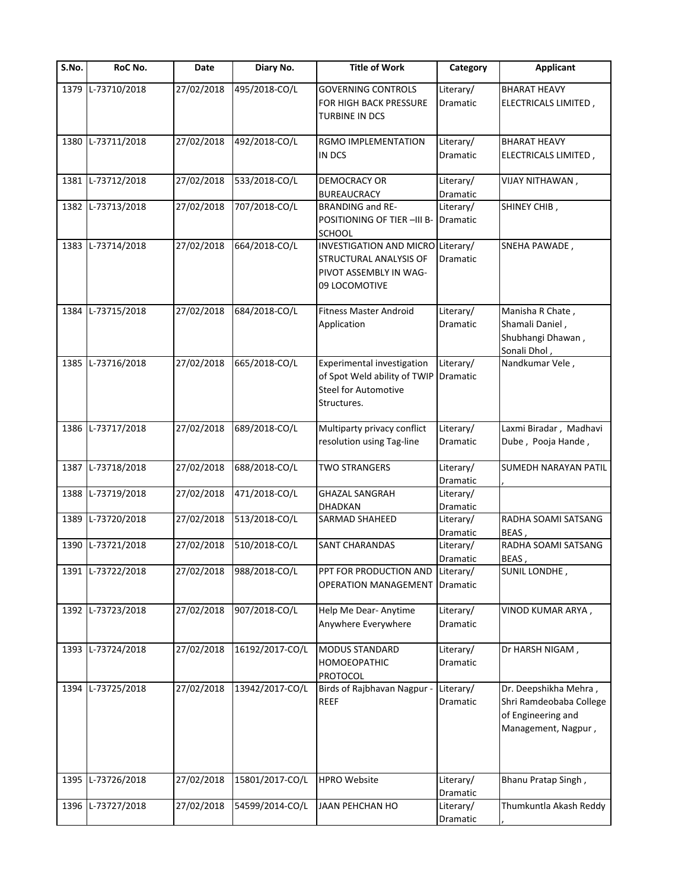| S.No. | RoC No.           | Date       | Diary No.       | <b>Title of Work</b>                                                                                     | Category              | <b>Applicant</b>                                                                              |
|-------|-------------------|------------|-----------------|----------------------------------------------------------------------------------------------------------|-----------------------|-----------------------------------------------------------------------------------------------|
|       | 1379 L-73710/2018 | 27/02/2018 | 495/2018-CO/L   | <b>GOVERNING CONTROLS</b><br>FOR HIGH BACK PRESSURE<br><b>TURBINE IN DCS</b>                             | Literary/<br>Dramatic | <b>BHARAT HEAVY</b><br>ELECTRICALS LIMITED,                                                   |
|       | 1380 L-73711/2018 | 27/02/2018 | 492/2018-CO/L   | RGMO IMPLEMENTATION<br>IN DCS                                                                            | Literary/<br>Dramatic | <b>BHARAT HEAVY</b><br>ELECTRICALS LIMITED,                                                   |
|       | 1381 L-73712/2018 | 27/02/2018 | 533/2018-CO/L   | DEMOCRACY OR<br><b>BUREAUCRACY</b>                                                                       | Literary/<br>Dramatic | VIJAY NITHAWAN,                                                                               |
|       | 1382 L-73713/2018 | 27/02/2018 | 707/2018-CO/L   | <b>BRANDING and RE-</b><br>POSITIONING OF TIER -III B-<br><b>SCHOOL</b>                                  | Literary/<br>Dramatic | SHINEY CHIB,                                                                                  |
|       | 1383 L-73714/2018 | 27/02/2018 | 664/2018-CO/L   | INVESTIGATION AND MICRO Literary/<br>STRUCTURAL ANALYSIS OF<br>PIVOT ASSEMBLY IN WAG-<br>09 LOCOMOTIVE   | Dramatic              | SNEHA PAWADE,                                                                                 |
| 1384  | L-73715/2018      | 27/02/2018 | 684/2018-CO/L   | <b>Fitness Master Android</b><br>Application                                                             | Literary/<br>Dramatic | Manisha R Chate,<br>Shamali Daniel,<br>Shubhangi Dhawan,<br>Sonali Dhol,                      |
|       | 1385 L-73716/2018 | 27/02/2018 | 665/2018-CO/L   | Experimental investigation<br>of Spot Weld ability of TWIP<br><b>Steel for Automotive</b><br>Structures. | Literary/<br>Dramatic | Nandkumar Vele,                                                                               |
|       | 1386 L-73717/2018 | 27/02/2018 | 689/2018-CO/L   | Multiparty privacy conflict<br>resolution using Tag-line                                                 | Literary/<br>Dramatic | Laxmi Biradar, Madhavi<br>Dube, Pooja Hande,                                                  |
| 1387  | L-73718/2018      | 27/02/2018 | 688/2018-CO/L   | <b>TWO STRANGERS</b>                                                                                     | Literary/<br>Dramatic | SUMEDH NARAYAN PATIL                                                                          |
| 1388  | L-73719/2018      | 27/02/2018 | 471/2018-CO/L   | <b>GHAZAL SANGRAH</b><br><b>DHADKAN</b>                                                                  | Literary/<br>Dramatic |                                                                                               |
| 1389  | L-73720/2018      | 27/02/2018 | 513/2018-CO/L   | <b>SARMAD SHAHEED</b>                                                                                    | Literary/<br>Dramatic | RADHA SOAMI SATSANG<br>BEAS,                                                                  |
|       | 1390 L-73721/2018 | 27/02/2018 | 510/2018-CO/L   | SANT CHARANDAS                                                                                           | Literary/<br>Dramatic | RADHA SOAMI SATSANG<br>BEAS,                                                                  |
|       | 1391 L-73722/2018 | 27/02/2018 | 988/2018-CO/L   | PPT FOR PRODUCTION AND<br><b>OPERATION MANAGEMENT</b>                                                    | Literary/<br>Dramatic | SUNIL LONDHE,                                                                                 |
|       | 1392 L-73723/2018 | 27/02/2018 | 907/2018-CO/L   | Help Me Dear- Anytime<br>Anywhere Everywhere                                                             | Literary/<br>Dramatic | VINOD KUMAR ARYA,                                                                             |
|       | 1393 L-73724/2018 | 27/02/2018 | 16192/2017-CO/L | <b>MODUS STANDARD</b><br>HOMOEOPATHIC<br>PROTOCOL                                                        | Literary/<br>Dramatic | Dr HARSH NIGAM,                                                                               |
| 1394  | L-73725/2018      | 27/02/2018 | 13942/2017-CO/L | Birds of Rajbhavan Nagpur -<br><b>REEF</b>                                                               | Literary/<br>Dramatic | Dr. Deepshikha Mehra,<br>Shri Ramdeobaba College<br>of Engineering and<br>Management, Nagpur, |
| 1395  | L-73726/2018      | 27/02/2018 | 15801/2017-CO/L | <b>HPRO Website</b>                                                                                      | Literary/<br>Dramatic | Bhanu Pratap Singh,                                                                           |
| 1396  | L-73727/2018      | 27/02/2018 | 54599/2014-CO/L | <b>JAAN PEHCHAN HO</b>                                                                                   | Literary/<br>Dramatic | Thumkuntla Akash Reddy                                                                        |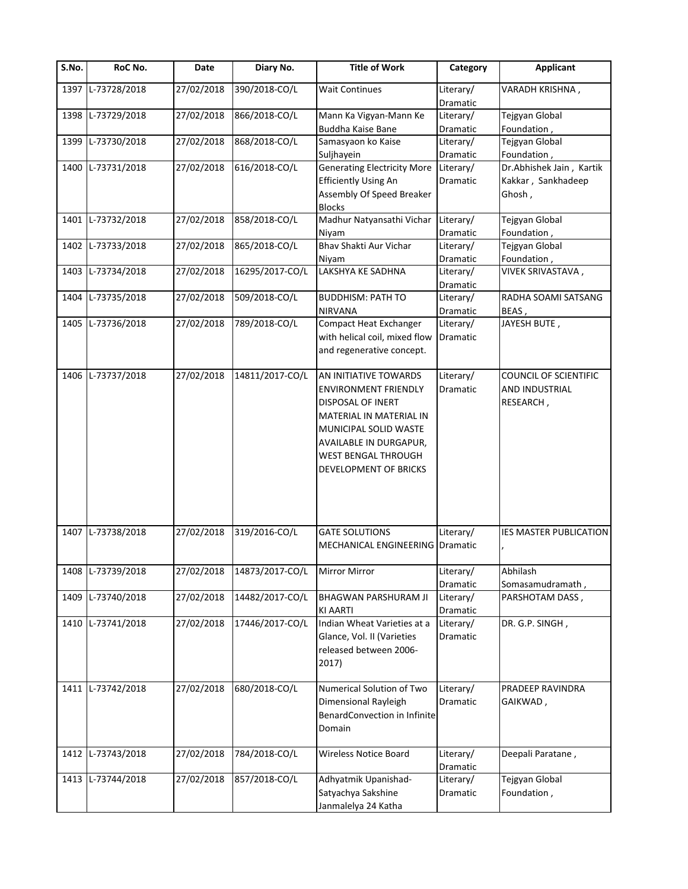| S.No. | RoC No.           | Date       | Diary No.       | <b>Title of Work</b>                               | Category              | Applicant                     |
|-------|-------------------|------------|-----------------|----------------------------------------------------|-----------------------|-------------------------------|
| 1397  | L-73728/2018      | 27/02/2018 | 390/2018-CO/L   | <b>Wait Continues</b>                              | Literary/<br>Dramatic | VARADH KRISHNA,               |
|       | 1398 L-73729/2018 | 27/02/2018 | 866/2018-CO/L   | Mann Ka Vigyan-Mann Ke<br><b>Buddha Kaise Bane</b> | Literary/<br>Dramatic | Tejgyan Global<br>Foundation, |
| 1399  | L-73730/2018      | 27/02/2018 | 868/2018-CO/L   | Samasyaon ko Kaise                                 | Literary/             | Tejgyan Global                |
|       |                   |            |                 | Suljhayein                                         | Dramatic              | Foundation,                   |
|       | 1400 L-73731/2018 | 27/02/2018 | 616/2018-CO/L   | <b>Generating Electricity More</b>                 | Literary/             | Dr.Abhishek Jain, Kartik      |
|       |                   |            |                 | <b>Efficiently Using An</b>                        | Dramatic              | Kakkar, Sankhadeep            |
|       |                   |            |                 | Assembly Of Speed Breaker                          |                       | Ghosh,                        |
|       |                   |            |                 | <b>Blocks</b>                                      |                       |                               |
|       | 1401 L-73732/2018 | 27/02/2018 | 858/2018-CO/L   | Madhur Natyansathi Vichar                          | Literary/             | Tejgyan Global                |
|       |                   |            |                 | Niyam                                              | Dramatic              | Foundation,                   |
|       | 1402 L-73733/2018 | 27/02/2018 | 865/2018-CO/L   | Bhav Shakti Aur Vichar                             | Literary/             | Tejgyan Global                |
|       |                   |            |                 | Niyam                                              | Dramatic              | Foundation,                   |
|       | 1403 L-73734/2018 | 27/02/2018 | 16295/2017-CO/L | LAKSHYA KE SADHNA                                  | Literary/             | VIVEK SRIVASTAVA,             |
|       |                   |            |                 |                                                    |                       |                               |
|       |                   |            | 509/2018-CO/L   | <b>BUDDHISM: PATH TO</b>                           | Dramatic              | RADHA SOAMI SATSANG           |
| 1404  | L-73735/2018      | 27/02/2018 |                 |                                                    | Literary/             |                               |
|       |                   | 27/02/2018 |                 | <b>NIRVANA</b>                                     | Dramatic              | BEAS,                         |
|       | 1405 L-73736/2018 |            | 789/2018-CO/L   | <b>Compact Heat Exchanger</b>                      | Literary/             | JAYESH BUTE,                  |
|       |                   |            |                 | with helical coil, mixed flow                      | Dramatic              |                               |
|       |                   |            |                 | and regenerative concept.                          |                       |                               |
|       |                   |            |                 |                                                    |                       |                               |
|       | 1406 L-73737/2018 | 27/02/2018 | 14811/2017-CO/L | AN INITIATIVE TOWARDS                              | Literary/             | COUNCIL OF SCIENTIFIC         |
|       |                   |            |                 | <b>ENVIRONMENT FRIENDLY</b>                        | Dramatic              | AND INDUSTRIAL                |
|       |                   |            |                 | DISPOSAL OF INERT                                  |                       | RESEARCH,                     |
|       |                   |            |                 | MATERIAL IN MATERIAL IN                            |                       |                               |
|       |                   |            |                 | MUNICIPAL SOLID WASTE                              |                       |                               |
|       |                   |            |                 | AVAILABLE IN DURGAPUR,                             |                       |                               |
|       |                   |            |                 | WEST BENGAL THROUGH                                |                       |                               |
|       |                   |            |                 | DEVELOPMENT OF BRICKS                              |                       |                               |
|       |                   |            |                 |                                                    |                       |                               |
|       |                   |            |                 |                                                    |                       |                               |
|       |                   |            |                 |                                                    |                       |                               |
|       |                   |            |                 |                                                    |                       |                               |
|       | 1407 L-73738/2018 | 27/02/2018 | 319/2016-CO/L   | <b>GATE SOLUTIONS</b>                              | Literary/             | <b>IES MASTER PUBLICATION</b> |
|       |                   |            |                 | MECHANICAL ENGINEERING                             | Dramatic              |                               |
|       |                   |            |                 |                                                    |                       |                               |
|       | 1408 L-73739/2018 | 27/02/2018 | 14873/2017-CO/L | Mirror Mirror                                      | Literary/             | Abhilash                      |
|       |                   |            |                 |                                                    | Dramatic              | Somasamudramath,              |
| 1409  | L-73740/2018      | 27/02/2018 | 14482/2017-CO/L | <b>BHAGWAN PARSHURAM JI</b>                        | Literary/             | PARSHOTAM DASS,               |
|       |                   |            |                 | <b>KI AARTI</b>                                    | Dramatic              |                               |
|       | 1410 L-73741/2018 | 27/02/2018 | 17446/2017-CO/L | Indian Wheat Varieties at a                        | Literary/             | DR. G.P. SINGH,               |
|       |                   |            |                 |                                                    |                       |                               |
|       |                   |            |                 | Glance, Vol. II (Varieties                         | Dramatic              |                               |
|       |                   |            |                 | released between 2006-                             |                       |                               |
|       |                   |            |                 | 2017)                                              |                       |                               |
|       |                   |            |                 |                                                    |                       |                               |
| 1411  | L-73742/2018      | 27/02/2018 | 680/2018-CO/L   | Numerical Solution of Two                          | Literary/             | PRADEEP RAVINDRA              |
|       |                   |            |                 | Dimensional Rayleigh                               | Dramatic              | GAIKWAD,                      |
|       |                   |            |                 | BenardConvection in Infinite                       |                       |                               |
|       |                   |            |                 | Domain                                             |                       |                               |
|       |                   |            |                 |                                                    |                       |                               |
|       | 1412 L-73743/2018 | 27/02/2018 | 784/2018-CO/L   | Wireless Notice Board                              | Literary/             | Deepali Paratane,             |
|       |                   |            |                 |                                                    | Dramatic              |                               |
|       | 1413 L-73744/2018 | 27/02/2018 | 857/2018-CO/L   | Adhyatmik Upanishad-                               | Literary/             | Tejgyan Global                |
|       |                   |            |                 | Satyachya Sakshine                                 | Dramatic              | Foundation,                   |
|       |                   |            |                 | Janmalelya 24 Katha                                |                       |                               |
|       |                   |            |                 |                                                    |                       |                               |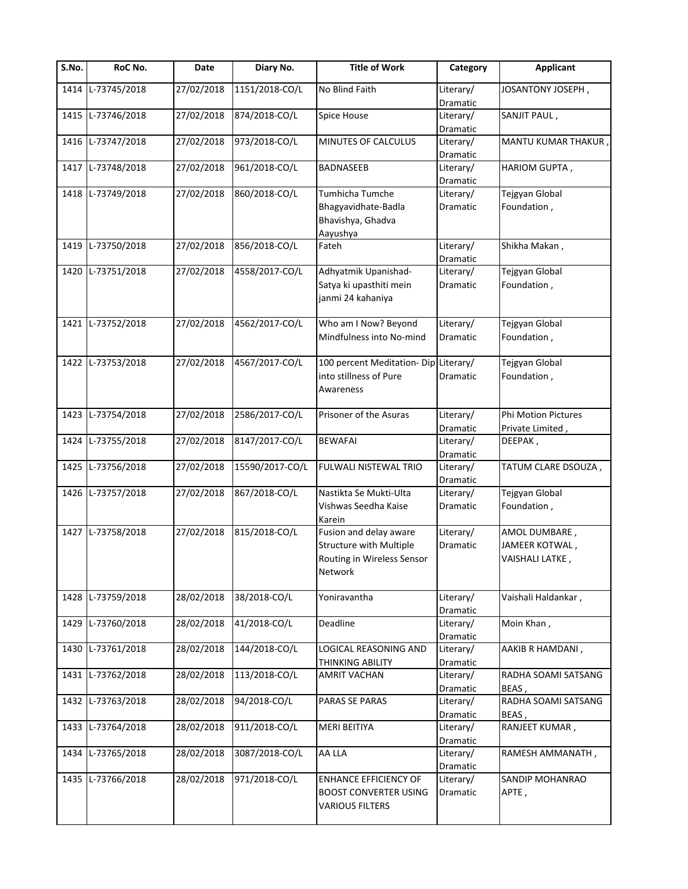| S.No. | RoC No.           | Date                    | Diary No.       | <b>Title of Work</b>                                                                              | Category                     | <b>Applicant</b>                                   |
|-------|-------------------|-------------------------|-----------------|---------------------------------------------------------------------------------------------------|------------------------------|----------------------------------------------------|
| 1414  | L-73745/2018      | 27/02/2018              | 1151/2018-CO/L  | No Blind Faith                                                                                    | Literary/<br>Dramatic        | JOSANTONY JOSEPH,                                  |
| 1415  | L-73746/2018      | 27/02/2018              | 874/2018-CO/L   | Spice House                                                                                       | Literary/<br>Dramatic        | SANJIT PAUL,                                       |
| 1416  | L-73747/2018      | 27/02/2018              | 973/2018-CO/L   | MINUTES OF CALCULUS                                                                               | Literary/<br>Dramatic        | MANTU KUMAR THAKUR,                                |
| 1417  | L-73748/2018      | 27/02/2018              | 961/2018-CO/L   | <b>BADNASEEB</b>                                                                                  | Literary/<br>Dramatic        | HARIOM GUPTA,                                      |
| 1418  | L-73749/2018      | 27/02/2018              | 860/2018-CO/L   | Tumhicha Tumche<br>Bhagyavidhate-Badla<br>Bhavishya, Ghadva<br>Aayushya                           | Literary/<br>Dramatic        | Tejgyan Global<br>Foundation,                      |
| 1419  | L-73750/2018      | 27/02/2018              | 856/2018-CO/L   | Fateh                                                                                             | Literary/<br>Dramatic        | Shikha Makan,                                      |
|       | 1420 L-73751/2018 | 27/02/2018              | 4558/2017-CO/L  | Adhyatmik Upanishad-<br>Satya ki upasthiti mein<br>janmi 24 kahaniya                              | Literary/<br>Dramatic        | Tejgyan Global<br>Foundation,                      |
|       | 1421 L-73752/2018 | 27/02/2018              | 4562/2017-CO/L  | Who am I Now? Beyond<br>Mindfulness into No-mind                                                  | Literary/<br><b>Dramatic</b> | Tejgyan Global<br>Foundation,                      |
|       | 1422 L-73753/2018 | 27/02/2018              | 4567/2017-CO/L  | 100 percent Meditation-Dip Literary/<br>into stillness of Pure<br>Awareness                       | Dramatic                     | Tejgyan Global<br>Foundation,                      |
| 1423  | L-73754/2018      | 27/02/2018              | 2586/2017-CO/L  | Prisoner of the Asuras                                                                            | Literary/<br>Dramatic        | <b>Phi Motion Pictures</b><br>Private Limited,     |
| 1424  | L-73755/2018      | $\overline{27}/02/2018$ | 8147/2017-CO/L  | <b>BEWAFAI</b>                                                                                    | Literary/<br>Dramatic        | DEEPAK,                                            |
|       | 1425 L-73756/2018 | 27/02/2018              | 15590/2017-CO/L | FULWALI NISTEWAL TRIO                                                                             | Literary/<br>Dramatic        | TATUM CLARE DSOUZA,                                |
| 1426  | L-73757/2018      | 27/02/2018              | 867/2018-CO/L   | Nastikta Se Mukti-Ulta<br>Vishwas Seedha Kaise<br>Karein                                          | Literary/<br>Dramatic        | Tejgyan Global<br>Foundation,                      |
|       | 1427 L-73758/2018 | 27/02/2018              | 815/2018-CO/L   | Fusion and delay aware<br><b>Structure with Multiple</b><br>Routing in Wireless Sensor<br>Network | Literary/<br>Dramatic        | AMOL DUMBARE,<br>JAMEER KOTWAL,<br>VAISHALI LATKE, |
| 1428  | L-73759/2018      | 28/02/2018              | 38/2018-CO/L    | Yoniravantha                                                                                      | Literary/<br>Dramatic        | Vaishali Haldankar,                                |
|       | 1429 L-73760/2018 | 28/02/2018              | 41/2018-CO/L    | Deadline                                                                                          | Literary/<br>Dramatic        | Moin Khan,                                         |
|       | 1430 L-73761/2018 | 28/02/2018              | 144/2018-CO/L   | LOGICAL REASONING AND<br>THINKING ABILITY                                                         | Literary/<br>Dramatic        | AAKIB R HAMDANI,                                   |
| 1431  | L-73762/2018      | 28/02/2018              | 113/2018-CO/L   | <b>AMRIT VACHAN</b>                                                                               | Literary/<br>Dramatic        | RADHA SOAMI SATSANG<br>BEAS,                       |
| 1432  | L-73763/2018      | 28/02/2018              | 94/2018-CO/L    | PARAS SE PARAS                                                                                    | Literary/<br>Dramatic        | RADHA SOAMI SATSANG<br>BEAS,                       |
|       | 1433 L-73764/2018 | 28/02/2018              | 911/2018-CO/L   | <b>MERI BEITIYA</b>                                                                               | Literary/<br>Dramatic        | RANJEET KUMAR,                                     |
| 1434  | L-73765/2018      | 28/02/2018              | 3087/2018-CO/L  | AA LLA                                                                                            | Literary/<br>Dramatic        | RAMESH AMMANATH,                                   |
|       | 1435 L-73766/2018 | 28/02/2018              | 971/2018-CO/L   | <b>ENHANCE EFFICIENCY OF</b><br><b>BOOST CONVERTER USING</b><br><b>VARIOUS FILTERS</b>            | Literary/<br>Dramatic        | SANDIP MOHANRAO<br>APTE,                           |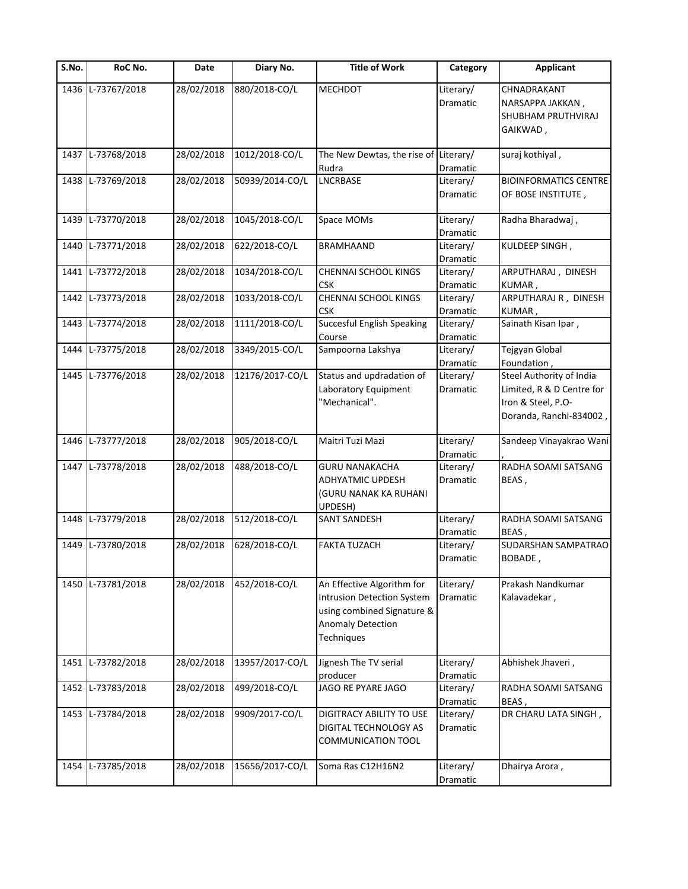| S.No. | RoC No.           | Date       | Diary No.       | <b>Title of Work</b>                                                                                                             | Category              | <b>Applicant</b>                                                                                       |
|-------|-------------------|------------|-----------------|----------------------------------------------------------------------------------------------------------------------------------|-----------------------|--------------------------------------------------------------------------------------------------------|
|       | 1436 L-73767/2018 | 28/02/2018 | 880/2018-CO/L   | <b>MECHDOT</b>                                                                                                                   | Literary/<br>Dramatic | CHNADRAKANT<br>NARSAPPA JAKKAN,<br>SHUBHAM PRUTHVIRAJ<br>GAIKWAD,                                      |
| 1437  | L-73768/2018      | 28/02/2018 | 1012/2018-CO/L  | The New Dewtas, the rise of<br>Rudra                                                                                             | Literary/<br>Dramatic | suraj kothiyal,                                                                                        |
|       | 1438 L-73769/2018 | 28/02/2018 | 50939/2014-CO/L | <b>LNCRBASE</b>                                                                                                                  | Literary/<br>Dramatic | <b>BIOINFORMATICS CENTRE</b><br>OF BOSE INSTITUTE,                                                     |
| 1439  | L-73770/2018      | 28/02/2018 | 1045/2018-CO/L  | Space MOMs                                                                                                                       | Literary/<br>Dramatic | Radha Bharadwaj,                                                                                       |
| 1440  | L-73771/2018      | 28/02/2018 | 622/2018-CO/L   | <b>BRAMHAAND</b>                                                                                                                 | Literary/<br>Dramatic | KULDEEP SINGH,                                                                                         |
| 1441  | L-73772/2018      | 28/02/2018 | 1034/2018-CO/L  | CHENNAI SCHOOL KINGS<br>CSK                                                                                                      | Literary/<br>Dramatic | ARPUTHARAJ, DINESH<br>KUMAR,                                                                           |
| 1442  | L-73773/2018      | 28/02/2018 | 1033/2018-CO/L  | CHENNAI SCHOOL KINGS<br>CSK                                                                                                      | Literary/<br>Dramatic | ARPUTHARAJ R, DINESH<br>KUMAR,                                                                         |
| 1443  | L-73774/2018      | 28/02/2018 | 1111/2018-CO/L  | <b>Succesful English Speaking</b><br>Course                                                                                      | Literary/<br>Dramatic | Sainath Kisan Ipar,                                                                                    |
| 1444  | L-73775/2018      | 28/02/2018 | 3349/2015-CO/L  | Sampoorna Lakshya                                                                                                                | Literary/<br>Dramatic | Tejgyan Global<br>Foundation,                                                                          |
|       | 1445 L-73776/2018 | 28/02/2018 | 12176/2017-CO/L | Status and updradation of<br>Laboratory Equipment<br>"Mechanical".                                                               | Literary/<br>Dramatic | Steel Authority of India<br>Limited, R & D Centre for<br>Iron & Steel, P.O-<br>Doranda, Ranchi-834002, |
| 1446  | L-73777/2018      | 28/02/2018 | 905/2018-CO/L   | Maitri Tuzi Mazi                                                                                                                 | Literary/<br>Dramatic | Sandeep Vinayakrao Wani                                                                                |
| 1447  | L-73778/2018      | 28/02/2018 | 488/2018-CO/L   | <b>GURU NANAKACHA</b><br><b>ADHYATMIC UPDESH</b><br>(GURU NANAK KA RUHANI<br>UPDESH)                                             | Literary/<br>Dramatic | RADHA SOAMI SATSANG<br>BEAS,                                                                           |
| 1448  | L-73779/2018      | 28/02/2018 | 512/2018-CO/L   | <b>SANT SANDESH</b>                                                                                                              | Literary/<br>Dramatic | RADHA SOAMI SATSANG<br>BEAS,                                                                           |
| 1449  | L-73780/2018      | 28/02/2018 | 628/2018-CO/L   | <b>FAKTA TUZACH</b>                                                                                                              | Literary/<br>Dramatic | SUDARSHAN SAMPATRAO<br>BOBADE,                                                                         |
|       | 1450 L-73781/2018 | 28/02/2018 | 452/2018-CO/L   | An Effective Algorithm for<br><b>Intrusion Detection System</b><br>using combined Signature &<br>Anomaly Detection<br>Techniques | Literary/<br>Dramatic | Prakash Nandkumar<br>Kalavadekar,                                                                      |
| 1451  | L-73782/2018      | 28/02/2018 | 13957/2017-CO/L | Jignesh The TV serial<br>producer                                                                                                | Literary/<br>Dramatic | Abhishek Jhaveri,                                                                                      |
| 1452  | L-73783/2018      | 28/02/2018 | 499/2018-CO/L   | JAGO RE PYARE JAGO                                                                                                               | Literary/<br>Dramatic | RADHA SOAMI SATSANG<br>BEAS,                                                                           |
| 1453  | L-73784/2018      | 28/02/2018 | 9909/2017-CO/L  | <b>DIGITRACY ABILITY TO USE</b><br>DIGITAL TECHNOLOGY AS<br>COMMUNICATION TOOL                                                   | Literary/<br>Dramatic | DR CHARU LATA SINGH,                                                                                   |
| 1454  | L-73785/2018      | 28/02/2018 | 15656/2017-CO/L | Soma Ras C12H16N2                                                                                                                | Literary/<br>Dramatic | Dhairya Arora,                                                                                         |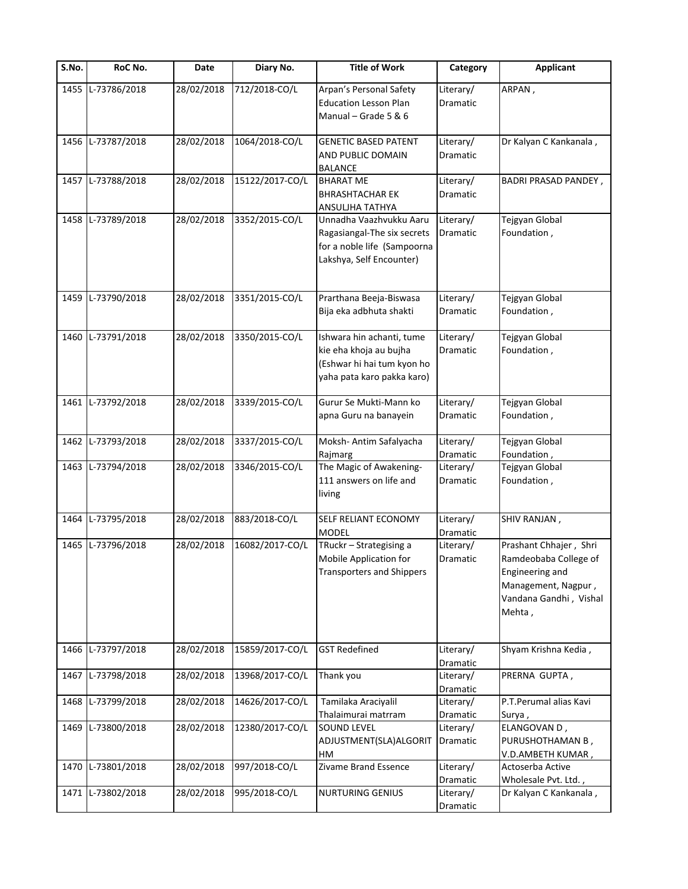| $\overline{\mathsf{S}}$ . No. | RoC No.           | Date       | Diary No.       | <b>Title of Work</b>                                                                                              | Category                     | <b>Applicant</b>                                                                                                              |
|-------------------------------|-------------------|------------|-----------------|-------------------------------------------------------------------------------------------------------------------|------------------------------|-------------------------------------------------------------------------------------------------------------------------------|
| 1455                          | L-73786/2018      | 28/02/2018 | 712/2018-CO/L   | Arpan's Personal Safety<br><b>Education Lesson Plan</b><br>Manual - Grade 5 & 6                                   | Literary/<br>Dramatic        | ARPAN,                                                                                                                        |
| 1456                          | L-73787/2018      | 28/02/2018 | 1064/2018-CO/L  | <b>GENETIC BASED PATENT</b><br>AND PUBLIC DOMAIN<br><b>BALANCE</b>                                                | Literary/<br>Dramatic        | Dr Kalyan C Kankanala,                                                                                                        |
|                               | 1457 L-73788/2018 | 28/02/2018 | 15122/2017-CO/L | <b>BHARAT ME</b><br><b>BHRASHTACHAR EK</b><br>ANSULJHA TATHYA                                                     | Literary/<br><b>Dramatic</b> | <b>BADRI PRASAD PANDEY,</b>                                                                                                   |
|                               | 1458 L-73789/2018 | 28/02/2018 | 3352/2015-CO/L  | Unnadha Vaazhvukku Aaru<br>Ragasiangal-The six secrets<br>for a noble life (Sampoorna<br>Lakshya, Self Encounter) | Literary/<br>Dramatic        | Tejgyan Global<br>Foundation,                                                                                                 |
| 1459                          | L-73790/2018      | 28/02/2018 | 3351/2015-CO/L  | Prarthana Beeja-Biswasa<br>Bija eka adbhuta shakti                                                                | Literary/<br>Dramatic        | Tejgyan Global<br>Foundation,                                                                                                 |
| 1460                          | L-73791/2018      | 28/02/2018 | 3350/2015-CO/L  | Ishwara hin achanti, tume<br>kie eha khoja au bujha<br>(Eshwar hi hai tum kyon ho<br>yaha pata karo pakka karo)   | Literary/<br>Dramatic        | Tejgyan Global<br>Foundation,                                                                                                 |
| 1461                          | L-73792/2018      | 28/02/2018 | 3339/2015-CO/L  | Gurur Se Mukti-Mann ko<br>apna Guru na banayein                                                                   | Literary/<br>Dramatic        | Tejgyan Global<br>Foundation,                                                                                                 |
| 1462                          | L-73793/2018      | 28/02/2018 | 3337/2015-CO/L  | Moksh- Antim Safalyacha<br>Rajmarg                                                                                | Literary/<br>Dramatic        | Tejgyan Global<br>Foundation,                                                                                                 |
| 1463                          | L-73794/2018      | 28/02/2018 | 3346/2015-CO/L  | The Magic of Awakening-<br>111 answers on life and<br>living                                                      | Literary/<br>Dramatic        | Tejgyan Global<br>Foundation,                                                                                                 |
| 1464                          | L-73795/2018      | 28/02/2018 | 883/2018-CO/L   | SELF RELIANT ECONOMY<br><b>MODEL</b>                                                                              | Literary/<br>Dramatic        | SHIV RANJAN,                                                                                                                  |
| 1465                          | L-73796/2018      | 28/02/2018 | 16082/2017-CO/L | TRuckr - Strategising a<br>Mobile Application for<br><b>Transporters and Shippers</b>                             | Literary/<br>Dramatic        | Prashant Chhajer, Shri<br>Ramdeobaba College of<br>Engineering and<br>Management, Nagpur,<br>Vandana Gandhi, Vishal<br>Mehta, |
| 1466                          | L-73797/2018      | 28/02/2018 | 15859/2017-CO/L | <b>GST Redefined</b>                                                                                              | Literary/<br>Dramatic        | Shyam Krishna Kedia,                                                                                                          |
| 1467                          | L-73798/2018      | 28/02/2018 | 13968/2017-CO/L | Thank you                                                                                                         | Literary/<br>Dramatic        | PRERNA GUPTA,                                                                                                                 |
| 1468                          | L-73799/2018      | 28/02/2018 | 14626/2017-CO/L | Tamilaka Araciyalil<br>Thalaimurai matrram                                                                        | Literary/<br>Dramatic        | P.T.Perumal alias Kavi<br>Surya,                                                                                              |
| 1469                          | L-73800/2018      | 28/02/2018 | 12380/2017-CO/L | <b>SOUND LEVEL</b><br>ADJUSTMENT(SLA)ALGORIT<br>HM                                                                | Literary/<br>Dramatic        | ELANGOVAN D,<br>PURUSHOTHAMAN B,<br>V.D.AMBETH KUMAR,                                                                         |
| 1470                          | L-73801/2018      | 28/02/2018 | 997/2018-CO/L   | Zivame Brand Essence                                                                                              | Literary/<br>Dramatic        | Actoserba Active<br>Wholesale Pvt. Ltd.,                                                                                      |
| 1471                          | L-73802/2018      | 28/02/2018 | 995/2018-CO/L   | <b>NURTURING GENIUS</b>                                                                                           | Literary/<br>Dramatic        | Dr Kalyan C Kankanala,                                                                                                        |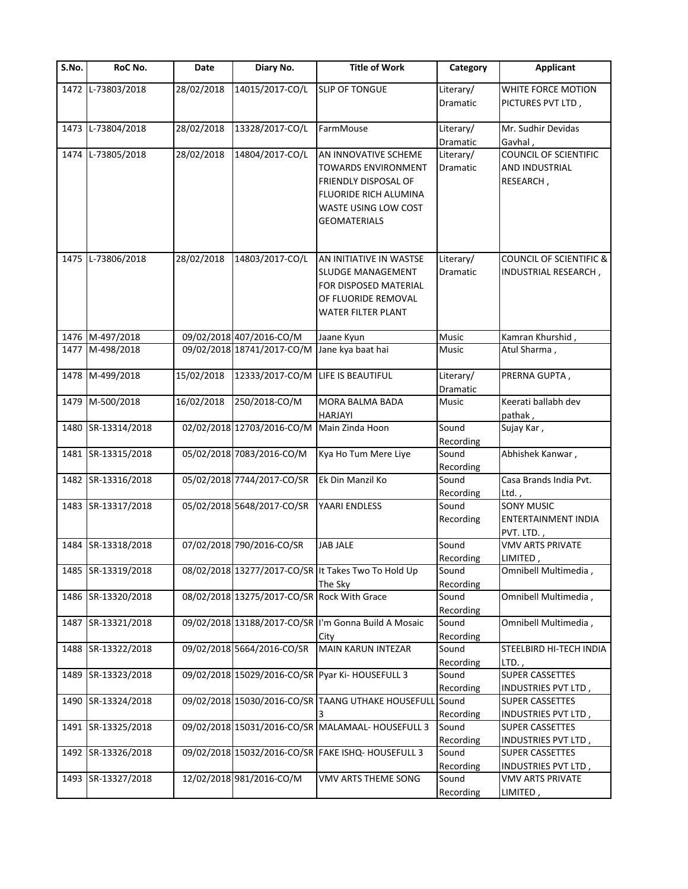| S.No. | RoC No.            | Date       | Diary No.                                   | <b>Title of Work</b>                                 | Category           | <b>Applicant</b>                              |
|-------|--------------------|------------|---------------------------------------------|------------------------------------------------------|--------------------|-----------------------------------------------|
|       | 1472 L-73803/2018  | 28/02/2018 | 14015/2017-CO/L                             | <b>SLIP OF TONGUE</b>                                | Literary/          | WHITE FORCE MOTION                            |
|       |                    |            |                                             |                                                      | Dramatic           | PICTURES PVT LTD,                             |
|       | 1473 L-73804/2018  | 28/02/2018 | 13328/2017-CO/L                             | FarmMouse                                            | Literary/          | Mr. Sudhir Devidas                            |
|       |                    |            |                                             |                                                      | Dramatic           | Gavhal,                                       |
|       | 1474 L-73805/2018  | 28/02/2018 | 14804/2017-CO/L                             | AN INNOVATIVE SCHEME                                 | Literary/          | <b>COUNCIL OF SCIENTIFIC</b>                  |
|       |                    |            |                                             | <b>TOWARDS ENVIRONMENT</b>                           | Dramatic           | AND INDUSTRIAL                                |
|       |                    |            |                                             | FRIENDLY DISPOSAL OF                                 |                    | RESEARCH,                                     |
|       |                    |            |                                             | <b>FLUORIDE RICH ALUMINA</b>                         |                    |                                               |
|       |                    |            |                                             | WASTE USING LOW COST                                 |                    |                                               |
|       |                    |            |                                             | <b>GEOMATERIALS</b>                                  |                    |                                               |
|       |                    |            |                                             |                                                      |                    |                                               |
|       | 1475 L-73806/2018  | 28/02/2018 | 14803/2017-CO/L                             | AN INITIATIVE IN WASTSE                              | Literary/          | <b>COUNCIL OF SCIENTIFIC &amp;</b>            |
|       |                    |            |                                             | <b>SLUDGE MANAGEMENT</b>                             | Dramatic           | INDUSTRIAL RESEARCH,                          |
|       |                    |            |                                             | FOR DISPOSED MATERIAL                                |                    |                                               |
|       |                    |            |                                             | OF FLUORIDE REMOVAL                                  |                    |                                               |
|       |                    |            |                                             | <b>WATER FILTER PLANT</b>                            |                    |                                               |
|       | 1476 M-497/2018    |            | 09/02/2018 407/2016-CO/M                    | Jaane Kyun                                           | Music              | Kamran Khurshid,                              |
|       | 1477 M-498/2018    |            | 09/02/2018 18741/2017-CO/M                  | Jane kya baat hai                                    | Music              | Atul Sharma,                                  |
|       |                    |            |                                             |                                                      |                    |                                               |
|       | 1478 M-499/2018    | 15/02/2018 | 12333/2017-CO/M                             | LIFE IS BEAUTIFUL                                    | Literary/          | PRERNA GUPTA,                                 |
|       |                    |            |                                             |                                                      | Dramatic           |                                               |
|       | 1479 M-500/2018    | 16/02/2018 | 250/2018-CO/M                               | MORA BALMA BADA                                      | Music              | Keerati ballabh dev                           |
|       |                    |            |                                             | <b>HARJAYI</b>                                       |                    | pathak,                                       |
|       | 1480 SR-13314/2018 |            | 02/02/2018 12703/2016-CO/M                  | Main Zinda Hoon                                      | Sound              | Sujay Kar,                                    |
|       |                    |            |                                             |                                                      | Recording          |                                               |
|       | 1481 SR-13315/2018 |            | 05/02/2018 7083/2016-CO/M                   | Kya Ho Tum Mere Liye                                 | Sound              | Abhishek Kanwar,                              |
|       |                    |            |                                             |                                                      | Recording          |                                               |
|       | 1482 SR-13316/2018 |            | 05/02/2018 7744/2017-CO/SR                  | Ek Din Manzil Ko                                     | Sound              | Casa Brands India Pvt.                        |
|       |                    |            |                                             |                                                      | Recording          | Ltd.                                          |
|       | 1483 SR-13317/2018 |            | 05/02/2018 5648/2017-CO/SR                  | YAARI ENDLESS                                        | Sound              | <b>SONY MUSIC</b>                             |
|       |                    |            |                                             |                                                      | Recording          | ENTERTAINMENT INDIA                           |
|       |                    |            |                                             |                                                      |                    | PVT. LTD.,                                    |
|       | 1484 SR-13318/2018 |            | 07/02/2018 790/2016-CO/SR                   | <b>JAB JALE</b>                                      | Sound              | <b>VMV ARTS PRIVATE</b>                       |
|       |                    |            |                                             |                                                      | Recording          | LIMITED,                                      |
|       | 1485 SR-13319/2018 |            |                                             | 08/02/2018 13277/2017-CO/SR It Takes Two To Hold Up  | Sound              | Omnibell Multimedia,                          |
|       |                    |            |                                             | The Sky                                              | Recording          |                                               |
|       | 1486 SR-13320/2018 |            | 08/02/2018 13275/2017-CO/SR Rock With Grace |                                                      | Sound              | Omnibell Multimedia,                          |
|       |                    |            |                                             |                                                      | Recording          |                                               |
|       | 1487 SR-13321/2018 |            |                                             | 09/02/2018 13188/2017-CO/SR I'm Gonna Build A Mosaic | Sound              | Omnibell Multimedia,                          |
|       | 1488 SR-13322/2018 |            | 09/02/2018 5664/2016-CO/SR                  | City                                                 | Recording          |                                               |
|       |                    |            |                                             | MAIN KARUN INTEZAR                                   | Sound              | STEELBIRD HI-TECH INDIA                       |
|       | 1489 SR-13323/2018 |            |                                             | 09/02/2018 15029/2016-CO/SR Pyar Ki- HOUSEFULL 3     | Recording<br>Sound | LTD.,<br><b>SUPER CASSETTES</b>               |
|       |                    |            |                                             |                                                      |                    |                                               |
| 1490  | SR-13324/2018      |            |                                             | 09/02/2018 15030/2016-CO/SR TAANG UTHAKE HOUSEFULL   | Recording<br>Sound | INDUSTRIES PVT LTD,<br><b>SUPER CASSETTES</b> |
|       |                    |            |                                             |                                                      | Recording          | INDUSTRIES PVT LTD,                           |
|       | 1491 SR-13325/2018 |            |                                             | 09/02/2018 15031/2016-CO/SR MALAMAAL- HOUSEFULL 3    | Sound              | <b>SUPER CASSETTES</b>                        |
|       |                    |            |                                             |                                                      | Recording          | INDUSTRIES PVT LTD,                           |
|       | 1492 SR-13326/2018 |            |                                             | 09/02/2018 15032/2016-CO/SR FAKE ISHQ- HOUSEFULL 3   | Sound              | <b>SUPER CASSETTES</b>                        |
|       |                    |            |                                             |                                                      | Recording          | INDUSTRIES PVT LTD,                           |
|       | 1493 SR-13327/2018 |            | 12/02/2018 981/2016-CO/M                    | <b>VMV ARTS THEME SONG</b>                           | Sound              | <b>VMV ARTS PRIVATE</b>                       |
|       |                    |            |                                             |                                                      | Recording          | LIMITED,                                      |
|       |                    |            |                                             |                                                      |                    |                                               |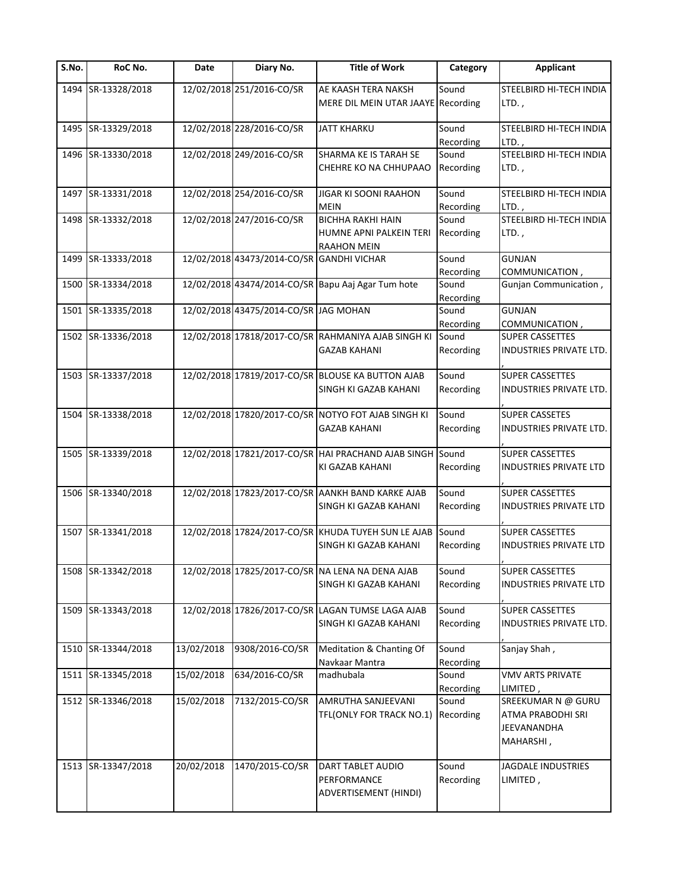| S.No. | <b>RoC No.</b>     | Date       | Diary No.                                 | <b>Title of Work</b>                                      | Category           | <b>Applicant</b>              |
|-------|--------------------|------------|-------------------------------------------|-----------------------------------------------------------|--------------------|-------------------------------|
|       | 1494 SR-13328/2018 |            | 12/02/2018 251/2016-CO/SR                 | AE KAASH TERA NAKSH                                       | Sound              | STEELBIRD HI-TECH INDIA       |
|       |                    |            |                                           | MERE DIL MEIN UTAR JAAYE Recording                        |                    | $LTD.$ ,                      |
|       | 1495 SR-13329/2018 |            | 12/02/2018 228/2016-CO/SR                 | JATT KHARKU                                               | Sound              | STEELBIRD HI-TECH INDIA       |
|       |                    |            |                                           |                                                           | Recording          | LTD.,                         |
|       | 1496 SR-13330/2018 |            | 12/02/2018 249/2016-CO/SR                 | SHARMA KE IS TARAH SE                                     | Sound              | STEELBIRD HI-TECH INDIA       |
|       |                    |            |                                           | CHEHRE KO NA CHHUPAAO                                     | Recording          | $LTD.$ ,                      |
|       |                    |            |                                           |                                                           |                    |                               |
|       | 1497 SR-13331/2018 |            | 12/02/2018 254/2016-CO/SR                 | <b>JIGAR KI SOONI RAAHON</b>                              | Sound              | STEELBIRD HI-TECH INDIA       |
|       |                    |            |                                           | <b>MEIN</b>                                               | Recording          | LTD.,                         |
|       | 1498 SR-13332/2018 |            | 12/02/2018 247/2016-CO/SR                 | <b>BICHHA RAKHI HAIN</b>                                  | Sound              | STEELBIRD HI-TECH INDIA       |
|       |                    |            |                                           | HUMNE APNI PALKEIN TERI<br><b>RAAHON MEIN</b>             | Recording          | LTD.,                         |
|       | 1499 SR-13333/2018 |            | 12/02/2018 43473/2014-CO/SR GANDHI VICHAR |                                                           | Sound              | <b>GUNJAN</b>                 |
|       |                    |            |                                           |                                                           | Recording          | COMMUNICATION,                |
|       | 1500 SR-13334/2018 |            |                                           | 12/02/2018 43474/2014-CO/SR Bapu Aaj Agar Tum hote        | Sound              | Gunjan Communication,         |
|       |                    |            |                                           |                                                           | Recording          |                               |
|       | 1501 SR-13335/2018 |            | 12/02/2018 43475/2014-CO/SR JAG MOHAN     |                                                           | Sound              | <b>GUNJAN</b>                 |
|       |                    |            |                                           |                                                           | Recording          | COMMUNICATION,                |
|       | 1502 SR-13336/2018 |            |                                           | 12/02/2018 17818/2017-CO/SR RAHMANIYA AJAB SINGH KI       | Sound              | <b>SUPER CASSETTES</b>        |
|       |                    |            |                                           | GAZAB KAHANI                                              | Recording          | INDUSTRIES PRIVATE LTD.       |
|       |                    |            |                                           |                                                           |                    |                               |
|       | 1503 SR-13337/2018 |            |                                           | 12/02/2018 17819/2017-CO/SR BLOUSE KA BUTTON AJAB         | Sound              | <b>SUPER CASSETTES</b>        |
|       |                    |            |                                           | SINGH KI GAZAB KAHANI                                     | Recording          | INDUSTRIES PRIVATE LTD.       |
|       | 1504 SR-13338/2018 |            |                                           | 12/02/2018 17820/2017-CO/SR NOTYO FOT AJAB SINGH KI       | Sound              | <b>SUPER CASSETES</b>         |
|       |                    |            |                                           | <b>GAZAB KAHANI</b>                                       | Recording          | INDUSTRIES PRIVATE LTD.       |
|       |                    |            |                                           |                                                           |                    |                               |
|       | 1505 SR-13339/2018 |            |                                           | 12/02/2018 17821/2017-CO/SR HAI PRACHAND AJAB SINGH Sound |                    | <b>SUPER CASSETTES</b>        |
|       |                    |            |                                           | KI GAZAB KAHANI                                           | Recording          | <b>INDUSTRIES PRIVATE LTD</b> |
|       |                    |            |                                           |                                                           | Sound              |                               |
|       | 1506 SR-13340/2018 |            |                                           | 12/02/2018 17823/2017-CO/SR AANKH BAND KARKE AJAB         |                    | <b>SUPER CASSETTES</b>        |
|       |                    |            |                                           | SINGH KI GAZAB KAHANI                                     | Recording          | INDUSTRIES PRIVATE LTD        |
|       | 1507 SR-13341/2018 |            |                                           | 12/02/2018 17824/2017-CO/SR KHUDA TUYEH SUN LE AJAB Sound |                    | <b>SUPER CASSETTES</b>        |
|       |                    |            |                                           | SINGH KI GAZAB KAHANI                                     | Recording          | <b>INDUSTRIES PRIVATE LTD</b> |
|       |                    |            |                                           |                                                           |                    |                               |
|       | 1508 SR-13342/2018 |            |                                           | 12/02/2018 17825/2017-CO/SR NA LENA NA DENA AJAB          | Sound              | <b>SUPER CASSETTES</b>        |
|       |                    |            |                                           | SINGH KI GAZAB KAHANI                                     | Recording          | INDUSTRIES PRIVATE LTD        |
|       |                    |            |                                           |                                                           |                    |                               |
|       | 1509 SR-13343/2018 |            |                                           | 12/02/2018 17826/2017-CO/SR LAGAN TUMSE LAGA AJAB         | Sound              | <b>SUPER CASSETTES</b>        |
|       |                    |            |                                           | SINGH KI GAZAB KAHANI                                     | Recording          | INDUSTRIES PRIVATE LTD.       |
|       | 1510 SR-13344/2018 | 13/02/2018 | 9308/2016-CO/SR                           | Meditation & Chanting Of                                  | Sound              | Sanjay Shah,                  |
|       |                    |            |                                           | Navkaar Mantra                                            | Recording          |                               |
|       | 1511 SR-13345/2018 | 15/02/2018 | 634/2016-CO/SR                            | madhubala                                                 | Sound              | <b>VMV ARTS PRIVATE</b>       |
|       |                    |            |                                           |                                                           | Recording          | LIMITED,                      |
|       | 1512 SR-13346/2018 | 15/02/2018 | 7132/2015-CO/SR                           | AMRUTHA SANJEEVANI                                        | Sound              | SREEKUMAR N @ GURU            |
|       |                    |            |                                           | TFL(ONLY FOR TRACK NO.1)                                  | Recording          | ATMA PRABODHI SRI             |
|       |                    |            |                                           |                                                           |                    | JEEVANANDHA                   |
|       |                    |            |                                           |                                                           |                    | MAHARSHI,                     |
|       |                    | 20/02/2018 |                                           |                                                           |                    |                               |
|       | 1513 SR-13347/2018 |            | 1470/2015-CO/SR                           | DART TABLET AUDIO<br>PERFORMANCE                          | Sound<br>Recording | JAGDALE INDUSTRIES            |
|       |                    |            |                                           | ADVERTISEMENT (HINDI)                                     |                    | LIMITED,                      |
|       |                    |            |                                           |                                                           |                    |                               |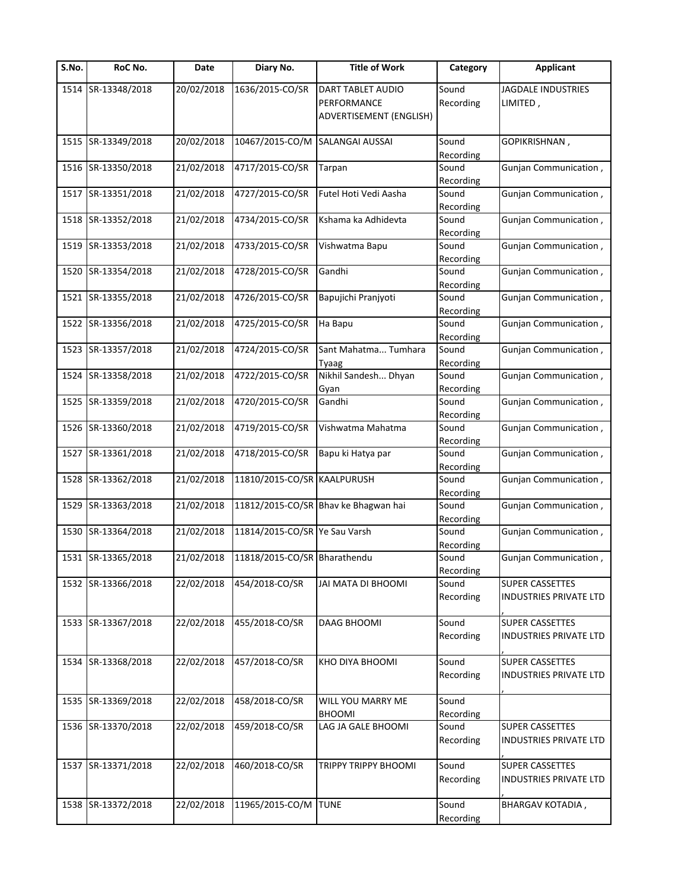| S.No. | <b>RoC No.</b>     | Date       | Diary No.                     | <b>Title of Work</b>                                        | Category           | <b>Applicant</b>                                        |
|-------|--------------------|------------|-------------------------------|-------------------------------------------------------------|--------------------|---------------------------------------------------------|
|       | 1514 SR-13348/2018 | 20/02/2018 | 1636/2015-CO/SR               | DART TABLET AUDIO<br>PERFORMANCE<br>ADVERTISEMENT (ENGLISH) | Sound<br>Recording | <b>JAGDALE INDUSTRIES</b><br>LIMITED,                   |
|       | 1515 SR-13349/2018 | 20/02/2018 | 10467/2015-CO/M               | SALANGAI AUSSAI                                             | Sound<br>Recording | GOPIKRISHNAN,                                           |
|       | 1516 SR-13350/2018 | 21/02/2018 | 4717/2015-CO/SR               | Tarpan                                                      | Sound<br>Recording | Gunjan Communication,                                   |
|       | 1517 SR-13351/2018 | 21/02/2018 | 4727/2015-CO/SR               | Futel Hoti Vedi Aasha                                       | Sound<br>Recording | Gunjan Communication,                                   |
|       | 1518 SR-13352/2018 | 21/02/2018 | 4734/2015-CO/SR               | Kshama ka Adhidevta                                         | Sound<br>Recording | Gunjan Communication,                                   |
|       | 1519 SR-13353/2018 | 21/02/2018 | 4733/2015-CO/SR               | Vishwatma Bapu                                              | Sound<br>Recording | Gunjan Communication,                                   |
|       | 1520 SR-13354/2018 | 21/02/2018 | 4728/2015-CO/SR               | Gandhi                                                      | Sound<br>Recording | Gunjan Communication,                                   |
| 1521  | SR-13355/2018      | 21/02/2018 | 4726/2015-CO/SR               | Bapujichi Pranjyoti                                         | Sound<br>Recording | Gunjan Communication,                                   |
| 1522  | SR-13356/2018      | 21/02/2018 | 4725/2015-CO/SR               | Ha Bapu                                                     | Sound<br>Recording | Gunjan Communication,                                   |
|       | 1523 SR-13357/2018 | 21/02/2018 | 4724/2015-CO/SR               | Sant Mahatma Tumhara<br>Tyaag                               | Sound<br>Recording | Gunjan Communication,                                   |
|       | 1524 SR-13358/2018 | 21/02/2018 | 4722/2015-CO/SR               | Nikhil Sandesh Dhyan<br>Gyan                                | Sound<br>Recording | Gunjan Communication,                                   |
|       | 1525 SR-13359/2018 | 21/02/2018 | 4720/2015-CO/SR               | Gandhi                                                      | Sound<br>Recording | Gunjan Communication,                                   |
|       | 1526 SR-13360/2018 | 21/02/2018 | 4719/2015-CO/SR               | Vishwatma Mahatma                                           | Sound<br>Recording | Gunjan Communication,                                   |
| 1527  | SR-13361/2018      | 21/02/2018 | 4718/2015-CO/SR               | Bapu ki Hatya par                                           | Sound<br>Recording | Gunjan Communication,                                   |
|       | 1528 SR-13362/2018 | 21/02/2018 | 11810/2015-CO/SR KAALPURUSH   |                                                             | Sound<br>Recording | Gunjan Communication,                                   |
| 1529  | SR-13363/2018      | 21/02/2018 |                               | 11812/2015-CO/SR Bhav ke Bhagwan hai                        | Sound<br>Recording | Gunjan Communication,                                   |
| 1530  | SR-13364/2018      | 21/02/2018 | 11814/2015-CO/SR Ye Sau Varsh |                                                             | Sound<br>Recording | Gunjan Communication,                                   |
|       | 1531 SR-13365/2018 | 21/02/2018 | 11818/2015-CO/SR Bharathendu  |                                                             | Sound<br>Recording | Gunjan Communication,                                   |
|       | 1532 SR-13366/2018 | 22/02/2018 | 454/2018-CO/SR                | JAI MATA DI BHOOMI                                          | Sound<br>Recording | <b>SUPER CASSETTES</b><br>INDUSTRIES PRIVATE LTD        |
|       | 1533 SR-13367/2018 | 22/02/2018 | 455/2018-CO/SR                | <b>DAAG BHOOMI</b>                                          | Sound<br>Recording | <b>SUPER CASSETTES</b><br><b>INDUSTRIES PRIVATE LTD</b> |
|       | 1534 SR-13368/2018 | 22/02/2018 | 457/2018-CO/SR                | KHO DIYA BHOOMI                                             | Sound<br>Recording | <b>SUPER CASSETTES</b><br>INDUSTRIES PRIVATE LTD        |
|       | 1535 SR-13369/2018 | 22/02/2018 | 458/2018-CO/SR                | WILL YOU MARRY ME<br><b>BHOOMI</b>                          | Sound<br>Recording |                                                         |
|       | 1536 SR-13370/2018 | 22/02/2018 | 459/2018-CO/SR                | LAG JA GALE BHOOMI                                          | Sound<br>Recording | <b>SUPER CASSETTES</b><br>INDUSTRIES PRIVATE LTD        |
|       | 1537 SR-13371/2018 | 22/02/2018 | 460/2018-CO/SR                | <b>TRIPPY TRIPPY BHOOMI</b>                                 | Sound<br>Recording | <b>SUPER CASSETTES</b><br>INDUSTRIES PRIVATE LTD        |
|       | 1538 SR-13372/2018 | 22/02/2018 | 11965/2015-CO/M               | <b>TUNE</b>                                                 | Sound<br>Recording | <b>BHARGAV KOTADIA,</b>                                 |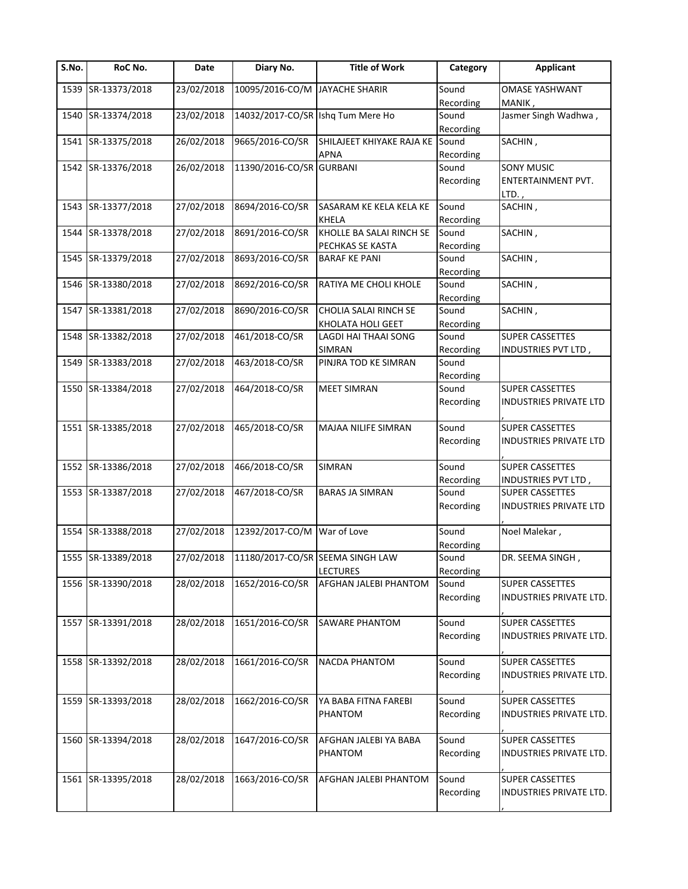| S.No. | RoC No.            | Date       | Diary No.                         | <b>Title of Work</b>      | Category  | <b>Applicant</b>               |
|-------|--------------------|------------|-----------------------------------|---------------------------|-----------|--------------------------------|
| 1539  | SR-13373/2018      | 23/02/2018 | 10095/2016-CO/M                   | <b>JAYACHE SHARIR</b>     | Sound     | <b>OMASE YASHWANT</b>          |
|       |                    |            |                                   |                           | Recording | MANIK,                         |
| 1540  | SR-13374/2018      | 23/02/2018 | 14032/2017-CO/SR Ishq Tum Mere Ho |                           | Sound     | Jasmer Singh Wadhwa,           |
|       |                    |            |                                   |                           | Recording |                                |
| 1541  | SR-13375/2018      | 26/02/2018 | 9665/2016-CO/SR                   | SHILAJEET KHIYAKE RAJA KE | Sound     | SACHIN,                        |
|       |                    |            |                                   | <b>APNA</b>               | Recording |                                |
|       | 1542 SR-13376/2018 | 26/02/2018 | 11390/2016-CO/SR GURBANI          |                           | Sound     | <b>SONY MUSIC</b>              |
|       |                    |            |                                   |                           | Recording | ENTERTAINMENT PVT.             |
|       |                    |            |                                   |                           |           | LTD.,                          |
|       | 1543 SR-13377/2018 | 27/02/2018 | 8694/2016-CO/SR                   | SASARAM KE KELA KELA KE   | Sound     | SACHIN,                        |
|       |                    |            |                                   | <b>KHELA</b>              | Recording |                                |
|       | 1544 SR-13378/2018 | 27/02/2018 | 8691/2016-CO/SR                   | KHOLLE BA SALAI RINCH SE  | Sound     | SACHIN,                        |
|       |                    |            |                                   | PECHKAS SE KASTA          | Recording |                                |
|       | 1545 SR-13379/2018 | 27/02/2018 | 8693/2016-CO/SR                   | <b>BARAF KE PANI</b>      | Sound     | SACHIN,                        |
|       |                    |            |                                   |                           | Recording |                                |
|       | 1546 SR-13380/2018 | 27/02/2018 | 8692/2016-CO/SR                   | RATIYA ME CHOLI KHOLE     | Sound     | SACHIN,                        |
|       |                    |            |                                   |                           | Recording |                                |
| 1547  | SR-13381/2018      | 27/02/2018 | 8690/2016-CO/SR                   | CHOLIA SALAI RINCH SE     | Sound     | SACHIN,                        |
|       |                    |            |                                   | KHOLATA HOLI GEET         | Recording |                                |
| 1548  | SR-13382/2018      | 27/02/2018 | 461/2018-CO/SR                    | LAGDI HAI THAAI SONG      | Sound     | SUPER CASSETTES                |
|       |                    |            |                                   | <b>SIMRAN</b>             | Recording | INDUSTRIES PVT LTD,            |
| 1549  | SR-13383/2018      | 27/02/2018 | 463/2018-CO/SR                    | PINJRA TOD KE SIMRAN      | Sound     |                                |
|       |                    |            |                                   |                           | Recording |                                |
|       | 1550 SR-13384/2018 | 27/02/2018 | 464/2018-CO/SR                    | <b>MEET SIMRAN</b>        | Sound     | <b>SUPER CASSETTES</b>         |
|       |                    |            |                                   |                           | Recording | INDUSTRIES PRIVATE LTD         |
|       |                    |            |                                   |                           |           |                                |
|       | 1551 SR-13385/2018 | 27/02/2018 | 465/2018-CO/SR                    | MAJAA NILIFE SIMRAN       | Sound     | <b>SUPER CASSETTES</b>         |
|       |                    |            |                                   |                           | Recording | INDUSTRIES PRIVATE LTD         |
|       |                    |            |                                   |                           |           |                                |
|       | 1552 SR-13386/2018 | 27/02/2018 | 466/2018-CO/SR                    | <b>SIMRAN</b>             | Sound     | <b>SUPER CASSETTES</b>         |
|       |                    |            |                                   |                           | Recording | INDUSTRIES PVT LTD,            |
|       | 1553 SR-13387/2018 | 27/02/2018 | 467/2018-CO/SR                    | <b>BARAS JA SIMRAN</b>    | Sound     | <b>SUPER CASSETTES</b>         |
|       |                    |            |                                   |                           | Recording | INDUSTRIES PRIVATE LTD         |
|       |                    |            |                                   |                           |           |                                |
|       | 1554 SR-13388/2018 | 27/02/2018 | 12392/2017-CO/M                   | War of Love               | Sound     | Noel Malekar,                  |
|       |                    |            |                                   |                           | Recording |                                |
|       | 1555 SR-13389/2018 | 27/02/2018 | 11180/2017-CO/SR SEEMA SINGH LAW  |                           | Sound     | DR. SEEMA SINGH,               |
|       |                    |            |                                   | <b>LECTURES</b>           | Recording |                                |
|       | 1556 SR-13390/2018 | 28/02/2018 | 1652/2016-CO/SR                   | AFGHAN JALEBI PHANTOM     | Sound     | <b>SUPER CASSETTES</b>         |
|       |                    |            |                                   |                           | Recording | INDUSTRIES PRIVATE LTD.        |
|       |                    |            |                                   |                           |           |                                |
|       | 1557 SR-13391/2018 | 28/02/2018 | 1651/2016-CO/SR                   | <b>SAWARE PHANTOM</b>     | Sound     | <b>SUPER CASSETTES</b>         |
|       |                    |            |                                   |                           | Recording | <b>INDUSTRIES PRIVATE LTD.</b> |
|       |                    |            |                                   |                           |           |                                |
|       | 1558 SR-13392/2018 | 28/02/2018 | 1661/2016-CO/SR                   | <b>NACDA PHANTOM</b>      | Sound     | <b>SUPER CASSETTES</b>         |
|       |                    |            |                                   |                           |           |                                |
|       |                    |            |                                   |                           | Recording | INDUSTRIES PRIVATE LTD.        |
|       |                    |            |                                   |                           |           |                                |
|       | 1559 SR-13393/2018 | 28/02/2018 | 1662/2016-CO/SR                   | YA BABA FITNA FAREBI      | Sound     | <b>SUPER CASSETTES</b>         |
|       |                    |            |                                   | PHANTOM                   | Recording | INDUSTRIES PRIVATE LTD.        |
|       |                    |            |                                   |                           |           |                                |
|       | 1560 SR-13394/2018 | 28/02/2018 | 1647/2016-CO/SR                   | AFGHAN JALEBI YA BABA     | Sound     | <b>SUPER CASSETTES</b>         |
|       |                    |            |                                   | PHANTOM                   | Recording | INDUSTRIES PRIVATE LTD.        |
|       |                    |            |                                   |                           |           |                                |
|       | 1561 SR-13395/2018 | 28/02/2018 | 1663/2016-CO/SR                   | AFGHAN JALEBI PHANTOM     | Sound     | <b>SUPER CASSETTES</b>         |
|       |                    |            |                                   |                           | Recording | INDUSTRIES PRIVATE LTD.        |
|       |                    |            |                                   |                           |           |                                |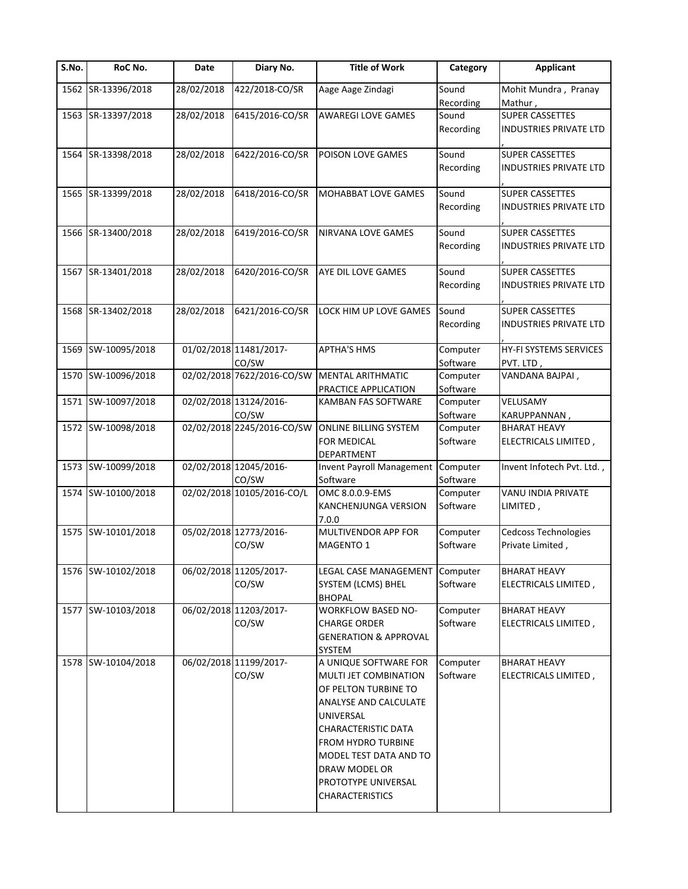| S.No. | RoC No.            | Date       | Diary No.                  | <b>Title of Work</b>                | Category  | <b>Applicant</b>           |
|-------|--------------------|------------|----------------------------|-------------------------------------|-----------|----------------------------|
|       | 1562 SR-13396/2018 | 28/02/2018 | 422/2018-CO/SR             | Aage Aage Zindagi                   | Sound     | Mohit Mundra, Pranay       |
|       |                    |            |                            |                                     | Recording | Mathur,                    |
|       | 1563 SR-13397/2018 | 28/02/2018 | 6415/2016-CO/SR            | <b>AWAREGI LOVE GAMES</b>           | Sound     | <b>SUPER CASSETTES</b>     |
|       |                    |            |                            |                                     | Recording | INDUSTRIES PRIVATE LTD     |
|       | 1564 SR-13398/2018 | 28/02/2018 | 6422/2016-CO/SR            | POISON LOVE GAMES                   | Sound     | <b>SUPER CASSETTES</b>     |
|       |                    |            |                            |                                     | Recording | INDUSTRIES PRIVATE LTD     |
|       | 1565 SR-13399/2018 | 28/02/2018 | 6418/2016-CO/SR            | <b>MOHABBAT LOVE GAMES</b>          | Sound     | <b>SUPER CASSETTES</b>     |
|       |                    |            |                            |                                     | Recording | INDUSTRIES PRIVATE LTD     |
|       | 1566 SR-13400/2018 | 28/02/2018 | 6419/2016-CO/SR            | NIRVANA LOVE GAMES                  | Sound     | <b>SUPER CASSETTES</b>     |
|       |                    |            |                            |                                     | Recording | INDUSTRIES PRIVATE LTD     |
|       | 1567 SR-13401/2018 | 28/02/2018 | 6420/2016-CO/SR            | AYE DIL LOVE GAMES                  | Sound     | <b>SUPER CASSETTES</b>     |
|       |                    |            |                            |                                     | Recording | INDUSTRIES PRIVATE LTD     |
|       | 1568 SR-13402/2018 | 28/02/2018 | 6421/2016-CO/SR            | LOCK HIM UP LOVE GAMES              | Sound     | <b>SUPER CASSETTES</b>     |
|       |                    |            |                            |                                     | Recording | INDUSTRIES PRIVATE LTD     |
|       | 1569 SW-10095/2018 |            | 01/02/2018 11481/2017-     | <b>APTHA'S HMS</b>                  | Computer  | HY-FI SYSTEMS SERVICES     |
|       |                    |            | CO/SW                      |                                     | Software  | PVT. LTD,                  |
|       | 1570 SW-10096/2018 |            | 02/02/2018 7622/2016-CO/SW | MENTAL ARITHMATIC                   | Computer  | VANDANA BAJPAI,            |
|       |                    |            |                            | PRACTICE APPLICATION                | Software  |                            |
|       | 1571 SW-10097/2018 |            | 02/02/2018 13124/2016-     | KAMBAN FAS SOFTWARE                 | Computer  | VELUSAMY                   |
|       |                    |            | CO/SW                      |                                     | Software  | KARUPPANNAN,               |
|       | 1572 SW-10098/2018 |            | 02/02/2018 2245/2016-CO/SW | <b>ONLINE BILLING SYSTEM</b>        | Computer  | <b>BHARAT HEAVY</b>        |
|       |                    |            |                            | <b>FOR MEDICAL</b>                  | Software  | ELECTRICALS LIMITED,       |
|       |                    |            |                            | DEPARTMENT                          |           |                            |
|       | 1573 SW-10099/2018 |            | 02/02/2018 12045/2016-     | <b>Invent Payroll Management</b>    | Computer  | Invent Infotech Pvt. Ltd., |
|       |                    |            | CO/SW                      | Software                            | Software  |                            |
|       | 1574 SW-10100/2018 |            | 02/02/2018 10105/2016-CO/L | OMC 8.0.0.9-EMS                     | Computer  | VANU INDIA PRIVATE         |
|       |                    |            |                            | KANCHENJUNGA VERSION<br>7.0.0       | Software  | LIMITED,                   |
|       | 1575 SW-10101/2018 |            | 05/02/2018 12773/2016-     | MULTIVENDOR APP FOR                 | Computer  | Cedcoss Technologies       |
|       |                    |            | CO/SW                      | MAGENTO 1                           | Software  | Private Limited,           |
|       | 1576 SW-10102/2018 |            | 06/02/2018 11205/2017-     | LEGAL CASE MANAGEMENT Computer      |           | <b>BHARAT HEAVY</b>        |
|       |                    |            | CO/SW                      | SYSTEM (LCMS) BHEL<br><b>BHOPAL</b> | Software  | ELECTRICALS LIMITED,       |
|       | 1577 SW-10103/2018 |            | 06/02/2018 11203/2017-     | <b>WORKFLOW BASED NO-</b>           | Computer  | <b>BHARAT HEAVY</b>        |
|       |                    |            | CO/SW                      | <b>CHARGE ORDER</b>                 | Software  | ELECTRICALS LIMITED,       |
|       |                    |            |                            | <b>GENERATION &amp; APPROVAL</b>    |           |                            |
|       |                    |            |                            | SYSTEM                              |           |                            |
|       | 1578 SW-10104/2018 |            | 06/02/2018 11199/2017-     | A UNIQUE SOFTWARE FOR               | Computer  | <b>BHARAT HEAVY</b>        |
|       |                    |            | CO/SW                      | MULTI JET COMBINATION               | Software  | ELECTRICALS LIMITED,       |
|       |                    |            |                            | OF PELTON TURBINE TO                |           |                            |
|       |                    |            |                            | ANALYSE AND CALCULATE               |           |                            |
|       |                    |            |                            |                                     |           |                            |
|       |                    |            |                            | UNIVERSAL                           |           |                            |
|       |                    |            |                            | <b>CHARACTERISTIC DATA</b>          |           |                            |
|       |                    |            |                            | FROM HYDRO TURBINE                  |           |                            |
|       |                    |            |                            | MODEL TEST DATA AND TO              |           |                            |
|       |                    |            |                            | DRAW MODEL OR                       |           |                            |
|       |                    |            |                            | PROTOTYPE UNIVERSAL                 |           |                            |
|       |                    |            |                            | <b>CHARACTERISTICS</b>              |           |                            |
|       |                    |            |                            |                                     |           |                            |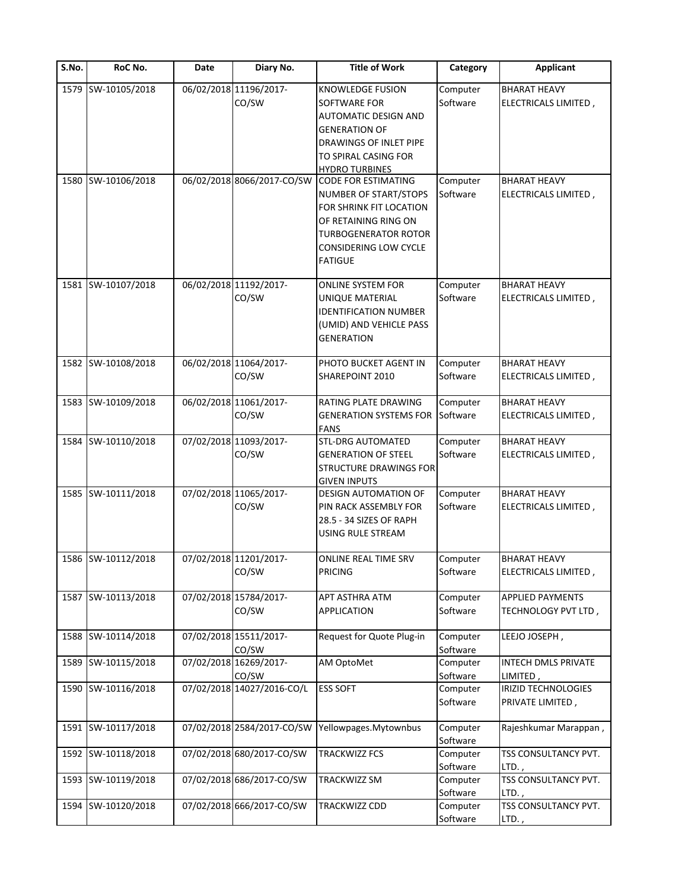| S.No. | RoC No.            | Date | Diary No.                       | <b>Title of Work</b>                                                                                                                                                                    | Category             | Applicant                                      |
|-------|--------------------|------|---------------------------------|-----------------------------------------------------------------------------------------------------------------------------------------------------------------------------------------|----------------------|------------------------------------------------|
| 1579  | SW-10105/2018      |      | 06/02/2018 11196/2017-<br>CO/SW | <b>KNOWLEDGE FUSION</b><br><b>SOFTWARE FOR</b><br><b>AUTOMATIC DESIGN AND</b>                                                                                                           | Computer<br>Software | <b>BHARAT HEAVY</b><br>ELECTRICALS LIMITED,    |
|       |                    |      |                                 | <b>GENERATION OF</b><br><b>DRAWINGS OF INLET PIPE</b><br>TO SPIRAL CASING FOR<br><b>HYDRO TURBINES</b>                                                                                  |                      |                                                |
|       | 1580 SW-10106/2018 |      | 06/02/2018 8066/2017-CO/SW      | <b>CODE FOR ESTIMATING</b><br>NUMBER OF START/STOPS<br>FOR SHRINK FIT LOCATION<br>OF RETAINING RING ON<br><b>TURBOGENERATOR ROTOR</b><br><b>CONSIDERING LOW CYCLE</b><br><b>FATIGUE</b> | Computer<br>Software | <b>BHARAT HEAVY</b><br>ELECTRICALS LIMITED,    |
|       | 1581 SW-10107/2018 |      | 06/02/2018 11192/2017-<br>CO/SW | <b>ONLINE SYSTEM FOR</b><br>UNIQUE MATERIAL<br><b>IDENTIFICATION NUMBER</b><br>(UMID) AND VEHICLE PASS<br><b>GENERATION</b>                                                             | Computer<br>Software | <b>BHARAT HEAVY</b><br>ELECTRICALS LIMITED,    |
|       | 1582 SW-10108/2018 |      | 06/02/2018 11064/2017-<br>CO/SW | PHOTO BUCKET AGENT IN<br>SHAREPOINT 2010                                                                                                                                                | Computer<br>Software | <b>BHARAT HEAVY</b><br>ELECTRICALS LIMITED,    |
|       | 1583 SW-10109/2018 |      | 06/02/2018 11061/2017-<br>CO/SW | RATING PLATE DRAWING<br><b>GENERATION SYSTEMS FOR</b><br><b>FANS</b>                                                                                                                    | Computer<br>Software | <b>BHARAT HEAVY</b><br>ELECTRICALS LIMITED,    |
| 1584  | SW-10110/2018      |      | 07/02/2018 11093/2017-<br>CO/SW | <b>STL-DRG AUTOMATED</b><br><b>GENERATION OF STEEL</b><br><b>STRUCTURE DRAWINGS FOR</b><br><b>GIVEN INPUTS</b>                                                                          | Computer<br>Software | <b>BHARAT HEAVY</b><br>ELECTRICALS LIMITED,    |
|       | 1585 SW-10111/2018 |      | 07/02/2018 11065/2017-<br>CO/SW | <b>DESIGN AUTOMATION OF</b><br>PIN RACK ASSEMBLY FOR<br>28.5 - 34 SIZES OF RAPH<br>USING RULE STREAM                                                                                    | Computer<br>Software | <b>BHARAT HEAVY</b><br>ELECTRICALS LIMITED,    |
|       | 1586 SW-10112/2018 |      | 07/02/2018 11201/2017-<br>CO/SW | ONLINE REAL TIME SRV<br><b>PRICING</b>                                                                                                                                                  | Computer<br>Software | <b>BHARAT HEAVY</b><br>ELECTRICALS LIMITED,    |
|       | 1587 SW-10113/2018 |      | 07/02/2018 15784/2017-<br>CO/SW | APT ASTHRA ATM<br><b>APPLICATION</b>                                                                                                                                                    | Computer<br>Software | <b>APPLIED PAYMENTS</b><br>TECHNOLOGY PVT LTD, |
|       | 1588 SW-10114/2018 |      | 07/02/2018 15511/2017-<br>CO/SW | Request for Quote Plug-in                                                                                                                                                               | Computer<br>Software | LEEJO JOSEPH,                                  |
| 1589  | SW-10115/2018      |      | 07/02/2018 16269/2017-<br>CO/SW | AM OptoMet                                                                                                                                                                              | Computer<br>Software | INTECH DMLS PRIVATE<br>LIMITED,                |
|       | 1590 SW-10116/2018 |      | 07/02/2018 14027/2016-CO/L      | <b>ESS SOFT</b>                                                                                                                                                                         | Computer<br>Software | IRIZID TECHNOLOGIES<br>PRIVATE LIMITED,        |
|       | 1591 SW-10117/2018 |      | 07/02/2018 2584/2017-CO/SW      | Yellowpages.Mytownbus                                                                                                                                                                   | Computer<br>Software | Rajeshkumar Marappan,                          |
|       | 1592 SW-10118/2018 |      | 07/02/2018 680/2017-CO/SW       | <b>TRACKWIZZ FCS</b>                                                                                                                                                                    | Computer<br>Software | TSS CONSULTANCY PVT.<br>LTD.,                  |
|       | 1593 SW-10119/2018 |      | 07/02/2018 686/2017-CO/SW       | TRACKWIZZ SM                                                                                                                                                                            | Computer<br>Software | TSS CONSULTANCY PVT.<br>LTD.,                  |
|       | 1594 SW-10120/2018 |      | 07/02/2018 666/2017-CO/SW       | TRACKWIZZ CDD                                                                                                                                                                           | Computer<br>Software | TSS CONSULTANCY PVT.<br>$LTD.$ ,               |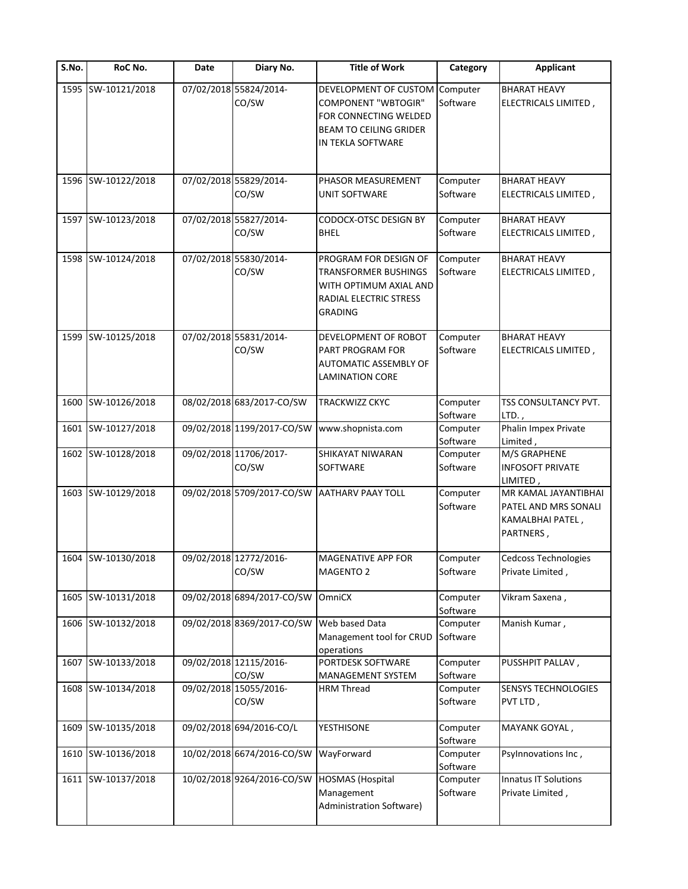| S.No. | RoC No.            | Date | Diary No.                       | <b>Title of Work</b>                                                                                                                      | Category             | <b>Applicant</b>                                                              |
|-------|--------------------|------|---------------------------------|-------------------------------------------------------------------------------------------------------------------------------------------|----------------------|-------------------------------------------------------------------------------|
|       | 1595 SW-10121/2018 |      | 07/02/2018 55824/2014-<br>CO/SW | DEVELOPMENT OF CUSTOM<br><b>COMPONENT "WBTOGIR"</b><br>FOR CONNECTING WELDED<br><b>BEAM TO CEILING GRIDER</b><br><b>IN TEKLA SOFTWARE</b> | Computer<br>Software | <b>BHARAT HEAVY</b><br>ELECTRICALS LIMITED,                                   |
|       | 1596 SW-10122/2018 |      | 07/02/2018 55829/2014-<br>CO/SW | PHASOR MEASUREMENT<br><b>UNIT SOFTWARE</b>                                                                                                | Computer<br>Software | <b>BHARAT HEAVY</b><br>ELECTRICALS LIMITED,                                   |
|       | 1597 SW-10123/2018 |      | 07/02/2018 55827/2014-<br>CO/SW | CODOCX-OTSC DESIGN BY<br><b>BHEL</b>                                                                                                      | Computer<br>Software | <b>BHARAT HEAVY</b><br>ELECTRICALS LIMITED,                                   |
|       | 1598 SW-10124/2018 |      | 07/02/2018 55830/2014-<br>CO/SW | PROGRAM FOR DESIGN OF<br><b>TRANSFORMER BUSHINGS</b><br>WITH OPTIMUM AXIAL AND<br>RADIAL ELECTRIC STRESS<br><b>GRADING</b>                | Computer<br>Software | <b>BHARAT HEAVY</b><br>ELECTRICALS LIMITED,                                   |
|       | 1599 SW-10125/2018 |      | 07/02/2018 55831/2014-<br>CO/SW | DEVELOPMENT OF ROBOT<br>PART PROGRAM FOR<br>AUTOMATIC ASSEMBLY OF<br><b>LAMINATION CORE</b>                                               | Computer<br>Software | <b>BHARAT HEAVY</b><br>ELECTRICALS LIMITED,                                   |
| 1600  | SW-10126/2018      |      | 08/02/2018 683/2017-CO/SW       | <b>TRACKWIZZ CKYC</b>                                                                                                                     | Computer<br>Software | TSS CONSULTANCY PVT.<br>LTD.,                                                 |
|       | 1601 SW-10127/2018 |      |                                 | 09/02/2018 1199/2017-CO/SW www.shopnista.com                                                                                              | Computer<br>Software | Phalin Impex Private<br>Limited,                                              |
|       | 1602 SW-10128/2018 |      | 09/02/2018 11706/2017-<br>CO/SW | SHIKAYAT NIWARAN<br><b>SOFTWARE</b>                                                                                                       | Computer<br>Software | M/S GRAPHENE<br><b>INFOSOFT PRIVATE</b><br>LIMITED,                           |
|       | 1603 SW-10129/2018 |      |                                 | 09/02/2018 5709/2017-CO/SW AATHARV PAAY TOLL                                                                                              | Computer<br>Software | MR KAMAL JAYANTIBHAI<br>PATEL AND MRS SONALI<br>KAMALBHAI PATEL,<br>PARTNERS, |
|       | 1604 SW-10130/2018 |      | 09/02/2018 12772/2016-<br>CO/SW | <b>MAGENATIVE APP FOR</b><br>MAGENTO 2                                                                                                    | Computer<br>Software | <b>Cedcoss Technologies</b><br>Private Limited,                               |
|       | 1605 SW-10131/2018 |      | 09/02/2018 6894/2017-CO/SW      | OmniCX                                                                                                                                    | Computer<br>Software | Vikram Saxena,                                                                |
|       | 1606 SW-10132/2018 |      | 09/02/2018 8369/2017-CO/SW      | Web based Data<br>Management tool for CRUD<br>operations                                                                                  | Computer<br>Software | Manish Kumar,                                                                 |
| 1607  | SW-10133/2018      |      | 09/02/2018 12115/2016-<br>CO/SW | PORTDESK SOFTWARE<br><b>MANAGEMENT SYSTEM</b>                                                                                             | Computer<br>Software | PUSSHPIT PALLAV,                                                              |
|       | 1608 SW-10134/2018 |      | 09/02/2018 15055/2016-<br>CO/SW | <b>HRM Thread</b>                                                                                                                         | Computer<br>Software | SENSYS TECHNOLOGIES<br>PVT LTD,                                               |
|       | 1609 SW-10135/2018 |      | 09/02/2018 694/2016-CO/L        | YESTHISONE                                                                                                                                | Computer<br>Software | MAYANK GOYAL,                                                                 |
|       | 1610 SW-10136/2018 |      | 10/02/2018 6674/2016-CO/SW      | WayForward                                                                                                                                | Computer<br>Software | Psylnnovations Inc,                                                           |
|       | 1611 SW-10137/2018 |      | 10/02/2018 9264/2016-CO/SW      | <b>HOSMAS</b> (Hospital<br>Management<br>Administration Software)                                                                         | Computer<br>Software | Innatus IT Solutions<br>Private Limited,                                      |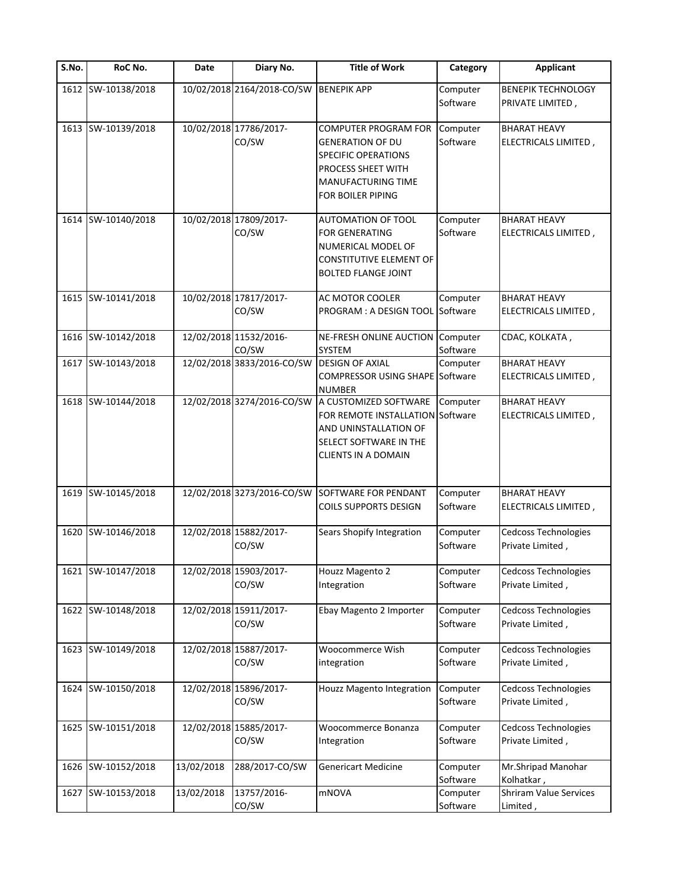| S.No. | RoC No.            | Date       | Diary No.                                  | <b>Title of Work</b>                                                                                                                                                  | Category             | <b>Applicant</b>                                |
|-------|--------------------|------------|--------------------------------------------|-----------------------------------------------------------------------------------------------------------------------------------------------------------------------|----------------------|-------------------------------------------------|
| 1612  | SW-10138/2018      |            | 10/02/2018 2164/2018-CO/SW                 | <b>BENEPIK APP</b>                                                                                                                                                    | Computer<br>Software | <b>BENEPIK TECHNOLOGY</b><br>PRIVATE LIMITED,   |
|       | 1613 SW-10139/2018 |            | 10/02/2018 17786/2017-<br>CO/SW            | <b>COMPUTER PROGRAM FOR</b><br><b>GENERATION OF DU</b><br><b>SPECIFIC OPERATIONS</b><br>PROCESS SHEET WITH<br>MANUFACTURING TIME<br>FOR BOILER PIPING                 | Computer<br>Software | <b>BHARAT HEAVY</b><br>ELECTRICALS LIMITED,     |
|       | 1614 SW-10140/2018 |            | 10/02/2018 17809/2017-<br>CO/SW            | <b>AUTOMATION OF TOOL</b><br><b>FOR GENERATING</b><br>NUMERICAL MODEL OF<br><b>CONSTITUTIVE ELEMENT OF</b><br><b>BOLTED FLANGE JOINT</b>                              | Computer<br>Software | <b>BHARAT HEAVY</b><br>ELECTRICALS LIMITED,     |
|       | 1615 SW-10141/2018 |            | 10/02/2018 17817/2017-<br>CO/SW            | AC MOTOR COOLER<br>PROGRAM : A DESIGN TOOL                                                                                                                            | Computer<br>Software | <b>BHARAT HEAVY</b><br>ELECTRICALS LIMITED,     |
|       | 1616 SW-10142/2018 |            | 12/02/2018 11532/2016-<br>CO/SW            | NE-FRESH ONLINE AUCTION Computer<br><b>SYSTEM</b>                                                                                                                     | Software             | CDAC, KOLKATA,                                  |
|       | 1617 SW-10143/2018 |            | 12/02/2018 3833/2016-CO/SW DESIGN OF AXIAL | <b>COMPRESSOR USING SHAPE Software</b><br><b>NUMBER</b>                                                                                                               | Computer             | <b>BHARAT HEAVY</b><br>ELECTRICALS LIMITED,     |
|       | 1618 SW-10144/2018 |            |                                            | 12/02/2018 3274/2016-CO/SW A CUSTOMIZED SOFTWARE<br>FOR REMOTE INSTALLATION Software<br>AND UNINSTALLATION OF<br>SELECT SOFTWARE IN THE<br><b>CLIENTS IN A DOMAIN</b> | Computer             | <b>BHARAT HEAVY</b><br>ELECTRICALS LIMITED,     |
|       | 1619 SW-10145/2018 |            | 12/02/2018 3273/2016-CO/SW                 | <b>SOFTWARE FOR PENDANT</b><br><b>COILS SUPPORTS DESIGN</b>                                                                                                           | Computer<br>Software | <b>BHARAT HEAVY</b><br>ELECTRICALS LIMITED,     |
|       | 1620 SW-10146/2018 |            | 12/02/2018 15882/2017-<br>CO/SW            | Sears Shopify Integration                                                                                                                                             | Computer<br>Software | Cedcoss Technologies<br>Private Limited,        |
|       | 1621 SW-10147/2018 |            | 12/02/2018 15903/2017-<br>CO/SW            | Houzz Magento 2<br>Integration                                                                                                                                        | Computer<br>Software | <b>Cedcoss Technologies</b><br>Private Limited, |
|       | 1622 SW-10148/2018 |            | 12/02/2018 15911/2017-<br>CO/SW            | Ebay Magento 2 Importer                                                                                                                                               | Computer<br>Software | <b>Cedcoss Technologies</b><br>Private Limited, |
|       | 1623 SW-10149/2018 |            | 12/02/2018 15887/2017-<br>CO/SW            | Woocommerce Wish<br>integration                                                                                                                                       | Computer<br>Software | <b>Cedcoss Technologies</b><br>Private Limited, |
|       | 1624 SW-10150/2018 |            | 12/02/2018 15896/2017-<br>CO/SW            | <b>Houzz Magento Integration</b>                                                                                                                                      | Computer<br>Software | <b>Cedcoss Technologies</b><br>Private Limited, |
|       | 1625 SW-10151/2018 |            | 12/02/2018 15885/2017-<br>CO/SW            | Woocommerce Bonanza<br>Integration                                                                                                                                    | Computer<br>Software | <b>Cedcoss Technologies</b><br>Private Limited, |
|       | 1626 SW-10152/2018 | 13/02/2018 | 288/2017-CO/SW                             | <b>Genericart Medicine</b>                                                                                                                                            | Computer<br>Software | Mr.Shripad Manohar<br>Kolhatkar,                |
|       | 1627 SW-10153/2018 | 13/02/2018 | 13757/2016-<br>CO/SW                       | <b>mNOVA</b>                                                                                                                                                          | Computer<br>Software | <b>Shriram Value Services</b><br>Limited,       |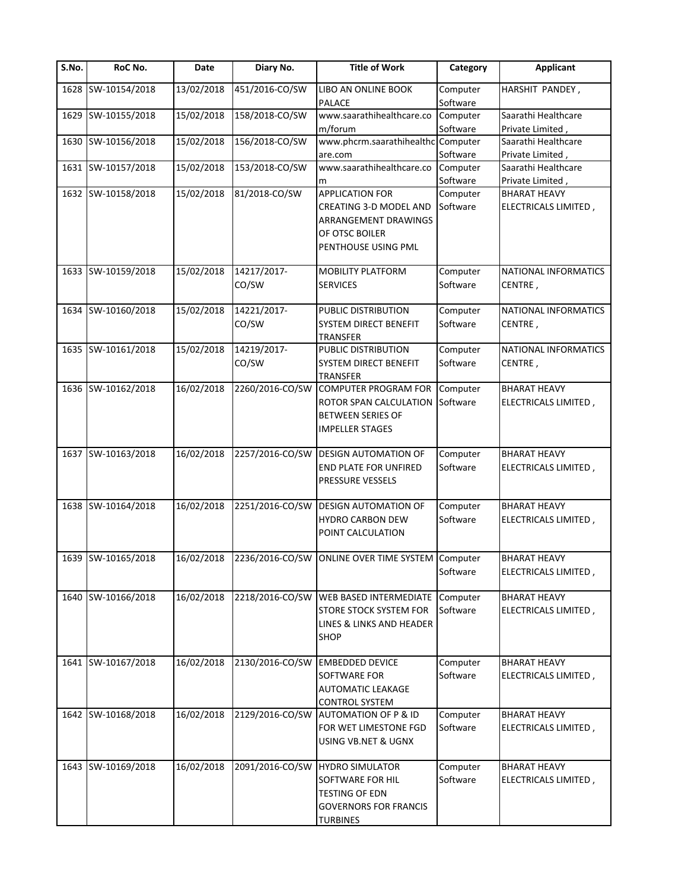| S.No. | RoC No.            | Date       | Diary No.            | <b>Title of Work</b>                                                                                                 | Category             | <b>Applicant</b>                            |
|-------|--------------------|------------|----------------------|----------------------------------------------------------------------------------------------------------------------|----------------------|---------------------------------------------|
| 1628  | SW-10154/2018      | 13/02/2018 | 451/2016-CO/SW       | LIBO AN ONLINE BOOK<br>PALACE                                                                                        | Computer<br>Software | HARSHIT PANDEY,                             |
|       | 1629 SW-10155/2018 | 15/02/2018 | 158/2018-CO/SW       | www.saarathihealthcare.co                                                                                            | Computer             | Saarathi Healthcare                         |
|       |                    |            |                      | m/forum                                                                                                              | Software             | Private Limited,                            |
| 1630  | SW-10156/2018      | 15/02/2018 | 156/2018-CO/SW       | www.phcrm.saarathihealthc Computer<br>are.com                                                                        | Software             | Saarathi Healthcare<br>Private Limited,     |
|       | 1631 SW-10157/2018 | 15/02/2018 | 153/2018-CO/SW       | www.saarathihealthcare.co                                                                                            | Computer             | Saarathi Healthcare                         |
|       |                    |            |                      | m                                                                                                                    | Software             | Private Limited,                            |
|       | 1632 SW-10158/2018 | 15/02/2018 | 81/2018-CO/SW        | <b>APPLICATION FOR</b>                                                                                               | Computer             | <b>BHARAT HEAVY</b>                         |
|       |                    |            |                      | CREATING 3-D MODEL AND<br>ARRANGEMENT DRAWINGS<br>OF OTSC BOILER<br>PENTHOUSE USING PML                              | Software             | ELECTRICALS LIMITED,                        |
|       | 1633 SW-10159/2018 | 15/02/2018 | 14217/2017-<br>CO/SW | MOBILITY PLATFORM<br><b>SERVICES</b>                                                                                 | Computer<br>Software | NATIONAL INFORMATICS<br>CENTRE,             |
|       | 1634 SW-10160/2018 | 15/02/2018 | 14221/2017-          | PUBLIC DISTRIBUTION                                                                                                  | Computer             | NATIONAL INFORMATICS                        |
|       |                    |            | CO/SW                | SYSTEM DIRECT BENEFIT<br><b>TRANSFER</b>                                                                             | Software             | CENTRE,                                     |
|       | 1635 SW-10161/2018 | 15/02/2018 | 14219/2017-<br>CO/SW | PUBLIC DISTRIBUTION<br>SYSTEM DIRECT BENEFIT<br>TRANSFER                                                             | Computer<br>Software | NATIONAL INFORMATICS<br>CENTRE,             |
|       | 1636 SW-10162/2018 | 16/02/2018 | 2260/2016-CO/SW      | <b>COMPUTER PROGRAM FOR</b><br>ROTOR SPAN CALCULATION Software<br><b>BETWEEN SERIES OF</b><br><b>IMPELLER STAGES</b> | Computer             | <b>BHARAT HEAVY</b><br>ELECTRICALS LIMITED, |
|       | 1637 SW-10163/2018 | 16/02/2018 | 2257/2016-CO/SW      | <b>DESIGN AUTOMATION OF</b><br>END PLATE FOR UNFIRED<br>PRESSURE VESSELS                                             | Computer<br>Software | <b>BHARAT HEAVY</b><br>ELECTRICALS LIMITED, |
|       | 1638 SW-10164/2018 | 16/02/2018 | 2251/2016-CO/SW      | <b>DESIGN AUTOMATION OF</b><br>HYDRO CARBON DEW<br>POINT CALCULATION                                                 | Computer<br>Software | <b>BHARAT HEAVY</b><br>ELECTRICALS LIMITED, |
|       | 1639 SW-10165/2018 | 16/02/2018 |                      | 2236/2016-CO/SW ONLINE OVER TIME SYSTEM Computer                                                                     |                      | <b>BHARAT HEAVY</b>                         |
|       |                    |            |                      |                                                                                                                      | Software             | ELECTRICALS LIMITED,                        |
|       | 1640 SW-10166/2018 | 16/02/2018 | 2218/2016-CO/SW      | WEB BASED INTERMEDIATE Computer<br>STORE STOCK SYSTEM FOR<br>LINES & LINKS AND HEADER<br><b>SHOP</b>                 | Software             | <b>BHARAT HEAVY</b><br>ELECTRICALS LIMITED, |
|       | 1641 SW-10167/2018 | 16/02/2018 | 2130/2016-CO/SW      | <b>EMBEDDED DEVICE</b><br>SOFTWARE FOR<br><b>AUTOMATIC LEAKAGE</b><br><b>CONTROL SYSTEM</b>                          | Computer<br>Software | <b>BHARAT HEAVY</b><br>ELECTRICALS LIMITED, |
|       | 1642 SW-10168/2018 | 16/02/2018 | 2129/2016-CO/SW      | <b>AUTOMATION OF P &amp; ID</b><br>FOR WET LIMESTONE FGD<br>USING VB.NET & UGNX                                      | Computer<br>Software | <b>BHARAT HEAVY</b><br>ELECTRICALS LIMITED, |
|       | 1643 SW-10169/2018 | 16/02/2018 | 2091/2016-CO/SW      | <b>HYDRO SIMULATOR</b><br>SOFTWARE FOR HIL<br>TESTING OF EDN<br><b>GOVERNORS FOR FRANCIS</b><br><b>TURBINES</b>      | Computer<br>Software | <b>BHARAT HEAVY</b><br>ELECTRICALS LIMITED, |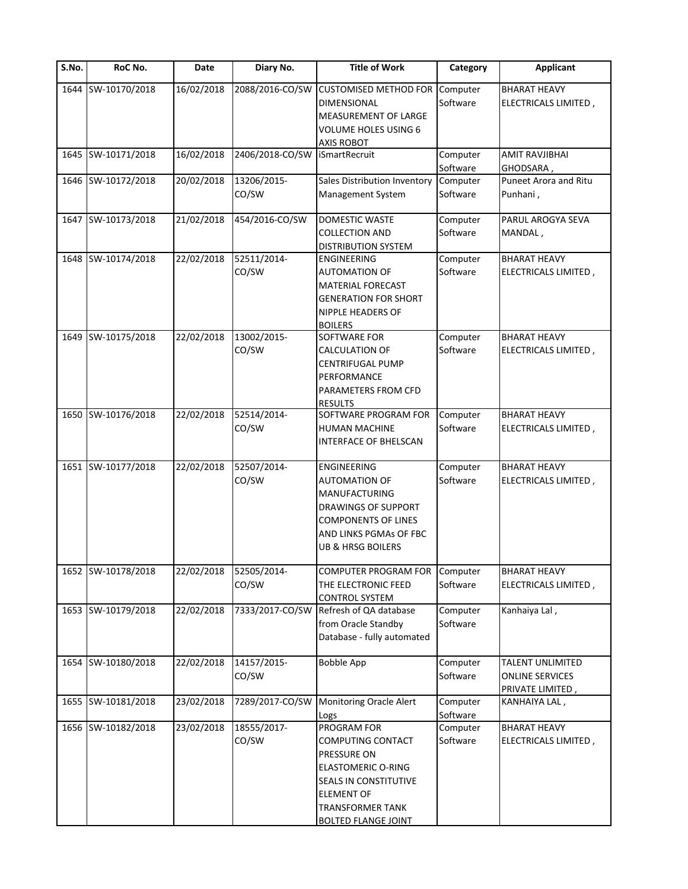| $\overline{\mathsf{S}}$ . No. | RoC No.            | Date       | Diary No.            | <b>Title of Work</b>                                                                                                                                                                       | Category             | <b>Applicant</b>                                               |
|-------------------------------|--------------------|------------|----------------------|--------------------------------------------------------------------------------------------------------------------------------------------------------------------------------------------|----------------------|----------------------------------------------------------------|
| 1644                          | SW-10170/2018      | 16/02/2018 | 2088/2016-CO/SW      | <b>CUSTOMISED METHOD FOR</b><br><b>DIMENSIONAL</b><br><b>MEASUREMENT OF LARGE</b>                                                                                                          | Computer<br>Software | <b>BHARAT HEAVY</b><br>ELECTRICALS LIMITED,                    |
|                               |                    |            |                      | <b>VOLUME HOLES USING 6</b><br><b>AXIS ROBOT</b>                                                                                                                                           |                      |                                                                |
|                               | 1645 SW-10171/2018 | 16/02/2018 | 2406/2018-CO/SW      | <b>iSmartRecruit</b>                                                                                                                                                                       | Computer<br>Software | <b>AMIT RAVJIBHAI</b><br>GHODSARA,                             |
|                               | 1646 SW-10172/2018 | 20/02/2018 | 13206/2015-<br>CO/SW | Sales Distribution Inventory<br>Management System                                                                                                                                          | Computer<br>Software | Puneet Arora and Ritu<br>Punhani,                              |
|                               | 1647 SW-10173/2018 | 21/02/2018 | 454/2016-CO/SW       | <b>DOMESTIC WASTE</b><br><b>COLLECTION AND</b>                                                                                                                                             | Computer<br>Software | PARUL AROGYA SEVA<br>MANDAL,                                   |
|                               | 1648 SW-10174/2018 | 22/02/2018 | 52511/2014-<br>CO/SW | <b>DISTRIBUTION SYSTEM</b><br>ENGINEERING<br><b>AUTOMATION OF</b><br><b>MATERIAL FORECAST</b><br><b>GENERATION FOR SHORT</b><br><b>NIPPLE HEADERS OF</b>                                   | Computer<br>Software | <b>BHARAT HEAVY</b><br>ELECTRICALS LIMITED,                    |
|                               | 1649 SW-10175/2018 | 22/02/2018 | 13002/2015-<br>CO/SW | <b>BOILERS</b><br>SOFTWARE FOR<br><b>CALCULATION OF</b><br><b>CENTRIFUGAL PUMP</b><br>PERFORMANCE<br>PARAMETERS FROM CFD<br><b>RESULTS</b>                                                 | Computer<br>Software | <b>BHARAT HEAVY</b><br>ELECTRICALS LIMITED,                    |
| 1650                          | SW-10176/2018      | 22/02/2018 | 52514/2014-<br>CO/SW | SOFTWARE PROGRAM FOR<br><b>HUMAN MACHINE</b><br><b>INTERFACE OF BHELSCAN</b>                                                                                                               | Computer<br>Software | <b>BHARAT HEAVY</b><br>ELECTRICALS LIMITED,                    |
|                               | 1651 SW-10177/2018 | 22/02/2018 | 52507/2014-<br>CO/SW | <b>ENGINEERING</b><br><b>AUTOMATION OF</b><br><b>MANUFACTURING</b><br><b>DRAWINGS OF SUPPORT</b><br><b>COMPONENTS OF LINES</b><br>AND LINKS PGMAs OF FBC<br><b>UB &amp; HRSG BOILERS</b>   | Computer<br>Software | <b>BHARAT HEAVY</b><br>ELECTRICALS LIMITED,                    |
|                               | 1652 SW-10178/2018 | 22/02/2018 | 52505/2014-<br>CO/SW | <b>COMPUTER PROGRAM FOR</b><br>THE ELECTRONIC FEED<br><b>CONTROL SYSTEM</b>                                                                                                                | Computer<br>Software | <b>BHARAT HEAVY</b><br>ELECTRICALS LIMITED,                    |
|                               | 1653 SW-10179/2018 | 22/02/2018 | 7333/2017-CO/SW      | Refresh of QA database<br>from Oracle Standby<br>Database - fully automated                                                                                                                | Computer<br>Software | Kanhaiya Lal,                                                  |
|                               | 1654 SW-10180/2018 | 22/02/2018 | 14157/2015-<br>CO/SW | <b>Bobble App</b>                                                                                                                                                                          | Computer<br>Software | TALENT UNLIMITED<br><b>ONLINE SERVICES</b><br>PRIVATE LIMITED, |
|                               | 1655 SW-10181/2018 | 23/02/2018 | 7289/2017-CO/SW      | Monitoring Oracle Alert<br>Logs                                                                                                                                                            | Computer<br>Software | KANHAIYA LAL,                                                  |
|                               | 1656 SW-10182/2018 | 23/02/2018 | 18555/2017-<br>CO/SW | PROGRAM FOR<br>COMPUTING CONTACT<br><b>PRESSURE ON</b><br><b>ELASTOMERIC O-RING</b><br>SEALS IN CONSTITUTIVE<br><b>ELEMENT OF</b><br><b>TRANSFORMER TANK</b><br><b>BOLTED FLANGE JOINT</b> | Computer<br>Software | <b>BHARAT HEAVY</b><br>ELECTRICALS LIMITED,                    |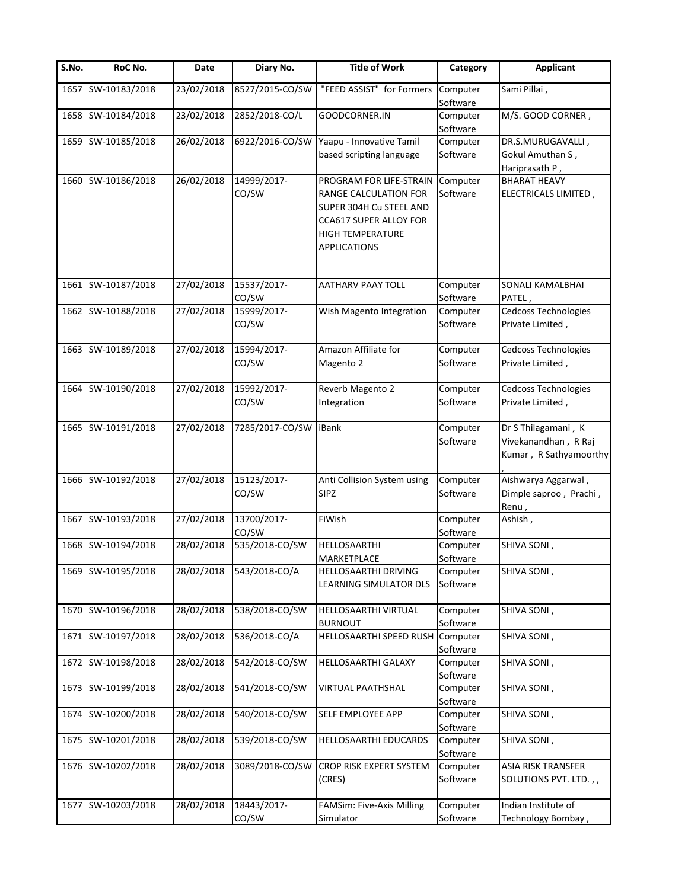| S.No. | RoC No.            | Date                   | Diary No.            | <b>Title of Work</b>                                                                                                                                    | Category             | <b>Applicant</b>                                                      |
|-------|--------------------|------------------------|----------------------|---------------------------------------------------------------------------------------------------------------------------------------------------------|----------------------|-----------------------------------------------------------------------|
| 1657  | SW-10183/2018      | 23/02/2018             | 8527/2015-CO/SW      | "FEED ASSIST" for Formers                                                                                                                               | Computer<br>Software | Sami Pillai,                                                          |
|       | 1658 SW-10184/2018 | 23/02/2018             | 2852/2018-CO/L       | GOODCORNER.IN                                                                                                                                           | Computer<br>Software | M/S. GOOD CORNER,                                                     |
|       | 1659 SW-10185/2018 | 26/02/2018             | 6922/2016-CO/SW      | Yaapu - Innovative Tamil                                                                                                                                | Computer             | DR.S.MURUGAVALLI,                                                     |
|       |                    |                        |                      | based scripting language                                                                                                                                | Software             | Gokul Amuthan S,<br>Hariprasath P,                                    |
|       | 1660 SW-10186/2018 | 26/02/2018             | 14999/2017-<br>CO/SW | PROGRAM FOR LIFE-STRAIN<br>RANGE CALCULATION FOR<br>SUPER 304H Cu STEEL AND<br>CCA617 SUPER ALLOY FOR<br><b>HIGH TEMPERATURE</b><br><b>APPLICATIONS</b> | Computer<br>Software | <b>BHARAT HEAVY</b><br>ELECTRICALS LIMITED,                           |
|       | 1661 SW-10187/2018 | 27/02/2018             | 15537/2017-<br>CO/SW | <b>AATHARV PAAY TOLL</b>                                                                                                                                | Computer<br>Software | SONALI KAMALBHAI<br>PATEL,                                            |
|       | 1662 SW-10188/2018 | 27/02/2018             | 15999/2017-<br>CO/SW | Wish Magento Integration                                                                                                                                | Computer<br>Software | Cedcoss Technologies<br>Private Limited,                              |
|       | 1663 SW-10189/2018 | 27/02/2018             | 15994/2017-<br>CO/SW | Amazon Affiliate for<br>Magento 2                                                                                                                       | Computer<br>Software | Cedcoss Technologies<br>Private Limited,                              |
|       | 1664 SW-10190/2018 | $\frac{1}{27}/02/2018$ | 15992/2017-<br>CO/SW | Reverb Magento 2<br>Integration                                                                                                                         | Computer<br>Software | Cedcoss Technologies<br>Private Limited,                              |
|       | 1665 SW-10191/2018 | 27/02/2018             | 7285/2017-CO/SW      | iBank                                                                                                                                                   | Computer<br>Software | Dr S Thilagamani, K<br>Vivekanandhan, R Raj<br>Kumar, R Sathyamoorthy |
|       | 1666 SW-10192/2018 | 27/02/2018             | 15123/2017-<br>CO/SW | Anti Collision System using<br><b>SIPZ</b>                                                                                                              | Computer<br>Software | Aishwarya Aggarwal,<br>Dimple saproo, Prachi,<br>Renu,                |
|       | 1667 SW-10193/2018 | 27/02/2018             | 13700/2017-<br>CO/SW | FiWish                                                                                                                                                  | Computer<br>Software | Ashish,                                                               |
|       | 1668 SW-10194/2018 | 28/02/2018             | 535/2018-CO/SW       | HELLOSAARTHI<br><b>MARKETPLACE</b>                                                                                                                      | Computer<br>Software | SHIVA SONI,                                                           |
|       | 1669 SW-10195/2018 | 28/02/2018             | 543/2018-CO/A        | <b>HELLOSAARTHI DRIVING</b><br>LEARNING SIMULATOR DLS                                                                                                   | Computer<br>Software | SHIVA SONI,                                                           |
| 1670  | SW-10196/2018      | 28/02/2018             | 538/2018-CO/SW       | HELLOSAARTHI VIRTUAL<br><b>BURNOUT</b>                                                                                                                  | Computer<br>Software | SHIVA SONI,                                                           |
|       | 1671 SW-10197/2018 | 28/02/2018             | 536/2018-CO/A        | HELLOSAARTHI SPEED RUSH                                                                                                                                 | Computer<br>Software | SHIVA SONI,                                                           |
|       | 1672 SW-10198/2018 | 28/02/2018             | 542/2018-CO/SW       | HELLOSAARTHI GALAXY                                                                                                                                     | Computer<br>Software | SHIVA SONI,                                                           |
|       | 1673 SW-10199/2018 | 28/02/2018             | 541/2018-CO/SW       | VIRTUAL PAATHSHAL                                                                                                                                       | Computer<br>Software | SHIVA SONI,                                                           |
|       | 1674 SW-10200/2018 | 28/02/2018             | 540/2018-CO/SW       | SELF EMPLOYEE APP                                                                                                                                       | Computer<br>Software | SHIVA SONI,                                                           |
|       | 1675 SW-10201/2018 | 28/02/2018             | 539/2018-CO/SW       | HELLOSAARTHI EDUCARDS                                                                                                                                   | Computer<br>Software | SHIVA SONI,                                                           |
|       | 1676 SW-10202/2018 | 28/02/2018             | 3089/2018-CO/SW      | <b>CROP RISK EXPERT SYSTEM</b><br>(CRES)                                                                                                                | Computer<br>Software | ASIA RISK TRANSFER<br>SOLUTIONS PVT. LTD.,,                           |
|       | 1677 SW-10203/2018 | 28/02/2018             | 18443/2017-<br>CO/SW | FAMSim: Five-Axis Milling<br>Simulator                                                                                                                  | Computer<br>Software | Indian Institute of<br>Technology Bombay,                             |